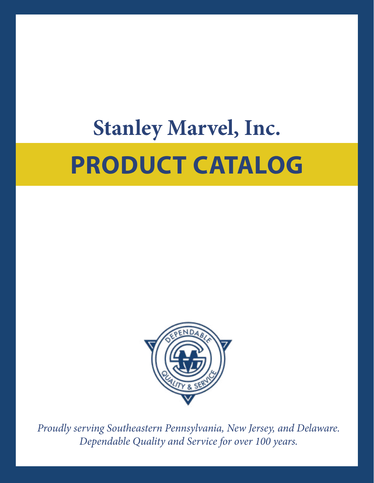# **PRODUCT CATALOG Stanley Marvel, Inc.**



*Proudly serving Southeastern Pennsylvania, New Jersey, and Delaware. Dependable Quality and Service for over 100 years.*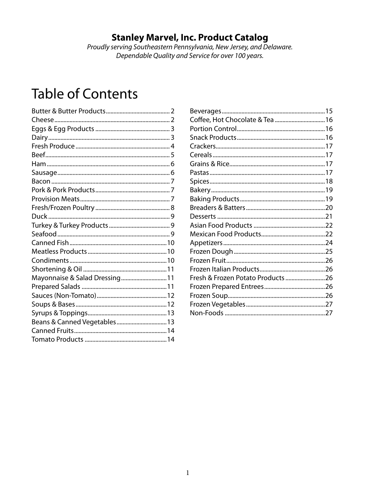### **Stanley Marvel, Inc. Product Catalog**

Proudly serving Southeastern Pennsylvania, New Jersey, and Delaware. Dependable Quality and Service for over 100 years.

## **Table of Contents**

| Mayonnaise & Salad Dressing 11 |  |
|--------------------------------|--|
|                                |  |
|                                |  |
|                                |  |
|                                |  |
| Beans & Canned Vegetables 13   |  |
|                                |  |
|                                |  |
|                                |  |

| Coffee, Hot Chocolate & Tea  16    |  |
|------------------------------------|--|
|                                    |  |
|                                    |  |
|                                    |  |
|                                    |  |
|                                    |  |
|                                    |  |
|                                    |  |
|                                    |  |
|                                    |  |
|                                    |  |
|                                    |  |
|                                    |  |
|                                    |  |
|                                    |  |
|                                    |  |
|                                    |  |
|                                    |  |
| Fresh & Frozen Potato Products  26 |  |
|                                    |  |
|                                    |  |
|                                    |  |
|                                    |  |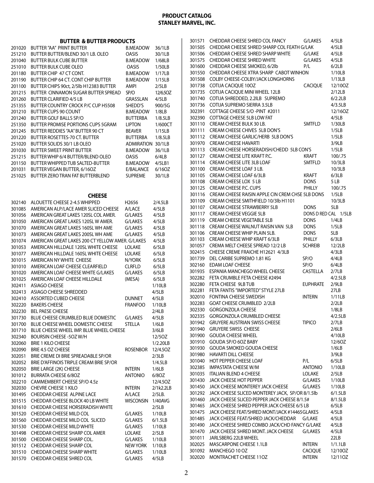**BUTTER & BUTTER BRODUCTS** 

|        | BUTTER & BUTTER PRODUCTS                         |                   |           |
|--------|--------------------------------------------------|-------------------|-----------|
| 201020 | <b>BUTTER "AA" PRINT BUTTER</b>                  | <b>B.MEADOW</b>   | 36/1LB    |
| 251210 | BUTTER BUTTER/BLEND 30/1 LB. OLEO                | OASIS             | 30/1LB    |
| 201040 | <b>BUTTER BULK CUBE BUTTER</b>                   | <b>B.MEADOW</b>   | 1/68LB    |
| 251010 | <b>BUTTER BULK CUBE OLEO</b>                     | <b>OASIS</b>      | 1/50LB    |
| 201180 | BUTTER CHIP 47 CT CONT.                          | <b>B.MEADOW</b>   | 1/17LB    |
| 201190 | BUTTER CHIP 64 CT. CONT CHIP BUTTER              | <b>B.MEADOW</b>   | 1/15LB    |
| 201100 | BUTTER CHIPS 90ct, 2/5lb H12383 BUTTER           | AMPI              | 2/5LB     |
| 201215 | BUTTER CINNAMON SUGAR BUTTER SPREAD              | SP/O              | 12/6.50Z  |
| 201260 | <b>BUTTER CLARIFIED 4/5 LB</b>                   | GRASSLAN          | 4/5LB     |
| 251355 | BUTTER COUNTRY CROCK P/C CUP H5508               | SHEDD'S           | 900/5G    |
| 201210 | BUTTER CUPS 90 COUNT                             | <b>B.MEADOW</b>   | 1/8LB     |
| 201240 | <b>BUTTER GOLF BALLS SP/O</b>                    | <b>BUTTERBA</b>   | 1/8.5LB   |
| 251350 | <b>BUTTER PROMISE PORTIONS CUPS 5GRAM</b>        | <b>LIPTON</b>     | 1/600CT   |
| 201245 | BUTTER REDDIES "AA" BUTTER 90 CT                 | <b>BEAVER</b>     | 1/15LB    |
| 201220 | BUTTER ROSETTES-70 CT. BUTTER                    | <b>BUTTERBA</b>   | 1/8.5LB   |
| 251020 | BUTTER SOLIDS 30/1 LB OLEO                       | <b>ADMIRATION</b> | 30/1LB    |
| 201030 | <b>BUTTER SWEET PRINT BUTTER</b>                 | <b>B.MEADOW</b>   | 36/1LB    |
| 251215 | BUTTER WHIP 6/4 BUTTER/BLEND OLEO                | OASIS             | 6/4LB     |
| 201150 | BUTTER WHIPPED TUB SALTED-BUTTER                 | <b>B.MEADOW</b>   | 4/5LB1    |
| 201031 | BUTTER VEGAN BUTTER, 6/16OZ                      | E/BALANCE         | 6/16OZ    |
| 251025 | BUTTER ZERO TRAN FAT BUTTERBLEND                 | <b>SUPREME</b>    | 30/1LB    |
|        |                                                  |                   |           |
|        |                                                  |                   |           |
|        | <b>CHEESE</b>                                    |                   |           |
| 302140 | ALOUETTE CHEESE 2-4.5 WHIPPED                    | H2656             | 2/4.5LB   |
| 301085 | AMERICAN ALP/LACE AMER SLICED CHEESE             | A/LACE            | 4/5LB     |
| 301056 | AMERICAN GREAT LAKES 120SL COL AMER.             | G/LAKES           | 4/5LB     |
| 301050 | AMERICAN GREAT LAKES 120SL W AMER.               | G/LAKES           | 4/5LB     |
| 301070 | AMERICAN GREAT LAKES 160SL WH AME                | G/LAKES           | 4/5LB     |
| 301073 | AMERICAN GREAT LAKES 200SL WH AME                | G/LAKES           | 4/5LB     |
| 301074 | AMERICAN GREAT LAKES 200 CT YELLOW AMER. G/LAKES |                   | 4/5LB     |
| 301053 | AMERICAN HILLDALE 120SL WHITE CHEESE             | <b>LOLAKE</b>     | 6/5LB     |
| 301077 | AMERICAN HILLDALE 160SL WHITE CHEESE             | LOLAKE            | 6/5LB     |
| 301015 | AMERICAN NY WHITE CHEESE                         | N/YORK            | 6/5LB     |
| 301010 | AMERICAN LOAF CHEESE CLEARFIELD                  | <b>CLRFLD</b>     | 6/5LB     |
| 301020 | AMERICAN LOAF CHEESE WHITE G/LAKES               | G/LAKES           | 6/5LB     |
| 301025 | AMERICAN LOAF CHEESE HILLDALE                    | (MESA)            | 6/5LB     |
| 302411 | <b>ASIAGO CHEESE</b>                             |                   | 1/10LB    |
| 302413 | <b>ASIAGO CHEESE SHREDDED</b>                    |                   | 4/5LB     |
| 302410 | <b>ASSORTED CUBED CHEESE</b>                     | <b>DUNNET</b>     | 4/5LB     |
| 302220 | <b>BAKERS CHEESE</b>                             | <b>FRANFOO</b>    | 1/10LB    |
| 302230 | <b>BEL PAESE CHEESE</b>                          |                   | 2/4LB     |
| 301730 | BLUE CHEESE CRUMBLED BLUE DOMESTIC               | G/LAKES           | 4/5LB     |
| 301700 | BLUE CHEESE WHEEL DOMESTIC CHEESE                | STELLA            | 1/6LB     |
| 301710 | BLUE CHEESE WHEEL IMP. BLUE WHEEL CHEESE         |                   | 3/6LB     |
| 302340 | BOURSIN CHEESE -5OZ W/H                          |                   | 12/50Z    |
| 302060 | <b>BRIE 1 KILO CHEESE</b>                        |                   | 1/2.20LB  |
| 302090 | BRIE 4.5 OZ CHEESE                               | <b>ROSENBOR</b>   | 12/4.5OZ  |
| 302051 | BRIE CREME DI BRIE SPREADABLE SP/OR              |                   | 2/3LB     |
| 302052 | BRIE D'AFFINOIS TRIPLE CREAM BRIE SP/OR          |                   | 1/4.5LB   |
| 302050 | BRIE LARGE (2K) CHEESE                           | intern            | 1/6LB     |
| 301012 | <b>BURRATA CHEESE 6/8OZ</b>                      | <b>ANTONIO</b>    | 6/80Z     |
| 302210 | CAMMEMBERT CHEESE SP/O 4.5z                      |                   | 12/4.5OZ  |
| 302030 | <b>CHEVRE CHEESE 1 KILO</b>                      | <b>INTERN</b>     | 2/1k2.2LB |
| 301495 | CHEDDAR CHEESE ALPINE LACE                       | A/LACE            | 2/5LB.    |
| 301515 | CHEDDAR CHEESE BLOCK 40 LB WHITE                 | <b>WISCONSIN</b>  | 1/40AVG   |
| 301610 | CHEDDAR CHEESE HORSERADISH WHITE                 |                   | 2/5LB     |
| 301520 | CHEDDAR CHEESE MILD COL                          | G/LAKES           | 1/10LB    |
| 301560 | CHEDDAR CHEESE MILD COL SLICED                   | G/LAKES           | 6/1.5LB   |
| 301530 | CHEDDAR CHEESE MILD WHITE                        | G/LAKES           | 1/10LB    |
| 301498 | CHEDDAR CHEESE SHARP COL AMER                    | LOLAKE            | 2/5LB     |
| 301500 | CHEDDAR CHEESE SHARP COL.                        | G/LAKES           | 1/10LB    |
| 301512 | CHEDDAR CHEESE SHARP COL                         | <b>NEW YORK</b>   | 1/10LB    |
| 301510 | <b>CHEDDAR CHEESE SHARP WHITE</b>                | G/LAKES           | 1/10LB    |
| 301570 | CHEDDAR CHEESE SHRED COL                         | G/LAKES           | 4/5LB     |

| 301571 | CHEDDAR CHEESE SHRED COL FANCY                   | G/LAKES              | 4/5LB   |
|--------|--------------------------------------------------|----------------------|---------|
| 301505 | CHEDDAR CHEESE SHRED SHARP COL FEATH G/LAK       |                      | 4/5LB   |
| 301506 | CHEDDAR CHEESE SHRED SHARP WHITE                 | G/LAKE               | 4/5LB   |
| 301575 | <b>CHEDDAR CHEESE SHRED WHITE</b>                | G/LAKES              | 4/5LB   |
| 301600 | CHEDDAR CHEESE SMOKED, 6/2lb                     | P/L                  | 6/2LB   |
| 301550 | CHEDDAR CHEESE XTRA SHARP CABOT WINHON           |                      | 1/10LB  |
| 301508 | COLBY CHEESE-COLBY/JACK LONGHORNS                |                      | 1/13LB  |
| 301738 | COTIJA CACIQUE 10OZ                              | <b>CACIQUE</b>       | 12/10OZ |
| 301735 | COTIJA CACIQUE MINI WHEEL 12LB                   |                      | 2/12LB  |
| 301740 | COTIJA SHREDDED, 2.2ILB SUPREMO                  |                      | 6/2.2LB |
| 301736 | <b>COTIJA SUPREMO SIERRA 3.5LB</b>               |                      | 4/3.5LB |
| 302391 | COTTAGE CHEESE S/O -PINT #2011                   |                      | 12/16OZ |
| 302390 | <b>COTTAGE CHEESE 5LB LOW FAT</b>                |                      | 4/5LB   |
| 301110 | CREAM CHEESE BULK 30 LB.                         | <b>SMTFLD</b>        | 1/30LB  |
| 301111 | CREAM CHEESE CHIVES 5LB DON'S                    |                      | 1/5LB   |
| 301112 | CREAM CHEESE GARLIC/HERB 5LB DON'S               |                      | 1/5LB   |
| 301970 | <b>CREAM CHEESE HAVARTI</b>                      |                      | 3/9LB   |
| 301113 | CREAM CHEESE HORSERADISH/CHEDD 5LB CON'S         |                      | 1/5LB   |
| 301127 | CREAM CHEESE LITE KRAFT P.C.                     | KRAFT                | 100/.75 |
| 301114 | CREAM CHEESE LITE 3LB LOAF                       | SMTFLD               | 10/3LB  |
| 301100 | CREAM CHEESE LOAF 3 LB.                          |                      | 10/3LB  |
| 301105 | CREAM CHEESE LOAF 6/3LB                          | KRAFT                | 6/3LB   |
| 301108 | CREAM CHEESE LOX 5 LB                            | <b>DONS</b>          | 5 LB    |
| 301125 | CREAM CHEESE P.C. CUPS                           | PHILLY               | 100/.75 |
| 301116 | CREAM CHEESE RAISIN APPLE CIN CREM CHSE 5LB DONS |                      | 1/5LB   |
| 301109 | CREAM CHEESE SMITHFIELD 10/3lb H1101             |                      | 10/3LB  |
| 301107 | <b>CREAM CHEESE STRAWBERRY 5LB</b>               | <b>DONS</b>          | 5LB     |
| 301117 | <b>CREAM CHEESE VEGGIE 5LB</b>                   | DONS D RED CAL 1/5LB |         |
| 301119 | CREAM CHEESE VEGETABLE 5LB                       | DONS                 | 1/4LB   |
| 301118 | CREAM CHEESE WALNUT RAISIN VAN 5LB               | <b>DONS</b>          | 1/5LB   |
| 301106 | CREAM CHEESE WHIP PLAIN 5LB.                     | <b>DONS</b>          | 5LB     |
| 301103 | CREAM CHEESE WHIP KRAFT 6/3LB                    | PHILLY               | 6/3LB   |
| 301057 | CREMA MELT CHEESE SPREAD 12/2 LB                 | <b>SCHREIB</b>       | 12/2LB  |
| 302415 | CHEESE CREME FRAICHE H12621 4/3LB                |                      | 4/3LB   |
| 301739 | DEL CARIBE SUPREMO 1.81 KG                       | SP/O                 | 4/4LB   |
| 302160 | <b>EDAM LOAF CHEESE</b>                          | SP/O                 | 6/4LB   |
| 301935 | ESPANIA MANCHEGO WHEEL CHEESE                    | CASTELLA             | 2/7LB   |
| 302282 | FETA CRUMBLE FETA CHEESE #2494                   |                      | 4/2.5LB |
| 302280 | FETA CHEESE 9LB TUB                              | <b>EUPHRATE</b>      | 2/9LB   |
| 302281 | FETA FANTIS "IMPORTED" STYLE 27LB                |                      | 27LB    |
| 302010 | FONTINA CHEESE SWEDISH                           | <b>INTERN</b>        | 1/11LB  |
| 302283 | <b>GOAT CHEESE CRUMBLED 2/2LB</b>                |                      | 2/2LB   |
| 302330 | <b>GORGONZOLA CHEESE</b>                         |                      | 1/8LB   |
| 302335 | <b>GORGONZOLA CRUMBLED CHEESE</b>                |                      | 4/2.5LB |
| 301942 | <b>GRUYERE AUSTRIAN SWISS CHEESE</b>             | <b>TIPICO</b>        | 2/7LB   |
| 301940 | <b>GRUYERE SWISS CHEESE</b>                      |                      | 2/6LB   |
| 301900 | <b>GOUDA CHEESE WHEEL</b>                        |                      | 4/10LB  |
| 301910 | GOUDA SP/O 6OZ BABY                              |                      | 12/60Z  |
| 301930 | <b>GOUDA SMOKED GOUDA CHEESE</b>                 |                      | 1/6LB   |
| 301980 | <b>HAVARTI DILL CHEESE</b>                       |                      | 3/9LB   |
| 301040 | HOT PEPPER CHEESE LOAF                           | P/L                  | 6/5LB   |
| 302385 | <b>IMPASTATA CHEESE W/M</b>                      | <b>ANTONIO</b>       | 1/10LB  |
| 301035 | <b>ITALIAN BLEND 4 CHEESE</b>                    | LOLAKE               | 2/5LB   |
| 301430 | JACK CHEESE HOT PEPPER                           | G/LAKES              | 1/10LB  |
| 301450 | JACK CHEESE MONTEREY JACK CHEESE                 | G/LAKES              | 1/10LB  |
| 301292 | JACK CHEESE SLICED MONTEREY JACK, SP/OR 8/1.5lb  |                      | 6/1.5LB |
| 301460 | JACK CHEESE SLICED PEPPER JACK CHEESE 8/1.5#     |                      | 8/1.5LB |
| 301465 | JACK CHEESE SHRED PEPPER JACK CHEESE 6/5 LB      |                      | 6/5LB   |
| 301475 | JACK CHEESE FEAT/SHRED MONT/JACK #14465GLAKES    |                      | 4/5LB   |
| 301485 | JACK CHEESE FEAT/SHRED JACK/CHEDDAR              | G/LAKE               | 4/5LB   |
| 301490 | JACK CHEESE SHRED COMBO JACK/CHD FANCY G/LAKE    |                      | 4/5LB   |
| 301470 | JACK CHEESE SHRED MONT. JACK CHEESE              | G/LAKES              | 4/5LB   |
| 301011 | JARLSBERG 22LB WHEEL                             |                      | 22LB    |
| 302025 | MASCARPONE CHEESE 1.1LB                          | <b>INTERN</b>        | 1/1.1LB |
| 301092 | MANCHEGO 10 OZ                                   | <b>CACIQUE</b>       | 12/10OZ |
| 302020 | MONTRACHET CHEESE 11OZ                           | <b>INTERN</b>        | 12/110Z |
|        |                                                  |                      |         |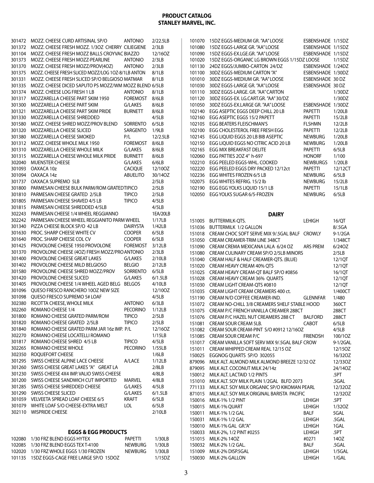| 301472           | MOZZ. CHEESE CURD ARTISINAL SP/O                            | <b>ANTONIO</b>           | 2/22.5LB          |
|------------------|-------------------------------------------------------------|--------------------------|-------------------|
| 301372           | MOZZ. CHEESE FRESH MOZZ. 1/3OZ CHERRY CILIEGIENE            |                          | 2/3LB             |
| 301104           | MOZZ. CHEESE FRESH MOZZ BALLS CROYVAC BIAZZO                |                          | 12/16OZ           |
| 301373           | MOZZ. CHEESE FRESH MOZZ-PEARLINE                            | <b>ANTONIO</b>           | 2/3LB             |
| 301370           | MOZZ. CHEESE FRESH MOZZ/PROV(4OZ)                           | <b>ANTONIO</b>           | 2/3LB             |
| 301375           | MOZZ. CHEESE FRESH SLICED MOZZ/LOG 10Z-8/1LB ANTON          |                          | 8/1LB             |
| 301331           | MOZZ. CHEESE FRESH SLICED SP/O BELGIOSO MATMAR              |                          | 8/1LB             |
| 301335           | MOZZ. CHEESE DICED SAPUTO PS MOZZ/WM MOZZ BLEND 6/5LB       |                          |                   |
| 301374           | MOZZ. CHEESE LOG FRESH 1 LB                                 | <b>ANTONIO</b>           | 8/1LB             |
| 301317           | MOZZARELLA CHEESE PART SKIM 1950                            | <b>FOREMOST</b>          | 8/6LB             |
| 301300           | MOZZARELLA CHEESE PART SKIM                                 | G/LAKES                  | 8/6LB             |
| 301321           | MOZZARELLA CHEESE PART SKIM PRIDE                           | <b>BURNETT</b>           | 8/6LB             |
| 301330           | MOZZARELLA CHEESE SHREDDED                                  |                          | 4/5LB             |
| 301580           | MOZZ. CHEESE SHRED MOZZ/PROV BLEND                          | <b>SORRENTO</b>          | 6/5LB             |
| 301320           | MOZZARELLA CHEESE SLICED                                    | SARGENTO                 | 1/9LB             |
| 301380           | MOZZARELLA CHEESE SMOKED                                    | P/L                      | 12/2.5LB          |
| 301312           | MOZZ. CHEESE WHOLE MILK 1950                                | <b>FOREMOST</b>          | 8/6LB             |
| 301310           | MOZZARELLA CHEESE WHOLE MILK                                | G/LAKES                  | 8/6LB             |
| 301315           | MOZZARELLA CHEESE WHOLE MILK PRIDE                          | BURNETT                  | 8/6LB             |
| 302040           | <b>MUENSTER CHEESE</b>                                      | G/LAKES                  | 6/6LB             |
| 301093           | OAXACA 10z                                                  | <b>CACIQUE</b>           | 12/10OZ           |
| 301094           | OAXACA 14z                                                  | <b>ABUELITO</b>          | 30/14OZ           |
| 301737           | OAXACA SUPREMO 5LB                                          |                          | 2/5LB             |
| 301800           | PARMESAN CHEESE BULK PARM/ROM GRATEDTIPICO                  |                          | 2/5LB             |
| 301810           | PARMESAN CHEESE GRATED 2/5LB                                | <b>TIPICO</b>            | 2/5LB             |
| 301805           | PARMESAN CHEESE SHAVED 4/5 LB                               | <b>TIPICO</b>            | 4/5LB             |
| 301815           | PARMESAN CHEESE SHREDDED 4/5LB                              |                          | 4/5LB             |
| 302243           | PARMESAN CHEESE 1/4 WHEEL REGGIANNO                         |                          | 1EA/20LB          |
| 302242           | PARMESAN CHEESE WHEEL REGGIANITO PARM WHEEL                 |                          | 1/17LB            |
| 301340           | PIZZA CHEESE BLOCK SP/O 42 LB                               | <b>DAIRYSTA</b>          | 1/42LB            |
| 301630           | PROC. SHARP CHEESE WHITE CV                                 | <b>COOPER</b>            | 6/5LB             |
| 301640           | PROC. SHARP CHEESE COL CV                                   | <b>COOPER</b>            | 6/5LB             |
| 301425           | PROVOLONE CHEESE 1950 PROVOLONE                             | FOREMOST                 | 3/12LB            |
| 301370           | PROVOLONE CHEESE (4OZ) FRESH MOZZ/PRO ANTONIO               |                          | 2/3LB             |
| 301400           | PROVOLONE CHEESE GREAT LAKES                                | G/LAKES                  | 2/10LB            |
| 301402           | PROVOLONE CHEESE MILD BELGIOSO                              | Belgio                   | 2/12LB            |
| 301580           | PROVOLONE CHEESE SHRED MOZZ/PROV<br>PROVOLONE CHEESE SLICED | SORRENTO                 | 6/5LB             |
| 301420<br>301405 | PROVOLONE CHEESE 1/4 WHEEL AGED BELG                        | G/LAKES<br><b>BELGOS</b> | 6/1.5LB<br>4/10LB |
| 301096           | QUESO FRESCO RANCHERO 100Z NEW SIZE                         |                          | 12/10OZ           |
| 301098           | QUESO FRESCO SUPREMO 5# LOAF                                |                          | 4/5LB             |
| 302380           | RICOTTA CHEESE, WHOLE MILK                                  | <b>ANTONIO</b>           | 6/3LB             |
| 302260           | ROMANO CHEESE 1/4                                           | PECORINO                 | 1/12LB            |
| 301800           | ROMANO CHEESE GRATED PARM/ROM                               | Tipico                   | 2/5LB             |
| 301820           | ROMANO CHEESE GRATED 2/5LB                                  | <b>TIPICO</b>            | 2/5LB             |
| 301840           | ROMANO CHEESE GRATED PARM JAR 16z IMP. P/L                  |                          | 12/16OZ           |
| 302270           | ROMANO CHEESE LOCATELLI ROMANO                              |                          | 1/15LB            |
| 301817           | ROMANO CHEESE SHRED 4/5 LB                                  | Tipico                   | 4/5LB             |
| 302265           | ROMANO CHEESE WHOLE                                         | <b>PECORINO</b>          | 1/55LB            |
| 302350           | ROQUEFORT CHEESE                                            |                          | 1/6LB             |
| 301295           | SWISS CHEESE ALPINE LACE CHEESE                             | A/LACE                   | 1/12LB            |
| 301260           | SWISS CHEESE GREAT LAKES "A" GREAT LA                       |                          | 2/8LB             |
| 301230           | SWISS CHEESE 4X4 IMP. VALIO SWISS CHEESE                    |                          | 4/8LB             |
| 301200           | SWISS CHEESE SANDWICH CUT IMPORTED                          | MARVEL                   | 4/8LB             |
| 301285           | SWISS CHEESE SHREDDED CHEESE                                | G/LAKES                  | 4/5LB             |
| 301290           | SWISS CHEESE SLICED                                         | G/LAKES                  | 6/1.5LB           |
| 301059           | VELVEETA SPREAD LOAF CHEESE 6/5                             | KRAFT                    | 6/5LB             |
| 301079           | WHITE LOAF S/O CHEESE-EXTRA MELT                            | LOL                      | 6/5LB             |
| 302110           | <b>WISPRIDE CHEESE</b>                                      |                          | 2/10LB            |
|                  |                                                             |                          |                   |
|                  |                                                             |                          |                   |
|                  | <b>EGGS &amp; EGG PRODUCTS</b>                              |                          |                   |
| 102080           | 1/30 FRZ BLEND EGGS HYTEX                                   | PAPETTI                  | 1/30LB            |
| 102085           | 1/30 FRZ BLEND EGGS TEX T-4100                              | <b>NEWBURG</b>           | 1/30LB            |

 1/30 FRZ WHOLE EGGS 1/30 FROZEN NEWBURG 1/30LB 101135 15DZ EGGS-CAGE FREE LARGE SP/O 15DOZ 1/15DZ

| 101070 | 15DZ EGGS-MEDIUM GR. "AA" LOOSE              | ESBENSHADE 1/15DZ |           |
|--------|----------------------------------------------|-------------------|-----------|
| 101080 | 15DZ EGGS-LARGE GR. "AA" LOOSE               | <b>ESBENSHADE</b> | 1/15DZ    |
| 101090 | 15DZ EGGS-EX.LGE.GR. "AA" LOOSE              | <b>FSBENSHADE</b> | 1/15DZ    |
| 101020 | 15DZ EGGS-ORGANIC LG BROWN EGGS 1/15DZ LOOSE |                   | 1/15DZ    |
| 101130 | 24DZ EGGS/JUMBO-CARTON 24/DZ                 | <b>FSBENSHADE</b> | 1/24D7    |
| 101100 | 30DZ EGGS-MEDIUM CARTON "A"                  | <b>FSBENSHADE</b> | 1/30DZ    |
| 101010 | 30DZ EGGS-MEDIUM GR. "AA" LOOSE              | <b>ESBENSHADE</b> | 30 DZ     |
| 101030 | 30DZ EGGS-LARGE GR. "AA" LOOSE               | <b>FSBENSHADE</b> | 30 DZ     |
| 101110 | 30DZ EGGS-LARGE, GR. "AA" CARTON             |                   | 1/30DZ    |
| 101120 | 30DZ EGGS-EX. LG.CART.GR. "AA" 30/DZ         |                   | 1/30DZ    |
| 101050 | 30DZ EGGS-EX LARGE GR. "AA" LOOSE            | <b>FSBENSHADE</b> | 1/30DZ    |
| 102140 | EGG ASEPTIC EGGS DEEP CHILL 20 LB            | <b>PAPFTTI</b>    | 1/20LB    |
| 102160 | EGG ASEPTIC EGGS 15/2 PAPETT                 | <b>PAPFTTI</b>    | 15/2LB    |
| 102105 | <b>FGG BEATERS ELEISCHMAN'S</b>              | <b>FI SHMN</b>    | 12/2LB    |
| 102100 | EGG CHOLESTEROL FREE FRESH EGG               | <b>PAPFTTI</b>    | 12/2LB    |
| 102145 | EGG LIQUID EGGS 20 LB BIB ASEPTIC            | <b>NEWBURG</b>    | 1/20LB    |
| 102150 | EGG LIQUID EGGS NO CITRIC ACID 20 LB         | <b>NFWRURG</b>    | $1/20I$ B |
| 102165 | EGG MIX BREAKFAST DELITE                     | <b>PAPETTI</b>    | 6/5LB     |
| 102060 | EGG PATTIES 20Z 4" h-697                     | <b>HONORF</b>     | 1/100     |
| 102210 | EGG PEELED EGGS-WHL. COOKED                  | <b>NEWBURGS</b>   | 1/20LB    |
| 102220 | EGG PEELED EGGS DRY PACKED 12/12ct           | <b>PAPFTTI</b>    | 12/12CT   |
| 102236 | EGG WHITES FROZEN 6/5 LB                     | <b>NEWBURG</b>    | 6/5LB     |
| 102075 | EGG WHITES REFRIG. 15/2 lb                   | <b>NFWBURG</b>    | 15/2LB    |
| 102190 | EGG EGG YOLKS LIQUID 15/1 LB                 | <b>PAPFTTI</b>    | 15/1LB    |
| 102050 | EGG YOLKS SUGAR 6/5-FROZEN                   | <b>NEWBURG</b>    | 6/5LB     |
|        |                                              |                   |           |

**DAIRY**

| 151005 | BUTTERMILK-QTS.                               | <b>LEHIGH</b>   | 16/QT     |
|--------|-----------------------------------------------|-----------------|-----------|
| 151036 | <b>BUTTERMILK 1/2 GALLON</b>                  |                 | 8/.5GA    |
| 151018 | CREAM CHOC SOFT SERVE MIX 9/.5GAL BALF CROWLY |                 | 9-1/2GA   |
| 151050 | CREAM CREAMER-TRIM LINE 348CT                 |                 | 1/348CT   |
| 151090 | CREAM CREMA MEXICANA LALA 6/24 OZ             | <b>ARS PREM</b> | 6/240Z    |
| 151080 | CREAM CULINARY CREAM SP/O 2/5LB MINORS        |                 | 2/5LB     |
| 151040 | CREAM HALF & HALF CREAMER-QTS. (BLUE)         |                 | 12/1QT    |
| 151020 | CREAM HEAVY CREAM 40% OTS                     |                 | 12/1QT    |
| 151025 | CREAM HEAVY CREAM-QT BALF SP/O #0856          |                 | 16/1QT    |
| 151028 | CREAM HEAVY CREAM 36% QUARTS                  |                 | 12/1QT    |
| 151030 | CREAM LIGHT CREAM-OTS #0810                   |                 | 12/1QT    |
| 151035 | CREAM LIGHT CREAM CREAMERS 400 ct.            |                 | 1/400CT   |
| 151190 | CREAM N/D COFFEE CREAMER-IND.                 | <b>GLENNFAR</b> | 1/480     |
| 151072 | CREAM NO-CHILL 3/8 CREAMERS SHELF STABLE HOOD |                 | 360CT     |
| 151075 | CREAM P/C FRENCH VANILLA CREAMER 288CT        |                 | 288CT     |
| 151076 | CREAM P/C HAZEL NUT CREAMERS 288 CT           | <b>BALFORD</b>  | 288CT     |
| 151081 | CREAM SOUR CREAM 5LB.                         | <b>CABOT</b>    | 6/5LB     |
| 151082 | CREAM SOUR CREAM-PINT S/O #0912 12/16OZ       |                 | 4/5LB     |
| 151085 | CREAM SOUR CREAM P/C                          | <b>FRIENDSH</b> | 100/1OZ   |
| 151017 | CREAM VANILLA SOFT SERV MIX 9/.5GAL BALF CROW |                 | 9-1/2GAL  |
| 151011 | CREAM WHIPPED CREAM REAL 12/15 OZ             |                 | 12/15OZ   |
| 150025 | EGGNOG OUARTS SP/O 302055                     |                 | 16/32OZ   |
| 879096 | MILK ALT. ALMOND MILK ALMOND BREEZE 12/32 OZ  |                 | 12/33OZ   |
| 879095 | MILK ALT. COCONUT MILK 24/14z                 |                 | 24/14OZ   |
| 150012 | MILK ALT. LACTAID 1/2 PINTS                   |                 | .5PT      |
| 151010 | MILK ALT. SOY MILK PLAIN 1/2GAL BLFD 2073     |                 | .5GAL     |
| 771133 | MILK ALT. SOY MILK ORGANIC SP/O KIKOMAN PEARL |                 | 12/32OZ   |
| 871015 | MILK ALT. SOY MILK ORIGINAL BARISTA PACIFIC   |                 | 12/32OZ   |
| 150016 | MILK-1% 1/2 PINT                              | LEHIGH          | .5PT      |
| 150015 | MILK-1% QUART                                 | <b>LEHIGH</b>   | 1/320Z    |
| 150011 | MILK-1% 1/2 GAL                               | <b>BALF</b>     | 5GAL      |
| 150031 | MILK-1% 1/2 GAL                               | <b>LEHIGH</b>   | .5GAL     |
| 150010 | MILK-1% GAL GR."A"                            | <b>LEHIGH</b>   | 1GAL      |
| 150033 | MILK-2%, 1/2 PINT #0255                       | <b>LEHIGH</b>   | .5PT      |
| 151015 | MILK-2% 14OZ                                  | #0271           | 140Z      |
| 150032 | MILK-2% 1/2 GAL.                              | <b>BALF</b>     | .5GAL     |
| 151009 | MILK-2% DISP.5GAL                             | <b>LEHIGH</b>   | $1/5$ GAL |
| 150030 | MILK-2% GALLON                                | <b>LEHIGH</b>   | 1/GAL     |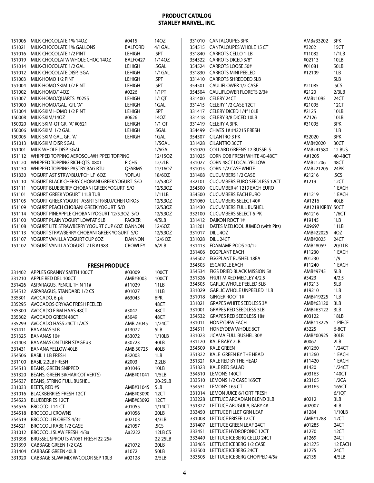|        | 151006 MILK-CHOCOLATE 1% 14OZ                                         | #0415           | 140Z          |        | 331010 CANTALOUPES 3PK                                             | AMB#33202         | 3PK             |
|--------|-----------------------------------------------------------------------|-----------------|---------------|--------|--------------------------------------------------------------------|-------------------|-----------------|
| 151021 | MILK-CHOCOLATE 1% GALLONS                                             | <b>BALFORD</b>  | 4/1GAL        |        | 354515 CANTALOUPES WHOLE 15 CT                                     | #3202             | 15CT            |
|        | 151016 MILK-CHOCOLATE 1/2 PINT                                        | <b>LEHIGH</b>   | .5PT          |        | 331840 CARROTS CELLO 1-LB                                          | #11082            | 1/1LB           |
|        | 151019 MILK-CHOCOLATW WHOLE CHOC 14OZ                                 | BALF0427        | 1/140Z        |        | 354522 CARROTS DICED 3/8"                                          | #02113            | 10LB            |
|        |                                                                       |                 |               |        |                                                                    |                   |                 |
|        | 151014 MILK-CHOCOLATE 1/2 GAL                                         | LEHIGH          | .5GAL         |        | 354524 CARROTS LOOSE 50#                                           | #01081            | 50LB            |
|        | 151012 MILK-CHOCOLATE DISP. 5GA                                       | LEHIGH          | $1/1$ GAL     |        | 331830 CARROTS MINI PEELED                                         | #12109            | 1LB             |
|        | 151003 MILK-HOMO 1/2 PINT                                             | <b>LEHIGH</b>   | .5PT          |        | 331410 CARROTS SHREDDED 5LB                                        |                   | 5LB             |
|        | 151004 MILK-HOMO SKIM 1/2 PINT                                        | LEHIGH          | .5PT          |        | 354501 CAULIFLOWER 1/2 CASE                                        | #21085            | .5 <sub>C</sub> |
|        | 151002 MILK-HOMO/14OZ                                                 | #0226           | 1/1PT         |        | 354504 CAULIFLOWER FLORETS 2/3#                                    | #2120             | 2/3LB           |
|        | 151007 MILK-HOMO/QUARTS #0255                                         | <b>LEHIGH</b>   | 1/1QT         |        | 331400 CELERY 24CT                                                 | AMB#1095          | 24CT            |
|        |                                                                       |                 |               |        |                                                                    |                   |                 |
|        | 151000 MILK-HOMO/GAL. GR. "A"                                         | <b>LEHIGH</b>   | 1GAL          |        | 331415 CELERY 1/2 CASE 12CT                                        | #21095            | 12CT            |
|        | 151004 MILK-SKIM HOMO 1/2 PINT                                        | <b>LEHIGH</b>   | .5PT          |        | 331417 CELERY DICED 1/4"10LB                                       | #2125             | 10LB            |
|        | 150008 MILK-SKIM/14OZ                                                 | #0626           | 140Z          |        | 331418 CELERY 3/8 DICED 10LB                                       | A7126             | 10LB            |
|        | 150020 MILK-SKIM-QT GR. "A" #0621                                     | <b>LEHIGH</b>   | $1/1$ QT      |        | 331419 CELERY A 3PK                                                | #31095            | 3PK             |
|        | 150006 MILK-SKIM 1/2 GAL                                              | <b>LEHIGH</b>   | .5GAL         |        | 354499 CHIVES 1# #42215 FRESH                                      |                   | 1LB             |
|        | 150005 MILK-SKIM GAL. GR. "A"                                         | LEHIGH          | 1GAL          |        | 354507 CILANTRO 3 PK                                               | #32020            | 3PK             |
|        |                                                                       |                 |               |        |                                                                    |                   |                 |
|        | 151013 MILK-SKIM DISP. 5GAL                                           |                 | $1/5$ GAL     |        | 331428 CILANTRO 30CT                                               | AMB#2020          | 30CT            |
|        | 151001 MILK-WHOLE DISP. 5GAL                                          |                 | $1/5$ GAL     |        | 331020 COLLARD GREENS 12 BUSSELS                                   | AMB#41580         | <b>12 BUS</b>   |
|        | 151112 WHIPPED TOPPING AEROSOL-WHIPPED TOPPING                        |                 | 12/15OZ       |        | 331025 CORN COB FRESH WHITE 40-48CT                                | A#1205            | 40-48CT         |
|        | 151120 WHIPPED TOPPING RICH-QTS 0801                                  | <b>RICHS</b>    | 12/2LB        |        | 331027 CORN 48CT LOCAL YELLOW                                      | AMB#1206          | 48CT            |
|        | 151130 WHIPPED TOPPING PASTRY BAG RTU                                 | <b>QFARMS</b>   | 12/16OZ       |        | 331015 CORN 1/2 CASE WHITE                                         | AMB#21205         | 24PK            |
|        | 151330 YOGURT AST STRW/BLU/PCH LF 6OZ                                 | YOPLAI          | 18/6OZ        |        | 331408 CUCUMBERS 1/2 CASE                                          | #21216            | 5 <sub>CS</sub> |
|        |                                                                       |                 |               |        |                                                                    |                   |                 |
|        | 151110 YOGURT BLACK CHERRY CHOBANI GREEK YOGURT S/O                   |                 | 12/5.30Z      |        | 332101 CUCUMBERS EURO SEEDLESS 12CT                                | #1219             | 12CT            |
|        | 151111 YOGURT BLUEBERRY CHOBANI GREEK YOGURT S/O                      |                 | 12/5.30Z      |        | 354500 CUCUMBER #11219 EACH EURO                                   |                   | 1 EACH          |
|        | 151101 YOGURT GREEK YOGURT 11LB TUB                                   |                 | 1/11LB        |        | 354500 CUCUMBERS EACH EURO                                         | #11219            | 1 EACH          |
|        | 151105 YOGURT GREEK YOGURT ASSRT STR/BLU/CHER OIKOS                   |                 | 12/5.30Z      |        | 331060 CUCUMBERS SELECT 40#                                        | A#1216            | 40LB            |
|        | 151109 YOGURT PEACH CHOBANI GREEK YOGURT S/O                          |                 | 12/5.30Z      |        | 331430 CUCUMBERS FULL BUSHEL                                       | A#1218 KIRBY 50CT |                 |
|        | 151114 YOGURT PINEAPPLE CHOBANI YOGURT 12/5.30Z S/O                   |                 | 12/5.30Z      |        | 332100 CUCUMBERS SELECT 6-PK                                       | #61216            | 1/6CT           |
|        |                                                                       |                 |               |        |                                                                    |                   |                 |
|        | 151100 YOGURT PLAIN YOGURT LOWFAT 5LB                                 | <b>PACKER</b>   | 4/5LB         |        | 331412 DAIKON ROOT 1#                                              | #19145            | 1LB             |
|        | 151108 YOGURT LITE STRAWBERRY YOGURT CUP 6OZ DANNON                   |                 | 12/60Z        |        | 331201 DATES MEDJOOL JUMBO (with Pits)                             | A09697            | 11LB            |
|        | 151113 YOGURT STRAWBERRY CHOBANI GREEK YOGURT S/O                     |                 | 12/5.30Z      |        | 331017 DILL 40Z                                                    | AMB#22025         | 4OZ             |
|        | 151107 YOGURT VANILLA YOGURT CUP 6OZ                                  | <b>DANNON</b>   | 12/6 OZ       |        | 331028 DILL 24CT                                                   | AMB#2025          | 24CT            |
|        | 151102 YOGURT VANILLA YOGURT 2 LB #1983                               | <b>CROWLEY</b>  | 6/2LB         |        | 331413 EDAMAME PODS 20/1#                                          | AMB#8059          | 20/1LB          |
|        |                                                                       |                 |               |        |                                                                    |                   |                 |
|        |                                                                       |                 |               |        |                                                                    |                   |                 |
|        |                                                                       |                 |               |        | 331406 EGGPLANT EACH                                               | #11230            | 1 EACH          |
|        |                                                                       |                 |               |        | 354502 EGGPLANT BUSHEL 18EA                                        | #01230            | 1/9             |
|        | <b>FRESH PRODUCE</b>                                                  |                 |               |        | 354503 ESCAROLE EACH                                               | #11240            | 1 EACH          |
|        | 331402 APPLES GRANNY SMITH 100CT                                      | #03009          | 100CT         |        | 354534 FIGS DRIED BLACK MISSION 5#                                 | AMB#9745          | 5LB             |
|        |                                                                       |                 |               |        | 351326 FRUIT MIXED MEDLEY 4/2.5                                    | #3423             | 4/2.5           |
|        | 331210 APPLE RED DEL 100CT                                            | AMB#3003        | 100CT         |        |                                                                    |                   |                 |
|        | 331426 ASPARAGUS, PENCIL THIN 11#                                     | #11029          | 11LB          |        | 354505 GARLIC WHOLE PEELED 5LB                                     | #19213            | 5LB             |
|        | 354512 ASPARAGUS, STANDARD 1/2 CS                                     | #01027          | 11LB          |        | 331029 GARLIC WHOLE UNPEELED 1LB                                   | #19210            | 1LB             |
|        | 335301 AVOCADO, 6-pk                                                  | #63045          | 6PK           |        | 331018 GINGER ROOT 1#                                              | AMB#19225         | 1LB             |
|        | 335295 AVOCADOS CRYVAC FRESH PEELED                                   |                 | 48CT          |        | 331021 GRAPES WHITE SEEDLESS 3#                                    | AMB#63120         | 3LB             |
|        | 335300 AVOCADO FIRM HAAS 48CT                                         | #3047           |               |        | 331001 GRAPES RED SEEDLESS 3LB                                     | AMB#63122 3LB     |                 |
|        |                                                                       |                 | 48CT          |        | 354532 GRAPES RED SEEDLESS 18#                                     | #03122            | 18LB            |
|        | 335302 AVOCADO GREEN 48CT                                             | #3049           | 48CT          |        |                                                                    |                   |                 |
|        | 335299 AVOCADO HASS 24CT 1/2CS                                        | AMB 23045       | 1/24CT        |        | 331011 HONEYDEW EACH                                               | AMB#13225         | 1 PIECE         |
|        | 331411 BANANAS 5LB                                                    | #13072          | 5LB           |        | 354511 HONEYDEW WHOLE 6CT                                          | #3225             | 6-8CT           |
|        | 351325 BANANAS 10#                                                    | #33072          | 1/10LB        |        | 331023 JICAMA FULL BUSHEL 30#                                      | AMB#00925         | 30LB            |
|        | 331403 BANANAS ON TURN STAGE #3                                       | #30723          | 40LB          |        | 331120 KALE BABY 2LB                                               | #0067             | 2LB             |
|        | 331431 BANANA YELLOW 40LB                                             | AMB 30725       | 40LB          | 354509 | KALE GREEN                                                         | #01260            | 1/24CT          |
|        |                                                                       |                 |               |        | 351322 KALE GREEN BY THE HEAD                                      | #11260            | 1 EACH          |
|        | 354506 BASIL 1 LB FRESH                                               | #32003          | 1LB           |        |                                                                    |                   |                 |
|        | 331100 BASIL 2.2LB FRESH                                              | #2003           | 2.2LB         |        | 351321 KALE RED BY THE HEAD                                        | #11420            | 1 EACH          |
|        | 354513 BEANS, GREEN SNIPPED                                           | #01046          | 10LB          |        | 351323 KALE RED SALAD                                              | #1420             | 1/24CT          |
|        | 351320 BEANS, GREEN 5#(HARICOT VERTS)                                 | AMB#01041       | 1/5LB         | 354510 | LEMONS 140CT                                                       | #03163            | 140CT           |
|        | 354537 BEANS, STRING FULL BUSHEL                                      |                 | 20-25LB       |        | 333510 LEMONS 1/2 CASE 165CT                                       | #23165            | 1/2CA           |
|        | 331033 BEETS, RED #5                                                  | AMB#31045       | 5LB           |        | 354531 LEMONS 165 CT                                               | #03165            | 165CT           |
|        |                                                                       |                 |               |        | 331014 LEMON JUICE 6/1QRT FRESH                                    |                   | 6/1QT           |
|        | 331016 BLACKBERRIES FRESH 12CT                                        | AMB#03090       | 12CT          |        | 333228 LETTUCE ARCADIAN BLEND 3LB                                  | #0212             | 3LB             |
|        | 354523 BLUEBERRIES 12CT                                               | AMB#03092       | 12CT          |        |                                                                    |                   |                 |
|        | 354536 BROCCOLI 14-CT.                                                | #01055          | 1/14CT        |        | 351327 LETTUCE ARUGULA, BABY 4#                                    | #02007            | 4LB             |
|        | 354518 BROCCOLI CROWNS                                                | #01056          | 20LB          |        | 333450 LETTUCE FILLET GRN LEAF                                     | #1284             | 1/10LB          |
|        | 354519 BROCCOLI FLORETS 4/3#                                          | #02103          | 4/3LB         |        | 331008 LETTUCE FRISEE 12 CT                                        | AMB#1288          | 12CT            |
|        | 354521 BROCCOLI RABE 1/2 CASE                                         | #21057          | .5CS          |        | 331407 LETTUCE GREEN LEAF 24CT                                     | #01285            | 24CT            |
|        | 331012 BROCCOLI SLAW FRESH 4/3#                                       | A#2222          | 12LB CS       |        | 333451 LETTUCE HYDROPONIC 12CT                                     | #1270             | 12CT            |
|        |                                                                       |                 |               |        | 333449 LETTUCE ICEBERG CELLO 24CT                                  | #1269             | 24CT            |
|        | 331398 BRUSSEL SPROUTS A1061 FRESH 22-25#                             |                 | 22-25LB       |        |                                                                    |                   |                 |
|        | 331399 CABBAGE GREEN 1/2 CAS                                          | #21072          | 20LB          |        | 333465 LETTUCE ICEBERG 1/2 CASE                                    | #21275            | 12 EACH         |
|        | 331404 CABBAGE GREEN 40LB<br>331920 CABBAGE SLAW MIX W/COLOR SEP 10LB | #1072<br>#02128 | 50LB<br>2/5LB |        | 333500 LETTUCE ICEBERG 24CT<br>333505 LETTUCE ICEBERG CHOPPED 4/5# | #1275<br>#2135    | 24CT<br>4/5LB   |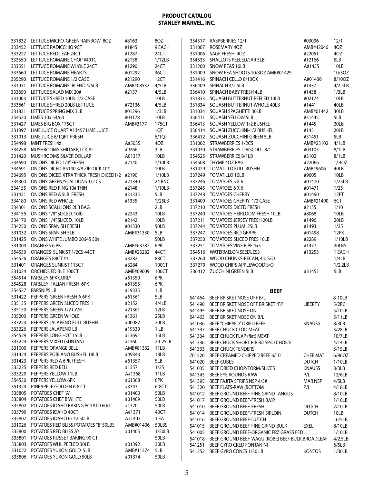|        | 331832 LETTUCE MICRO, GREEN RAINBOW 8OZ                           | #8163               | 8OZ                     |                  | 354517 RASPBERRIES 12/1                                             | #03096          | 12/1             |
|--------|-------------------------------------------------------------------|---------------------|-------------------------|------------------|---------------------------------------------------------------------|-----------------|------------------|
|        | 333452 LETTUCE RADICCHIO 9CT                                      | #1845               | 9 EACH                  |                  | 331007 ROSEMARY 4OZ                                                 | AMB#42046       | 4OZ              |
|        | 333227 LETTUCE RED LEAF 24CT                                      | #1287               | 24CT                    |                  | 331006 SAGE FRESH 4OZ                                               | #22051          | 4OZ              |
|        | 333550 LETTUCE ROMAINE CHOP #401C                                 | #2138               | 1/12LB                  |                  | 354533 SHALLOTS PEELED/JAR 5LB                                      | #12166          | 5LB              |
|        | 333551 LETTUCE ROMAINE WHOLE 24CT                                 | #1290               | 24CT                    |                  | 331200 SNOW PEAS 10LB                                               | A#1455          | 10LB             |
|        | 333660 LETTUCE ROMAINE HEARTS                                     | #01292              | 36CT                    |                  | 331009 SNOW PEA SHOOTS 10/3OZ AMB#01429                             |                 | 10/3OZ           |
|        | 335290 LETTUCE ROMAINE 1/2 CASE                                   | #21290              | 12CT                    |                  | 331416 SPINACH CELLO 8/10OX                                         | A#01436         | 8/10OZ           |
|        | 331031 LETTUCE ROMAINE BLEND 4/5LB                                | AMB#08532           | 4/5LB                   |                  | 336409 SPINACH 4/2.5LB                                              | #1437           | 4/2.5LB          |
|        | 333650 LETTUCE SALAD MIX 20#                                      | #2137               | 4/5LB                   |                  | 336410 SPINACH BABY FRESH 4LB                                       | #1438           | 1/3LB            |
|        | 331003 LETTUCE SHRED 10LB 1/2 CASE                                |                     | 10LB                    |                  | 331833 SQUASH BUTTERNUT PEELED 10LB                                 | #02174          | 10LB             |
|        | 333661 LETTUCE SHRED 20LB LETTUCE                                 | #72136              | 4/5LB                   |                  | 331834 SQUASH BUTTERNUT WHOLE 40LB                                  | #1441           | 40LB             |
|        | 331831 LETTUCE SPRING MIX 3LB                                     | #01296              | 1/3LB                   |                  | 331034 SQUASH SPAGHETTI 30LB                                        | AMB#01442       | 30LB             |
|        | 354520 LIMES 10# 54/63<br>331427 LIMES BIG BOX 175CT              | #03178<br>AMB#3177  | 10LB<br>175CT           |                  | 336411 SQUASH YELLOW 5LB<br>336413 SQUASH YELLOW-1/2 BUSHEL         | #31445<br>#1445 | 5LB<br>20LB      |
|        | 331397 LIME JUICE QUART A13457 LIME JUICE                         |                     | 1QT                     |                  | 336414 SQUASH ZUCCHINI-1/2 BUSHEL                                   | #1451           | 20LB             |
|        | 331013 LIME JUICE 6/1QRT FRESH                                    |                     | 6/1QT                   |                  | 336412 SQUASH ZUCCHINI GREEN 5LB                                    | #31451          | 5LB              |
|        | 354498 MINT FRESH 4z                                              | A#5035              | 4OZ                     |                  | 331002 STRAWBERRIES 1/2CS                                           | AMB#23102       | 4/1LB            |
|        | 334258 MUSHROOMS SHIITAKE, LOCAL                                  | #9266               | 3LB                     |                  | 331030 STRAWBERRIES DRISCOLL 8/1                                    | #03105          | 8/1LB            |
|        | 331420 MUSHROOMS SILVER DOLLAR                                    | A01317              | 10LB                    |                  | 354525 STRAWBERRIES 8/1LB                                           | #3102           | 8/1LB            |
|        | 334690 ONIONS DICED 1/4" FRESH                                    | #2140               | 1/10LB                  |                  | 354508 THYME 4OZ BAG                                                | #22066          | 1/40Z            |
|        | 334691 ONIONS DICED A5140 3/8 ZIPLOCK 10#                         |                     | 10LB                    |                  | 331429 TOMATILLO FULL BUSHEL                                        | AMB#9606        | 40LB             |
|        | 334695 ONIONS DICED XTRA THICK FRESH DICED1/2 #2190               |                     | 1/10LB                  |                  | 337249 TOMATILLO 10LB                                               | #9605           | 10LB             |
|        | 334300 ONIONS GREEN/SCALLIONS 1/2 CS                              | #21340              | 24 BNC                  |                  | 337246 TOMATOES 5 X 6                                               | #01470          | 1/25LB           |
|        | 334155 ONIONS RED RING 10# THIN                                   | #2148               | 1/10LB                  |                  | 337245 TOMATOES 6 X 6                                               | #01471          | 1/25             |
|        | 331421 ONIONS RED A 5LB FRESH                                     | #31335              | 5LB                     |                  | 337248 TOMATOES CHERRY                                              | #01490          | 12PT             |
|        | 334180 ONIONS RED WHOLE                                           | #1335               | 1/25LB                  |                  | 331409 TOMATOES CHERRY 1/2 CASE                                     | AMB#21490       | 6CT              |
|        | 334301 ONIONS SCALLIONS 2LB BAG                                   |                     | 2LB                     |                  | 337210 TOMATOES DICED FRESH                                         | #2155           | 1/10             |
|        | 334156 ONIONS 1/8" SLICED, 10lb                                   | #2243               | 10LB                    |                  | 337240 TOMATOES HEIRLOOM FRESH 10LB                                 | #8068           | 10LB             |
|        | 334170 ONIONS 1/4" SLICED, 10LB                                   | #2142               | 10LB                    |                  | 337211 TOMATOES JERSEY FRESH 20LB                                   | #1496           | 20LB             |
|        | 334250 ONIONS SPANISH FRESH                                       | #01330              | 50LB                    |                  | 337244 TOMATOES PLUM 25LB                                           | #1493           | 1/25             |
|        | 331032 ONIONS SPANISH 5LB                                         | AMB#31330           | 5LB                     |                  | 337247 TOMATOES RED GRAPE                                           | #01498          | 12PK             |
|        | 331425 ONIONS WHITE JUMBO 00645 50#                               |                     | 50LB                    |                  | 337250 TOMATOES SLICED FRES 10LB                                    | #2289           | 1/10LB           |
|        | 331004 ORANGES 6 PK                                               | AMB#63282           | 6PK                     |                  | 337251 TOMATOES VINE RIPE 4x5                                       | #1477           | 20LBS            |
|        | 354539 ORANGES SUNKIST 1/2CS 44CT                                 | AMB#23282           | 44CT                    |                  | 354516 WATERMELON SEEDLESS                                          | #13253          | 1 EACH           |
|        | 354526 ORANGES 88CT #1                                            | #3282               | 88CT                    |                  | 337260 WOOD CHUNKS-PECAN, 4lb S/O                                   |                 | 1/4LB            |
|        | 331401 ORANGES SUNKIST 113CT                                      | #3284               | 100CT                   |                  | 337270 WOOD CHIPS APPLEWOOD S/O                                     |                 | 1/2.2LB          |
|        |                                                                   |                     |                         |                  |                                                                     |                 |                  |
|        | 331024 ORCHIDS EDIBLE 100CT                                       | AMB#09009           | 100CT                   |                  | 336412 ZUCCHINI GREEN 5LB                                           | #31451          | 5LB              |
|        | 354514 PARSLEY 6PK CURLY                                          | #61350              | 6PK                     |                  |                                                                     |                 |                  |
|        | 354528 PARSLEY ITALIAN FRESH 6PK                                  | #61355              | 6PK                     |                  |                                                                     |                 |                  |
|        | 354527 PARSNIPS LB                                                | #19335              | 1LB                     |                  | <b>BEEF</b>                                                         |                 |                  |
|        | 331422 PEPPERS GREEN FRESH A 6PK                                  | #61361              | 5LB                     |                  | 541464 BEEF BRISKET NOSE OFF B/L                                    |                 | 8-10LB           |
|        | 335135 PEPPERS GREEN SLICED FRESH                                 | #2152               | 4/4LB                   |                  | 541490 BEEF BRISKET NOSE OFF BRISKET "FJ"                           | <b>LIBERTY</b>  | 5/2PC            |
|        | 335150 PEPPERS GREEN 1/2 CASE                                     | #21361              | 12LB                    |                  | 541495 BEEF BRISKET NOSE ON                                         |                 | 5/10LB           |
|        | 335200 PEPPERS GREEN WHOLE                                        | #1361               | 25LB                    |                  | 541463 BEEF BRISKET NOSE ON B/L                                     |                 | 5/11LB           |
|        | 333223 PEPPERS JALAPENO FULL BUSHEL<br>333226 PEPPERS JALAPENOLB  | #00082              | 20LB                    |                  | 541036 BEEF "CHIPPED" DRIED BEEF                                    | <b>KNAUSS</b>   | 8/3LB            |
|        | 354529 PEPPERS LONG HOT 15LB                                      | #19339<br>#1369     | 1 <sub>LB</sub><br>15LB | 541347           | BEEF CHUCK CLOD MEAT                                                |                 | 3/28LB           |
|        | 333224 PEPPERS MIXED (SUNTAN)                                     | #1360               | 20-25LB                 | 541334           | BEEF CHUCK FLAP (flat) MEAT<br>BEEF CHUCK SHORT RIB B/I SP/O CHOICE |                 | 10/7LB           |
|        | 331000 PEPPERS ORANGE BELL                                        | AMB#81362           | 11LB                    | 541336<br>541333 | <b>BEEF CHUCK TENDERS</b>                                           |                 | 4/14LB<br>5/15LB |
|        | 331424 PEPPERS POBLANO BUSHEL 18LB                                | #49343              | 18LB                    | 701520           | BEEF CREAMED CHIPPED BEEF 6/10                                      | <b>CHEF MAT</b> | 6/960Z           |
|        | 331423 PEPPERS RED A 6PK FRESH                                    | #61357              | 5LB                     | 541020           | <b>BEEF CUBES</b>                                                   | <b>DUTCH</b>    | 1/10LB           |
|        | 333225 PEPPERS RED BELL                                           | #1357               | 1/25                    | 541035           | BEEF DRIED CHOP/FORM/SLICES                                         | <b>KNAUSS</b>   | 8/3LB            |
|        | 333220 PEPPERS YELLOW 11LB                                        | A#1368              | 11LB                    | 541343           | BEEF EYE ROUNDS RAW                                                 | P/L             | 12/6LB           |
|        | 354530 PEPPERS YELLOW 6PK                                         | #61368              | 6PK                     | 541395           | BEEF FAJITA STRIPS NSP 4/5#                                         | <b>MAR NSP</b>  | 4/5LB            |
|        | 351324 PINEAPPLE GOLDEN 6-8 CT                                    | #3343               | $6-8CT$                 | 541320           | BEEF FLATS-RAW (BOTTOM                                              | P/L             | 4/18LB           |
|        | 335805 POTATOES CHEF "A"                                          | #01400              | 50LB                    | 541012           | BEEF GROUND BEEF-FINE GRIND--ANGUS                                  |                 | 8/10LB           |
|        | 335804 POTATOES CHEF B WHITE                                      | #01409              | 50LB                    | 541017           | BEEF GROUND BEEF-FRESH B.V.P.                                       |                 | 1/10LB           |
|        | 335802 POTATOES IDAHO BAKING POTATO 60ct                          | #1370               | 50LB                    | 541010           | BEEF GROUND BEEF-FRESH                                              | <b>DUTCH</b>    | 2/10LB           |
| 335799 | POTATOES IDAHO 40CT                                               | A#1371              | 40CT                    | 541014           | BEEF GROUND BEEF-FRESH SIRLOIN                                      | <b>DUTCH</b>    | 10LB             |
|        | 335807 POTATOES IDAHO 6z #2 50LB                                  | A#1403              | 1 EA                    | 541016           | BEEF GROUND BEEF-DUTCH                                              |                 | 16/5LB           |
|        | 331026 POTATOES RED BLISS POTATOES "B"50LBS                       | AMB#01406           | 50LBS                   | 541015           | BEEF GROUND BEEF-FINE GRIND-BULK                                    | EXEL            | 8/10LB           |
|        | 335800 POTATOES RED BLISS A's                                     | #01405              | 1/50LB                  | 541005           | BEEF GROUND BEEF-ORGANIC FRZ GRASS FED                              |                 | 1/10LB           |
|        | 335801 POTATOES RUSSET BAKING 90 CT                               |                     | 50LB                    | 541018           | BEEF GROUND BEEF-WAGU (KOBE) BEEF BULK BROADLEAF                    |                 | 4/2.5LB          |
|        | 335803 POTATOES WHL PEELED 30LB                                   | #01392              | 30LB                    | 541251           | BEEF GYRO CKED FONTANINI                                            |                 | 6/5LB            |
|        | 331022 POTATOES YUKON GOLD 5LB<br>335806 POTATOES YUKON GOLD 50LB | AMB#11374<br>#01374 | 5LB<br>50LB             |                  | 541252 BEEF GYRO CONES 1/30 LB                                      | <b>KONTOS</b>   | 1/30LB           |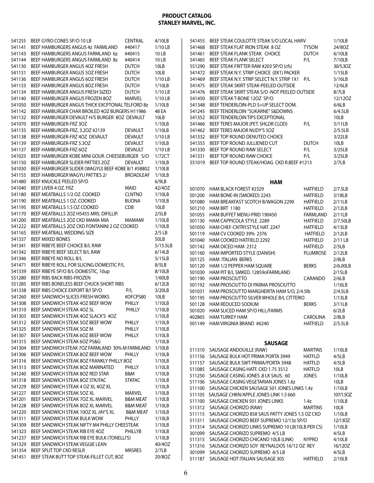| 541255           | BEEF GYRO CONES SP/O 10 LB                         | <b>CENTRAL</b>      | 4/10LB    |
|------------------|----------------------------------------------------|---------------------|-----------|
| 541141           | BEEF HAMBURGERS ANGUS 4z FARMLAND                  | #40417              | $1/10$ LB |
| 541143           | BEEF HAMBURGERS ANGUS FARMLAND 6z                  | #40415              | 10 LB     |
| 541144           | BEEF HAMBURGERS ANGUS FARMLAND 8z                  | #40414              | 10 LB     |
|                  |                                                    |                     |           |
| 541130           | BEEF HAMBURGER ANGUS 4OZ FRESH                     | DUTCH               | 10LB      |
| 541131           | BEEF HAMBURGER ANGUS 5OZ FRESH                     | <b>DUTCH</b>        | 10LB      |
| 541136           | BEEF HAMBURGER ANGUS 6OZ FRESH                     | <b>DUTCH</b>        | $1/10$ LB |
| 541133           | BEEF HAMBURGER ANGUS 8OZ FRESH                     | DUTCH               | 1/10LB    |
| 541134           | BEEF HAMBURGER ANGUS FRESH SIZED                   | <b>DUTCH</b>        | $1/10$ LB |
|                  |                                                    |                     |           |
| 541140           | BEEF HAMBURGER ANGUS FROZEN 8OZ                    | <b>MARVEL</b>       | $1/10$ LB |
| 541050           | BEEF HAMBURGER ANGUS THICK EXCPTONAL TELFORD 8z    |                     | 1/10LB    |
| 541142           | BEEF HAMBURGER CHAR BROILED 4OZ BURGERS H11986     |                     | 48 EA     |
| 541132           | BEEF HAMBURGER DEVAULT H/S BURGER 8OZ DEVAULT      |                     | 10LB      |
| 541070           | BEEF HAMBURGER-FRZ 3OZ                             |                     | 1/10LB    |
|                  |                                                    |                     |           |
| 541135           | BEEF HAMBURGER-FRZ, 3.2OZ #2139                    | DEVAULT             | 1/10LB    |
| 541138           | BEEF HAMBURGER-FRZ 4OZ DEVAULT                     | <b>DEVAULT</b>      | $1/10$ LB |
| 541139           | BEEF HAMBURGER-FRZ 5.3OZ                           | DEVAULT             | 1/10LB    |
| 541137           | BEEF HAMBURGER-FRZ 6OZ                             | DEVAULT             | $1/10$ LB |
| 541025           | BEEF HAMBURGER KOBE MINI GOUR. CHEESEBURGER S/O    |                     | 1/72CT    |
| 541150           | BEEF HAMBURGER SLIDER PATTIES 2OZ                  | <b>DEVAULT</b>      | 1/10LB    |
|                  |                                                    |                     |           |
| 541030           | BEEF HAMBURGER SLIDER (WAGYU) BEEF KOBE 8/1 #58802 |                     | 1/10LB    |
| 541155           | BEEF HAMBURGER WAGYU PATTIES 2/                    | <b>BROADLEAF</b>    | 1/10LB    |
| 541480           | BEEF KNUCKLE PEELED SP/O                           |                     | 6/9LB     |
| 541040           | BEEF LIVER-4 OZ. FRZ                               | MAID                | 42/40Z    |
| 541180           | BEEF MEATBALLS 1/2 OZ. COOKED                      | <b>CLNTNO</b>       | 1/10LB    |
| 541190           | BEEF MEATBALLS 1 OZ. COOKED                        | <b>BUONA</b>        | 1/10LB    |
| 541195           | BEEF MEATBALLS 1.5 OZ COOKED                       | CDB                 | 10LB      |
|                  |                                                    |                     |           |
| 541170           | BEEF MEATBALLS 2OZ H5455 MRS. DIFILLIP.            |                     | 2/5LB     |
| 541200           | BEEF MEATBALLS 2OZ CKD MAMA MIA                    | MAMAMI              | 1/10LB    |
| 541222           | BEEF MEATBALLS 20Z CKD FONTANINI 2 OZ COOKED       |                     | 1/10LB    |
| 541165           | BEEF MEATBALL WEDDING SIZE                         |                     | $2/5$ LB  |
| 541337           | <b>BEEF MIXED BONES</b>                            |                     | 50LB      |
| 541341           | BEEF RIBEYE BEEF CHOICE B/L RAW                    |                     | 5/15.5LB  |
|                  | BEEF RIBEYE BEEF SELECT B/L RAW                    |                     |           |
|                  |                                                    |                     |           |
| 541342           |                                                    |                     | 6/14LB    |
| 541346           | BEEF RIBEYE NO ROLL B/L                            |                     | 5/15LB    |
| 541471           | BEEF RIBEYE ROLL FOR SLICING-DOMESTIC P/L          |                     | 8/5LB     |
| 541339           | BEEF RIBEYE SP/O B/L-DOMESTIC, 10up                |                     | 8/10LB    |
| 551280           | BEEF RIBS BACK RIBS-FROZEN                         |                     | 1/60LB    |
| 551285           | BEEF RIBS BONELESS BEEF CHUCK SHORT RIBS           |                     | 6/12LB    |
| 541338           | BEEF RIBS CHOICE EXPORT B/I SP/O                   | P/L                 | 3/20LB    |
|                  |                                                    |                     |           |
| 541260           | BEEF SANDWICH SLICES FRESH WORKS                   | #DFCPS80            | 10LB      |
| 541308           | BEEF SANDWICH STEAK 4OZ BEEF WOW                   | PHILLY              | 1/10LB    |
| 541310           | BEEF SANDWICH STEAK 4OZ SL                         | PHILLY              | 1/10LB    |
| 541303           | BEEF SANDWICH STEAK 4OZ SLACK'S 4OZ                |                     | 1/10LB    |
| 541312           | BEEF SANDWICH STEAK 5OZ BEEF WOW                   | PHILLY              | 1/10LB    |
| 541325           | BEEF SANDWICH STEAK 5OZ M                          | PHILLY              | 1/10LB    |
| 541307           | BEEF SANDWICH STEAK 6OZ BEEF WOW                   | PHILLY              | 1/10LB    |
|                  |                                                    |                     |           |
| 541315           | BEEF SANDWICH STEAK 6OZ PS&G                       |                     | 1/10LB    |
| 541304           | BEEF SANDWICH STEAK 7OZ FARMLAND 30% M FARMLAND    |                     | 1/10LB    |
| 541306           | BEEF SANDWICH STEAK 8OZ BEEF WOW                   | PHILLY              | 1/10LB    |
| 541316           | BEEF SANDWICH STEAK 8OZ FRANKLY PHILLY 8OZ         |                     | 1/10LB    |
| 541313           | BEEF SANDWICH STEAK 8OZ MARINATED                  | PHILLY              | 1/10LB    |
| 541240           | BEEF SANDWICH STEAK 8OZ RED STAR                   | B&M                 | 1/10LB    |
| 541318           | BEEF SANDWICH STEAK 8OZ STK/FAC                    | <b>STKFAC</b>       | 1/10LB    |
|                  |                                                    |                     |           |
| 541229           | BEEF SANDWICH STEAK 4 OZ XL 4OZ XL                 |                     | 1/10LB    |
| 541227           | BEEF SANDWICH STEAK 5OZ XL                         | <b>MARVEL</b>       | 1/10LB    |
| 541201           | BEEF SANDWICH STEAK 7OZ XL MARVEL                  | <b>B&amp;M MEAT</b> | 1/10LB    |
| 541228           | BEEF SANDWICH STEAK 8OZ XL MARVEL                  | <b>B&amp;M MEAT</b> | 1/10LB    |
| 541220           | BEEF SANDWICH STEAK 10OZ XL JAY'S XL               | <b>B&amp;M MEAT</b> | 1/10LB    |
| 541311           | BEEF SANDWICH STEAK BULK WOW                       | PHILLY              | 1/10LB    |
| 541309           | BEEF SANDWICH STEAK NIFTY M4 PHILLY CHEESTEAK      |                     | 1/10LB    |
| 541323           | BEEF SANDWICH STEAK RIB EYE 4OZ                    | PHILLYB             | 1/10LB    |
|                  |                                                    |                     |           |
|                  | BEEF SANDWICH STEAK RIB EYE BULK (TONELLI'S)       |                     | 1/10LB    |
| 541237<br>541329 | BEEF SANDWICH STEAK VEGGIE LEAN                    |                     | 40/40Z    |
| 541354           | BEEF SPLIT TOP CKD RESLR                           | <b>MRSRES</b>       | 2/7LB     |
| 541451           | BEEF STEAK BUTT TOP STEAK-FILLET CUT, 8OZ          |                     | 20/8OZ    |

| 541455 | BEEF STEAK COULOTTE STEAK S/O LOCAL HARV       |                 | 1/10LB    |
|--------|------------------------------------------------|-----------------|-----------|
| 541468 | BEEF STEAK FLAT IRON STEAK 8 OZ                | <b>TYSON</b>    | 24/8OZ    |
| 541461 | BEEF STEAK FLANK STEAK CHOICE                  | <b>DUTCH</b>    | 6/10LB    |
| 541465 | <b>BEEF STEAK FLANK SELECT</b>                 | P/L             | 7/10LB    |
| 551290 | BEEF STEAK FRITTER RAW #203 SP/O (cfs)         |                 | 30/5.3OZ  |
| 541472 | BEEF STEAK N.Y. STRIP CHOICE (0X1) PACKER      |                 | 1/15LB    |
| 541469 | BEEF STEAK N.Y. STRIP SELECT N.Y. STRIP 1X1    | P/L             | 5/16LB    |
| 541475 | BEEF STEAK SKIRT STEAK-PEELED OUTSIDE          |                 | 12/6LB    |
| 541476 | BEEF STEAK SKIRT STEAK S/O -NOT PEELED OUTSIDE |                 | 8/7LB     |
| 541450 | BEEF STEAKT-BONE 12OZ SP/O                     |                 | 12/12OZ   |
| 541348 | BEEF TENDERLOIN-PLD 5+UP SELECT DOM.           |                 | 6/6LB     |
| 541245 | BEEF TENDERLOIN "SUKARNE" 5&DOWNS              |                 | 6/4.5LB   |
| 541352 | BEEF TENDERLOIN TIPS EXCEPTIONAL               |                 | 10LB      |
| 541466 | BEEF TERES MAJOR (PET. SHLDR CLOD)             | P/L             | 5/11LB    |
| 541462 | BEEF TERES MAJOR NUDY'S 5OZ                    |                 | 2/5.5LB   |
| 541332 | BEEF TOP ROUND DENUTED CHOICE                  |                 | 3/22LB    |
| 541355 | BEEF TOP ROUND JULLIENED CUT                   | <b>DUTCH</b>    | 10LB      |
| 541330 | BEEF TOP ROUND RAW SELECT                      | P/L             | 3/25LB    |
| 541331 | BEEF TOP ROUND RAW CHOICE                      | P/L             | 3/25LB    |
| 551019 | BEEF TOP ROUND STEAK/HOAG CKD R.BEEF #1213     |                 | 2/7LB     |
|        |                                                |                 |           |
|        | <b>HAM</b>                                     |                 |           |
| 501070 | HAM BLACK FOREST #2329                         | <b>HATFIELD</b> | 2/7.5LB   |
| 501200 | HAM BONE-IN (SMOKED) 2243                      | <b>HATFIELD</b> | 3/18LB    |
| 501080 | HAM BREAKFAST SCOTCH B/WAGON 2290              | <b>HATFIELD</b> | 2/11LB    |
| 501210 | <b>HAM BRT 1180</b>                            | <b>HATFIELD</b> | 2/12LB    |
| 501055 | HAM BUFFET MENU-PRID 190450                    | <b>FARMLAND</b> | 2/11LB    |
| 501130 | HAM CAPPICOLA STYLE 2289                       | <b>HATFIELD</b> | 2/7.50LB  |
| 501050 | HAM CHEF-CNTRY.STYLE HAT. 2247                 | <b>HATFIELD</b> | 4/13LB    |
| 501119 | HAM CV COOKED 39% 2376                         | <b>HATFIELD</b> | 2/12LB    |
| 501040 | HAM COOKED HATFIELD 2292                       | <b>HATFIELD</b> | $2/11$ LB |
| 501142 | HAM DICED HAM 2312                             | <b>HATFIELD</b> | 2/5LB     |
| 501160 | HAM IMPORTED STYLE (DANISH)                    | <b>PLUMROSE</b> | 2/12LB    |
| 501125 | <b>HAM ITALIAN BERKS</b>                       |                 | 2/8LB     |
| 501120 | HAM 1/2 PEPPER HAM SQUARE                      | <b>BERKS</b>    | 2/6.00LB  |
| 501030 | HAM PIT B/L SMKED. 12859oFARMLAND              |                 | 2/15LB    |
| 501190 | <b>HAM PROSCIUTTO</b>                          | CARANDO         | 2/6LB     |
| 501192 | HAM PROSCIUTTO DI PARMA PROSCIUTTO             |                 | 1/16LB    |
| 501031 | HAM PROSCIUTTO MARGHERITA HAM S/O, 2/4.5lb     |                 | 2/4.5LB   |
| 501195 | HAM PROSCIUTTO SILVER WHOLE B/L CITTERIO       |                 | 1/13LB    |
| 501128 | HAM REDUCED SODIUM                             | <b>BERKS</b>    | 3/11LB    |
| 501020 | HAM SLICED HAM SP/O HILL/FARMS                 |                 | 6/21R     |

| 501020 HAM SLICED HAM SP/O HILL/FARMS |           | 6/2LB      |
|---------------------------------------|-----------|------------|
| 402865 HAM TURKEY HAM                 | CAROLINA  | 2/8LB      |
| 501149 HAM VIRGINIA BRAND #6240       | HATFIFI D | $2/5.5$ IB |
|                                       |           |            |
|                                       |           |            |
| <b>SAUSAGE</b>                        |           |            |
| 511310 SAUSAGE ANDOUILLE (RAW)        | MARTINS   | 1/10LB     |

| <b>JIL CIL</b> | <b>JAUJAUL ANDUUILLE (NAW)</b>                   | <b>UUAN LIIV</b> | 17 I VLD  |
|----------------|--------------------------------------------------|------------------|-----------|
| 511156         | SAUSAGE BULK HOT PRIMA PORTA 3949                | <b>HATFLD</b>    | 4/5LB     |
| 511157         | SAUSAGE BULK SWT PRIMA/PORTA 3948                | <b>HATFLD</b>    | 4/5LB     |
| 511085         | SAUSAGE CASING HATF. CKD 1.75 3512               | <b>HATFLD</b>    | 10LB      |
| 511250         | SAUSAGE CASING JONES 8 LK SAUS. 60               | <b>JONES</b>     | 1/10LB    |
| 511106         | SAUSAGE CASING VEGETARIAN JONES 1.6z             |                  | 10LB      |
| 511100         | SAUSAGE CHICKEN SAUSAGE 501 JONES LINKS 1.4z     |                  | 1/10LB    |
| 511105         | SAUSAGE CHKN/APPLE JONES LINK 1.5 660            |                  | 107/1.5OZ |
| 511100         | SAUSAGE CHICKEN 501 JONES LINKS                  | 1.4z             | 1/10LB    |
| 511312         | SAUSAGE CHORIZO (RAW)                            | <b>MARTINS</b>   | 10LB      |
| 511115         | SAUSAGE CHORIZO 858 SAUS PATTY JONES 1.5 OZ CKD  |                  | 1/10LB    |
| 511311         | SAUSAGE CHORIZO BEEF SUPREMO 12/13z SP/O         |                  | 12/13OZ   |
| 511314         | SAUSAGE CHORIZO LINKS SUPREMO 10 LB(10LB PER CS) |                  | 1/10LB    |
| 301099         | SAUSAGE CHORIZO SUPREMO 4/5 LB                   |                  | 4/5LB     |
| 511315         | SAUSAGE CHORIZO CHICANO 10LB (LINK)              | <b>NYPRO</b>     | 4/10LB    |
| 511316         | SAUSAGE CHORIZO SOY REYNALDOS 16/12 OZ REY       |                  | 16/120Z   |
| 301099         | SAUSAGE CHORIZO SUPREMO 4/5 LB                   |                  | 4/5LB     |
| 511187         | SAUSAGE HOT ITALIAN SAUSAGE 305                  | <b>HATFIELD</b>  | 2/10LB    |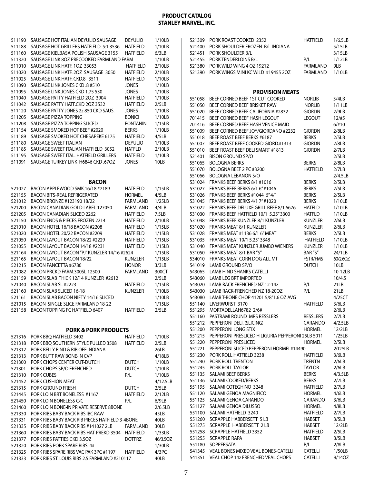| 511190 | SAUSAGE HOT ITALIAN DEYULIO SAUSAGE              | <b>DEYULIO</b>  | 1/10LB   |
|--------|--------------------------------------------------|-----------------|----------|
|        |                                                  |                 |          |
| 511188 | SAUSAGE HOT GRILLERS HATFIELD 5:1 3536           | <b>HATFIELD</b> | 1/10LB   |
| 511160 | SAUSAGE KIELBASA POLISH SAUSAGE 3155             | <b>HATFIELD</b> | 6/3LB    |
| 511320 | SAUSAGE LINK 80Z PRECOOKED FARMLAND FARM         |                 | 1/10LB   |
| 511010 | SAUSAGE LINK HATF. 1OZ 33053                     | <b>HATFIELD</b> | 2/10LB   |
| 511020 | SAUSAGE LINK HATF, 2OZ SAUSAGE 3050              | <b>HATFIELD</b> | 2/10LB   |
|        | SAUSAGE LINK HATE, CKD.8 3511                    |                 |          |
| 511025 |                                                  | <b>HATFIELD</b> | 1/10LB   |
| 511090 | SAUSAGE LINK JONES CKD .8 #510                   | <b>JONES</b>    | 1/10LB   |
| 511095 | SAUSAGE LINK JONES CKD 1.75 530                  | Jones           | 1/10LB   |
| 511040 | SAUSAGE PATTY HATFIELD 2OZ 3904                  | <b>HATFIELD</b> | 1/10LB   |
| 511042 | SAUSAGE PATTY HATF.CKD 20Z 3532                  | <b>HATFIELD</b> | 2/5LB    |
| 511120 | SAUSAGE PATTY JONES 2z 850 CKD SAUS.             | Jones           | 1/10LB   |
|        |                                                  |                 |          |
| 511205 | <b>SAUSAGE PIZZA TOPPING</b>                     | <b>BONICI</b>   | 1/10LB   |
| 511208 | SAUSAGE PIZZA TOPPING SLICED                     | <b>FONTANIN</b> | 1/15LB   |
| 511154 | SAUSAGE SMOKED HOT BEEF #2020                    | Berks           | 1/10LB   |
| 511189 | SAUSAGE SMOKED HOT CHESAPEKE 6175                | <b>HATFIELD</b> | 4/5LB    |
| 511180 | SAUSAGE SWEET ITALIAN                            | Deyulio         | 1/10LB   |
| 511185 | SAUSAGE SWEET ITALIAN HATFIELD 3052              | <b>HATFLD</b>   | 2/10LB   |
|        |                                                  |                 |          |
| 511195 | SAUSAGE SWEET ITAL. HATFIELD GRILLERS            | HATFIELD        | 1/10LB   |
| 511091 | SAUSAGE TURKEY LINK H6846 CKD .67OZ              | Jones           | 10LB     |
|        |                                                  |                 |          |
|        | <b>BACON</b>                                     |                 |          |
|        | BACON APPLEWOOD SMK.16/18 #2189                  | <b>HATFIELD</b> |          |
| 521027 |                                                  |                 | 1/15LB   |
| 521155 | <b>BACON BITS-REAL REFRIGERATED</b>              | <b>HORMEL</b>   | 4/5LB    |
| 521012 | BACON BRONZE #123190 18/22                       | <b>FARMLAND</b> | 1/25LB   |
| 521200 | <b>BACON CANADIAN GOLD LABEL 127050</b>          | <b>FARMLAND</b> | 4/4LB    |
| 521205 | <b>BACON CANADIAN SLICED 2262</b>                | <b>HATFIELD</b> | 7.5LB    |
| 521150 | BACON ENDS & PIECES FROZEN 2214                  | HATFIELD        | 2/10LB   |
| 521010 | BACON HOTEL 16/18 BACON #2208                    | <b>HATFIELD</b> | 1/15LB   |
|        | BACON HOTEL 20/22 BACON #2209                    |                 |          |
| 521020 |                                                  | <b>HATFIELD</b> | 1/15LB   |
| 521050 | BACON LAYOUT BACON 18/22 #2229                   | <b>HATFIELD</b> | 1/15LB   |
| 521055 | BACON LAYOUT BACON 14/18 #2231                   | <b>HATFIELD</b> | 1/15LB   |
| 521164 | BACON LAYOUT BACON "PJ" KUNZLER 14/16 #2624      |                 | 1/15LB   |
| 521165 | BACON LAYOUT BACON 18/22                         | Kunzler         | 1/15LB   |
| 521215 | <b>BACON PANCETTA #6780</b>                      | honor           | 3/3LB    |
| 521082 | BACON PRCKD FARM.300SL 12500                     | <b>FARMLAND</b> | 300CT    |
|        | BACON SLAB THICK 12/14 KUNZLER #2612             |                 |          |
| 521159 |                                                  |                 | 2/5LB    |
| 521040 | BACON SLAB SL #2223                              | HATFIELD        | 1/15LB   |
| 521160 | <b>BACON SLAB SLICED 16-18</b>                   | Kunzler         | 1/10LB   |
| 521161 | BACON SLAB BACON NIFTY 14/16 SLICED              |                 | 1/10LB   |
| 521015 | <b>BACON SINGLE SLICE FARMLAND 18-22</b>         |                 | 1/15LB   |
| 521158 | BACON TOPPING FC HATFIELD 6407                   | <b>HATFIELD</b> | 2/5LB    |
|        |                                                  |                 |          |
|        |                                                  |                 |          |
|        | <b>PORK &amp; PORK PRODUCTS</b>                  |                 |          |
| 521316 | PORK BBO HATFIELD 3402                           | <b>HATFIELD</b> | 1/10LB   |
| 521318 | PORK BBQ SOUTHERN STYLE PULLED 3508              | <b>HATFIELD</b> | 2/5LB    |
| 521312 | PORK BELLY RIND & RIB OFF INDIANA                |                 | 26LB     |
| 521313 | PORK BUTT RAW BONE-IN CVP                        |                 | 4/18LB   |
| 521300 | PORK CHOPS CENTER CUT-DUTCH                      | <b>DUTCH</b>    | 1/10LB   |
| 521301 | PORK CHOPS SP/O FRENCHED                         | <b>DUTCH</b>    | 1/10LB   |
|        |                                                  |                 |          |
| 521310 | <b>PORK CUBES</b>                                | P/L             | 1/10LB   |
| 521452 | PORK CUSHION MEAT                                |                 | 4/12.5LB |
| 521315 | PORK GROUND FRESH                                | <b>DUTCH</b>    | 2/5LB    |
| 521445 | PORK LOIN BRT BONELESS #1167                     | <b>HATFIELD</b> | 2/12LB   |
| 521450 | PORK LOIN BONELESS C/C                           | P/L             | 6/9LB    |
| 521460 | PORK LOIN BONE-IN PRIVATE RESERVE 8BONE          |                 | 2/6.5LB  |
| 521330 | PORK RIBS BABY BACK RIBS IBC RAW                 |                 | 45LB     |
|        |                                                  |                 |          |
| 521331 | PORK RIBS BABY BACK RIB PIECES HATFIELD 3-4BONE  |                 | 40LB     |
| 521335 | PORK RIBS BABY BACK RIBS #141027 2LB             | FARMLAND        | 30LB     |
| 521360 | PORK RIBS BABY BACK RIBS HAT-PREKD 3504 HATFIELD |                 | 1/33LB   |
| 521377 | PORK RIBS PATTIES CKD 3.5OZ                      | <b>DOTFRZ</b>   | 46/3.5OZ |
| 521320 | PORK RIBS PORK SPARE RIBS 4#                     |                 | 1/30LB   |
| 521325 | PORK RIBS SPARE RIBS VAC PAK 3PC #1197 HATFIELD  |                 | 4/3PC    |
| 521333 | PORK RIBS ST. LOUIS RIBS 2.5 FARMLAND #210117    |                 | 40LB     |

| 521309 PORK ROAST COOKED 2352             | <b>HATFIELD</b> | 1/6.5LB   |
|-------------------------------------------|-----------------|-----------|
| 521400 PORK SHOULDER FROZEN B/L INDIANA   |                 | 5/15LB    |
| 521451 PORK SHOULDER B/L                  |                 | 3/15LB    |
| 521455 PORK TENDERLOINS B/L               | P/I             | 1/12LB    |
| 521380 PORK WILD WING 4 OZ 19212          | FARMLAND        | 91 B      |
| 521390 PORK WINGS MINI KC WILD #19455 2OZ | FARMLAND        | $1/10I$ B |
|                                           |                 |           |

#### **PROVISION MEATS**

| 551058 | BEEF CORNED BEEF 1ST CUT COOKED                   | <b>NORLIB</b>   | 3/4LB    |
|--------|---------------------------------------------------|-----------------|----------|
| 551050 | BEEF CORNED BEEF BRISKET RAW                      | <b>NORLIB</b>   | 1/11LB   |
| 551020 | BEEF CORNED BEEF CALIFORNIA #2832                 | giordn          | 2/9LB    |
| 701415 | BEEF CORNED BEEF HASH LEGOUT                      | LEGOUT          | 12/#5    |
| 701416 | BEEF CORNED BEEF HASH VENICE MAID                 |                 | 6/110    |
| 551009 | BEEF CORNED BEEF JOY/GIORDANO #2232               | <b>GIORDN</b>   | 2/8LB    |
| 551018 | BEEF ROAST BEEF BERKS #6187                       | <b>BERKS</b>    | 2/5LB    |
| 551007 | BEEF ROAST BEEF COOKED GIORD.#1313                | <b>GIORDN</b>   | 2/8LB    |
| 551010 | BEEF ROAST BEEF DELI SMART #1813                  | giordn          | 2/7LB    |
| 521401 | <b>BISON GROUND SP/O</b>                          |                 | 2/5LB    |
| 551065 | <b>BOLOGNA BERKS</b>                              | <b>BERKS</b>    | 2/8LB    |
| 551070 | BOLOGNA BEEF 2 PC #3200                           | HATFIELD        | 2/7LB    |
| 551066 | <b>BOLOGNA LEBANON S/O</b>                        |                 | 2/4.5LB  |
| 531024 | FRANKS BEEF BERKS 8/1 #1016                       | Berks           | 2/5LB    |
| 531027 | FRANKS BEEF BERKS 6/1 6" #1046                    | <b>BERKS</b>    | 2/5LB    |
| 531026 | FRANKS BEEF BERKS #1044 6"4/1                     | <b>BERKS</b>    | 2/5LB    |
| 531045 | FRANKS BEEF BERKS 4/1 7" #1020                    | <b>BERKS</b>    | 1/10LB   |
| 531022 | FRANKS BEEF DELUXE GRILL BEEF 8/1 6676            | <b>HATFLD</b>   | 1/10LB   |
| 531030 | FRANKS BEEF HATFIELD 10/1 5.25" 3300              | <b>HATFLD</b>   | 1/10LB   |
| 531048 | FRANKS BEEF KUNZLER 8/1 KUNZLER                   | KUNZLER         | 2/6LB    |
| 531020 | <b>FRANKS MEAT 8/1 KUNZLER</b>                    | KUNZLER         | 2/6LB    |
| 531028 | FRANKS MEAT #1136 6/1 6" MEAT                     | BERKS           | 2/5LB    |
| 531035 | FRANKS MEAT 10/1 5.25" 3348                       | <b>HATFIELD</b> | 1/10LB   |
| 531040 | FRANKS MEAT KUNZLER JUMBO WIENER5                 | KUNZLER         | 1/10LB   |
| 531050 | FRANKS MEAT 8/1 BAR "S"                           | BAR"S"          | 24/1LB   |
| 534010 | FRANKS MEAT CORN DOG ALL MT                       | <b>FSTR/FMS</b> | 60/2.6OZ |
| 541019 | LAMB GROUND SP/O                                  | dutch           | 10LB     |
| 543065 | <b>LAMB HIND SHANKS CATELLI</b>                   |                 | 10-12LB  |
| 543060 | <b>LAMB LEG BRT IMPORTED</b>                      |                 | 10/4.5   |
| 543020 | LAMB RACK FRENCHED NZ 12-14z                      | P/L             | 21LB     |
| 543030 | LAMB RACK-FRENCHED NZ 18-200Z                     | P/L             | 21LB     |
| 543080 | LAMB T-BONE CHOP 41201 5/8"1.6 OZ AVG             |                 | 4/25CT   |
| 551140 | LIVERWURST 3170                                   | <b>HATFIELD</b> | 3/6LB    |
| 551295 | MORTADELLAH6782 2/6#                              |                 | 2/6LB    |
| 551160 | PASTRAMI ROUND MRS RESSLERS                       | RESSLERS        | 2/7LB    |
| 551212 | PEPPERONI DELI. (SLICING)                         | CARANDO         | 4/2.5LB  |
| 551200 | PEPPERONI LONG STIX                               | <b>HORMEL</b>   | 12/2LB   |
| 551215 | PEPPERONI PRESLICED H LIGURIA PEPPERONI 25LB 5011 |                 | 1/25LB   |
| 551220 | PEPPERONI PRESLICED                               | <b>HORMEL</b>   | 2/5LB    |
| 551221 | PEPPERONI SLICED PEPPERONI HORMEL#14490           |                 | 2/12.5LB |
| 551230 | PORK ROLL HATFIELD 3238                           | <b>HATFIELD</b> | 3/6LB    |
| 551240 | PORK ROLL TRENTON                                 | <b>TRENTN</b>   | 2/6LB    |
| 551245 | PORK ROLL TAYLOR                                  | taylor          | 2/6LB    |
| 551135 | SALAMI BEEF BERKS                                 | <b>BERKS</b>    | 4/3.5LB  |
| 551136 | SALAMI COOKED/BERKS                               | BERKS           | 2/7LB    |
| 551195 | SALAMI COTEGHINO 3248                             | <b>HATFIELD</b> | 2/7LB    |
| 551120 | SALAMI GENOA MAGNIFICO                            | HORMEL          | 4/6LB    |
| 551125 | SALAMI GENOA CARANDO                              | CARANDO         | 3/6LB    |
| 551127 | SALAMI GENOA DILUSSO                              | <b>HORMEL</b>   | 4/8LB    |
| 551100 | SALAMI HATFIELD 3240                              | HATFIELD        | 2/7LB    |
| 551260 | <b>SCRAPPLE HABBERSETT 5 LB</b>                   | HABSET          | 3/5LB    |
| 551275 | SCRAPPLE HABBERSETT 2 LB                          | <b>HABSET</b>   | 12/2LB   |
| 551258 | <b>SCRAPPLE HATFIELD 3352</b>                     | <b>HATFIELD</b> | 2/5LB    |
| 551255 | <b>SCRAPPLE RAPA</b>                              | HABSET          | 3/5LB    |
| 551180 | SOPPERSATA                                        | P/L             | 2/8LB    |
| 541345 | <b>VEAL BONES MIXED VEAL BONES-CATELLI</b>        | CATELLI         | 1/50LB   |
| 541351 | VEAL CHOP 14z FRENCHED VEAL CHOPS                 | <b>CATELLI</b>  | 9/14OZ   |
|        |                                                   |                 |          |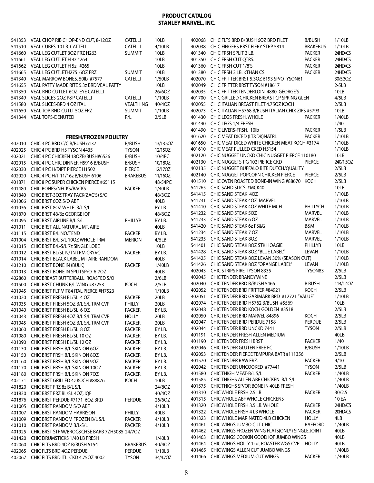| 541353<br>541510<br>541660<br>541661<br>541662<br>541665<br>541340<br>541655<br>541350<br>541349<br>541580 | VEAL CHOP RIB CHOP-END CUT, 8-12OZ<br>VEAL CUBES-10 LB. CATTELLI<br>VEAL LEG CUTLET 30Z FRZ H263<br>VEAL LEG CUTLET H 4z #264<br>VEAL LEG CUTLET H 5z #265<br>VEAL LEG CUTLETH275 6OZ FRZ<br>VEAL MARROW BONES, 50lb #7577<br>VEAL PATTY MADE RITE 5.3z BRD VEAL PATTY<br>VEAL RND CUTLET 6OZ EYE CATELLI<br>VEAL SLICES-20Z P&P CATELLI<br>VEAL SLICES-BRD 4 OZ ITAL | <b>CATELLI</b><br><b>CATELLI</b><br><b>SUMMIT</b><br><b>SUMMIT</b><br><b>CATELLI</b><br><b>CATELLI</b><br><b>VEALTHING</b> | 10LB<br>4/10LB<br>10LB<br>10LB<br>10LB<br>10LB<br>1/50LB<br>10LB<br>26/60Z<br>1/10LB<br>40/40Z |
|------------------------------------------------------------------------------------------------------------|-----------------------------------------------------------------------------------------------------------------------------------------------------------------------------------------------------------------------------------------------------------------------------------------------------------------------------------------------------------------------|----------------------------------------------------------------------------------------------------------------------------|------------------------------------------------------------------------------------------------|
| 541650                                                                                                     | VEAL TOP RND CUTLT 50Z FRZ                                                                                                                                                                                                                                                                                                                                            | <b>SUMMIT</b>                                                                                                              | 1/10LB                                                                                         |
| 541344                                                                                                     | <b>VEAL TOPS-DENUTED</b>                                                                                                                                                                                                                                                                                                                                              | P/L                                                                                                                        | 2/5LB                                                                                          |
|                                                                                                            | <b>FRESH/FROZEN POULTRY</b>                                                                                                                                                                                                                                                                                                                                           |                                                                                                                            |                                                                                                |
| 402010                                                                                                     | CHIC 3 PC BRD C/C B/BUSH 6137                                                                                                                                                                                                                                                                                                                                         | B/BUSH                                                                                                                     | 13/13.5OZ                                                                                      |
| 402025                                                                                                     | CHIC 4 PC BRD HS TYSON 4435                                                                                                                                                                                                                                                                                                                                           | <b>TYSON</b>                                                                                                               | 12/15OZ                                                                                        |
| 402021                                                                                                     | CHIC 4 PC CHICKEN 18OZB/BUSH#6526                                                                                                                                                                                                                                                                                                                                     | B/BUSH                                                                                                                     | 10/4PC                                                                                         |
| 402015                                                                                                     | CHIC 4 PC CHIC DINNER H5916 B/BUSH<br>CHIC 4 PC H/DIPT PIERCE H1502                                                                                                                                                                                                                                                                                                   | B/BUSH                                                                                                                     | 10/180Z                                                                                        |
| 402030<br>402020                                                                                           | CHIC 4 PC H/T 11/16z B/BUSH 6106                                                                                                                                                                                                                                                                                                                                      | PIERCE<br><b>BRAKEBUS</b>                                                                                                  | 12/170Z<br>11/16OZ                                                                             |
| 401871                                                                                                     | CHIC 8 PC SUPER CHICKEN PIERCE #65115                                                                                                                                                                                                                                                                                                                                 |                                                                                                                            | 48-54PC                                                                                        |
| 401480                                                                                                     | <b>CHIC BONES/NECKS/BACKS</b>                                                                                                                                                                                                                                                                                                                                         | <b>PACKER</b>                                                                                                              | 1/40LB                                                                                         |
| 401840                                                                                                     | CHIC BRST-30Z TRAY PACK(ZAC'S) S/O                                                                                                                                                                                                                                                                                                                                    |                                                                                                                            | 48/30Z                                                                                         |
| 401006                                                                                                     | CHIC BRST 6OZ S/O ABF                                                                                                                                                                                                                                                                                                                                                 |                                                                                                                            | 40LB                                                                                           |
| 401036                                                                                                     | CHIC BRST 8OZ WHLE B/L S/L                                                                                                                                                                                                                                                                                                                                            |                                                                                                                            | BY LB.                                                                                         |
| 401870                                                                                                     | CHIC BRST 48/6z GEORGE IQF                                                                                                                                                                                                                                                                                                                                            |                                                                                                                            | 48/60Z                                                                                         |
| 401095                                                                                                     | CHIC BRST AIRLINE B/L S/L                                                                                                                                                                                                                                                                                                                                             | PHILLYP                                                                                                                    | BY LB.                                                                                         |
| 401011                                                                                                     | CHIC BRST ALL NATURAL MT. AIRE                                                                                                                                                                                                                                                                                                                                        |                                                                                                                            | 40LB                                                                                           |
| 401115                                                                                                     | CHIC BRST B/L NO/TEND                                                                                                                                                                                                                                                                                                                                                 | <b>PACKER</b>                                                                                                              | BY LB.                                                                                         |
| 401004                                                                                                     | CHIC BRST B/L S/L 100Z WHOLE TRM                                                                                                                                                                                                                                                                                                                                      | <b>MERION</b>                                                                                                              | 4/5LB                                                                                          |
| 401015                                                                                                     | CHIC BRST B/L-S/L 7z SINGLE LOBE                                                                                                                                                                                                                                                                                                                                      |                                                                                                                            | 10LB                                                                                           |
| 401012                                                                                                     | CHIC BRST BL/SL N/TN TRM CRYVC                                                                                                                                                                                                                                                                                                                                        | <b>PACKER</b>                                                                                                              | BY LB.                                                                                         |
| 401014                                                                                                     | CHIC BRST BLACK LABEL MT AIRE RANDOM                                                                                                                                                                                                                                                                                                                                  |                                                                                                                            | 40LB                                                                                           |
| 401210                                                                                                     | CHIC BRST BONE IN (BULK)                                                                                                                                                                                                                                                                                                                                              | <b>PACKER</b>                                                                                                              | 1/40LB                                                                                         |
| 401013                                                                                                     | CHIC BRST BONE IN SPLITSP/O 6-70Z                                                                                                                                                                                                                                                                                                                                     |                                                                                                                            | 40LB                                                                                           |
| 402860                                                                                                     | CHIC BREAST BUTTERBALL ROASTED S/O                                                                                                                                                                                                                                                                                                                                    |                                                                                                                            | 2/6LB                                                                                          |
| 401500                                                                                                     | CHIC BRST CHUNK B/L WING #87253                                                                                                                                                                                                                                                                                                                                       | KOCH                                                                                                                       | 2/5LB                                                                                          |
| 401945                                                                                                     | CHIC BRST FLT MIT84 ITAL PIERCE #H7523<br>CHIC BRST FRESH BL/SL 4 OZ                                                                                                                                                                                                                                                                                                  |                                                                                                                            | 1/10LB                                                                                         |
| 401020<br>401035                                                                                           | CHIC BRST FRESH 5OZ B/L S/L TRM CVP                                                                                                                                                                                                                                                                                                                                   | <b>PACKER</b><br>PHILLY                                                                                                    | 20LB<br>20LB                                                                                   |
| 401040                                                                                                     | CHIC BRST FRESH BL/SL 6 OZ                                                                                                                                                                                                                                                                                                                                            | PACKER                                                                                                                     | BY LB.                                                                                         |
| 401043                                                                                                     | CHIC BRST FRESH 4OZ B/L S/L TRM CVP                                                                                                                                                                                                                                                                                                                                   | HOLLY                                                                                                                      | 20LB                                                                                           |
| 401045                                                                                                     | CHIC BRST FRESH 6OZ B/L S/L TRM CVP                                                                                                                                                                                                                                                                                                                                   | <b>PACKER</b>                                                                                                              | 20LB                                                                                           |
| 401060                                                                                                     | CHIC BRST FRESH BL/SL 8 OZ                                                                                                                                                                                                                                                                                                                                            | <b>PACKER</b>                                                                                                              | BY LB.                                                                                         |
| 401080                                                                                                     | CHIC BRST FRESH BL/SL 10 OZ                                                                                                                                                                                                                                                                                                                                           | <b>PACKER</b>                                                                                                              | BY LB.                                                                                         |
| 401090                                                                                                     | CHIC BRST FRESH BL/SL 12 OZ                                                                                                                                                                                                                                                                                                                                           | <b>PACKER</b>                                                                                                              | BY LB.                                                                                         |
| 401130                                                                                                     | CHIC BRST FRSH B/L SKIN ON 6OZ                                                                                                                                                                                                                                                                                                                                        | <b>PACKER</b>                                                                                                              | BY LB.                                                                                         |
| 401150                                                                                                     | CHIC BRST FRSH B/L SKIN ON 8OZ                                                                                                                                                                                                                                                                                                                                        | <b>PACKER</b>                                                                                                              | BY LB.                                                                                         |
| 401160                                                                                                     | CHIC BRST FRSH B/L SKIN ON 9OZ                                                                                                                                                                                                                                                                                                                                        | <b>PACKER</b>                                                                                                              | BY LB.                                                                                         |
| 401170                                                                                                     | CHIC BRST FRSH B/L SKIN ON 10OZ                                                                                                                                                                                                                                                                                                                                       | <b>PACKER</b>                                                                                                              | BY LB.                                                                                         |
| 401180                                                                                                     | CHIC BRST FRSH B/L SKIN ON 7OZ                                                                                                                                                                                                                                                                                                                                        | <b>PACKER</b>                                                                                                              | BY LB.                                                                                         |
| 402171                                                                                                     | CHIC BRST GRILLED 4z KOCH #88876                                                                                                                                                                                                                                                                                                                                      | KOCH                                                                                                                       | 10LB                                                                                           |
| 401820                                                                                                     | CHIC BRST FRZ 8z B/L S/L                                                                                                                                                                                                                                                                                                                                              |                                                                                                                            | 24/8OZ                                                                                         |
| 401830                                                                                                     | CHIC BRST FRZ BL/SL 40Z, IQF                                                                                                                                                                                                                                                                                                                                          |                                                                                                                            | 40/40Z                                                                                         |
| 401876                                                                                                     | CHIC BRST PERDUE #7171 6OZ BRD                                                                                                                                                                                                                                                                                                                                        | <b>PERDUE</b>                                                                                                              | 26/6OZ                                                                                         |
| 401005                                                                                                     | CHIC BRST RANDOM S/O ABF                                                                                                                                                                                                                                                                                                                                              |                                                                                                                            | 4/10LB                                                                                         |
| 401007                                                                                                     | CHIC BRST RANDOM HARRISON                                                                                                                                                                                                                                                                                                                                             | PHILLY                                                                                                                     | 40LB                                                                                           |
| 401009                                                                                                     | CHIC BRST RANDOM FROZEN B/L S/L                                                                                                                                                                                                                                                                                                                                       | <b>PACKER</b>                                                                                                              | 4/10LB                                                                                         |
| 401010                                                                                                     | CHIC BRST RANDOM B/L-S/L                                                                                                                                                                                                                                                                                                                                              | <b>PACKER</b>                                                                                                              | 4/10LB                                                                                         |
| 401925                                                                                                     | CHIC BRST STF W/BROC&CHSE BARB 7ZH5085 24/7OZ                                                                                                                                                                                                                                                                                                                         |                                                                                                                            |                                                                                                |
| 401420                                                                                                     | CHIC DRUMSTICKS 1/40 LB FRESH                                                                                                                                                                                                                                                                                                                                         |                                                                                                                            | 1/40LB                                                                                         |
| 402060<br>402065                                                                                           | CHIC FLTS BRD 4OZ B/BUSH 5154<br>CHIC FLTS BRD 4OZ PERDUE                                                                                                                                                                                                                                                                                                             | <b>BRAKEBUS</b><br><b>PERDUE</b>                                                                                           | 40/4OZ<br>1/10LB                                                                               |
| 402067                                                                                                     | CHIC FLTS BRD ITL CKD 4.750Z 4002                                                                                                                                                                                                                                                                                                                                     | <b>TYSON</b>                                                                                                               | 34/4.70Z                                                                                       |
|                                                                                                            |                                                                                                                                                                                                                                                                                                                                                                       |                                                                                                                            |                                                                                                |

| 402068           | CHIC FLTS BRD B/BUSH 6OZ BRD FILET                                               | <b>B/BUSH</b>    | 1/10LB           |
|------------------|----------------------------------------------------------------------------------|------------------|------------------|
| 402038           | CHIC FINGERS BRST FIERY STRP 5814                                                | <b>BRAKEBUS</b>  | 1/10LB           |
| 401340           | CHIC FRSH SPLIT 3 LB.                                                            | <b>PACKER</b>    | 24HD/CS          |
| 401350           | CHIC FRSH CUT OTRS.                                                              | <b>PACKER</b>    | 24HD/CS          |
| 401360           | CHIC FRSH CUT 1/8'S                                                              | <b>PACKER</b>    | 24HD/CS          |
| 401380           | CHIC FRSH 3 LB. <than cs<="" td=""><td><b>PACKER</b></td><td>24HD/CS</td></than> | <b>PACKER</b>    | 24HD/CS          |
| 402070           | CHIC FRITTER BRST 5.3OZ 6193 SP/OTYSON61                                         |                  | 30/5.30Z         |
| 402049           | CHIC FRITTER BRST TYSON #18617                                                   |                  | $2-5LB$          |
| 402035           | CHIC FRITTER TENDERLOIN 4880 GEORGE'S                                            |                  | 10LB             |
| 401700           | CHIC GRILLED CHICKEN BREAST CP SPRING GLEN                                       |                  | 4/5LB            |
| 402055           | CHIC ITALIAN BREAST FILET 4.750Z KOCH                                            |                  | 2/5LB            |
| 402073           | CHIC ITALIAN H5768 B/BUSH ITALIAN CHIX ZIPS #5793<br>CHIC LEGS FRESH, WHOLE      |                  | 10LB             |
| 401430<br>401440 | CHIC LEGS 1/4 FRESH                                                              | <b>PACKER</b>    | 1/40LB<br>1/40   |
| 401490           | CHIC LIVERS-FRSH. 10lb                                                           | <b>PACKER</b>    | 1/5LB            |
| 401620           | CHIC MEAT DICED (LT&DK)NATRL                                                     | <b>PACKER</b>    | 1/10LB           |
| 401650           | CHIC MEAT DICED WHITE CHICKEN MEAT KOCH #3174                                    |                  | 1/10LB           |
| 401610           | CHIC MEAT PULLED CKED H5154                                                      |                  | 1/10LB           |
| 402120           | CHIC NUGGET UNCKD CHIC NUGGET PIERCE 110180                                      |                  | 10LB             |
| 402130           | CHIC NUGGETS-PG 102 PIERCE CKD                                                   | PIERCE           | 240/1.5OZ        |
| 402135           | CHIC NUGGET BUFFALO BITE DUTCH/QUALITY                                           |                  | 2/5LB            |
| 402140           | CHIC NUGGET POPCORN CHICKEN PIERCE                                               | PIERCE           | 2/5LB            |
| 401510           | CHIC OVEN ROASTED BONE-IN WING #88670 KOCH                                       |                  | 2/5LB            |
| 541265           | CHIC SAND SLICS #MCK40                                                           |                  | 10LB             |
| 541415           | CHIC SAND STEAK 4OZ                                                              |                  | 1/10LB           |
| 541231           | CHIC SAND STEAK 4OZ MARVEL                                                       |                  | 1/10LB           |
| 541410           | CHIC SAND STEAK 4OZ WHITE MCH                                                    | <b>PHILLYCH</b>  | 1/10LB           |
| 541232           | CHIC SAND STEAK 5OZ                                                              | <b>MARVEL</b>    | 1/10LB           |
| 541233           | CHIC SAND STEAK 6 OZ                                                             | MARVEL           | 1/10LB           |
| 541420           | CHIC SAND STEAK 6z PS&G<br>CHIC SAND STEAK 7 OZ                                  | B&M              | 1/10LB           |
| 541234<br>541235 | CHIC SAND STEAK 8OZ                                                              | MARVEL<br>MARVEL | 1/10LB<br>1/10LB |
| 541401           | CHIC SAND STEAK 8OZ STK HOAGIE                                                   | <b>PHILLYB</b>   | 10LB             |
| 541428           | CHIC SAND STEAK 8OZ "BLUE LABEL"                                                 | <b>LEVAN</b>     | 1/10LB           |
| 541425           | CHIC SAND STEAK 8OZ LEVAN 30% (SEASON CUT)                                       |                  | 1/10LB           |
| 541426           | CHIC SAND STEAK 8OZ "ORANGE LABEL"                                               | LEVAN            | 1/10LB           |
| 402043           | CHIC STRIPS FIRE-TYSON 8335                                                      | TYSON83          | 2/5LB            |
| 402045           | <b>CHIC TENDER BRANDYWINE</b>                                                    |                  | 2/5LB            |
| 402040           | CHIC TENDER BRD B/BUSH 5466                                                      | <b>B.BUSH</b>    | 114/1.40Z        |
| 402052           | CHIC TENDER BRD FRITTER #84921                                                   | KOCH             | 2/5LB            |
| 402051           | CHIC TENDER BRD GARIMARK BRD #12721 "VALUE"                                      |                  | 1/10LB           |
| 402074           | CHIC TENDER BRD H5762 B/BUSH #5569                                               |                  | 10LB             |
| 402048           | CHIC TENDER BRD KOCH GOLDEN #3518                                                |                  | 2/5LB            |
| 402050           | CHIC TENDER BRD MARVEL 84896                                                     | KOCH             | 2/5LB            |
| 402047           | CHIC TENDER BRD PERDUE 7158                                                      | Perdue           | 2/5LB            |
| 402044           | CHIC TENDER BRD UNCKD 7441<br>CHIC TENDER FRESH ALLEN MEDIUM                     | TYSON            | 2/5LB<br>40LB    |
| 401191<br>401190 | <b>CHIC TENDER FRESH BRST</b>                                                    | <b>PACKER</b>    | 1/40             |
| 402046           | CHIC TENDER GLUTEN FREE FC                                                       | B/BUSH           | 1/10LB           |
| 402053           | CHICTENDER PIERCE TEMPURA BATR #111356                                           |                  | 2/5LB            |
| 401570           | CHIC TENDER RAW FRZ.                                                             | <b>PACKER</b>    | 4/10             |
| 402042           | CHIC TENDER UNCOOKED #77441                                                      | <b>TYSON</b>     | 2/5LB            |
| 401580           | CHIC THIGH MEAT-B/L S/L                                                          | <b>PACKER</b>    | 1/40LB           |
| 401585           | CHIC THIGHS ALLEN ABF CHICKEN B/L S/L                                            |                  | 1/40LB           |
| 401575           | CHIC THIGHS SP/OR BONE IN 40LB FRESH                                             |                  | 1/40LB           |
| 401310           | CHIC WHOLE FRSH 2.5 LB                                                           | <b>PACKER</b>    | 30/2.5           |
| 401315           | CHIC WHOLE ABF WHOLE CHICKENS                                                    |                  | 10 EA            |
| 401320           | CHIC WHOLE FRSH 3.5 LB. WHOLE                                                    | <b>PACKER</b>    | 24HD/CS          |
| 401322           | CHIC WHOLE FRSH 4 LB WHOLE                                                       | <b>PACKER</b>    | 20HD/CS          |
| 401323           | CHIC WHOLE MARINATED 4LB CHICKEN                                                 | HOLLY            | 4LB              |
| 401461           | CHIC WINGS JUMBO CUT CHIC                                                        | RAEFORD          | 1/40LB           |
| 401462           | CHIC WINGS FROZEN WING FLATS(ONLY) SINGLE JOINT                                  |                  | 40LB             |
| 401463           | CHIC WINGS COOKIN GOOD IQF JUMBO WINGS                                           |                  | 40LB             |
| 401464           | CHIC WINGS HOLLY 1 cut ROASTER WGS CVP                                           | HOLLY            | 40LB             |
| 401465           | CHIC WINGS ALLEN CUT JUMBO WINGS                                                 |                  | 1/40LB           |
| 401466           | CHIC WINGS MEDIUM CUT WINGS                                                      | <b>PACKER</b>    | 1/40LB           |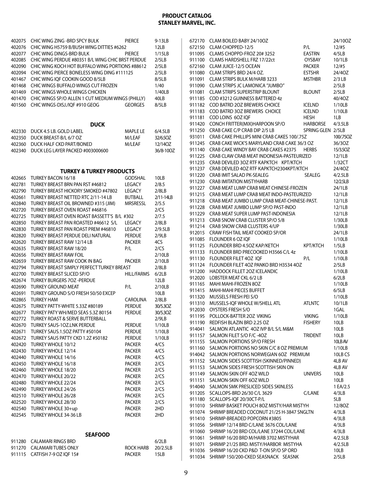| 402075 | CHIC WING ZING - BRD SPCY BULK                            | <b>PIERCE</b>     | 9-13LB    |
|--------|-----------------------------------------------------------|-------------------|-----------|
| 402076 | CHIC WING H5759 B/BUSH WING DITTIES #6262                 |                   | 12LB      |
|        |                                                           |                   |           |
| 402077 | CHIC WING DINGS-BRD BULK                                  | <b>PIERCE</b>     | 1/15LB    |
| 402085 | CHIC WING PERDUE #80351 B/L WING CHIC BRST PERDUE         |                   | 2/5LB     |
| 402090 | CHIC WING KOCH HOT BUFFALO WING PORTIONS #88612           |                   | 2/5LB     |
|        |                                                           |                   |           |
| 402094 | CHIC WING PIERCE BONELESS WING DING #111125               |                   | 2/5LB     |
| 401467 | CHIC WING IQF COOKIN GOOD 8/5LB                           |                   | 8/5LB     |
| 401468 | CHIC WINGS BUFFALO WINGS CUT FROZEN                       |                   | 1/40      |
|        |                                                           |                   |           |
| 401469 | CHIC WINGS WHOLE WINGS CHICKEN                            |                   | 1/40LB    |
| 401470 | CHIC WINGS SP/O ALLEN 1 CUT MEDIUM WINGS (PHILLY)         |                   | 40LB      |
| 401560 | CHIC WINGS-DISJ./IQF #910 GEOG                            | <b>GEORGES</b>    | 8/5LB     |
|        |                                                           |                   |           |
|        |                                                           |                   |           |
|        | <b>DUCK</b>                                               |                   |           |
| 402330 | DUCK 4.5 LB. GOLD LABEL                                   | MAPLE LE          | 6/4.5LB   |
| 402350 | DUCK BREAST-B/L 6/7 OZ                                    | M/LEAF            | 32/6.50Z  |
| 402360 | DUCK HALF CKD PART/BONED                                  | M/LEAF            | 12/140Z   |
| 402340 | DUCK LEG LAYER PACKED #003000600                          |                   | 36/8-10OZ |
|        |                                                           |                   |           |
|        |                                                           |                   |           |
| 402665 | <b>TURKEY &amp; TURKEY PRODUCTS</b><br>TURKEY BACON 16/18 | <b>GODSHAL</b>    | 10LB      |
|        |                                                           |                   |           |
| 402781 | TURKEY BREAST BRN PAN RST #46812                          | LEGACY            | 2/8.5     |
| 402790 | TURKEY BREAST HICKORY SMOKED #47802                       | LEGACY            | 2/8LB     |
| 402661 | TURKEY BREAST NETTED RTC 2/11-14 LB                       | <b>BUTBALL</b>    | 2/11-14LB |
| 402840 | TURKEY BREAST OIL BROWNED #315 (JIM)                      | <b>MRSRESSL</b>   | 2/5.5     |
|        |                                                           |                   |           |
| 402720 | TURKEY BREAST OVEN ROAST #46816                           |                   | 2/CS      |
| 402725 | TURKEY BREAST OVEN ROAST BASSETT'S B/L #302               |                   | 2/7.5     |
| 402850 | TURKEY BREAST PAN ROASTED #46612 S/L                      | LEGACY            | 2/8LB     |
| 402830 | TURKEY BREAST PAN ROAST PREM #46810                       | LEGACY            | 2/9.5LB   |
|        |                                                           |                   |           |
| 402820 | TURKEY BREAST PERDUE DELI NATURAL                         | <b>PERDUE</b>     | 2/9LB     |
| 402620 | TURKEY BREAST RAW 12/14 LB                                | <b>PACKER</b>     | 4CS       |
| 402635 | TURKEY BREAST RAW 18/20                                   | P/L               | 2/CS      |
| 402656 | <b>TURKEY BREAST RAW FOIL</b>                             |                   | 2/10LB    |
| 402659 | TURKEY BREAST RAW COOK IN BAG                             | <b>PACKER</b>     | 2/10LB    |
|        |                                                           |                   |           |
| 402794 | TURKEY BREAST SIMPLY PERFECT TURKEY BREAST                |                   | 2/8LB     |
| 402700 | <b>TURKEY BREAST SLICED SP/O</b>                          | <b>HILL/FARMS</b> | 6/2LB     |
| 402674 | <b>TURKEY BURGERS 7OZ -PERDUE</b>                         |                   | 12LB      |
| 402690 | <b>TURKEY GROUND MEAT</b>                                 | P/L               | 2/10LB    |
|        |                                                           |                   |           |
| 402691 | TURKEY GROUND S/O FRESH 50/50 EXCEP                       |                   | 10LB      |
| 402865 | <b>TURKEY HAM</b>                                         | <b>CAROLINA</b>   | 2/8LB     |
| 402675 | TURKEY PATTY-WHITE 5.33Z #80189                           | <b>PERDUE</b>     | 30/5.30Z  |
| 402677 | TURKEY PATY WH/MED SEAS 5.3Z 80154                        | <b>PERDUE</b>     | 30/5.30Z  |
| 402772 | <b>TURKEY ROAST &amp; SERVE BUTTERBALL</b>                |                   | 2/9LB     |
|        |                                                           |                   |           |
| 402670 | <b>TURKEY SAUS-1OZ.LNK PERDUE</b>                         | <b>PERDUE</b>     | 1/10LB    |
| 402671 | TURKEY SAUS.1.5OZ PATTY #50104                            | <b>PERDUE</b>     | 1/10LB    |
| 402672 | TURKEY SAUS PATTY CKD 1.2Z #50182                         | <b>PERDUE</b>     | 1/10LB    |
| 402420 | TURKEY WHOLE 10/12                                        | <b>PACKER</b>     | 4/CS      |
|        |                                                           |                   |           |
| 402430 | TURKEY WHOLE 12/14                                        | <b>PACKER</b>     | 4/CS      |
| 402440 | TURKEY WHOLE 14/16                                        | <b>PACKER</b>     | 4/CS      |
| 402450 | TURKEY WHOLE 16/18                                        | <b>PACKER</b>     | 2/CS      |
| 402460 | TURKEY WHOLE 18/20                                        | <b>PACKER</b>     | 2/CS      |
|        |                                                           |                   |           |
| 402470 | TURKEY WHOLE 20/22                                        | <b>PACKER</b>     | 2/CS      |
| 402480 | TURKEY WHOLE 22/24                                        | <b>PACKER</b>     | 2/CS      |
| 402490 | TURKEY WHOLE 24/26                                        | <b>PACKER</b>     | 2/CS      |
| 402510 | TURKEY WHOLE 26/28                                        | <b>PACKER</b>     | 2/CS      |
|        |                                                           |                   |           |
| 402520 | TURKEY WHOLE 28/30                                        | <b>PACKER</b>     | 2/CS      |
| 402540 | TURKEY WHOLE 30+up                                        | <b>PACKER</b>     | 2HD       |
| 402545 | TURKEY WHOLE 34-36 LB                                     | <b>PACKER</b>     | 2HD       |
|        |                                                           |                   |           |
|        | <b>SEAFOOD</b>                                            |                   |           |
| 911280 | <b>CALAMARI RINGS BRD</b>                                 |                   | 6/2LB     |
| 911270 | <b>CALAMARITUBES ONLY</b>                                 | ROCK HARB         | 20/2.5LB  |
| 911115 | CATFISH 7-9 OZ IQF 15#                                    | <b>PACKER</b>     | 15LB      |
|        |                                                           |                   |           |

| 672170 | CLAM BOILED BABY 24/10OZ                     |                   | 24/10OZ   |
|--------|----------------------------------------------|-------------------|-----------|
| 672150 | CLAM CHOPPED-12/5                            | P/L               | 12/#5     |
| 911095 | CLAMS CHOPPD-FROZ 20#3252                    | EASTRN            | 4/5LB     |
| 911100 | <b>CLAMS HARDSHELL FRZ 17/22ct</b>           | <b>OYSBAY</b>     | 10/1LB    |
| 672160 | CLAM JUICE-12/5 OCEAN                        | <b>PACKER</b>     | 12/#5     |
| 911080 | CLAM STRIPS BRD 24/4 OZ.                     | <b>ESTSHR</b>     | 24/40Z    |
| 911091 | CLAM STRIPS BULK M/HARB 3233                 | <b>MSTHBR</b>     | $2/3$ LB  |
| 911090 | <b>CLAM STRIPS JC LAMONICA "JUMBO"</b>       |                   | 2/5LB     |
| 911081 | <b>CLAM STRIPS SUPERSTRIP BLOUNT</b>         | <b>BLOUNT</b>     | 2/5LB     |
| 911185 | COD #3212 GUINNESS BATTERED 4z               |                   | 40/40Z    |
| 911182 | COD BATRD 2OZ BREWERS CHOICE                 | <b>ICELND</b>     | 1/10LB    |
| 911183 | COD BATRD 3OZ BREWERS CHOICE                 | ICELND            | 1/10LB    |
| 911181 | COD LOINS 60Z IQF                            | <b>HESH</b>       | 1LB       |
| 911420 | CONCH FRITTER(MIX)HARPOON SP/O               | <b>HARBORSE</b>   | 4/3.5LB   |
| 911250 | CRAB CAKE C/P CRAB DIP 2/5 LB                | SPRING GLEN 2/5LB |           |
| 931011 | CRAB CAKE PHILLIPS MINI CRAB CAKES 100/.75Z  |                   | 100/.75OZ |
| 911245 | CRAB CAKE WICK'S MARYLAND CRAB CAKE 36/3 OZ  |                   | 36/3OZ    |
| 911140 | CRAB CAKE WINDY BAY CRAB CAKES #2375         | <b>HERBS</b>      | 15/3.5OZ  |
| 911225 | CRAB CLAW CRAB MEAT INDONESIA-PASTEURIZED    |                   | 12/1LB    |
| 911235 | CRAB DEVILED 3OZ RTF KAPKTCH KPT/KTCH        |                   | 1/32CT    |
| 911237 | CRAB DEVILED 4OZ RTF KAPKTCH2304KPT/KTCH     |                   | 24/40Z    |
| 911220 | CRAB IMIT SALAD PK-SEALEG                    | SEALEG            | 4/2.5LB   |
| 911230 | <b>CRAB IMITATION MISTYHARB</b>              |                   | 12/2.5LB  |
| 911227 | CRAB MEAT LUMP CRAB MEAT CHINESE-FROZEN      |                   | 24/1LB    |
| 911215 | CRAB MEAT LUMP CRAB MEAT INDO-PASTEURIZED    |                   | 12/1LB    |
| 911218 | CRAB MEAT JUMBO LUMP CRAB MEAT-CHINESE-PAST. |                   | 12/1LB    |
| 911228 | CRAB MEAT JUMBO LUMP SP/O PAST-INDO          |                   | 12/1LB    |
| 911229 | CRAB MEAT SUPER LUMP PAST-INDONESIA          |                   | 12/1LB    |
| 911213 | CRAB SNOW CRAB CLUSTER SP/O 5/8              |                   | 1/30LB    |
| 911214 | CRAB SNOW CRAB CLUSTERS 4/UP                 |                   | 1/30LB    |
| 912015 | CRAW FISH TAIL MEAT COOKED SP/OR             |                   | 24/1LB    |
| 911085 | FLOUNDER 6 OZ IQF                            |                   | 1/10LB    |
| 911125 | FLOUNDER BRD 4.5OZ KAP/KETCH                 | <b>KPT/KTCH</b>   | 1/5LB     |
| 911133 | FLOUNDER BRD PRECOOKED H3566 C/L 4z          |                   | 1/10LB    |
| 911130 | FLOUNDER FILET 40Z IQF                       | P/L               | 1/10LB    |
| 911124 | FLOUNDER FILET 40Z PANKO BRD H3534 40Z       |                   | 2/5LB     |
| 911200 | HADDOCK FILLET 20Z ICELANDIC                 |                   | 1/10LB    |
| 912020 | <b>LOBSTER MEAT CKL 6/2 LB</b>               |                   | 6/2LB     |
| 911165 | MAHI MAHI-FROZEN 80Z                         |                   | 1/10LB    |
| 911415 | MAHI-MAHI PIECES BUFFET                      |                   | 6/5LB     |
| 911320 | MUSSELS FRESH PEI S/O                        |                   | 1/10LB    |
| 911310 | MUSSELS-IOF WHOLE W/SHELL ATL                | <b>ATLNTC</b>     | 10/1LB    |
| 912030 | OYSTERS FRESH S/O                            |                   | 1GAL      |
| 911195 | POLLOCK-BATTER 20Z VIKING                    | <b>VIKING</b>     | 1/10LB    |
| 911190 | REDFISH BLAZIN BRD 2.25 OZ                   | <b>FISHERY</b>    | 10LB      |
| 914041 | SALMON ATLANTIC 4OZ IVP B/L S/L M&M          |                   | 10LB      |
| 911157 | SALMON FILET S/O F/C-4OZ                     | <b>TRIDENT</b>    | 10LB      |
| 911155 | SALMON PORTIONS SP/O FRESH                   |                   | 10LB AV   |
| 911160 | SALMON PORTIONS NO SKIN C/C 8 OZ PREMIUM     |                   | 1/10LB    |
| 914042 | SALMON PORTIONS NORWEGIAN 6OZ PREMIUM        |                   | 10LB CS   |
| 911152 | SALMON SIDES SCOTTISH (SKINNED/PINNED)       |                   | 4LB AV    |
| 911153 | SALMON SIDES FRESH SCOTTISH SKIN ON          |                   | 4LB AV    |
| 911149 | SALMON-SKIN OFF 4OZ WILD                     | <b>UNIVERS</b>    | 10LB      |
| 911151 | SALMON-SKIN OFF 6OZ WILD                     |                   | 10LB      |
| 914040 | SALMON SMK PRESLICED SIDES SKINLESS          |                   | 1 EA/2.5  |
| 911205 | SCALLOPS-BRD 26/30 C/L 3629                  | C/LANE            | 4/3LB     |
| 911180 | SCALLOPS-IQF 20/30CT-P/L                     |                   | 5LB       |
| 911010 | SHRIMP BASKET POUCH 8OZ MISTY/HAR MISTYH     |                   | 12/80Z    |
|        | SHRIMP BREADED COCONUT 21/25 H-3847 SNGLTN   |                   |           |
| 911074 | SHRIMP-BREADED POPCORN #3805                 |                   | 4/3LB     |
| 911410 | SHRIMP 12/14 BRD C/LANE 3676 COL/LANE        |                   | 4/3LB     |
| 911056 |                                              |                   | 4/3LB     |
| 911060 | SHRIMP 16/20 BRD COL/LANE 37244 COL/LANE     |                   | 4/3LB     |
| 911061 | SHRIMP 16/20 BRD M/HARB 3702 MISTYHAR        |                   | 4/2.5LB   |
| 911071 | SHRIMP 21/25 BRD. MISTY/HARBOR MISTYHA       |                   | 4/2.5LB   |
| 911036 | SHRIMP 16/20 CKD P&D T-ON SP/O SP ORD        |                   | 10LB      |
| 911034 | SHRIMP 150/200-CKED SEASNACK SEASNK          |                   | 2/5LB     |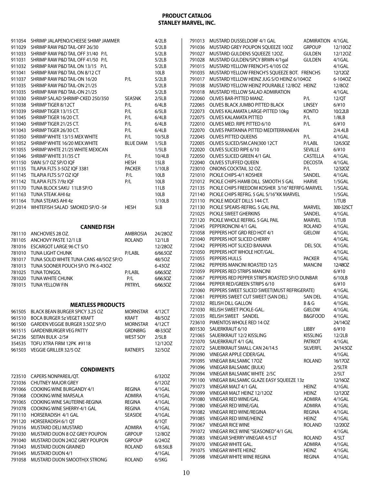| 911054<br>SHRIMP JALAPENO/CHEESE SHIMP JAMMER<br>4/2LB<br>791013<br>911029<br>SHRIMP RAW P&D TAIL-OFF 26/30<br>791036<br>5/2LB<br>911033<br>SHRIMP RAW P&D TAIL OFF 31/40 P/L<br>5/2LB<br>791027<br>SHRIMP RAW P&D TAIL OFF 41/50 P/L<br>911031<br>5/2LB<br>791028<br>SHRIMP RAW P&D TAIL ON 13/15 P/L<br>911032<br>5/2LB<br>791015<br>SHRIMP RAW P&D TAIL ON 8/12 CT<br>911041<br>10LB<br>791035<br>911037<br>SHRIMP RAW P&D TAIL-ON 16/20<br>P/L<br>5/2LB<br>791017<br>911035<br>SHRIMP RAW P&D TAIL-ON 21/25<br>5/2LB<br>791038<br>911035<br>SHRIMP RAW P&D TAIL-ON 21/25<br>5/2LB<br>791018<br>SHRIMP SALAD SHRIMP-CKED 250/350<br>911030<br><b>SEASNK</b><br>2/5LB<br>722060<br>911038<br>SHRIMP TIGER 8/12CT<br>P/L<br>6/4LB<br>722065<br>SHRIMP TIGER 13/15 CT.<br>P/L<br>911039<br>6/5LB<br>722073<br>SHRIMP TIGER 16/20 CT.<br>P/L<br>6/4LB<br>911045<br>722075<br>SHRIMP TIGER 21/25 CT.<br>P/L<br>911040<br>6/4LB<br>722010<br>911043<br>SHRIMP TIGER 26/30 CT.<br>P/L<br>6/4LB<br>722070<br>SHRIMP WHITE 13/15 MEX WHITE<br>P/L<br>911050<br>10/5LB<br>722045<br>SHRIMP WHITE 16/20 MEX.WHITE<br><b>BLUE DIAM</b><br>1/5LB<br>911052<br>722005<br>911055<br>SHRIMP WHITE 21/25 WHITE MEXICAN<br>1/5LB<br>722020<br>911046<br>SHRIMP WHITE 31/35 CT<br>P/L<br>10/4LB<br>722050<br>SWAI 5/7 OZ SP/O IOF<br><b>HESH</b><br>15LB<br>911150<br>722040<br>TILAPIA FLTS 3-50Z IOF 3381<br><b>PACKER</b><br>1/10LB<br>911135<br>723010<br>TILAPIA FLTS 5/7 OZ IOF<br>911145<br>P/L<br>10LB<br>721010<br>TILAPIA FLTS 7/9z IQF<br>P/L<br>911142<br>10LB<br>721012<br>TUNA BLOCK SAKU 11LB SP/O<br>911170<br>11LB<br>721135<br>TUNA STEAK AHI 6z<br>10LB<br>911163<br>721140<br>TUNA STEAKS AHI 4z<br>911164<br>1/10LB<br>721110<br>WHITEFISH SALAD SMOKED SP/O-5#<br>912014<br>HESH<br>5LB<br>721130<br>721025<br>721120<br>721045<br><b>CANNED FISH</b><br>721058<br>ANCHOVIES 28 OZ.<br>781110<br>AMBROSIA<br>24/280Z<br>721040<br>781105<br>ANCHOVY PASTE 12/1 LB<br><b>ROLAND</b><br>12/1LB<br>721042<br>781016<br>ESCARGOT LARGE 96 CT S/O<br>12/280Z<br>721050<br>781010<br>TUNA LIGHT CHUNK<br>P/LABL<br>6/66.50Z<br>721055<br>781017<br>TUNA SOLID WHITE TUNA CANS 48/50Z SP/O<br>48/5OZ<br>721062<br>781013<br>TUNA SOONER POUCH SP/O PK 6-430Z<br>6-43OZ<br>721059<br>781025<br><b>TUNA TONGOL</b><br>P/LABL<br>6/66.50Z<br>721067<br>781020<br>TUNA WHITE CHUNK<br>P/L<br>6/66.50Z<br>721064<br><b>TUNA YELLOW FIN</b><br><b>PRTRYL</b><br>781015<br>6/66.50Z<br>721060<br>721061<br>721032<br><b>MEATLESS PRODUCTS</b><br>721030<br>BLACK BEAN BURGER SPICY 3.25 OZ<br>961505<br><b>MORNSTAR</b><br>4/12CT<br>721035<br><b>BOCA BURGER 5z VEGET KRAFT</b><br>961510<br>KRAFT<br>48/50Z<br>723610<br>GARDEN VEGGIE BURGER 3.50Z SP/O<br>961500<br><b>MORNSTAR</b><br>4/12CT<br>801530<br><b>GARDENBURGER VEG PATTY</b><br>961515<br><b>GRDNBRG</b><br>48-3.50Z<br>721065<br>SEITAN BULK-2/5#<br><b>WEST SOY</b><br>541236<br>2/5LB<br>721070<br>TOFU XTRA FIRM 12PK #9118<br>354535<br>12/120Z<br>721072<br>VEGGIE GRILLER 32/5 OZ<br>961503<br>RATNER'S<br>32/5OZ<br>791090<br>791095<br>791096<br><b>CONDIMENTS</b><br>791094<br>723510<br>CAPERS NONPAREIL/QT.<br>6/32OZ<br>791100<br>721036<br><b>CHUTNEY MAJOR GREY</b><br>6/12OZ<br>791073<br>791066<br>COOKING WINE BURGANDY 4/1<br>REGINA<br>4/1GAL<br>791099<br>791068<br><b>COOKING WINE MARSALA</b><br><b>ADMIRA</b><br>4/1GAL<br>791080<br>COOKING WINE SAUTERNE-REGINA<br>791065<br>REGINA<br>4/1GAL<br>791080<br>791078<br>COOKING WINE SHERRY-4/1 GAL<br><b>REGINA</b><br>4/1GAL<br>791082<br>HORSERADISH 4/1 GAL<br>791110<br>SEASIDE<br>4/1GAL<br>791085<br>791120<br>HORSERADISH 6/1 QT<br>6/1QT<br>791067<br>MUSTARD DELI MUSTARD<br>791016<br>ADMIRA<br>4/1GAL<br>791072<br>791030<br>MUSTARD DIJON 8 OZ GREY POUPON<br><b>GRPOUP</b><br>12/80Z<br>791083<br>791040<br>MUSTARD DIJON 24OZ GREY POUPON<br><b>GRPOUP</b><br>6/240Z<br>791070<br>791043<br>MUSTARD DIJON GRAINED<br>ROLAND<br>6/8.56LB<br>791075<br>791045<br><b>MUSTARD DIJON 4/1</b><br>4/1GAL<br>791098<br><b>ROLAND</b> |        |                               |       |  |
|----------------------------------------------------------------------------------------------------------------------------------------------------------------------------------------------------------------------------------------------------------------------------------------------------------------------------------------------------------------------------------------------------------------------------------------------------------------------------------------------------------------------------------------------------------------------------------------------------------------------------------------------------------------------------------------------------------------------------------------------------------------------------------------------------------------------------------------------------------------------------------------------------------------------------------------------------------------------------------------------------------------------------------------------------------------------------------------------------------------------------------------------------------------------------------------------------------------------------------------------------------------------------------------------------------------------------------------------------------------------------------------------------------------------------------------------------------------------------------------------------------------------------------------------------------------------------------------------------------------------------------------------------------------------------------------------------------------------------------------------------------------------------------------------------------------------------------------------------------------------------------------------------------------------------------------------------------------------------------------------------------------------------------------------------------------------------------------------------------------------------------------------------------------------------------------------------------------------------------------------------------------------------------------------------------------------------------------------------------------------------------------------------------------------------------------------------------------------------------------------------------------------------------------------------------------------------------------------------------------------------------------------------------------------------------------------------------------------------------------------------------------------------------------------------------------------------------------------------------------------------------------------------------------------------------------------------------------------------------------------------------------------------------------------------------------------------------------------------------------------------------------------------------------------------------------------------------------------------------------------------------------------------------------------------------------------------------------------------------------------------------------------------------------------------------------------------------------------------------------------------------------------------------------------------------------------------------------------------------------------------------------------------------------------------------------------------------------------------------------------------------------------------------------------------------------------------------------------------------------------------------------------------------------------------------------------------------------------------------------------------------------------------------------------------------------------------|--------|-------------------------------|-------|--|
|                                                                                                                                                                                                                                                                                                                                                                                                                                                                                                                                                                                                                                                                                                                                                                                                                                                                                                                                                                                                                                                                                                                                                                                                                                                                                                                                                                                                                                                                                                                                                                                                                                                                                                                                                                                                                                                                                                                                                                                                                                                                                                                                                                                                                                                                                                                                                                                                                                                                                                                                                                                                                                                                                                                                                                                                                                                                                                                                                                                                                                                                                                                                                                                                                                                                                                                                                                                                                                                                                                                                                                                                                                                                                                                                                                                                                                                                                                                                                                                                                                                                            |        |                               |       |  |
|                                                                                                                                                                                                                                                                                                                                                                                                                                                                                                                                                                                                                                                                                                                                                                                                                                                                                                                                                                                                                                                                                                                                                                                                                                                                                                                                                                                                                                                                                                                                                                                                                                                                                                                                                                                                                                                                                                                                                                                                                                                                                                                                                                                                                                                                                                                                                                                                                                                                                                                                                                                                                                                                                                                                                                                                                                                                                                                                                                                                                                                                                                                                                                                                                                                                                                                                                                                                                                                                                                                                                                                                                                                                                                                                                                                                                                                                                                                                                                                                                                                                            |        |                               |       |  |
|                                                                                                                                                                                                                                                                                                                                                                                                                                                                                                                                                                                                                                                                                                                                                                                                                                                                                                                                                                                                                                                                                                                                                                                                                                                                                                                                                                                                                                                                                                                                                                                                                                                                                                                                                                                                                                                                                                                                                                                                                                                                                                                                                                                                                                                                                                                                                                                                                                                                                                                                                                                                                                                                                                                                                                                                                                                                                                                                                                                                                                                                                                                                                                                                                                                                                                                                                                                                                                                                                                                                                                                                                                                                                                                                                                                                                                                                                                                                                                                                                                                                            |        |                               |       |  |
|                                                                                                                                                                                                                                                                                                                                                                                                                                                                                                                                                                                                                                                                                                                                                                                                                                                                                                                                                                                                                                                                                                                                                                                                                                                                                                                                                                                                                                                                                                                                                                                                                                                                                                                                                                                                                                                                                                                                                                                                                                                                                                                                                                                                                                                                                                                                                                                                                                                                                                                                                                                                                                                                                                                                                                                                                                                                                                                                                                                                                                                                                                                                                                                                                                                                                                                                                                                                                                                                                                                                                                                                                                                                                                                                                                                                                                                                                                                                                                                                                                                                            |        |                               |       |  |
|                                                                                                                                                                                                                                                                                                                                                                                                                                                                                                                                                                                                                                                                                                                                                                                                                                                                                                                                                                                                                                                                                                                                                                                                                                                                                                                                                                                                                                                                                                                                                                                                                                                                                                                                                                                                                                                                                                                                                                                                                                                                                                                                                                                                                                                                                                                                                                                                                                                                                                                                                                                                                                                                                                                                                                                                                                                                                                                                                                                                                                                                                                                                                                                                                                                                                                                                                                                                                                                                                                                                                                                                                                                                                                                                                                                                                                                                                                                                                                                                                                                                            |        |                               |       |  |
|                                                                                                                                                                                                                                                                                                                                                                                                                                                                                                                                                                                                                                                                                                                                                                                                                                                                                                                                                                                                                                                                                                                                                                                                                                                                                                                                                                                                                                                                                                                                                                                                                                                                                                                                                                                                                                                                                                                                                                                                                                                                                                                                                                                                                                                                                                                                                                                                                                                                                                                                                                                                                                                                                                                                                                                                                                                                                                                                                                                                                                                                                                                                                                                                                                                                                                                                                                                                                                                                                                                                                                                                                                                                                                                                                                                                                                                                                                                                                                                                                                                                            |        |                               |       |  |
|                                                                                                                                                                                                                                                                                                                                                                                                                                                                                                                                                                                                                                                                                                                                                                                                                                                                                                                                                                                                                                                                                                                                                                                                                                                                                                                                                                                                                                                                                                                                                                                                                                                                                                                                                                                                                                                                                                                                                                                                                                                                                                                                                                                                                                                                                                                                                                                                                                                                                                                                                                                                                                                                                                                                                                                                                                                                                                                                                                                                                                                                                                                                                                                                                                                                                                                                                                                                                                                                                                                                                                                                                                                                                                                                                                                                                                                                                                                                                                                                                                                                            |        |                               |       |  |
|                                                                                                                                                                                                                                                                                                                                                                                                                                                                                                                                                                                                                                                                                                                                                                                                                                                                                                                                                                                                                                                                                                                                                                                                                                                                                                                                                                                                                                                                                                                                                                                                                                                                                                                                                                                                                                                                                                                                                                                                                                                                                                                                                                                                                                                                                                                                                                                                                                                                                                                                                                                                                                                                                                                                                                                                                                                                                                                                                                                                                                                                                                                                                                                                                                                                                                                                                                                                                                                                                                                                                                                                                                                                                                                                                                                                                                                                                                                                                                                                                                                                            |        |                               |       |  |
|                                                                                                                                                                                                                                                                                                                                                                                                                                                                                                                                                                                                                                                                                                                                                                                                                                                                                                                                                                                                                                                                                                                                                                                                                                                                                                                                                                                                                                                                                                                                                                                                                                                                                                                                                                                                                                                                                                                                                                                                                                                                                                                                                                                                                                                                                                                                                                                                                                                                                                                                                                                                                                                                                                                                                                                                                                                                                                                                                                                                                                                                                                                                                                                                                                                                                                                                                                                                                                                                                                                                                                                                                                                                                                                                                                                                                                                                                                                                                                                                                                                                            |        |                               |       |  |
|                                                                                                                                                                                                                                                                                                                                                                                                                                                                                                                                                                                                                                                                                                                                                                                                                                                                                                                                                                                                                                                                                                                                                                                                                                                                                                                                                                                                                                                                                                                                                                                                                                                                                                                                                                                                                                                                                                                                                                                                                                                                                                                                                                                                                                                                                                                                                                                                                                                                                                                                                                                                                                                                                                                                                                                                                                                                                                                                                                                                                                                                                                                                                                                                                                                                                                                                                                                                                                                                                                                                                                                                                                                                                                                                                                                                                                                                                                                                                                                                                                                                            |        |                               |       |  |
|                                                                                                                                                                                                                                                                                                                                                                                                                                                                                                                                                                                                                                                                                                                                                                                                                                                                                                                                                                                                                                                                                                                                                                                                                                                                                                                                                                                                                                                                                                                                                                                                                                                                                                                                                                                                                                                                                                                                                                                                                                                                                                                                                                                                                                                                                                                                                                                                                                                                                                                                                                                                                                                                                                                                                                                                                                                                                                                                                                                                                                                                                                                                                                                                                                                                                                                                                                                                                                                                                                                                                                                                                                                                                                                                                                                                                                                                                                                                                                                                                                                                            |        |                               |       |  |
|                                                                                                                                                                                                                                                                                                                                                                                                                                                                                                                                                                                                                                                                                                                                                                                                                                                                                                                                                                                                                                                                                                                                                                                                                                                                                                                                                                                                                                                                                                                                                                                                                                                                                                                                                                                                                                                                                                                                                                                                                                                                                                                                                                                                                                                                                                                                                                                                                                                                                                                                                                                                                                                                                                                                                                                                                                                                                                                                                                                                                                                                                                                                                                                                                                                                                                                                                                                                                                                                                                                                                                                                                                                                                                                                                                                                                                                                                                                                                                                                                                                                            |        |                               |       |  |
|                                                                                                                                                                                                                                                                                                                                                                                                                                                                                                                                                                                                                                                                                                                                                                                                                                                                                                                                                                                                                                                                                                                                                                                                                                                                                                                                                                                                                                                                                                                                                                                                                                                                                                                                                                                                                                                                                                                                                                                                                                                                                                                                                                                                                                                                                                                                                                                                                                                                                                                                                                                                                                                                                                                                                                                                                                                                                                                                                                                                                                                                                                                                                                                                                                                                                                                                                                                                                                                                                                                                                                                                                                                                                                                                                                                                                                                                                                                                                                                                                                                                            |        |                               |       |  |
|                                                                                                                                                                                                                                                                                                                                                                                                                                                                                                                                                                                                                                                                                                                                                                                                                                                                                                                                                                                                                                                                                                                                                                                                                                                                                                                                                                                                                                                                                                                                                                                                                                                                                                                                                                                                                                                                                                                                                                                                                                                                                                                                                                                                                                                                                                                                                                                                                                                                                                                                                                                                                                                                                                                                                                                                                                                                                                                                                                                                                                                                                                                                                                                                                                                                                                                                                                                                                                                                                                                                                                                                                                                                                                                                                                                                                                                                                                                                                                                                                                                                            |        |                               |       |  |
|                                                                                                                                                                                                                                                                                                                                                                                                                                                                                                                                                                                                                                                                                                                                                                                                                                                                                                                                                                                                                                                                                                                                                                                                                                                                                                                                                                                                                                                                                                                                                                                                                                                                                                                                                                                                                                                                                                                                                                                                                                                                                                                                                                                                                                                                                                                                                                                                                                                                                                                                                                                                                                                                                                                                                                                                                                                                                                                                                                                                                                                                                                                                                                                                                                                                                                                                                                                                                                                                                                                                                                                                                                                                                                                                                                                                                                                                                                                                                                                                                                                                            |        |                               |       |  |
|                                                                                                                                                                                                                                                                                                                                                                                                                                                                                                                                                                                                                                                                                                                                                                                                                                                                                                                                                                                                                                                                                                                                                                                                                                                                                                                                                                                                                                                                                                                                                                                                                                                                                                                                                                                                                                                                                                                                                                                                                                                                                                                                                                                                                                                                                                                                                                                                                                                                                                                                                                                                                                                                                                                                                                                                                                                                                                                                                                                                                                                                                                                                                                                                                                                                                                                                                                                                                                                                                                                                                                                                                                                                                                                                                                                                                                                                                                                                                                                                                                                                            |        |                               |       |  |
|                                                                                                                                                                                                                                                                                                                                                                                                                                                                                                                                                                                                                                                                                                                                                                                                                                                                                                                                                                                                                                                                                                                                                                                                                                                                                                                                                                                                                                                                                                                                                                                                                                                                                                                                                                                                                                                                                                                                                                                                                                                                                                                                                                                                                                                                                                                                                                                                                                                                                                                                                                                                                                                                                                                                                                                                                                                                                                                                                                                                                                                                                                                                                                                                                                                                                                                                                                                                                                                                                                                                                                                                                                                                                                                                                                                                                                                                                                                                                                                                                                                                            |        |                               |       |  |
|                                                                                                                                                                                                                                                                                                                                                                                                                                                                                                                                                                                                                                                                                                                                                                                                                                                                                                                                                                                                                                                                                                                                                                                                                                                                                                                                                                                                                                                                                                                                                                                                                                                                                                                                                                                                                                                                                                                                                                                                                                                                                                                                                                                                                                                                                                                                                                                                                                                                                                                                                                                                                                                                                                                                                                                                                                                                                                                                                                                                                                                                                                                                                                                                                                                                                                                                                                                                                                                                                                                                                                                                                                                                                                                                                                                                                                                                                                                                                                                                                                                                            |        |                               |       |  |
|                                                                                                                                                                                                                                                                                                                                                                                                                                                                                                                                                                                                                                                                                                                                                                                                                                                                                                                                                                                                                                                                                                                                                                                                                                                                                                                                                                                                                                                                                                                                                                                                                                                                                                                                                                                                                                                                                                                                                                                                                                                                                                                                                                                                                                                                                                                                                                                                                                                                                                                                                                                                                                                                                                                                                                                                                                                                                                                                                                                                                                                                                                                                                                                                                                                                                                                                                                                                                                                                                                                                                                                                                                                                                                                                                                                                                                                                                                                                                                                                                                                                            |        |                               |       |  |
|                                                                                                                                                                                                                                                                                                                                                                                                                                                                                                                                                                                                                                                                                                                                                                                                                                                                                                                                                                                                                                                                                                                                                                                                                                                                                                                                                                                                                                                                                                                                                                                                                                                                                                                                                                                                                                                                                                                                                                                                                                                                                                                                                                                                                                                                                                                                                                                                                                                                                                                                                                                                                                                                                                                                                                                                                                                                                                                                                                                                                                                                                                                                                                                                                                                                                                                                                                                                                                                                                                                                                                                                                                                                                                                                                                                                                                                                                                                                                                                                                                                                            |        |                               |       |  |
|                                                                                                                                                                                                                                                                                                                                                                                                                                                                                                                                                                                                                                                                                                                                                                                                                                                                                                                                                                                                                                                                                                                                                                                                                                                                                                                                                                                                                                                                                                                                                                                                                                                                                                                                                                                                                                                                                                                                                                                                                                                                                                                                                                                                                                                                                                                                                                                                                                                                                                                                                                                                                                                                                                                                                                                                                                                                                                                                                                                                                                                                                                                                                                                                                                                                                                                                                                                                                                                                                                                                                                                                                                                                                                                                                                                                                                                                                                                                                                                                                                                                            |        |                               |       |  |
|                                                                                                                                                                                                                                                                                                                                                                                                                                                                                                                                                                                                                                                                                                                                                                                                                                                                                                                                                                                                                                                                                                                                                                                                                                                                                                                                                                                                                                                                                                                                                                                                                                                                                                                                                                                                                                                                                                                                                                                                                                                                                                                                                                                                                                                                                                                                                                                                                                                                                                                                                                                                                                                                                                                                                                                                                                                                                                                                                                                                                                                                                                                                                                                                                                                                                                                                                                                                                                                                                                                                                                                                                                                                                                                                                                                                                                                                                                                                                                                                                                                                            |        |                               |       |  |
|                                                                                                                                                                                                                                                                                                                                                                                                                                                                                                                                                                                                                                                                                                                                                                                                                                                                                                                                                                                                                                                                                                                                                                                                                                                                                                                                                                                                                                                                                                                                                                                                                                                                                                                                                                                                                                                                                                                                                                                                                                                                                                                                                                                                                                                                                                                                                                                                                                                                                                                                                                                                                                                                                                                                                                                                                                                                                                                                                                                                                                                                                                                                                                                                                                                                                                                                                                                                                                                                                                                                                                                                                                                                                                                                                                                                                                                                                                                                                                                                                                                                            |        |                               |       |  |
|                                                                                                                                                                                                                                                                                                                                                                                                                                                                                                                                                                                                                                                                                                                                                                                                                                                                                                                                                                                                                                                                                                                                                                                                                                                                                                                                                                                                                                                                                                                                                                                                                                                                                                                                                                                                                                                                                                                                                                                                                                                                                                                                                                                                                                                                                                                                                                                                                                                                                                                                                                                                                                                                                                                                                                                                                                                                                                                                                                                                                                                                                                                                                                                                                                                                                                                                                                                                                                                                                                                                                                                                                                                                                                                                                                                                                                                                                                                                                                                                                                                                            |        |                               |       |  |
|                                                                                                                                                                                                                                                                                                                                                                                                                                                                                                                                                                                                                                                                                                                                                                                                                                                                                                                                                                                                                                                                                                                                                                                                                                                                                                                                                                                                                                                                                                                                                                                                                                                                                                                                                                                                                                                                                                                                                                                                                                                                                                                                                                                                                                                                                                                                                                                                                                                                                                                                                                                                                                                                                                                                                                                                                                                                                                                                                                                                                                                                                                                                                                                                                                                                                                                                                                                                                                                                                                                                                                                                                                                                                                                                                                                                                                                                                                                                                                                                                                                                            |        |                               |       |  |
|                                                                                                                                                                                                                                                                                                                                                                                                                                                                                                                                                                                                                                                                                                                                                                                                                                                                                                                                                                                                                                                                                                                                                                                                                                                                                                                                                                                                                                                                                                                                                                                                                                                                                                                                                                                                                                                                                                                                                                                                                                                                                                                                                                                                                                                                                                                                                                                                                                                                                                                                                                                                                                                                                                                                                                                                                                                                                                                                                                                                                                                                                                                                                                                                                                                                                                                                                                                                                                                                                                                                                                                                                                                                                                                                                                                                                                                                                                                                                                                                                                                                            |        |                               |       |  |
|                                                                                                                                                                                                                                                                                                                                                                                                                                                                                                                                                                                                                                                                                                                                                                                                                                                                                                                                                                                                                                                                                                                                                                                                                                                                                                                                                                                                                                                                                                                                                                                                                                                                                                                                                                                                                                                                                                                                                                                                                                                                                                                                                                                                                                                                                                                                                                                                                                                                                                                                                                                                                                                                                                                                                                                                                                                                                                                                                                                                                                                                                                                                                                                                                                                                                                                                                                                                                                                                                                                                                                                                                                                                                                                                                                                                                                                                                                                                                                                                                                                                            |        |                               |       |  |
|                                                                                                                                                                                                                                                                                                                                                                                                                                                                                                                                                                                                                                                                                                                                                                                                                                                                                                                                                                                                                                                                                                                                                                                                                                                                                                                                                                                                                                                                                                                                                                                                                                                                                                                                                                                                                                                                                                                                                                                                                                                                                                                                                                                                                                                                                                                                                                                                                                                                                                                                                                                                                                                                                                                                                                                                                                                                                                                                                                                                                                                                                                                                                                                                                                                                                                                                                                                                                                                                                                                                                                                                                                                                                                                                                                                                                                                                                                                                                                                                                                                                            |        |                               |       |  |
|                                                                                                                                                                                                                                                                                                                                                                                                                                                                                                                                                                                                                                                                                                                                                                                                                                                                                                                                                                                                                                                                                                                                                                                                                                                                                                                                                                                                                                                                                                                                                                                                                                                                                                                                                                                                                                                                                                                                                                                                                                                                                                                                                                                                                                                                                                                                                                                                                                                                                                                                                                                                                                                                                                                                                                                                                                                                                                                                                                                                                                                                                                                                                                                                                                                                                                                                                                                                                                                                                                                                                                                                                                                                                                                                                                                                                                                                                                                                                                                                                                                                            |        |                               |       |  |
|                                                                                                                                                                                                                                                                                                                                                                                                                                                                                                                                                                                                                                                                                                                                                                                                                                                                                                                                                                                                                                                                                                                                                                                                                                                                                                                                                                                                                                                                                                                                                                                                                                                                                                                                                                                                                                                                                                                                                                                                                                                                                                                                                                                                                                                                                                                                                                                                                                                                                                                                                                                                                                                                                                                                                                                                                                                                                                                                                                                                                                                                                                                                                                                                                                                                                                                                                                                                                                                                                                                                                                                                                                                                                                                                                                                                                                                                                                                                                                                                                                                                            |        |                               |       |  |
|                                                                                                                                                                                                                                                                                                                                                                                                                                                                                                                                                                                                                                                                                                                                                                                                                                                                                                                                                                                                                                                                                                                                                                                                                                                                                                                                                                                                                                                                                                                                                                                                                                                                                                                                                                                                                                                                                                                                                                                                                                                                                                                                                                                                                                                                                                                                                                                                                                                                                                                                                                                                                                                                                                                                                                                                                                                                                                                                                                                                                                                                                                                                                                                                                                                                                                                                                                                                                                                                                                                                                                                                                                                                                                                                                                                                                                                                                                                                                                                                                                                                            |        |                               |       |  |
|                                                                                                                                                                                                                                                                                                                                                                                                                                                                                                                                                                                                                                                                                                                                                                                                                                                                                                                                                                                                                                                                                                                                                                                                                                                                                                                                                                                                                                                                                                                                                                                                                                                                                                                                                                                                                                                                                                                                                                                                                                                                                                                                                                                                                                                                                                                                                                                                                                                                                                                                                                                                                                                                                                                                                                                                                                                                                                                                                                                                                                                                                                                                                                                                                                                                                                                                                                                                                                                                                                                                                                                                                                                                                                                                                                                                                                                                                                                                                                                                                                                                            |        |                               |       |  |
|                                                                                                                                                                                                                                                                                                                                                                                                                                                                                                                                                                                                                                                                                                                                                                                                                                                                                                                                                                                                                                                                                                                                                                                                                                                                                                                                                                                                                                                                                                                                                                                                                                                                                                                                                                                                                                                                                                                                                                                                                                                                                                                                                                                                                                                                                                                                                                                                                                                                                                                                                                                                                                                                                                                                                                                                                                                                                                                                                                                                                                                                                                                                                                                                                                                                                                                                                                                                                                                                                                                                                                                                                                                                                                                                                                                                                                                                                                                                                                                                                                                                            |        |                               |       |  |
|                                                                                                                                                                                                                                                                                                                                                                                                                                                                                                                                                                                                                                                                                                                                                                                                                                                                                                                                                                                                                                                                                                                                                                                                                                                                                                                                                                                                                                                                                                                                                                                                                                                                                                                                                                                                                                                                                                                                                                                                                                                                                                                                                                                                                                                                                                                                                                                                                                                                                                                                                                                                                                                                                                                                                                                                                                                                                                                                                                                                                                                                                                                                                                                                                                                                                                                                                                                                                                                                                                                                                                                                                                                                                                                                                                                                                                                                                                                                                                                                                                                                            |        |                               |       |  |
|                                                                                                                                                                                                                                                                                                                                                                                                                                                                                                                                                                                                                                                                                                                                                                                                                                                                                                                                                                                                                                                                                                                                                                                                                                                                                                                                                                                                                                                                                                                                                                                                                                                                                                                                                                                                                                                                                                                                                                                                                                                                                                                                                                                                                                                                                                                                                                                                                                                                                                                                                                                                                                                                                                                                                                                                                                                                                                                                                                                                                                                                                                                                                                                                                                                                                                                                                                                                                                                                                                                                                                                                                                                                                                                                                                                                                                                                                                                                                                                                                                                                            |        |                               |       |  |
|                                                                                                                                                                                                                                                                                                                                                                                                                                                                                                                                                                                                                                                                                                                                                                                                                                                                                                                                                                                                                                                                                                                                                                                                                                                                                                                                                                                                                                                                                                                                                                                                                                                                                                                                                                                                                                                                                                                                                                                                                                                                                                                                                                                                                                                                                                                                                                                                                                                                                                                                                                                                                                                                                                                                                                                                                                                                                                                                                                                                                                                                                                                                                                                                                                                                                                                                                                                                                                                                                                                                                                                                                                                                                                                                                                                                                                                                                                                                                                                                                                                                            |        |                               |       |  |
|                                                                                                                                                                                                                                                                                                                                                                                                                                                                                                                                                                                                                                                                                                                                                                                                                                                                                                                                                                                                                                                                                                                                                                                                                                                                                                                                                                                                                                                                                                                                                                                                                                                                                                                                                                                                                                                                                                                                                                                                                                                                                                                                                                                                                                                                                                                                                                                                                                                                                                                                                                                                                                                                                                                                                                                                                                                                                                                                                                                                                                                                                                                                                                                                                                                                                                                                                                                                                                                                                                                                                                                                                                                                                                                                                                                                                                                                                                                                                                                                                                                                            |        |                               |       |  |
|                                                                                                                                                                                                                                                                                                                                                                                                                                                                                                                                                                                                                                                                                                                                                                                                                                                                                                                                                                                                                                                                                                                                                                                                                                                                                                                                                                                                                                                                                                                                                                                                                                                                                                                                                                                                                                                                                                                                                                                                                                                                                                                                                                                                                                                                                                                                                                                                                                                                                                                                                                                                                                                                                                                                                                                                                                                                                                                                                                                                                                                                                                                                                                                                                                                                                                                                                                                                                                                                                                                                                                                                                                                                                                                                                                                                                                                                                                                                                                                                                                                                            |        |                               |       |  |
|                                                                                                                                                                                                                                                                                                                                                                                                                                                                                                                                                                                                                                                                                                                                                                                                                                                                                                                                                                                                                                                                                                                                                                                                                                                                                                                                                                                                                                                                                                                                                                                                                                                                                                                                                                                                                                                                                                                                                                                                                                                                                                                                                                                                                                                                                                                                                                                                                                                                                                                                                                                                                                                                                                                                                                                                                                                                                                                                                                                                                                                                                                                                                                                                                                                                                                                                                                                                                                                                                                                                                                                                                                                                                                                                                                                                                                                                                                                                                                                                                                                                            |        |                               |       |  |
|                                                                                                                                                                                                                                                                                                                                                                                                                                                                                                                                                                                                                                                                                                                                                                                                                                                                                                                                                                                                                                                                                                                                                                                                                                                                                                                                                                                                                                                                                                                                                                                                                                                                                                                                                                                                                                                                                                                                                                                                                                                                                                                                                                                                                                                                                                                                                                                                                                                                                                                                                                                                                                                                                                                                                                                                                                                                                                                                                                                                                                                                                                                                                                                                                                                                                                                                                                                                                                                                                                                                                                                                                                                                                                                                                                                                                                                                                                                                                                                                                                                                            |        |                               |       |  |
|                                                                                                                                                                                                                                                                                                                                                                                                                                                                                                                                                                                                                                                                                                                                                                                                                                                                                                                                                                                                                                                                                                                                                                                                                                                                                                                                                                                                                                                                                                                                                                                                                                                                                                                                                                                                                                                                                                                                                                                                                                                                                                                                                                                                                                                                                                                                                                                                                                                                                                                                                                                                                                                                                                                                                                                                                                                                                                                                                                                                                                                                                                                                                                                                                                                                                                                                                                                                                                                                                                                                                                                                                                                                                                                                                                                                                                                                                                                                                                                                                                                                            |        |                               |       |  |
|                                                                                                                                                                                                                                                                                                                                                                                                                                                                                                                                                                                                                                                                                                                                                                                                                                                                                                                                                                                                                                                                                                                                                                                                                                                                                                                                                                                                                                                                                                                                                                                                                                                                                                                                                                                                                                                                                                                                                                                                                                                                                                                                                                                                                                                                                                                                                                                                                                                                                                                                                                                                                                                                                                                                                                                                                                                                                                                                                                                                                                                                                                                                                                                                                                                                                                                                                                                                                                                                                                                                                                                                                                                                                                                                                                                                                                                                                                                                                                                                                                                                            |        |                               |       |  |
|                                                                                                                                                                                                                                                                                                                                                                                                                                                                                                                                                                                                                                                                                                                                                                                                                                                                                                                                                                                                                                                                                                                                                                                                                                                                                                                                                                                                                                                                                                                                                                                                                                                                                                                                                                                                                                                                                                                                                                                                                                                                                                                                                                                                                                                                                                                                                                                                                                                                                                                                                                                                                                                                                                                                                                                                                                                                                                                                                                                                                                                                                                                                                                                                                                                                                                                                                                                                                                                                                                                                                                                                                                                                                                                                                                                                                                                                                                                                                                                                                                                                            |        |                               |       |  |
|                                                                                                                                                                                                                                                                                                                                                                                                                                                                                                                                                                                                                                                                                                                                                                                                                                                                                                                                                                                                                                                                                                                                                                                                                                                                                                                                                                                                                                                                                                                                                                                                                                                                                                                                                                                                                                                                                                                                                                                                                                                                                                                                                                                                                                                                                                                                                                                                                                                                                                                                                                                                                                                                                                                                                                                                                                                                                                                                                                                                                                                                                                                                                                                                                                                                                                                                                                                                                                                                                                                                                                                                                                                                                                                                                                                                                                                                                                                                                                                                                                                                            |        |                               |       |  |
|                                                                                                                                                                                                                                                                                                                                                                                                                                                                                                                                                                                                                                                                                                                                                                                                                                                                                                                                                                                                                                                                                                                                                                                                                                                                                                                                                                                                                                                                                                                                                                                                                                                                                                                                                                                                                                                                                                                                                                                                                                                                                                                                                                                                                                                                                                                                                                                                                                                                                                                                                                                                                                                                                                                                                                                                                                                                                                                                                                                                                                                                                                                                                                                                                                                                                                                                                                                                                                                                                                                                                                                                                                                                                                                                                                                                                                                                                                                                                                                                                                                                            |        |                               |       |  |
|                                                                                                                                                                                                                                                                                                                                                                                                                                                                                                                                                                                                                                                                                                                                                                                                                                                                                                                                                                                                                                                                                                                                                                                                                                                                                                                                                                                                                                                                                                                                                                                                                                                                                                                                                                                                                                                                                                                                                                                                                                                                                                                                                                                                                                                                                                                                                                                                                                                                                                                                                                                                                                                                                                                                                                                                                                                                                                                                                                                                                                                                                                                                                                                                                                                                                                                                                                                                                                                                                                                                                                                                                                                                                                                                                                                                                                                                                                                                                                                                                                                                            |        |                               |       |  |
|                                                                                                                                                                                                                                                                                                                                                                                                                                                                                                                                                                                                                                                                                                                                                                                                                                                                                                                                                                                                                                                                                                                                                                                                                                                                                                                                                                                                                                                                                                                                                                                                                                                                                                                                                                                                                                                                                                                                                                                                                                                                                                                                                                                                                                                                                                                                                                                                                                                                                                                                                                                                                                                                                                                                                                                                                                                                                                                                                                                                                                                                                                                                                                                                                                                                                                                                                                                                                                                                                                                                                                                                                                                                                                                                                                                                                                                                                                                                                                                                                                                                            |        |                               |       |  |
|                                                                                                                                                                                                                                                                                                                                                                                                                                                                                                                                                                                                                                                                                                                                                                                                                                                                                                                                                                                                                                                                                                                                                                                                                                                                                                                                                                                                                                                                                                                                                                                                                                                                                                                                                                                                                                                                                                                                                                                                                                                                                                                                                                                                                                                                                                                                                                                                                                                                                                                                                                                                                                                                                                                                                                                                                                                                                                                                                                                                                                                                                                                                                                                                                                                                                                                                                                                                                                                                                                                                                                                                                                                                                                                                                                                                                                                                                                                                                                                                                                                                            |        |                               |       |  |
|                                                                                                                                                                                                                                                                                                                                                                                                                                                                                                                                                                                                                                                                                                                                                                                                                                                                                                                                                                                                                                                                                                                                                                                                                                                                                                                                                                                                                                                                                                                                                                                                                                                                                                                                                                                                                                                                                                                                                                                                                                                                                                                                                                                                                                                                                                                                                                                                                                                                                                                                                                                                                                                                                                                                                                                                                                                                                                                                                                                                                                                                                                                                                                                                                                                                                                                                                                                                                                                                                                                                                                                                                                                                                                                                                                                                                                                                                                                                                                                                                                                                            |        |                               |       |  |
|                                                                                                                                                                                                                                                                                                                                                                                                                                                                                                                                                                                                                                                                                                                                                                                                                                                                                                                                                                                                                                                                                                                                                                                                                                                                                                                                                                                                                                                                                                                                                                                                                                                                                                                                                                                                                                                                                                                                                                                                                                                                                                                                                                                                                                                                                                                                                                                                                                                                                                                                                                                                                                                                                                                                                                                                                                                                                                                                                                                                                                                                                                                                                                                                                                                                                                                                                                                                                                                                                                                                                                                                                                                                                                                                                                                                                                                                                                                                                                                                                                                                            |        |                               |       |  |
|                                                                                                                                                                                                                                                                                                                                                                                                                                                                                                                                                                                                                                                                                                                                                                                                                                                                                                                                                                                                                                                                                                                                                                                                                                                                                                                                                                                                                                                                                                                                                                                                                                                                                                                                                                                                                                                                                                                                                                                                                                                                                                                                                                                                                                                                                                                                                                                                                                                                                                                                                                                                                                                                                                                                                                                                                                                                                                                                                                                                                                                                                                                                                                                                                                                                                                                                                                                                                                                                                                                                                                                                                                                                                                                                                                                                                                                                                                                                                                                                                                                                            |        |                               |       |  |
|                                                                                                                                                                                                                                                                                                                                                                                                                                                                                                                                                                                                                                                                                                                                                                                                                                                                                                                                                                                                                                                                                                                                                                                                                                                                                                                                                                                                                                                                                                                                                                                                                                                                                                                                                                                                                                                                                                                                                                                                                                                                                                                                                                                                                                                                                                                                                                                                                                                                                                                                                                                                                                                                                                                                                                                                                                                                                                                                                                                                                                                                                                                                                                                                                                                                                                                                                                                                                                                                                                                                                                                                                                                                                                                                                                                                                                                                                                                                                                                                                                                                            |        |                               |       |  |
|                                                                                                                                                                                                                                                                                                                                                                                                                                                                                                                                                                                                                                                                                                                                                                                                                                                                                                                                                                                                                                                                                                                                                                                                                                                                                                                                                                                                                                                                                                                                                                                                                                                                                                                                                                                                                                                                                                                                                                                                                                                                                                                                                                                                                                                                                                                                                                                                                                                                                                                                                                                                                                                                                                                                                                                                                                                                                                                                                                                                                                                                                                                                                                                                                                                                                                                                                                                                                                                                                                                                                                                                                                                                                                                                                                                                                                                                                                                                                                                                                                                                            |        |                               |       |  |
|                                                                                                                                                                                                                                                                                                                                                                                                                                                                                                                                                                                                                                                                                                                                                                                                                                                                                                                                                                                                                                                                                                                                                                                                                                                                                                                                                                                                                                                                                                                                                                                                                                                                                                                                                                                                                                                                                                                                                                                                                                                                                                                                                                                                                                                                                                                                                                                                                                                                                                                                                                                                                                                                                                                                                                                                                                                                                                                                                                                                                                                                                                                                                                                                                                                                                                                                                                                                                                                                                                                                                                                                                                                                                                                                                                                                                                                                                                                                                                                                                                                                            |        |                               |       |  |
|                                                                                                                                                                                                                                                                                                                                                                                                                                                                                                                                                                                                                                                                                                                                                                                                                                                                                                                                                                                                                                                                                                                                                                                                                                                                                                                                                                                                                                                                                                                                                                                                                                                                                                                                                                                                                                                                                                                                                                                                                                                                                                                                                                                                                                                                                                                                                                                                                                                                                                                                                                                                                                                                                                                                                                                                                                                                                                                                                                                                                                                                                                                                                                                                                                                                                                                                                                                                                                                                                                                                                                                                                                                                                                                                                                                                                                                                                                                                                                                                                                                                            |        |                               |       |  |
|                                                                                                                                                                                                                                                                                                                                                                                                                                                                                                                                                                                                                                                                                                                                                                                                                                                                                                                                                                                                                                                                                                                                                                                                                                                                                                                                                                                                                                                                                                                                                                                                                                                                                                                                                                                                                                                                                                                                                                                                                                                                                                                                                                                                                                                                                                                                                                                                                                                                                                                                                                                                                                                                                                                                                                                                                                                                                                                                                                                                                                                                                                                                                                                                                                                                                                                                                                                                                                                                                                                                                                                                                                                                                                                                                                                                                                                                                                                                                                                                                                                                            |        |                               |       |  |
|                                                                                                                                                                                                                                                                                                                                                                                                                                                                                                                                                                                                                                                                                                                                                                                                                                                                                                                                                                                                                                                                                                                                                                                                                                                                                                                                                                                                                                                                                                                                                                                                                                                                                                                                                                                                                                                                                                                                                                                                                                                                                                                                                                                                                                                                                                                                                                                                                                                                                                                                                                                                                                                                                                                                                                                                                                                                                                                                                                                                                                                                                                                                                                                                                                                                                                                                                                                                                                                                                                                                                                                                                                                                                                                                                                                                                                                                                                                                                                                                                                                                            |        |                               |       |  |
|                                                                                                                                                                                                                                                                                                                                                                                                                                                                                                                                                                                                                                                                                                                                                                                                                                                                                                                                                                                                                                                                                                                                                                                                                                                                                                                                                                                                                                                                                                                                                                                                                                                                                                                                                                                                                                                                                                                                                                                                                                                                                                                                                                                                                                                                                                                                                                                                                                                                                                                                                                                                                                                                                                                                                                                                                                                                                                                                                                                                                                                                                                                                                                                                                                                                                                                                                                                                                                                                                                                                                                                                                                                                                                                                                                                                                                                                                                                                                                                                                                                                            |        |                               |       |  |
|                                                                                                                                                                                                                                                                                                                                                                                                                                                                                                                                                                                                                                                                                                                                                                                                                                                                                                                                                                                                                                                                                                                                                                                                                                                                                                                                                                                                                                                                                                                                                                                                                                                                                                                                                                                                                                                                                                                                                                                                                                                                                                                                                                                                                                                                                                                                                                                                                                                                                                                                                                                                                                                                                                                                                                                                                                                                                                                                                                                                                                                                                                                                                                                                                                                                                                                                                                                                                                                                                                                                                                                                                                                                                                                                                                                                                                                                                                                                                                                                                                                                            |        |                               |       |  |
|                                                                                                                                                                                                                                                                                                                                                                                                                                                                                                                                                                                                                                                                                                                                                                                                                                                                                                                                                                                                                                                                                                                                                                                                                                                                                                                                                                                                                                                                                                                                                                                                                                                                                                                                                                                                                                                                                                                                                                                                                                                                                                                                                                                                                                                                                                                                                                                                                                                                                                                                                                                                                                                                                                                                                                                                                                                                                                                                                                                                                                                                                                                                                                                                                                                                                                                                                                                                                                                                                                                                                                                                                                                                                                                                                                                                                                                                                                                                                                                                                                                                            |        |                               |       |  |
|                                                                                                                                                                                                                                                                                                                                                                                                                                                                                                                                                                                                                                                                                                                                                                                                                                                                                                                                                                                                                                                                                                                                                                                                                                                                                                                                                                                                                                                                                                                                                                                                                                                                                                                                                                                                                                                                                                                                                                                                                                                                                                                                                                                                                                                                                                                                                                                                                                                                                                                                                                                                                                                                                                                                                                                                                                                                                                                                                                                                                                                                                                                                                                                                                                                                                                                                                                                                                                                                                                                                                                                                                                                                                                                                                                                                                                                                                                                                                                                                                                                                            |        |                               |       |  |
|                                                                                                                                                                                                                                                                                                                                                                                                                                                                                                                                                                                                                                                                                                                                                                                                                                                                                                                                                                                                                                                                                                                                                                                                                                                                                                                                                                                                                                                                                                                                                                                                                                                                                                                                                                                                                                                                                                                                                                                                                                                                                                                                                                                                                                                                                                                                                                                                                                                                                                                                                                                                                                                                                                                                                                                                                                                                                                                                                                                                                                                                                                                                                                                                                                                                                                                                                                                                                                                                                                                                                                                                                                                                                                                                                                                                                                                                                                                                                                                                                                                                            |        |                               |       |  |
|                                                                                                                                                                                                                                                                                                                                                                                                                                                                                                                                                                                                                                                                                                                                                                                                                                                                                                                                                                                                                                                                                                                                                                                                                                                                                                                                                                                                                                                                                                                                                                                                                                                                                                                                                                                                                                                                                                                                                                                                                                                                                                                                                                                                                                                                                                                                                                                                                                                                                                                                                                                                                                                                                                                                                                                                                                                                                                                                                                                                                                                                                                                                                                                                                                                                                                                                                                                                                                                                                                                                                                                                                                                                                                                                                                                                                                                                                                                                                                                                                                                                            |        |                               |       |  |
|                                                                                                                                                                                                                                                                                                                                                                                                                                                                                                                                                                                                                                                                                                                                                                                                                                                                                                                                                                                                                                                                                                                                                                                                                                                                                                                                                                                                                                                                                                                                                                                                                                                                                                                                                                                                                                                                                                                                                                                                                                                                                                                                                                                                                                                                                                                                                                                                                                                                                                                                                                                                                                                                                                                                                                                                                                                                                                                                                                                                                                                                                                                                                                                                                                                                                                                                                                                                                                                                                                                                                                                                                                                                                                                                                                                                                                                                                                                                                                                                                                                                            |        |                               |       |  |
|                                                                                                                                                                                                                                                                                                                                                                                                                                                                                                                                                                                                                                                                                                                                                                                                                                                                                                                                                                                                                                                                                                                                                                                                                                                                                                                                                                                                                                                                                                                                                                                                                                                                                                                                                                                                                                                                                                                                                                                                                                                                                                                                                                                                                                                                                                                                                                                                                                                                                                                                                                                                                                                                                                                                                                                                                                                                                                                                                                                                                                                                                                                                                                                                                                                                                                                                                                                                                                                                                                                                                                                                                                                                                                                                                                                                                                                                                                                                                                                                                                                                            |        |                               |       |  |
|                                                                                                                                                                                                                                                                                                                                                                                                                                                                                                                                                                                                                                                                                                                                                                                                                                                                                                                                                                                                                                                                                                                                                                                                                                                                                                                                                                                                                                                                                                                                                                                                                                                                                                                                                                                                                                                                                                                                                                                                                                                                                                                                                                                                                                                                                                                                                                                                                                                                                                                                                                                                                                                                                                                                                                                                                                                                                                                                                                                                                                                                                                                                                                                                                                                                                                                                                                                                                                                                                                                                                                                                                                                                                                                                                                                                                                                                                                                                                                                                                                                                            |        |                               |       |  |
|                                                                                                                                                                                                                                                                                                                                                                                                                                                                                                                                                                                                                                                                                                                                                                                                                                                                                                                                                                                                                                                                                                                                                                                                                                                                                                                                                                                                                                                                                                                                                                                                                                                                                                                                                                                                                                                                                                                                                                                                                                                                                                                                                                                                                                                                                                                                                                                                                                                                                                                                                                                                                                                                                                                                                                                                                                                                                                                                                                                                                                                                                                                                                                                                                                                                                                                                                                                                                                                                                                                                                                                                                                                                                                                                                                                                                                                                                                                                                                                                                                                                            |        |                               |       |  |
|                                                                                                                                                                                                                                                                                                                                                                                                                                                                                                                                                                                                                                                                                                                                                                                                                                                                                                                                                                                                                                                                                                                                                                                                                                                                                                                                                                                                                                                                                                                                                                                                                                                                                                                                                                                                                                                                                                                                                                                                                                                                                                                                                                                                                                                                                                                                                                                                                                                                                                                                                                                                                                                                                                                                                                                                                                                                                                                                                                                                                                                                                                                                                                                                                                                                                                                                                                                                                                                                                                                                                                                                                                                                                                                                                                                                                                                                                                                                                                                                                                                                            |        |                               |       |  |
|                                                                                                                                                                                                                                                                                                                                                                                                                                                                                                                                                                                                                                                                                                                                                                                                                                                                                                                                                                                                                                                                                                                                                                                                                                                                                                                                                                                                                                                                                                                                                                                                                                                                                                                                                                                                                                                                                                                                                                                                                                                                                                                                                                                                                                                                                                                                                                                                                                                                                                                                                                                                                                                                                                                                                                                                                                                                                                                                                                                                                                                                                                                                                                                                                                                                                                                                                                                                                                                                                                                                                                                                                                                                                                                                                                                                                                                                                                                                                                                                                                                                            |        |                               |       |  |
|                                                                                                                                                                                                                                                                                                                                                                                                                                                                                                                                                                                                                                                                                                                                                                                                                                                                                                                                                                                                                                                                                                                                                                                                                                                                                                                                                                                                                                                                                                                                                                                                                                                                                                                                                                                                                                                                                                                                                                                                                                                                                                                                                                                                                                                                                                                                                                                                                                                                                                                                                                                                                                                                                                                                                                                                                                                                                                                                                                                                                                                                                                                                                                                                                                                                                                                                                                                                                                                                                                                                                                                                                                                                                                                                                                                                                                                                                                                                                                                                                                                                            |        |                               |       |  |
|                                                                                                                                                                                                                                                                                                                                                                                                                                                                                                                                                                                                                                                                                                                                                                                                                                                                                                                                                                                                                                                                                                                                                                                                                                                                                                                                                                                                                                                                                                                                                                                                                                                                                                                                                                                                                                                                                                                                                                                                                                                                                                                                                                                                                                                                                                                                                                                                                                                                                                                                                                                                                                                                                                                                                                                                                                                                                                                                                                                                                                                                                                                                                                                                                                                                                                                                                                                                                                                                                                                                                                                                                                                                                                                                                                                                                                                                                                                                                                                                                                                                            |        |                               |       |  |
|                                                                                                                                                                                                                                                                                                                                                                                                                                                                                                                                                                                                                                                                                                                                                                                                                                                                                                                                                                                                                                                                                                                                                                                                                                                                                                                                                                                                                                                                                                                                                                                                                                                                                                                                                                                                                                                                                                                                                                                                                                                                                                                                                                                                                                                                                                                                                                                                                                                                                                                                                                                                                                                                                                                                                                                                                                                                                                                                                                                                                                                                                                                                                                                                                                                                                                                                                                                                                                                                                                                                                                                                                                                                                                                                                                                                                                                                                                                                                                                                                                                                            |        |                               |       |  |
|                                                                                                                                                                                                                                                                                                                                                                                                                                                                                                                                                                                                                                                                                                                                                                                                                                                                                                                                                                                                                                                                                                                                                                                                                                                                                                                                                                                                                                                                                                                                                                                                                                                                                                                                                                                                                                                                                                                                                                                                                                                                                                                                                                                                                                                                                                                                                                                                                                                                                                                                                                                                                                                                                                                                                                                                                                                                                                                                                                                                                                                                                                                                                                                                                                                                                                                                                                                                                                                                                                                                                                                                                                                                                                                                                                                                                                                                                                                                                                                                                                                                            |        |                               |       |  |
|                                                                                                                                                                                                                                                                                                                                                                                                                                                                                                                                                                                                                                                                                                                                                                                                                                                                                                                                                                                                                                                                                                                                                                                                                                                                                                                                                                                                                                                                                                                                                                                                                                                                                                                                                                                                                                                                                                                                                                                                                                                                                                                                                                                                                                                                                                                                                                                                                                                                                                                                                                                                                                                                                                                                                                                                                                                                                                                                                                                                                                                                                                                                                                                                                                                                                                                                                                                                                                                                                                                                                                                                                                                                                                                                                                                                                                                                                                                                                                                                                                                                            |        |                               |       |  |
|                                                                                                                                                                                                                                                                                                                                                                                                                                                                                                                                                                                                                                                                                                                                                                                                                                                                                                                                                                                                                                                                                                                                                                                                                                                                                                                                                                                                                                                                                                                                                                                                                                                                                                                                                                                                                                                                                                                                                                                                                                                                                                                                                                                                                                                                                                                                                                                                                                                                                                                                                                                                                                                                                                                                                                                                                                                                                                                                                                                                                                                                                                                                                                                                                                                                                                                                                                                                                                                                                                                                                                                                                                                                                                                                                                                                                                                                                                                                                                                                                                                                            |        |                               |       |  |
|                                                                                                                                                                                                                                                                                                                                                                                                                                                                                                                                                                                                                                                                                                                                                                                                                                                                                                                                                                                                                                                                                                                                                                                                                                                                                                                                                                                                                                                                                                                                                                                                                                                                                                                                                                                                                                                                                                                                                                                                                                                                                                                                                                                                                                                                                                                                                                                                                                                                                                                                                                                                                                                                                                                                                                                                                                                                                                                                                                                                                                                                                                                                                                                                                                                                                                                                                                                                                                                                                                                                                                                                                                                                                                                                                                                                                                                                                                                                                                                                                                                                            |        |                               |       |  |
|                                                                                                                                                                                                                                                                                                                                                                                                                                                                                                                                                                                                                                                                                                                                                                                                                                                                                                                                                                                                                                                                                                                                                                                                                                                                                                                                                                                                                                                                                                                                                                                                                                                                                                                                                                                                                                                                                                                                                                                                                                                                                                                                                                                                                                                                                                                                                                                                                                                                                                                                                                                                                                                                                                                                                                                                                                                                                                                                                                                                                                                                                                                                                                                                                                                                                                                                                                                                                                                                                                                                                                                                                                                                                                                                                                                                                                                                                                                                                                                                                                                                            | 791058 | MUSTARD DIJON SMOOTH(X STRONG | 6/5KG |  |

| 791013 | MUSTARD DUSSELDORF 4/1 GAL                      | ADMIRATION 4/1GAL |           |
|--------|-------------------------------------------------|-------------------|-----------|
| 791036 | MUSTARD GREY POUPON SQUEEZE 10OZ                | <b>GRPOUP</b>     | 12/10OZ   |
|        |                                                 |                   |           |
| 791027 | MUSTARD GULDENS SQUEEZE 120Z.                   | <b>GULDEN</b>     | 12/12OZ   |
| 791028 | MUSTARD GULDEN/SPCY BRWN 4/1gal                 | <b>GULDEN</b>     | 4/1GAL    |
| 791015 | MUSTARD YELLOW FRENCH'S 4/105 OZ                |                   | 4/1GAL    |
| 791035 | MUSTARD YELLOW FRENCH'S SQUEEZE BOT. FRENCHS    |                   | 12/12OZ   |
| 791017 | MUSTARD YELLOW HEINZ JUG S/O HEINZ 6/104OZ      |                   | 6-104OZ   |
|        |                                                 |                   |           |
| 791038 | MUSTARD YELLOW HEINZ POURABLE 12/80Z HEINZ      |                   | 12/80Z    |
| 791018 | MUSTARD YELLOW SALAD ADMIRATION                 |                   | 4/1GAL    |
| 722060 | OLIVES BAR-PITTED MANZ.                         | P/L               | 12/QT     |
| 722065 | OLIVES BLACK JUMBO PITTED BLACK                 | LINSEY            | 6/#10     |
| 722073 | OLIVES KALAMATA LARGE-PITTED 10kg               | <b>KONTO</b>      | 10/2.2LB  |
|        |                                                 |                   |           |
| 722075 | <b>OLIVES KALAMATA PITTED</b>                   | P/L               | 1/8LB     |
| 722010 | OLIVES MED. RIPE PITTED 6/10                    | P/L               | $6/$ #10  |
| 722070 | OLIVES PARTANNA PITTED MEDITERRANEAN            |                   | 2/4.4LB   |
| 722045 | OLIVES PITTED QUEENS                            | P/L               | 4/1GAL    |
| 722005 | OLIVES SLICED/SM.CAN(300 12CT                   | P/LABL            | 12/6.50Z  |
| 722020 | OLIVES SLICED RIPE 6/10                         | <b>SEVILLE</b>    | $6/$ #10  |
|        |                                                 |                   |           |
| 722050 | OLIVES SLICED GREEN 4/1 GAL                     | <b>CASTELLA</b>   | 4/1GAL    |
| 722040 | OLIVES STUFFED QUEEN                            | <b>DECOSTA</b>    | 4/1GAL    |
| 723010 | ONIONS COCKTAIL 32 OZ.                          | P/L               | 12/320Z   |
| 721010 | PICKLE CHIPS-4/1 KOSHER                         | SANDEL            | 4/1GAL    |
| 721012 | PICKLE CHIPS HAMB DILL SMOOTH 5 GAL             | <b>HARVE</b>      | $1/5$ GAL |
|        | PICKLE CHIPS FREEDOM KOSHER 3/16" REFRFG MARVEL |                   |           |
| 721135 |                                                 |                   | $1/5$ GAL |
| 721140 | PICKLE CHIPS REFRG. 5 GAL 5/16"KK MARVEL        |                   | 1/5GAL    |
| 721110 | PICKLE MIDGET DILLS 144 CT.                     |                   | 1/TUB     |
| 721130 | PICKLE SPEARS-REFRIG. 5 GAL PAIL                | MARVEL            | 300-325CT |
| 721025 | PICKLE SWEET GHERKINS                           | SANDEL            | 4/1GAL    |
| 721120 | PICKLE WHOLE REFRIG. 5 GAL PAIL                 | <b>MARVEL</b>     | 1/TUB     |
| 721045 | PEPPERONCINI 4/1 GAL                            | <b>ROLAND</b>     | 4/1GAL    |
|        |                                                 |                   |           |
| 721058 | PEPPERS HOT GRD RED HOT 4/1                     | <b>GIELOW</b>     | 4/1GAL    |
| 721040 | PEPPERS HOT SLICED CHERRY                       |                   | 4/1GAL    |
| 721042 | PEPPERS HOT SLICED BANANA                       | DEL SOL           | 4/1GAL    |
| 721050 | PEPPERS HOT WHOLE HOT/GAL.                      |                   | 4/1GAL    |
| 721055 | PEPPERS HULLS                                   | <b>PACKER</b>     | 4/1GAL    |
| 721062 | PEPPERS MANCINI ROASTED 12/5                    | <b>MANCINI</b>    | 12/480Z   |
| 721059 | PEPPERS RED STRIPS MANCINI                      |                   | 6/110     |
|        |                                                 |                   |           |
| 721067 | PEPPERS RED PEPPER STRIPS ROASTED SP/O DUNBAR   |                   | 6/10LB    |
| 721064 | PEPPER RED/GREEN STRIPS 6/10                    |                   | 6/110     |
| 721060 | PEPPERS SWEET SLICED SWEET(MUST REFRIGERATE)    |                   | 4/1GAL    |
| 721061 | PEPPERS SWEET CUT SWEET (SAN DEL)               | SAN DEL           | 4/1GAL    |
| 721032 | <b>RELISH DILL GALLON</b>                       | B & G             | 4/1GAL    |
| 721030 | RELISH SWEET PICKLE-GAL.                        | <b>GIELOW</b>     | 4/1GAL    |
| 721035 | RELISH SWEET SANDEL                             | B&GFOOD           | 4/1GAL    |
|        |                                                 |                   |           |
| 723610 | PIMENTOS WHOLE RED 14 OZ                        |                   | 24/14OZ   |
| 801530 | SAUERKRAUT 6/10                                 | LIBBY             | 6/#10     |
| 721065 | SAUERKRAUT 12/2 KISSLING                        | <b>KISSLING</b>   | 12/2LB    |
| 721070 | SAUERKRAUT 4/1 GAL                              | <b>PATRIOT</b>    | 4/1GAL    |
| 721072 | SAUERKRAUT SMALL CAN 24/14.5                    | SILVERFL          | 24/14.5OZ |
| 791090 | <b>VINEGAR APPLE CIDER/GAL</b>                  |                   | 4/1GAL    |
|        |                                                 |                   |           |
| 791095 | VINEGAR BALSAMIC 17OZ                           | <b>ROLAND</b>     | 16/170Z   |
| 791096 | VINEGAR BALSAMIC (BULK)                         |                   | 2/5LTR    |
| 791094 | VINEGAR BALSAMIC WHITE 2/5C                     |                   | 2/5LT     |
| 791100 | VINEGAR BALSAMIC GLAZE EASY SQUEEZE 13z         |                   | 12/16OZ   |
| 791073 | VINEGAR MALT 4/1 GAL                            | Heinz             | 4/1GAL    |
| 791099 | VINEGAR MALT HEINZ 12/12OZ                      | Heinz             | 12/12OZ   |
| 791080 | VINEGAR RED WINE/GAL                            | <b>ADMIRA</b>     | 4/1GAL    |
|        |                                                 |                   |           |
| 791080 | VINEGAR RED WINE/GAL                            | ADMIRA            | 4/1GAL    |
| 791082 | VINEGAR RED WINE/REGINA                         | <b>REGINA</b>     | 4/1GAL    |
| 791085 | VINEGAR RED WINE/HEINZ                          | HEINZ             | 4/1GAL    |
| 791067 | <b>VINEGAR RICE WINE</b>                        | <b>ROLAND</b>     | 12/200Z   |
| 791072 | VINEGAR RICE WINE "SEASONED" 4/1 GAL            |                   | 4/1GAL    |
| 791083 | VINEGAR SHERRY VINEGAR 4/5 LT                   | <b>ROLAND</b>     | 4/5LT     |
| 791070 | VINEGAR WHITE GAL.                              | ADMIRA            | 4/1GAL    |
|        |                                                 |                   |           |
| 791075 | <b>VINEGAR WHITE HEINZ</b>                      | <b>HEINZ</b>      | 4/1GAL    |
| 791098 | VINEGAR WHITE WINE REGINA                       | <b>REGINA</b>     | 4/1GAL    |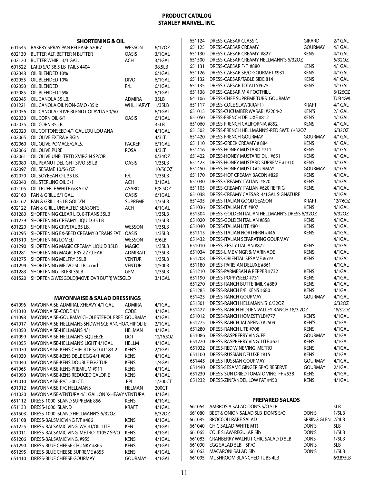|                  | <b>SHORTENING &amp; OIL</b>                                           |                            |                     |
|------------------|-----------------------------------------------------------------------|----------------------------|---------------------|
| 601545           | BAKERY SPRAY PAN RELEASE 62067                                        | <b>WESSON</b>              | 6/170Z              |
| 602130           | BUTTER ALT. BETTER N BUTTER                                           | <b>OASIS</b>               | 3/1GAL              |
| 602120           | <b>BUTTER WHIRL 3/1 GAL.</b>                                          | ACH                        | 3/1GAL              |
| 601522           | LARD S/O 38.5 LB PAILS 4404                                           |                            | 38.5LB              |
| 602048           | OIL BLENDED 10%                                                       |                            | 6/1GAL              |
| 602055           | OIL BLENDED 10%                                                       | <b>DIVO</b>                | 6/1GAL              |
| 602050           | OIL BLENDED                                                           | P/L                        | 6/1GAL              |
| 602085           | OIL BLENDED 25%                                                       |                            | 6/1GAL              |
| 602045           | OIL CANOLA 35 LB.                                                     | <b>ADMIRA</b>              | 35LB                |
| 601221<br>602056 | OIL CANOLA OIL NON-GMO-35lb<br>OIL CANOLA OLIVE BLEND COLAVITA 50/50  | <b>WHL HARVT</b>           | 1/35LB<br>$6/1$ GAL |
| 602030           | OIL CORN OIL 6/1                                                      | <b>OASIS</b>               | $6/1$ GAL           |
| 602035           | OIL CORN 35 LB.                                                       |                            | 35LB                |
| 602020           | OIL COTTONSEED 4/1 GAL LOU LOU ANA                                    |                            | 4/1GAL              |
| 602065           | OIL OLIVE EXTRA VIRGIN                                                |                            | 4/3LT               |
| 602060           | OIL OLIVE POMACE/GALS.                                                | <b>PACKER</b>              | 6/1GAL              |
| 602066           | OIL OLIVE PURE                                                        | <b>ROSA</b>                | 4/3LT               |
| 602061           | OIL OLIVE UNFILTRTD XVIRGIN SP/OR                                     |                            | 6/34OZ              |
| 602080           | OIL PEANUT DELIGHT SP/O 35 LB                                         | OASIS                      | 1/35LB              |
| 602097           | OIL SESAME 10/56 OZ                                                   |                            | 10/56OZ             |
| 602070           | OIL SOYBEAN OIL 35 LB.                                                | P/L                        | 1/35LB              |
| 602040           | OIL STERLING OIL 3/1                                                  | <b>ACH</b>                 | 3/1GAL              |
| 602105           | OIL TRUFFLE WHITE 6/8.5 OZ                                            | <b>ASARO</b>               | 6/8.5OZ             |
| 602160           | PAN & GRILL 6/1 GAL.                                                  | OASIS                      | 6/1GAL              |
| 602162<br>602122 | PAN & GRILL 35 LB GOLD'N<br>PAN & GRILL UNSALTED SEASON'S             | <b>SUPREME</b><br>ACH      | 1/35LB<br>4/1GAL    |
| 601280           | SHORTENING CLEAR LIQ. 0-TRANS 35LB                                    |                            | 1/35LB              |
| 601279           | SHORTENING CREAMY LIQUID 35 LB                                        |                            | 1/35LB              |
| 601220           | SHORTENING CRYSTAL 35 LB.                                             | <b>WESSON</b>              | 1/35LB              |
| 601295           | SHORTENING EX-SEED CREAMY 0 TRANS FAT                                 | <b>OASIS</b>               | 1/35LB              |
| 601510           | <b>SHORTENING LOMELT</b>                                              | <b>WESSON</b>              | 6/6LB               |
| 601290           | SHORTENING MAGIC CREAMY LIQUID 35LB                                   | <b>MAGIC</b>               | 1/35LB              |
| 601281           | SHORTENING MAGIC FRY-ZZ CLEAR                                         | <b>ADMIRATI</b>            | 1/35LB              |
| 601275           | <b>SHORTENING MELFRY 35LB</b>                                         | <b>VENTUR</b>              | 1/35LB              |
| 601299           | SHORTENING MELVO 50 LBsp ord                                          | <b>VENTUR</b>              | 1/50LB              |
| 601283           | <b>SHORTENING TRI FRI 35LB</b>                                        | GEM                        | 1/35LB              |
| 601520           | SHORTENG WESGOLD(MOVE OVR BUTR) WESGLD                                |                            | 3/1GAL              |
|                  | <b>MAYONNAISE &amp; SALAD DRESSINGS</b>                               |                            |                     |
| 641096           | MAYONNAISE-ADMIRAL XHEAVY 4/1 GAL                                     | <b>ADMIRA</b>              | 4/1GAL              |
| 641010           | MAYONNAISE-CODE 4/1                                                   | CODE                       | 4/1GAL              |
| 641098           | MAYONNAISE-GOURMAY CHOLESTEROL FREE GOURMAY                           |                            | 4/1GAL              |
| 641017           | MAYONNAISE-HELLMANS SNDWH SCE ANCHO/CHIPOLTE                          |                            | $2/1$ GAL           |
| 641050           | <b>MAYONNAISE-HELLMANS 4/1</b>                                        | HELMAN                     | 4/1GAL              |
| 641099           | <b>MAYONNAISE-HELLMAN'S SQUEEZE</b>                                   | DOT                        | 12/16.5OZ           |
| 641055           | MAYONNAISE-HELLMAN'S LIGHT 4/1GAL                                     | <b>HELLM</b>               | 4/1GAL              |
| 641070           | MAYONNAISE-KENS CHIPOLTE S/O #1183-2                                  | KEN'S                      | $2/1$ GAL           |
| 641030           | MAYONNAISE-KENS DBLE EGG 4/1 #896                                     | <b>KENS</b>                | 4/1GAL              |
| 641040           | <b>MAYONNAISE-KENS DOUBLE EGG TUB</b><br>MAYONNAISE-KENS PREMIUM #911 | <b>KENS</b>                | 1/4GAL              |
| 641065<br>641090 | MAYONNAISE-KENS REDUCED CALORIE                                       | <b>KENS</b><br><b>KENS</b> | 4/1GAL<br>4/1GAL    |
| 691010           | MAYONNAISE-P/C 200 CT.                                                | <b>PPI</b>                 | 1/200CT             |
| 691012           | MAYONNAISE-P/C HELLMANS                                               | <b>HELMAN</b>              | 200CT               |
| 641020           | MAYONNAISE-VENTURA 4/1 GALLON X-HEAVY VENTURA                         |                            | 4/1GAL              |
| 651112           | DRESS-1000 ISLAND SUPREME 856                                         | <b>KENS</b>                | 4/1GAL              |
| 651133           | DRESS-1000 ISLAND                                                     | KRAFT                      | 4/1GAL              |
| 651503           | DRESS-1000 ISLAND HELLMANN'S 6/32OZ                                   |                            | 6/32OZ              |
| 651108           | DRESS-BALSMIC VING F/F #486                                           | KENS                       | 4/1GAL              |
| 651225           | DRESS-BALSAMIC VING. W/OLI/OIL LITE                                   | KEN                        | 4/1GAL              |
| 651011           | DRESS-BALSAMIC VING. METRO #1057 SP/O                                 | KENS                       | 4/1GAL              |
| 651206           | DRESS-BALSAMIC VING. #955                                             | <b>KENS</b>                | 4/1GAL              |
| 651290           | DRESS-BLUE CHEESE CHUNKY #865                                         | <b>KENS</b>                | 4/1GAL              |
| 651295           | DRESS-BLUE CHEESE SUPREME #855                                        | <b>KENS</b>                | 4/1GAL              |
| 651410           | DRESS-BLUE CHEESE GOURMAY                                             | <b>GOURMAY</b>             | 4/1GAL              |

| 651124 | DRESS-CAESAR CLASSIC                         | girard         | 2/1GAL    |
|--------|----------------------------------------------|----------------|-----------|
| 651125 | DRESS-CAESAR CREAMY                          | GOURMAY        | 4/1GAL    |
| 651130 | DRESS-CAESAR CREAMY #827                     | KENS           | 4/1GAL    |
| 651500 | DRESS-CAESAR CREAMY HELLMANN'S 6/32OZ        |                | 6/32OZ    |
| 651131 | DRESS-CAESAR F/F #880                        | kens           | 4/1GAL    |
| 651126 | DRESS-CAESAR SP/O GOURMET #931               | kens           | 4/1GAL    |
| 651132 | DRESS-CAESAR/TABLE SIDE 814                  | <b>KENS</b>    | 4/1GAL    |
| 651135 | DRESS-CAESAR TOTALLY#675                     | kens           | 4/1GAL    |
| 651138 | DRESS-CAESAR MIX FOOTHILL                    |                | 6/12.50Z  |
| 641106 | DRESS-CHEF SUPREME TUBS GOURMAY              |                | TUB4GAL   |
| 651117 | DRESS-COLE SLAW(KRAFT)                       | KRAFT          | 4/1GAL    |
| 651015 | DRESS-CUCUMBER WASABI #2204-2                | Ken's          | $2/1$ GAL |
|        |                                              |                |           |
| 651050 | DRESS-FRENCH DELUXE #812                     | Kens           | 4/1GAL    |
| 651060 | DRESS-FRENCH CALIFORNIA #852                 | <b>KENS</b>    | 4/1GAL    |
| 651502 | DRESS-FRENCH HELLMANN'S-RED SWT. 6/32OZ      |                | 6/32OZ    |
| 651420 | DRESS-FRENCH GOURMAY                         | <b>GOURMAY</b> | 4/1GAL    |
| 651110 | DRESS-GREEK CREAMY #884                      | Kens           | 4/1GAL    |
| 651416 | DRESS-HONEY MUSTARD #711                     | Kens           | 4/1GAL    |
| 651422 | DRESS-HONEY MUSTARD DIJ. #651                | Kens           | 4/1GAL    |
| 651423 | DRESS-HONEY MUSTARD SUPREME #1310            | kens           | 4/1GAL    |
| 651450 | DRESS-HONEY MUST GOURMAY                     | <b>GOURMAY</b> | 4/1GAL    |
| 651170 | DRESS-HOT CREAMY BACON #829                  | Kens           | 4/1GAL    |
| 651030 | DRESS-CREAMY ITALIAN #820                    | Kens           | 4/1GAL    |
| 651105 | DRESS-CREAMY ITALIAN #620 REFRIG             | Kens           | 4/1GAL    |
| 651038 | DRESS-CREAMY CAESAR 4/1GAL SIGNATURE         |                | 4/1GAL    |
| 651435 | DRESS-ITALIAN GOOD SEASON                    | KRAFT          | 12/7.60Z  |
| 651036 | DRESS-ITALIAN F/F #807                       | <b>KENS</b>    | 4/1GAL    |
| 651504 | DRESS-GOLDEN ITALIAN HELLMANN'S DRESS 6/320Z |                | 6/32OZ    |
| 651020 | DRESS-GOLDEN ITALIAN #858                    | KENS           | 4/1GAL    |
| 651040 | DRESS-ITALIAN LITE #801                      | KENS           | 4/1GAL    |
| 651115 | DRESS-ITALIAN NORTHERN #446                  | Kens           | 4/1GAL    |
| 651432 | DRESS-ITALIAN SEPARATING GOURMAY             |                | 4/1GAL    |
| 651010 | DRESS-ZESTY ITALIAN #872                     | <b>KENS</b>    | 4/1GAL    |
| 651034 | DRESS-LIME VINGR & MARINADE                  | <b>KENS</b>    | 4/1GAL    |
| 651208 | DRESS-ORIENTAL SESAME #619                   | <b>KENS</b>    | 4/1GAL    |
| 651180 | DRESS-PARISIAN DELUXE #861                   |                | 4/1GAL    |
| 651210 | DRESS-PARMESAN & PEPPER #732                 | <b>KENS</b>    | 4/1GAL    |
| 651190 | DRESS-POPPYSEED #731                         | <b>KENS</b>    | 4/1GAL    |
| 651270 | DRESS-RANCH BUTTERMILK #889                  | <b>KENS</b>    | 4/1GAL    |
| 651285 | DRESS-RANCH F/F KENS #680                    | <b>KENS</b>    | 4/1GAL    |
| 651425 | DRESS-RANCH GOURMAY                          | <b>GOURMAY</b> | 4/1GAL    |
| 651501 | DRESS-RANCH HELLMANN'S 6/32OZ                |                | 6/320Z    |
| 651427 | DRESS-RANCH HIDDEN VALLEY RANCH 18/3.20Z     |                | 18/3.20Z  |
| 651012 | DRESS-RANCH HOMESTYLE#777                    | <b>KEN'S</b>   | 4/1GAL    |
| 651275 | DRESS-RANCH JALAPENO #2509                   | KEN'S          | 4/1GAL    |
| 651280 | DRESS-RANCH LITE #708                        | Kens           | 4/1GAL    |
| 651086 | DRESS-RASPBERRY VING. FF                     | <b>GOURMAY</b> | 4/1GAL    |
| 651220 | DRESS-RASPBERRY VING. LITE #621              | <b>KENS</b>    | 4/1GAL    |
| 651032 | DRESS-RED WINE VING. METRO                   | <b>KENS</b>    | 4/1GAL    |
| 651100 | DRESS-RUSSIAN DELUXE #815                    | <b>KENS</b>    | 4/1GAL    |
| 651445 | DRESS-RUSSIAN GOURMAY                        | <b>GOURMAY</b> | 4/1GAL    |
| 651440 | DRESS-SESAME GINGER SP/O RESERVE             | <b>GOURMAY</b> | 2/1GAL    |
| 651230 | DRESS-SUN DRIED TOMATO VING. FF #538         | <b>KENS</b>    | 4/1GAL    |
| 651232 | DRESS-ZINFANDEL LOW FAT #450                 | <b>KENS</b>    | 4/1GAL    |
|        |                                              |                |           |
|        |                                              |                |           |

#### **PREPARED SALADS**

|        | 661064 AMBROSIA SALAD DON'S S/O 5LB      |                   | 5LB       |
|--------|------------------------------------------|-------------------|-----------|
| 661080 | BEET & ONION SALAD 5LB DON'S S/O         | DON'S             | 1/5LB     |
|        | 661085 BROCCOLI RABE SALAD               | SPRING GLEN 2/4LB |           |
|        | 661040 CHIC SALAD(WHITE MT)              | DON'S             | 5LB       |
|        | 661065 COLE SLAW-REGULAR 5lb             | DON'S             | 1/5LB     |
|        | 661083 CRANBERRY WALNUT CHIC SALAD D 5LB | <b>DONS</b>       | 1/5LB     |
| 661090 | EGG SALAD 5LB SP/O                       | DON'S             | 5LB       |
|        | 661063 MACARONI SALAD 5lb                | DON'S             | 1/5LB     |
|        | 661095 MUSHROOM BLANCHED TUBS 4LB        |                   | 6/3.875LB |
|        |                                          |                   |           |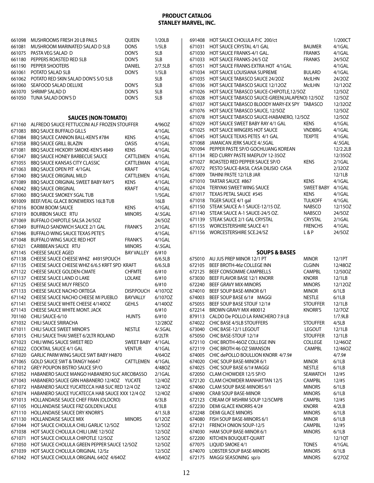| 661098<br><b>MUSHROOMS FRESH 20 LB PAILS</b><br>MUSHROOM MARINATED SALAD D 5LB<br>661081<br>PASTA VEG SALAD D<br>661075<br>PEPPERS ROASTED RED 5LB<br>661180 | QUEEN<br><b>DONS</b><br>DON'S | 1/20LB<br>1/5LB   |
|--------------------------------------------------------------------------------------------------------------------------------------------------------------|-------------------------------|-------------------|
|                                                                                                                                                              |                               |                   |
|                                                                                                                                                              |                               |                   |
|                                                                                                                                                              |                               | 5LB               |
|                                                                                                                                                              | DON'S                         | 5LB               |
| 661190<br>PEPPER SHOOTERS                                                                                                                                    | DANIEL                        | 2/7.5LB           |
| POTATO SALAD 5LB<br>661061                                                                                                                                   | DON'S                         | 1/5LB             |
| POTATO RED SKIN SALAD DON'S S/O 5LB<br>661062                                                                                                                |                               | 5LB               |
| SEAFOOD SALAD DELUXE<br>661060                                                                                                                               | DON'S                         | 5LB               |
| SHRIMP SALAD D<br>661070                                                                                                                                     | DON'S                         | 5LB               |
| TUNA SALAD DON'S D<br>661050                                                                                                                                 | DON'S                         | 5LB               |
|                                                                                                                                                              |                               |                   |
| <b>SAUCES (NON-TOMATO)</b><br>ALFREDO SAUCE FETTUCCINI ALF FROZEN STOUFFER<br>671160                                                                         |                               | 4/960Z            |
| <b>BBQ SAUCE BUFFALO GILLS</b><br>671083                                                                                                                     |                               | 4/1GAL            |
| BBQ SAUCE CANNON BALL-KEN'S #784<br>671084                                                                                                                   | <b>KENS</b>                   | 4/1GAL            |
| <b>BBQ SAUCE GRILL BLAZIN</b><br>671058                                                                                                                      | OASIS                         | 4/1GAL            |
| BBQ SAUCE HICKORY SMOKE-KEN'S #849<br>671081                                                                                                                 | <b>KENS</b>                   | 4/1GAL            |
| <b>BBO SAUCE HONEY BARBECUE SAUCE</b><br>671047                                                                                                              | CATTLEMEN                     | 4/1GAL            |
| <b>BBQ SAUCE KANSAS CITY CLASSIC</b><br>671055                                                                                                               | CATTLEMAN                     | 4/1GAL            |
| 671063<br><b>BBO SAUCE OPEN PIT 4/1GAL</b>                                                                                                                   | <b>KRAFT</b>                  | 4/1GAL            |
| <b>BBO SAUCE ORIGINAL MILD</b><br>671040                                                                                                                     | CATTLEMEN                     | 4/1GAL            |
| BBQ SAUCE ORIGINAL SWEET BABY RAY'S<br>671089                                                                                                                | <b>KENS</b>                   | 4/1GAL            |
| <b>BBQ SAUCE ORIGINAL</b><br>674042                                                                                                                          | <b>KRAFT</b>                  | 4/1GAL            |
| <b>BBQ SAUCE SMOKEY 5GAL TUB</b><br>671060                                                                                                                   |                               | $1/5$ GAL         |
| BEEF/VEAL GLACE BONEWERXS 16LB TUB<br>901009                                                                                                                 |                               | 16LB              |
| <b>BOOM BOOM SAUCE</b><br>671016                                                                                                                             | <b>KENS</b>                   | 4/1GAL            |
| <b>BOURBON SAUCE RTU</b><br>671019<br>671069<br>BUFFALO CHIPOTLE SALSA 24/5OZ                                                                                | <b>MINORS</b>                 | 4/.5GAL<br>24/5OZ |
| BUFFALO SANDWICH SAUCE 2/1 GAL<br>671049                                                                                                                     | <b>FRANK'S</b>                | $2/1$ GAL         |
| BUFFALO WING SAUCE TEXAS PETE'S<br>671046                                                                                                                    |                               | 4/1GAL            |
| BUFFALO WING SAUCE RED HOT<br>671048                                                                                                                         | <b>FRANK'S</b>                | 4/1GAL            |
| 671021<br>CARIBBEAN SAUCE RTU                                                                                                                                | <b>MINORS</b>                 | $4/0.5$ GAL       |
| <b>CHEESE SAUCE AGED</b><br>671145                                                                                                                           | <b>BAY VALLEY</b>             | 6/110             |
| CHEESE SAUCE CHEESE WHIZ #4915POUCH<br>671138                                                                                                                |                               | 6/6.5LB           |
| 671135<br>CHEESE SAUCE CHEESE WHIZ 6/6.5 KRFT SPD KRAFT                                                                                                      |                               | 6/6.5LB           |
| CHEESE SAUCE GOLDEN-CMATE<br>671122                                                                                                                          | <b>CHFMTE</b>                 | $6/$ #10          |
| CHEESE SAUCE LAND O LAKE<br>671137                                                                                                                           | LOLAKE                        | 6/#10             |
| <b>CHEESE SAUCE MUY FRESCO</b><br>671125                                                                                                                     |                               | 6/110             |
| 671133<br>CHEESE SAUCE NACHO ORTEGA                                                                                                                          | DISP.POUCH                    | 4/107OZ           |
| CHEESE SAUCE NACHO CHEESE MI PUEBLO<br>671142                                                                                                                | <b>BAYVALLY</b>               | 6/107OZ           |
| CHEESE SAUCE WHITE CHEESE 4/140OZ<br>671141                                                                                                                  | <b>GEHLS</b>                  | 4/140OZ           |
| 671143<br>CHEESE SAUCE WHITE MONT. JACK<br>701160<br>CHILI SAUCE-6/10                                                                                        | <b>HUNTS</b>                  | 6/#10<br>6/#10    |
| 671032<br>CHILI SAUCE SRIRACHA                                                                                                                               |                               | 12/280Z           |
| <b>CHILI SAUCE SWEET MINOR'S</b><br>671011                                                                                                                   | <b>NESTLE</b>                 | 4/.5GAL           |
| CHILI SAUCE THAI SWEET 6/2LTR ROLAND<br>671015                                                                                                               |                               | $6/2$ LTR         |
| CHILI WING SAUCE SWEET RED<br>671023                                                                                                                         | <b>SWEET BABY</b>             | 4/1GAL            |
| <b>COCKTAIL SAUCE 4/1 GAL</b><br>671022                                                                                                                      | <b>VENTUR</b>                 | 4/1GAL            |
| GARLIC PARM WING SAUCE SWT BABY H4870<br>671020                                                                                                              |                               | 4/640Z            |
| GOLD SAUCE SWT & TANGY h6647<br>671065                                                                                                                       | CATTLEMEN                     | 4/1GAL            |
| <b>GREY POUPON BISTRO SAUCE SP/O</b><br>671012                                                                                                               |                               | 4/480Z            |
| HABANERO SAUCE MANGO HABANERO SUC ARCOBASSO<br>671052                                                                                                        |                               | $2/1$ GAL         |
| HABANERO SAUCE GRN HABANERO 12/4OZ<br>671043                                                                                                                 | YUCATE                        | 12/40Z            |
| HABANERO SAUCE YUCATECCA HAB SUC RED 12/4 OZ<br>671072                                                                                                       |                               | 12/40Z            |
| HABANERO SAUCE YUCATECCA HAB SAUCE XXX 12/4 OZ<br>671074                                                                                                     |                               | 12/40Z            |
| HOLLANDAISE SAUCE CHEF FRAN (OLDCRO)<br>971013                                                                                                               |                               | 6/3LB             |
| 671105<br>HOLLANDAISE SAUCE FRZ GOLDEN LADLE                                                                                                                 |                               | 4/3LB             |
| HOLLANDAISE SAUCE DRY KNORR'S<br>671110<br>HOLLANDAISE SAUCE MIX                                                                                             |                               | 4/1.5LB           |
| 671130<br>HOT SAUCE CHOLULA CHILI GARLIC 12/50Z<br>671044                                                                                                    | <b>MINORS</b>                 | 6/12OZ<br>12/50Z  |
| HOT SAUCE CHOLULA CHILI LIME 12/50Z<br>671038                                                                                                                |                               | 12/50Z            |
| HOT SAUCE CHOLULA CHIPOTLE 12/50Z<br>671071                                                                                                                  |                               | 12/50Z            |
| HOT SAUCE CHOLULA GREEN PEPPER SAUCE 12/50Z<br>671050                                                                                                        |                               | 12/50Z            |
| 671039<br>HOT SAUCE CHOLULA ORIGINAL 12/5z                                                                                                                   |                               | 12/50Z            |
| HOT SAUCE CHOLULA ORIGINAL 64OZ 4/64OZ<br>671042                                                                                                             |                               | 4/64OZ            |

| 691408           | HOT SAUCE CHOLULA P/C 200/ct                                                               |                                  | 1/200CT            |
|------------------|--------------------------------------------------------------------------------------------|----------------------------------|--------------------|
| 671031           | HOT SAUCE CRYSTAL 4/1 GAL                                                                  | <b>BAUMER</b>                    | 4/1GAL             |
| 671030           | HOT SAUCE FRANKS-4/1 GAL.                                                                  | <b>FRANKS</b>                    | 4/1GAL             |
| 671033           | HOT SAUCE FRANKS-24/5 OZ                                                                   | <b>FRANKS</b>                    | 24/5OZ             |
| 671051           | HOT SAUCE FRANKS EXTRA HOT 4/1GAL                                                          |                                  | 4/1GAL             |
| 671034           | HOT SAUCE LOUISIANA SUPREME                                                                | <b>BULARD</b>                    | 4/1GAL             |
| 671035           | HOT SAUCE TABASCO SAUCE 24/2OZ                                                             | <b>McILHN</b>                    | 24/20Z             |
| 671036           | HOT SAUCE TABASCO SAUCE 12/12OZ                                                            | <b>McILHN</b>                    | 12/12OZ            |
| 671026<br>671028 | HOT SAUCE TABASCO SAUCE-CHIPOTLE, 12/5OZ<br>HOT SAUCE TABASCO SAUCE-GREEN(JALAPENO) 12/5OZ |                                  | 12/50Z<br>12/5OZ   |
| 671037           | HOT SAUCE TABASCO BLOODY MARY-EX SPY TABASCO                                               |                                  | 12/320Z            |
| 671076           | HOT SAUCE TABASCO SAUCE, 12/5OZ                                                            |                                  | 12/5OZ             |
| 671078           | HOT SAUCE TABASCO SAUCE-HABANERO, 12/5OZ                                                   |                                  | 12/50Z             |
| 671029           | HOT SAUCE SWEET BABY RAY 4/1 GAL                                                           | <b>KENS</b>                      | 4/1GAL             |
| 671025           | HOT SAUCE WINGERS HOT SAUCE                                                                | <b>VNDBRG</b>                    | 4/1GAL             |
| 671045           | HOT SAUCE TEXAS PETES 4/1 GAL                                                              | <b>TEXPTE</b>                    | 4/1GAL             |
| 671068           | JAMAICAN JERK SAUCE 4/.5GAL                                                                |                                  | $4/0.5$ GAL        |
| 701094           | PEPPER PASTE SP/O GOCHUJANG KOREAN                                                         |                                  | 12/2.2LB           |
| 671134           | RED CURRY PASTE MAEPLOY 12-35OZ                                                            |                                  | 12/35OZ            |
| 671027           | ROASTED RED PEPPER SAUCE SP/O                                                              | <b>KENS</b>                      | $2/1$ GAL          |
| 677072           | PESTO SAUCE-BASIL CASA DILISIO CASA                                                        |                                  | 2/32OZ             |
| 671009<br>671010 | TAHINI PASTE 12/1LB JAR<br>TARTAR SAUCE #867                                               |                                  | 12/1LB<br>4/1GAL   |
| 671024           | TERIYAKI SWEET WING SAUCE                                                                  | <b>KENS</b><br><b>SWEET BABY</b> | 4/1GAL             |
| 671017           | TEXAS PETAL SAUCE #545                                                                     | <b>KENS</b>                      | 4/1GAL             |
| 671018           | TIGER SAUCE 4/1 gal                                                                        | <b>TULKOFF</b>                   | 4/1GAL             |
| 671150           | STEAK SAUCE A-1 SAUCE-12/15 OZ.                                                            | <b>NABSCO</b>                    | 12/15OZ            |
| 671140           | STEAK SAUCE A-1 SAUCE-24/5 OZ.                                                             | <b>NABSCO</b>                    | 24/5OZ             |
| 671139           | STEAK SAUCE 2/1 GAL CRYSTAL                                                                | CRYSTAL                          | $2/1$ GAL          |
| 671155           | <b>WORCESTERSHIRE SAUCE 4/1</b>                                                            | <b>FRENCHS</b>                   | 4/1GAL             |
| 671156           | WORCESTERSHIRE SCE.24/5Z                                                                   | L & P                            | 24/5OZ             |
|                  |                                                                                            |                                  |                    |
|                  |                                                                                            |                                  |                    |
|                  |                                                                                            |                                  |                    |
|                  | <b>SOUPS &amp; BASES</b>                                                                   |                                  |                    |
| 675010           | AU JUS PREP MINOR 12/1 PT                                                                  | minor                            | 12/1PT             |
| 672105<br>672125 | BEEF BROTH-46z COLLEGE INN<br>BEEF CONSOMME CAMPBELLS                                      | CLGINN<br><b>CAMPBL</b>          | 12/48OZ<br>12/50OZ |
| 673030           | BEEF FLAVOR BASE 12/1 KNORR                                                                | <b>KNORR</b>                     | 12/1LB             |
| 672240           | <b>BEEF GRAVY MIX-MINORS</b>                                                               | <b>MINORS</b>                    | 12/120Z            |
| 674010           | BEEF SOUP BASE-MINOR 6/1                                                                   | Minor                            | 6/1LB              |
| 674003           | BEEF SOUP BASE 6/1# MAGGI                                                                  | <b>NESTLE</b>                    | 6/1LB              |
| 675055           | BEEF SOUP BASE STOUF 12/1#                                                                 | <b>STOUFFER</b>                  | 12/1LB             |
| 672214           | BROWN GRAVY MIX #80012                                                                     | <b>KNORR'S</b>                   | 12/70Z             |
| 879113           | CALDO De POLLO LA RANCHERO 7.9 LB                                                          |                                  | 1/7.9LB            |
| 674022           | CHIC BASE 4/5LB STOUFFERS                                                                  | <b>STOUFFER</b>                  | 4/5LB              |
| 673040           | CHIC BASE-12/1 LEGOUT                                                                      | <b>LEGOUT</b>                    | 12/1LB             |
| 675050           | CHIC BASE-STOUF 12/1#                                                                      | <b>STOUFFER</b>                  | 12/1LB             |
| 672110           | CHIC BROTH-46OZ COLLEGE INN                                                                | COLLEGE                          | 12/46OZ            |
| 672119<br>674005 | CHIC BROTH 46 OZ SWANSON                                                                   | CAMPBL                           | 12/46OZ<br>4/7.9#  |
| 674020           | CHIC dePOLLO BOULLION KNORR 4/7.9#<br>CHIC SOUP BASE-MINOR 6/1                             | <b>MINOR</b>                     | 6/1LB              |
| 674025           | CHIC SOUP BASE 6/1# MAGGI                                                                  | NESTLE                           | 6/1LB              |
| 672050           | CLAM CHOWDER 12/5 SP/O                                                                     | <b>SEAWATCH</b>                  | 12/#5              |
| 672120           | <b>CLAM CHOWDER MANHATTAN 12/5</b>                                                         | <b>CAMPBL</b>                    | 12/#5              |
| 674060           | <b>CLAM SOUP BASE-MINORS 6/1</b>                                                           | <b>MINORS</b>                    | 6/1LB              |
| 674090           | <b>CRAB SOUP BASE-MINOR</b>                                                                | <b>MINORS</b>                    | 6/1LB              |
| 672123           | CREAM OF MSHRM SOUP 12/5CMPB                                                               | <b>CAMPBL</b>                    | 12/#5              |
| 672230           | <b>DEMI GLACE KNORRS 4/2#</b>                                                              | <b>KNORR</b>                     | 4/2LB              |
| 672248           | <b>DEMI GLACE MINORS</b>                                                                   | <b>MINORS</b>                    | 6/1LB              |
| 674080           | FISH SOUP BASE-MINORS 6/1                                                                  | minor                            | 6/1LB              |
| 672121           | FRENCH ONION SOUP-12/5                                                                     | <b>CAMPBL</b>                    | 12/#5              |
| 674030           | HAM SOUP BASE-MINOR 6/1<br>KITCHEN BOUQUET-QUART                                           | <b>MINORS</b>                    | 6/1LB              |
| 672200<br>677075 | LIQUID SMOKE 4/1                                                                           | <b>TONES</b>                     | 12/1QT<br>4/1GAL   |
| 674070           | <b>LOBSTER SOUP BASE-MINORS</b>                                                            | <b>MINORS</b>                    | 6/1LB              |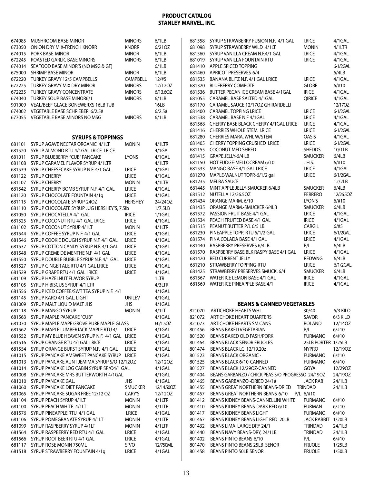|        | 674085 MUSHROOM BASE-MINOR                            | <b>MINORS</b>   | 6/1LB      |        | 681558 SYRUP STRAWBERRY FUSION N.F. 4/1 GAL       | <b>I.RICE</b>      | 4/1GAL    |
|--------|-------------------------------------------------------|-----------------|------------|--------|---------------------------------------------------|--------------------|-----------|
|        | 673050 ONION DRY MIX-FRENCH KNORR                     | <b>KNORR</b>    | 6/210Z     |        | 681098 SYRUP STRAWBERRY WILD 4/1LT                | <b>MONIN</b>       | $4/1$ LTR |
|        | 674015 PORK BASE-MINOR                                | <b>MINOR</b>    | 6/1LB      |        | 681560 SYRUP VANILLA CREAM N.F.4/1 GAL            | <b>I.RICE</b>      | 4/1GAL    |
| 672245 | ROASTED GARLIC BASE MINORS                            | <b>MINORS</b>   | 6/1LB      |        | 681019 SYRUP VANILLA FOUNTAIN RTU                 | <b>I.RICE</b>      | 4/1GAL    |
|        | 674014 SEAFOOD BASE MINOR'S (NO MSG & GF)             |                 | 6/1LB      |        | 681410 APPLE SPICED TOPPING                       |                    | 6-1/2GAL  |
|        | 675000 SHRIMP BASE MINOR                              | <b>MINOR</b>    | 6/1LB      |        | 681460 APRICOT PRESERVES-6/4                      |                    | 6/4LB     |
|        | 672220 TURKEY GRAVY 12/5 CAMPBELLS                    | <b>CAMPBELL</b> | 12/#5      | 681535 | BANANA BLITZ N.F. 4/1 GAL I.RICE                  | <b>I.RICE</b>      | 4/1GAL    |
|        | 672225 TURKEY GRAVY MIX DRY MINOR                     | <b>MINORS</b>   | 12/120Z    | 681320 | <b>BLUEBERRY COMPOTE</b>                          | <b>GLOBE</b>       | 6/#10     |
|        | 672235 TURKEY GRAVY CONCENTRATE                       | <b>MINORS</b>   | 6/13.6OZ   |        | 681536 BUTTER PECAN ICE CREAM BASE 4/1GAL         | <b>IRICE</b>       | 4/1GAL    |
|        | 674040 TURKEY SOUP BASE MINOR6/1                      | <b>MINORS</b>   | 6/1LB      |        | 681055 CARAMEL BASE SALTED 4/1GAL                 | <b>QIRICE</b>      | 4/1GAL    |
|        | 901009 VEAL/BEEF GLACE BONEWERXS 16LB TUB             |                 | 16LB       |        | 681170 CARAMEL SAUCE 12/170Z GHIRARDELLI          |                    | 12/170Z   |
|        | 674002 VEGETABLE BASE SCHRIEBER 6/2.5#                |                 | 6/2.5#     |        | 681400 CARAMEL TOPPING I.RICE                     | <b>I.RICE</b>      | 6-1/2GAL  |
|        | 677055 VEGETABLE BASE MINORS NO MSG                   | <b>MINORS</b>   | 6/1LB      |        | 681538 CARAMEL BASE N.F 4/1GAL                    | <b>I.RICE</b>      | 4/1GAL    |
|        |                                                       |                 |            |        | 681568 CHERRY BASE BLACK CHERRY 4/1GAL I.RICE     | <b>I.RICE</b>      | 4/1GAL    |
|        |                                                       |                 |            |        | 681416 CHERRIES WHOLE STEM I.RICE                 | <b>I.RICE</b>      | 6-1/2GAL  |
|        | <b>SYRUPS &amp; TOPPINGS</b>                          |                 |            |        | 681280 CHERRIES MARA. WHL W/STEM                  | <b>OASIS</b>       | 4/1GAL    |
|        | 681101 SYRUP AGAVE NECTAR ORGANIC 4/1LT               | <b>MONIN</b>    | $4/1$ LTR  |        | 681405 CHERRY TOPPING CRUSHED I.RICE              | <b>I.RICE</b>      | 6-1/2GAL  |
|        | 681520 SYRUP ALMOND RTU 4/1GAL I.RICE I.RICE          |                 | 4/1GAL     |        | 681155 COCONUT MED SHRED                          | <b>SHEDDS</b>      | 10/1LB    |
|        | 681011 SYRUP BLUEBERRY "CUB" PANCAKE                  | <b>LYONS</b>    | 4/1GAL     |        | 681415 GRAPE JELLY-6/4 LB                         | <b>SMUCKER</b>     | 6/4LB     |
|        | 681108 SYRUP CARAMEL FLAVOR SYRUP 4/1LTR              |                 | 4/1LTR     |        | 681150 HOT FUDGE-MELLOCREAM 6/10                  | J.H.S.             | 6/#10     |
|        | 681539 SYRUP CHEESECAKE SYRUP N.F. 4/1 GAL            | <b>I.RICE</b>   | 4/1GAL     |        | 681533 MANGO BASE 4/1 GAL I.RICE                  | <b>I.RICE</b>      | 4/1GAL    |
|        | 681122 SYRUP CHERRY                                   | <b>I.RICE</b>   | 4/1GAL     |        | 681270 MAPLE-WALNUT TOPP.-6/1/2 gal               | <b>I.RICE</b>      | 6/1/2GAL  |
|        | 681107 SYRUP CHERRY                                   | <b>MONIN</b>    | $4/1$ LTR  |        | 681235 MELBA SAUCE                                |                    | 12/2LB    |
|        |                                                       |                 |            |        | 681445 MINT APPLE JELLY-SMUCKER 6/4LB             | <b>SMUCKER</b>     | 6/4LB     |
|        | 681542 SYRUP CHERRY BOMB SYRUP N.F. 4/1 GAL           | <b>I.RICE</b>   | 4/1GAL     |        | 681512 NUTELLA 12/26.5OZ                          | <b>FERRERO</b>     | 12/26.5OZ |
|        | 681120 SYRUP CHOCOLATE FOUNTAIN 4/1q                  | <b>I.RICE</b>   | $4/1$ GAL  |        | 681434 ORANGE MARM. 6/10                          | LYON'S             | 6/#10     |
|        | 681115 SYRUP CHOCOLATE SYRUP-24OZ                     | <b>HERSHEY</b>  | 24/24OZ    |        | 681435 ORANGE MARM.-SMUCKER 6/4LB                 | <b>SMUCKER</b>     | 6/4LB     |
|        | 681110 SYRUP CHOCOLATE SYRUP JUG HERSHEY'S, 7.5lb     |                 | 1/7.5LB    |        | 681572 PASSION FRUIT BASE 4/1 GAL                 | <b>I.RICE</b>      | $4/1$ GAL |
|        | 681050 SYRUP CHOCATELLA 4/1 GAL                       | <b>IRICE</b>    | $1/1$ GAL  |        |                                                   | <b>IRICE</b>       | 4/1GAL    |
|        | 681525 SYRUP COCONUT RTU 4/1 GAL I.RICE               | <b>I.RICE</b>   | 4/1GAL     |        | 681534 PEACH FRUITED BASE 4/1 GAL                 | <b>CARGIL</b>      | 6/#5      |
|        | 681102 SYRUP COCONUT SYRUP 4/1LT                      | <b>MONIN</b>    | $4/1$ LTR  |        | 681515 PEANUT BUTTER P/L 6/5 LB.                  |                    |           |
|        | 681544 SYRUP COFFEE SYRUP N.F. 4/1 GAL                | <b>I.RICE</b>   | 4/1GAL     |        | 681230 PINEAPPLE TOPP.-RTU 6/1/2 GAL              | <b>I.RICE</b>      | 6/1/2GAL  |
|        | 681546 SYRUP COOKIE DOUGH SYRUP N.F. 4/1 GAL          | <b>I.RICE</b>   | 4/1GAL     | 681574 | PINA COLADA BASE 4/1 GAL                          | <b>I.RICE</b>      | 4/1GAL    |
|        | 681537 SYRUP COTTON CANDY SYRUP N.F. 4/1 GAL          | <b>I.RICE</b>   | 4/1GAL     |        | 681440 RASPBERRY PRESERVES 6/4LB                  | P/L                | 6/4LB     |
|        | 681548 SYRUP CREME DE MENTHE N.F 4/1 GAL              | <b>I.RICE</b>   | 4/1GAL     |        | 681570 RASPBERRY BASE BLK RASPY BASE 4/1 GAL      | <b>I.RICE</b>      | 4/1GAL    |
|        | 681550 SYRUP DOUBLE BUBBLE SYRUP N.F. 4/1 GAL         | <b>I.RICE</b>   | 4/1GAL     |        | 681420 RED CURRENT JELLY                          | <b>REDWNG</b>      | 6/4LB     |
|        | 681527 SYRUP GINGER ALE RTU 4/1 GAL I.RICE            | <b>I.RICE</b>   | 4/1GAL     |        | 681210 STRAWBERRY TOPPING-RTU                     | <b>I.RICE</b>      | 6/1/2GAL  |
|        | 681529 SYRUP GRAPE RTU 4/1 GAL I.RICE                 | <b>I.RICE</b>   | 4/1GAL     |        | 681425 STRAWBERRY PRESERVES SMUCK. 6/4            | <b>SMUCKER</b>     | 6/4LB     |
|        | 681109 SYRUP HAZELNUT FLAVOR SYRUP                    |                 | 1LTR       |        | 681567 WATER ICE LEMON BASE 4/1 GAL               | <b>IRICE</b>       | 4/1GAL    |
|        | 681105 SYRUP HIBISCUS SYRUP 4/1 LTR                   |                 | $4/3$ LTR  |        | 681569 WATER ICE PINEAPPLE BASE 4/1               | <b>IRICE</b>       | 4/1GAL    |
|        | 681556 SYRUP ICED COFFEE/SWT TEA SYRUP N.F. 4/1       |                 | 4/1GAL     |        |                                                   |                    |           |
|        | 681145 SYRUP KARO 4/1 GAL. LIGHT                      | <b>UNILEV</b>   | 4/1GAL     |        |                                                   |                    |           |
|        | 681009 SYRUP MALT LIOUID MALT JHS                     | <b>JHS</b>      | 4/1GAL     |        | <b>BEANS &amp; CANNED VEGETABLES</b>              |                    |           |
|        | 681118 SYRUP MANGO SYRUP                              | <b>MONIN</b>    | 4/1LT      |        | 821070 ARTICHOKE HEARTS WHL                       | 30/40              | 6/3 KILO  |
|        | 681563 SYRUP MAPLE PANCAKE "CUB"                      |                 | 4/1GAL     |        | 821072 ARTICHOKE HEART OUARTERS                   | SAVOR              | 6/3 KILO  |
|        | 681070 SYRUP MAPLE MAPE GROVE PURE MAPLE GLASS        |                 | 60/1.5OZ   | 821073 | ARTICHOKE HEARTS SM.CANS                          | ROLAND             | 12/14OZ   |
|        | 681562 SYRUP MAPLE LUMBERJACK MAPLE RTU 4/ I.RICE     |                 | 4/1GAL     | 801456 | <b>BEANS BAKED VEGETARIAN</b>                     | P/L                | 6/110     |
|        | 681552 SYRUP MY BLUE HEAVEN SYRUP N.F. 4/1 GAL I.RICE |                 | 4/1GAL     | 801520 | BEANS BAKED OLD FASH/PORK                         | <b>FURMANO</b>     | 6/110     |
|        | 681516 SYRUP ORANGE RTU 4/1GAL I.RICE                 | <b>I.RICE</b>   | 4/1GAL     | 801464 | <b>BEANS BLACK SENOR FRIJOLES</b>                 | 25LB PORTER 1/25LB |           |
|        | 681554 SYRUP ORANGE BURST SYRUP N.F. 4/1 GAL          | I.RICE          | 4/1GAL     | 801474 | BEANS BLACK LC 12/19.20z                          | <b>NYPRO</b>       | 12/190Z   |
|        | 681015 SYRUP PANCAKE AMSWEET PANCAKE SYRUP I.RICE     |                 | 4/1GAL     | 801523 | <b>BEANS BLACK ORGANIC -</b>                      | <b>FURMANO</b>     | 6/110     |
|        | 681013 SYRUP PANCAKE AUNT JEMIMA SYRUP S/O 12/12OZ    |                 | 12/120Z    | 801525 | BEANS BLACK 6/10-CANNED                           | <b>FURMANO</b>     | 6/110     |
|        | 681014 SYRUP PANCAKE LOG CABIN SYRUP SP/O4/1 GAL      |                 | 4/1GAL     | 801527 | BEANS BLACK 12/29OZ-CANNED                        | GOYA               | 12/290Z   |
|        | 681008 SYRUP PANCAKE MRS BUTTERWORTH 4/1GAL           |                 | 4/1GAL     | 801404 | BEANS GARBANZO / CHICK PEAS S/O PROGRESSO 24/190Z |                    | 24/190Z   |
|        | 681010 SYRUP PANCAKE GAL.                             | JHS.            | 4/1GAL     | 801465 | BEANS GARBANZO - DRIED 24/1#                      | JACK RAB           | 24/1LB    |
|        | 681060 SYRUP PANCAKE DIET PANCAKE                     | <b>SMUCKER</b>  | 12/14.50OZ | 801455 | BEANS GREAT NORTHERN BEANS-DRIED TRINDAD          |                    | 24/1LB    |
|        | 681065 SYRUP PANCAKE SUGAR FREE 12/12 OZ              | CARY'S          | 12/120Z    | 801457 | BEANS GREAT NORTHERN BEANS-6/10                   | $P/L$ 6/#10        |           |
|        | 681104 SYRUP PEACH SYRUP 4/1LT                        | <b>MONIN</b>    | 4/1LTR     | 801412 | BEANS KIDNEY BEANS-CANNELLINI WHITE               | <b>FURMANO</b>     | 6/#10     |
|        | 681100 SYRUP PEACH WHITE 4/1LT                        | <b>MONIN</b>    | $4/1$ LTR  | 801410 | BEANS KIDNEY BEANS-DARK RED 6/10                  | <b>FURMAN</b>      | 6/110     |
|        | 681576 SYRUP PINEAPPLE RTU 4/1 GAL                    | <b>I.RICE</b>   | 4/1GAL     | 801417 | <b>BEANS KIDNEY BEANS LIGHT</b>                   | <b>FURMANO</b>     | 6/110     |
|        | 681106 SYRUP POMEGRANATE SYRUP 4/1LT                  | <b>MONIN</b>    | $4/1$ LTR  | 801467 | BEANS KIDNEY BEANS LIGHT RED 20LB                 | JACK RABBIT 1/20LB |           |
|        | 681099 SYRUP RASPBERRY SYRUP 4/1LT                    | <b>MONIN</b>    | 4/1LTR     | 801432 | BEANS LIMA LARGE DRY 24/1                         | <b>TRINDAD</b>     | 24/1LB    |
|        | 681564 SYRUP RASPBERRY RED RTU 4/1 GAL                | <b>I.RICE</b>   | 4/1GAL     | 801440 | BEANS NAVY BEANS-DRY, 24/1LB                      | <b>TRINDAD</b>     | 24/1LB    |
|        | 681566 SYRUP ROOT BEER RTU 4/1 GAL                    | <b>I.RICE</b>   | 4/1GAL     | 801402 | BEANS PINTO BEANS-6/10                            | P/L                | 6/110     |
|        | 681117 SYRUP ROSE MONIN 750ML                         | SP/O            | 12/750ML   | 801470 | BEANS PINTO BEANS 25LB SENOR                      | <b>FRIJOLE</b>     | 1/25LB    |
|        | 681518 SYRUP STRAWBERRY FOUNTAIN 4/1q                 | <b>I.RICE</b>   | 4/1GAL     | 801458 | BEANS PINTO 50LB SENOR                            | <b>FRIJOLE</b>     | 1/50LB    |
|        |                                                       |                 |            |        |                                                   |                    |           |
|        |                                                       |                 |            |        |                                                   |                    |           |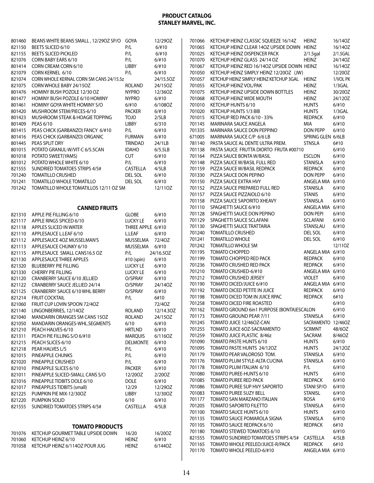| 801460 | BEANS WHITE BEANS SMALL, 12/29OZ SP/O   | GOYA              | 12/29OZ   |
|--------|-----------------------------------------|-------------------|-----------|
| 821150 | BEETS SLICED 6/10                       | P/L               | 6/110     |
| 821155 | <b>BEETS SLICED PICKLED</b>             | P/L               | 6/110     |
| 821076 | CORN BABY EARS 6/10                     | P/L               | 6/110     |
| 801414 | CORN CREAM CORN 6/10                    | <b>LIBBY</b>      | 6/110     |
| 821079 | CORN KERNEL 6/10                        | P/L               | 6/#10     |
| 821074 | CORN WHOLE KERNAL CORN SM CANS 24/15.5z |                   | 24/15.5OZ |
| 821075 | CORN WHOLE BABY 24/15OZ                 | ROLAND            | 24/15OZ   |
| 801476 | HOMINY BUSH POZOLE 12/30 OZ             | <b>NYPRO</b>      | 12/36OZ   |
| 801477 | HOMINY BUSH POZOLE 6/10 HOMINY          | <b>NYPRO</b>      | 6/#10     |
| 801461 | HOMINY GOYA WHITE HOMINY S/O            | 6/110             | 6/108OZ   |
| 801420 | MUSHROOM STEM/PIECES-6/10               | <b>PACKER</b>     | 6/110     |
| 801423 | MUSHROOM STEAK & HOAGIE TOPPING         | Olot              | 2/5LB     |
| 801409 | PEAS 6/10                               | <b>LIBBY</b>      | 6/310     |
| 801415 | PEAS CHICK (GARBANZO) FANCY 6/#10       | P/L               | 6/110     |
| 801416 | PEAS CHICK (GARBANZO) ORGANIC           | <b>FURMAN</b>     | 6/110     |
| 801445 | PEAS SPLIT DRY                          | TRINDAD           | 24/1LB    |
| 801015 | POTATO GRANUL-W/VIT-C 6/5.5CAN          | <b>IDAHO</b>      | 6/5.5LB   |
| 801018 | POTATO SWEET(YAMS)                      | <b>CUT</b>        | 6/110     |
| 801012 | POTATO WHOLE WHITE 6/10                 | P/L               | 6/110     |
| 821555 | <b>SUNDRIED TOMATOES STRIPS 4/5#</b>    | CASTELLA          | 4/5LB     |
| 701240 | <b>TOMATILLO CRUSHED</b>                | DEL SOL           | 6/110     |
| 701241 | <b>TOMATILLO WHOLE TOMATILLO</b>        | DEL SOL           | 6/110     |
| 701242 | TOMATILLO WHOLE TOMATILLOS 12/11 OZ SM  |                   | 12/11OZ   |
|        |                                         |                   |           |
|        | <b>CANNED FRUITS</b>                    |                   |           |
| 821310 | APPLE PIE FILLING 6/10                  | GLOBE             | 6/110     |
| 821117 | APPLE RINGS SPICED 6/10                 | LUCKY LE          | 6/110     |
| 821118 | APPLES SLICED IN WATER                  | THREE APPLE 6/#10 |           |
| 821110 | APPLESAUCE L.LEAF 6/10                  | L.LEAF            | 6/110     |
| 821112 | APPLESAUCE 4OZ MUSSELMAN'S              | MUSSELMA          | 72/40Z    |
| 821113 | APPLESAUCE CHUNKY 6/10                  | <b>MUSSELMA</b>   | 6/110     |
| 821115 | APPLESAUCE SMALL CANS16.5 OZ            | P/L               | 24/16.5OZ |
| 821130 | APPLESAUCE THREE APPLES                 | #10 (spin)        | 6/110     |
| 821320 | <b>BLUEBERRY PIE FILLING</b>            | <b>LUCKY LE</b>   | 6/110     |
| 821330 | <b>CHERRY PIE FILLING</b>               | <b>LUCKY LE</b>   | 6/#10     |
| 821120 | CRANBERRY SAUCE 6/10 JELLIED            | O/SPRAY           | 6/#10     |
| 821122 | CRANBERRY SAUCE JELLIED 24/14           | O/SPRAY           | 24/14OZ   |
| 821125 | CRANBERRY SAUCE 6/10 WHL BERRY          | O/SPRAY           | 6/110     |
| 821214 | <b>FRUIT COCKTAIL</b>                   | P/L               | 6#10      |
| 821060 | FRUIT CUP LOVIN SPOON 72/40Z            |                   | 72/40Z    |
| 821140 | LINGONBERRIES, 12/140Z                  | <b>ROLAND</b>     | 12/14.3OZ |
| 821040 | MANDARIN ORANGES SM CANS 15OZ           | ROLAND            | 24/15OZ   |
| 821050 | MANDARIN ORANGES-WHL.SEGMENTS           | 6/10              | 6/110     |
| 821210 | PEACH HALVES-6/10                       | <b>HRTLND</b>     | 6/110     |
| 821311 | PEACH PIE FILLING S/O 6/#10             | <b>MARQUIS</b>    | 6/1160Z   |
| 821215 | PEACH SLICES-6/10                       | <b>DELMONTE</b>   | 6/#10     |
| 821218 | PEAR HALVES L/S                         | P/L               | 6/110     |
| 821015 | PINEAPPLE CHUNKS                        | P/L               | 6/110     |
| 821020 | PINEAPPLE CRUSHED                       | P/L               | $6/$ #10  |
| 821010 | PINEAPPLE SLICES 6/10                   | <b>PACKER</b>     | 6/110     |
| 821011 | PINEAPPLE SLICED-SMALL CANS S/O         | 12/200Z           | 2/200Z    |
| 821016 | PINEAPPLE TIDBITS DOLE 6/10             | DOLE              | 6/110     |
| 821017 | PINEAPPLES TIDBITS (small)              | 12/29             | 12/290Z   |
| 821225 | PUMPKIN PIE MIX-12/30OZ                 | LIBBY             | 12/30OZ   |
| 821220 | PUMPKIN SOLID                           | 6/10              | 6/110     |
| 821555 | SUNDRIED TOMATOES STRIPS 4/5#           | CASTELLA          | 4/5LB     |
|        |                                         |                   |           |
|        | <b>TOMATO PRODUCTS</b>                  |                   |           |
| 701076 | KETCHUP GOURMET TABLE UPSIDE DOWN       | 16/20             | 16/20OZ   |
| 701060 | KETCHUP HEINZ 6/10                      | <b>HEINZ</b>      | 6/#10     |

701058 KETCHUP HEINZ 6/114OZ POUR JUG HEINZ 6/1440Z

| 701066 | KETCHUP HEINZ CLASSIC SQUEEZE 16/14Z        | <b>HEINZ</b>       | 16/140Z   |
|--------|---------------------------------------------|--------------------|-----------|
| 701065 | KETCHUP HEINZ CLEAR 14OZ UPSIDE DOWN        | <b>HEINZ</b>       | 16/140Z   |
| 701025 | KETCHUP HEINZ DISPENCER PACK                | $2/1.5$ gal        | 2/1.5GAL  |
|        |                                             |                    |           |
| 701070 | KETCHUP HEINZ GLASS 24/14 OZ                | <b>HEINZ</b>       | 24/14OZ   |
| 701067 | KETCHUP HEINZ RED 16/14OZ UPSIDE DOWN HEINZ |                    | 16/140Z   |
| 701050 | KETCHUP HEINZ SIMPLY HEINZ 12/20OZ (JW)     |                    | 12/200Z   |
| 701057 | KETCHUP HEINZ SIMPLY HEINZ KETCHUP 3GAL     | <b>HEINZ</b>       | 1/VOL PK  |
| 701055 | KETCHUP HEINZ VOL/PAK                       | Heinz              | $1/3$ GAL |
| 701075 | KETCHUP HEINZ UPSIDE DOWN BOTTLES           | <b>HEINZ</b>       | 30/20OZ   |
| 701068 | KETCHUP HEINZ WIDE MOUTH                    | <b>HEINZ</b>       | 24/12OZ   |
| 701010 | KETCHUP HUNTS 6/10                          | <b>HUNTS</b>       | 6/110     |
| 701020 | KETCHUP HUNTS 1/3 BIB                       | <b>HUNTS</b>       | $1/3$ GAL |
| 701015 | KETCHUP RED PACK 6/10 - 33%                 | <b>REDPACK</b>     | 6/#10     |
| 701145 | <b>MARINARA SAUCE ANGELA</b>                | MIA                | 6/110     |
|        |                                             |                    |           |
| 701335 | MARINARA SAUCE DON PEPPINO                  | DON PEPP           | 6/110     |
| 671005 | MARINARA SAUCE C/P 6/6 LB                   | SPRING GLEN 6/6LB  |           |
| 781140 | PASTA SAUCE AL DENTE ULTRA PREM.            | <b>STNSLA</b>      | 6#10      |
| 701138 | PASTA SAUCE FRUTTA DIORTO FRUTA #00710      |                    | 6/110     |
| 701164 | PIZZA SAUCE BONTA W/BASIL                   | ESCLON             | 6/110     |
| 701148 | PIZZA SAUCE W/BASIL FULL RED                | STANISLA           | 6/110     |
| 701159 | PIZZA SAUCE W/BASIL REDPACK                 | REDPACK            | 6/110     |
| 701330 | PIZZA SAUCE DON PEPINO                      | DON PEPP           | 6/#10     |
| 701150 | PIZZA SAUCE EXTRA HVY                       | ANGELA MIA 6/#10   |           |
| 701152 | PIZZA SAUCE PREPARED FULL RED               | <b>STANISLA</b>    | 6/110     |
| 701157 | PIZZA SAUCE PIZZAIOLO 6/10                  | <b>STANIS</b>      | 6/110     |
| 701158 | PIZZA SAUCE SAPORITO XHEAVY                 |                    |           |
|        |                                             | <b>STANISLA</b>    | 6/110     |
| 701110 | SPAGHETTI SAUCE 6/#10                       | ANGELA MIA 6/#10   |           |
| 701128 | SPAGHETTI SAUCE DON PEPINO                  | <b>DON PEPI</b>    | 6/110     |
| 701129 | SPAGHETTI SAUCE SCLAFANI                    | SCLAFANI           | 6/110     |
| 701130 | SPAGHETTI SAUCE TRATTARIA                   | STANSLAU           | 6/110     |
| 701240 | <b>TOMATILLO CRUSHED</b>                    | DEL SOL            | 6/110     |
| 701241 | <b>TOMATILLO WHOLE</b>                      | DEL SOL            | 6/110     |
| 701242 | TOMATILLO WHOLE SM                          |                    | 12/110Z   |
| 701195 | <b>TOMATO CHOPPED</b>                       | ANGELA MIA 6/#10   |           |
| 701199 | TOMATO CHOPPED RED PACK                     | <b>REDPACK</b>     | 6/110     |
| 701236 | TOMATO CRUSHED RED PACK                     | <b>REDPACK</b>     | 6/110     |
| 701210 | TOMATO CRUSHED-6/#10                        | ANGELA MIA 6/#10   |           |
| 701212 | <b>TOMATO CRUSHED JERSEY</b>                | <b>VIOLET</b>      | 6/110     |
|        | TOMATO DICED/JUICE 6/#10                    |                    |           |
| 701190 |                                             | ANGELA MIA 6/#10   |           |
| 701192 | TOMATO DICED PETITE IN JUICE                | REDPACK            | 6/110     |
| 701198 | TOMATO DICED TOM IN JUICE RPAC              | <b>REDPACK</b>     | 6#10      |
| 701258 | <b>TOMATO DICED FIRE ROASTED</b>            |                    | 6/110     |
| 701162 | TOMATO GROUND 6in1 PURPOSE (BONTA)ESCALON   |                    | 6/#10     |
| 701173 | TOMATO GROUND PEAR 7/11                     | STANISLA           | 6/#10     |
| 701245 | TOMATO JUICE 12/46OZ-CAN                    | SACRAMENTO 12/46OZ |           |
| 701255 | TOMATO JUICE 6OZ-SACRAMENTO                 | <b>SCRMNT</b>      | 48/6OZ    |
| 701259 | TOMATO JUICE PLASTIC 8/46z                  | SACRAM             | 8/46OZ    |
| 701090 | TOMATO PASTE HUNTS 6/10                     | <b>HUNTS</b>       | 6/110     |
| 701095 | TOMATO PASTE HUNTS 24/12OZ                  | <b>HUNTS</b>       | 24/120Z   |
| 701179 | TOMATO PEAR VALOROSO TOM.                   | STANISLA           | 6/110     |
|        | TOMATO PLUM STYLE-ALTA CUCINA               | <b>STANISLA</b>    |           |
| 701176 |                                             |                    | 6/110     |
| 701178 | TOMATO PLUM ITALIAN 6/10                    | P/L                | 6/#10     |
| 701080 | TOMATO PUREE-HUNTS 6/10                     | <b>HUNTS</b>       | 6/110     |
| 701085 | <b>TOMATO PUREE RED PACK</b>                | <b>REDPACK</b>     | 6/#10     |
| 701086 | TOMATO PUREE SUP HVY SAPORITO               | STANI SP/O         | $6/$ #10  |
| 701083 | <b>TOMATO PUREE SUZY BELL</b>               | <b>STANISL</b>     | 6/#10     |
| 701177 | TOMATO SAN MARZANO ITALIAN                  | rosa               | $6/$ #10  |
| 701205 | <b>TOMATO SAPORITO FILETTO</b>              | STANISLA           | 6/#10     |
| 701100 | TOMATO SAUCE HUNTS 6/10                     | <b>HUNTS</b>       | $6/$ #10  |
| 701135 | TOMATO SAUCE POMAROLA SIGNA                 | <b>STANISLA</b>    | 6/#10     |
| 701105 | TOMATO SAUCE REDPACK 6/10                   | <b>REDPACK</b>     | 6#10      |
| 701180 | TOMATO STEWED TOMATOES 6/10                 |                    | $6/$ #10  |
| 821555 | TOMATO SUNDRIED TOMATOES STRIPS 4/5#        | CASTELLA           | 4/5LB     |
| 701165 | TOMATO WHOLE PEELED/JUICE-R/PACK            | <b>REDPACK</b>     | 6#10      |
| 701170 | TOMATO WHOLE PEELED-6/#10                   |                    |           |
|        |                                             | ANGELA MIA 6/#10   |           |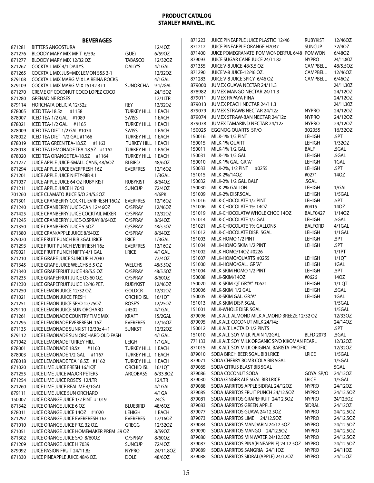|                  | <b>BEVERAGES</b>                                                  |                    |                     | 871223           | JUICE PINEAPPLE JUICE PLASTIC 12/46                               | <b>RUBYKIST</b>              | 12/46OZ        |
|------------------|-------------------------------------------------------------------|--------------------|---------------------|------------------|-------------------------------------------------------------------|------------------------------|----------------|
| 871281           | <b>BITTERS ANGOSTURA</b>                                          |                    | 12/40Z              | 871212           | JUICE PINEAPPLE ORANGE H7037                                      | <b>SUNCUP</b>                | 72/40Z         |
| 871276           | BLOODY MARY MIX MR.T 6/59z                                        | (SUE)              | 6/59OZ              | 871400           | JUICE POMEGRANATE POM WONDERFUL 6/48 POMWON                       |                              | 6/480Z         |
| 871277           | BLOODY MARY MIX 12/32 OZ                                          | TABASCO            | 12/32OZ             | 879093           | JUICE SUGAR CANE JUICE 24/11.8z                                   | <b>NYPRO</b>                 | 24/11.80Z      |
| 871267           | <b>COCKTAIL MIX 4/1 DAILYS</b>                                    | DAILY'S            | 4/1GAL              | 871355           | JUICE V-8 JUICE-48/5.5 OZ                                         | <b>CAMPBELL</b>              | 48/5.5OZ       |
| 871265           | COCKTAIL MIX JUS=MIX LEMON S&S 3-1                                |                    | 12/320Z             | 871290           | JUICE V-8 JUICE-12/46 OZ.                                         | CAMPBELL                     | 12/46OZ        |
| 879108           | COCKTAIL MIX MARG MIX LA REINA ROCKS                              |                    | 4/1GAL              | 871283           | JUICE V-8 JUICE SPICY 6/46 OZ                                     | CAMPBELL                     | 6/46OZ         |
| 879109           | COCKTAIL MIX MARG MIX #5142 3+1                                   | SUNORCHA           | 9-1/2GAL            | 879000           | JUMEX GUAVA NECTAR 24/11.3                                        |                              | 24/11.30Z      |
| 871270           | CREME OF COCONUT COCO LOPEZ COCO                                  |                    | 24/15OZ             | 878982           | JUMEX MANGO NECTAR 24/11.3                                        |                              | 24/12OZ        |
| 871280           | <b>GRENADINE ROSES</b>                                            |                    | 12/1LTR             | 879011           | JUMEX PAPAYA PINA                                                 |                              | 24/12OZ        |
| 879114           | HORCHATA DELICIA 12/32z                                           | REY                | 12/320Z             | 879013           | JUMEX PEACH NECTAR 24/11.3                                        |                              | 24/11.30Z      |
| 878005           | ICED TEA-18.5z #1158                                              | TURKEY HILL 1 EACH |                     | 879079           | JUMEX STRAWB NECTAR 24/12z                                        | <b>NYPRO</b>                 | 24/12OZ        |
| 878007           | ICED TEA-1/2 GAL #1089                                            | <b>SWISS</b>       | 1 EACH              | 879074           | JUMEX STRAW-BAN NECTAR 24/12z                                     | <b>NYPRO</b>                 | 24/12OZ        |
| 878021           | ICED TEA-1/2 GAL #1165                                            | TURKEY HILL 1 EACH |                     | 879078           | JUMEX TAMARIND NECTAR 24/12z                                      | <b>NYPRO</b>                 | 24/120Z        |
| 878009           | ICED TEA DIET-1/2 GAL #1074                                       | SWISS              | 1 EACH              | 150025           | EGGNOG QUARTS SP/O                                                | 302055                       | 16/320Z        |
| 878022           | ICED TEA DIET -1/2 GAL #1166                                      | TURKEY HILL 1 EACH |                     | 150016           | <b>MILK-1% 1/2 PINT</b>                                           | LEHIGH                       | .5PT           |
| 878019           | ICED TEA GREEN TEA-18.5Z #1163                                    | TURKEY HILL 1 EACH |                     | 150015           | MILK-1% QUART                                                     | LEHIGH                       | 1/32OZ         |
| 878018           | ICED TEA LEMONADE TEA-18.5Z #1162                                 | TURKEY HILL 1 EACH |                     | 150011<br>150031 | MILK-1% 1/2 GAL                                                   | <b>BALF</b><br><b>LEHIGH</b> | .5GAL<br>.5GAL |
| 878020           | ICED TEA ORANGE TEA-18.5Z #1164                                   | TURKEY HILL 1 EACH |                     |                  | MILK-1% 1/2 GAL                                                   | <b>LEHIGH</b>                | 1GAL           |
| 871227           | JUICE APPLE JUICE-SMALL CANS, 48/60Z                              | <b>BLBIRD</b>      | 48/60Z              | 150010<br>150033 | MILK-1% GAL GR."A"<br>#0255                                       | LEHIGH                       | .5PT           |
| 871294           | JUICE APPLE JUICE EVERFRESH 16Z                                   | <b>EVERFRES</b>    | 12/16OZ             | 151015           | MILK-2%, 1/2 PINT<br>MILK-2%/14OZ                                 | #0271                        | 140Z           |
| 871201<br>871037 | JUICE APPLE JUICE NIFTY-BIB 4:1                                   |                    | $1/3$ GAL<br>8/64OZ | 150032           | MILK-2% 1/2 GAL. BALF                                             | .5GAL                        |                |
|                  | JUICE APPLE JUICE 64 OZ RUBY KIST                                 | <b>RUBYKIST</b>    |                     | 150030           | MILK-2% GALLON                                                    | <b>LEHIGH</b>                | 1/GAL          |
| 871211           | JUICE APPLE JUICE H 7043<br>JUICE CLAMATO JUICE S/O 24/5.50Z      | <b>SUNCUP</b>      | 72/40Z<br>4/6PK     | 151009           | MILK-2% DISP.5GAL                                                 | <b>LEHIGH</b>                | $1/5$ GAL      |
| 701260<br>871301 | JUICE CRANBERRY COCKTL-EVRFRESH 16OZ                              | <b>EVERFRES</b>    | 12/16OZ             | 151016           | MILK-CHOCOLATE 1/2 PINT                                           | <b>LEHIGH</b>                | .5PT           |
| 871240           | JUICE CRANBERRY JUICE-CAN 12/46OZ                                 | O/SPRAY            | 12/46OZ             | 151006           | MILK-CHOCOLATE 1% 14OZ                                            | #0415                        | 140Z           |
| 871425           | JUICE CRANBERRY JUICE COCKTAIL MIXER                              | O/SPRAY            | 12/320Z             | 151019           | MILK-CHOCOLATW WHOLE CHOC 140Z                                    | <b>BALF0427</b>              | 1/140Z         |
| 871245           | JUICE CRANBERRY JUICE-O.SPRAY 8/64OZ                              | O/SPRAY            | 8/640Z              | 151014           | MILK-CHOCOLATE 1/2 GAL                                            | LEHIGH                       | .5GAL          |
| 871350           | JUICE CRANBERRY JUICE 5.5OZ                                       | O/SPRAY            | 48/5.50Z            | 151021           | MILK-CHOCOLATE 1% GALLONS                                         | <b>BALFORD</b>               | 4/1GAL         |
| 871380           | JUICE CRAN/APPLE JUICE 8/64OZ                                     | O/SPRAY            | 8/640Z              | 151012           | MILK-CHOCOLATE DISP. 5GAL                                         | LEHIGH                       | $1/1$ GAL      |
| 879020           | JUICE FRUIT PUNCH BIB 3GAL IRICE                                  | <b>IRICE</b>       | $1/3$ GAL           | 151003           | MILK-HOMO 1/2 PINT                                                | LEHIGH                       | .5PT           |
| 871293           | JUICE FRUIT PUNCH EVERFRESH 16z                                   | <b>EVERFRES</b>    | 12/16OZ             | 151004           | MILK-HOMO SKIM 1/2 PINT                                           | LEHIGH                       | .5PT           |
| 879021           | JUICE FRUIT PUNCH NIFTY-4/1 GAL                                   | <b>I.RICE</b>      | 4/1GAL              | 151002           | MILK-HOMO/14OZ #0226                                              |                              | 1/1PT          |
| 871210           | JUICE GRAPE JUICE SUNCUP H 7040                                   |                    | 72/40Z              | 151007           | MILK-HOMO/QUARTS #0255                                            | LEHIGH                       | 1/1QT          |
| 871345           | JUICE GRAPE JUICE WELCHS 5.5 OZ                                   | <b>WELCHS</b>      | 48/5.50Z            | 151000           | MILK-HOMO/GAL. GR."A"                                             | LEHIGH                       | 1GAL           |
| 871340           | JUICE GRAPEFRUIT JUICE 48/5.5 OZ                                  | O/SPRAY            | 48/5.50Z            | 151004           | MILK-SKIM HOMO 1/2 PINT                                           | LEHIGH                       | .5PT           |
| 871235           | JUICE GRAPEFRUIT JUICE OS 60 OZ.                                  | O/SPRAY            | 8/60OZ              | 150008           | MILK-SKIM/14OZ                                                    | #0626                        | 140Z           |
| 871230           | JUICE GRAPEFRUIT JUICE 12/46 PET.                                 | <b>RUBYKIST</b>    | 12/46OZ             | 150020           | MILK-SKIM-QT GR."A" #0621                                         | <b>LEHIGH</b>                | $1/1$ QT       |
| 871250           | JUICE LEMON JUICE 12/32 OZ.                                       | <b>GOLDCR</b>      | 12/320Z             | 150006           | MILK-SKIM 1/2 GAL                                                 | LEHIGH                       | .5GAL          |
| 871021           | JUICE LEMON JUICE FRESH                                           | ORCHID ISL.        | 16/1QT              | 150005           | MILK-SKIM GAL. GR."A"                                             | LEHIGH                       | 1GAL           |
| 871251           | JUICE LEMON JUICE SP/O 12/250Z                                    | ROSE'S             | 12/25OZ             | 151013           | MILK-SKIM DISP. 5GAL                                              |                              | $1/5$ GAL      |
|                  | 879110 JUICE LEMON JUICE SUN ORCHARD                              | #4502              | $4/1$ GAL           |                  | 151001 MILK-WHOLE DISP. 5GAL                                      |                              | $1/5$ GAL      |
| 871261           | JUICE LEMONADE COUNTRY TIME MIX                                   | <b>KRAFT</b>       | 15/2GAL             | 879096           | MILK ALT. ALMOND MILK ALMOND BREEZE 12/32 OZ                      |                              | 12/33OZ        |
| 871295           | JUICE LEMONADE EVERFRESH 16Z                                      | <b>EVERFRES</b>    | 12/16OZ             | 879095           | MILK ALT. COCONUT MILK 24/14z                                     |                              | 24/14OZ        |
| 871135           | JUICE LEMONADE SUNKIST 12/30z 4+1                                 | <b>SUNKST</b>      | 12/320Z             | 150012           | MILK ALT. LACTAID 1/2 PINTS                                       |                              | .5PT           |
|                  | 879112 JUICE LEMONADE SUN ORCHARD OLD FASH                        |                    | 4/1GAL              | 151010           | MILK ALT. SOY MILK PLAIN 1/2GAL                                   | <b>BLFD 2073</b>             | .5GAL          |
| 871042           | JUICE LEMONADE TURKEY HILL                                        | LEIGH              | $1/1$ GAL           | 771133           | MILK ALT. SOY MILK ORGANIC SP/O KIKOMAN PEARL                     |                              | 12/320Z        |
| 878001           | JUICE LEMONADE 18.5z<br>#1160                                     | TURKEY HILL 1 EACH |                     | 871015           | MILK ALT. SOY MILK ORIGINAL BARISTA PACIFIC                       |                              | 12/32OZ        |
| 878003           | JUICE LEMONADE 1/2 GAL #1167                                      | TURKEY HILL 1 EACH |                     | 879010           | SODA BIRCH BEER 5GAL BIB I.RICE<br>SODA CHERRY BOMB COLA BIB 5GAL | <b>I.RICE</b>                | $1/5$ GAL      |
| 878018           | JUICE LEMONADE TEA 18.5Z #1162                                    | TURKEY HILL 1 EACH |                     | 879071<br>879065 | SODA CITRUS BLAST BIB 5GAL                                        |                              | 1/5GAL<br>5GAL |
| 871020           | JUICE LIME JUICE FRESH 16/1QT                                     | ORCHID ISL 16/10T  |                     | 879086           | SODA COCONUT SODA                                                 | GOYA SP/O                    | 24/120Z        |
| 871255           | JUICE LIME JUICE MAJOR PETERS                                     | ARCOBASS           | 6/33.80Z            | 879030           | SODA GINGER ALE 5GAL BIB I.RICE                                   | <b>I.RICE</b>                | 1/5GAL         |
| 871254<br>871260 | JUICE LIME JUICE ROSE'S 12/LTR<br>JUICE LIME JUICE REALIME 4/1GAL |                    | 12/LTR<br>4/1GAL    | 879088           | SODA JARRITOS APPLE SIDRAL 24/12OZ                                | <b>NYPRO</b>                 | 24/12OZ        |
| 879111           | JUICE LIME JUICE SUN ORCHARD                                      |                    | 4/1GA               | 879085           | SODA JARRITOS FRUIT PUNCH 24/12.5OZ                               | <b>NYPRO</b>                 | 24/12.5OZ      |
| 150007           | JUICE ORANGE JUICE 1/2 PINT #1019                                 |                    | 24CS                | 879081           | SODA JARRITOS GRAPEFRUIT 24/12.50Z                                | <b>NYPRO</b>                 | 24/12.50Z      |
| 871342           | JUICE ORANGE JUICE 6 OZ                                           | <b>BLUEBIRD</b>    | 48/60Z              | 879083           | SODA JARRITOS GREEN APPLE                                         | SIDRAL                       | 24/12OZ        |
| 878011           | JUICE ORANGE JUICE 14OZ #1020                                     | <b>LEHIGH</b>      | 1 EACH              | 879077           | SODA JARRITOS GUAVA 24/12.50Z                                     | <b>NYPRO</b>                 | 24/12.5OZ      |
| 871292           | JUICE ORANGE JUICE EVERFRESH 16z.                                 | <b>EVERFRES</b>    | 12/16OZ             | 879073           | SODA JARRITOS LIME 24/12.50Z                                      | <b>NYPRO</b>                 | 24/12.5OZ      |
| 871010           | JUICE ORANGE JUICE FRZ. 32 OZ.                                    | GREGG              | 12/32OZ             | 879084           | SODA JARRITOS MANDARIN 24/12.50Z                                  | <b>NYPRO</b>                 | 24/12.5OZ      |
| 871051           | JUICE ORANGE JUICE HOMEMAKER PREM 59 OZ                           |                    | 8/59OZ              | 879090           | SODA JARRITOS MANGO 24/12.50Z                                     | <b>NYPRO</b>                 | 24/12.5OZ      |
| 871302           | JUICE ORANGE JUICE S/O 8/60OZ                                     | O/SPRAY            | 8/60OZ              | 879080           | SODA JARRITOS MIN WATER 24/12.5OZ                                 | <b>NYPRO</b>                 | 24/12.5OZ      |
| 871209           | JUICE ORANGE JUICE H 7039                                         | <b>SUNCUP</b>      | 72/40Z              | 879087           | SODA JARRITOS PINA (PINEAPPLE) 24.12.50Z                          | NYPRO                        | 24/12.5OZ      |
| 879092           | JUICE PASION FRUIT 24/11.8z                                       | <b>NYPRO</b>       | 24/11.80Z           | 879089           | SODA JARRITOS SANGRIA 24/110Z                                     | <b>NYPRO</b>                 | 24/11OZ        |
| 871330           | JUICE PINEAPPLE JUICE 48/6 OZ.                                    | <b>DOLE</b>        | 48/60Z              | 879088           | SODA JARRITOS SIDRAL(APPLE) 24/12OZ                               | <b>NYPRO</b>                 | 24/12OZ        |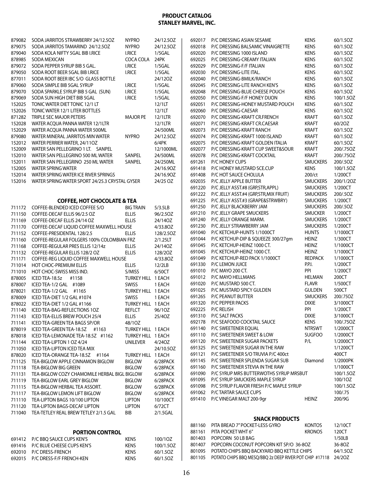| 879082 | SODA JARRITOS STRAWBERRY 24/12.50Z             | <b>NYPRO</b>       | 24/12.5OZ | 692017 | P/C DRESSING ASIAN SESAME                                      | <b>KENS</b>     | 60/1.5OZ  |
|--------|------------------------------------------------|--------------------|-----------|--------|----------------------------------------------------------------|-----------------|-----------|
| 879075 | SODA JARRITOS TAMARIND 24/12.50Z               | <b>NYPRO</b>       | 24/12.5OZ | 692018 | P/C DRESSING BALSAMIC VINAIGRETTE                              | <b>KENS</b>     | 60/1.5OZ  |
| 879040 | SODA KOLA NIFTY 5GAL BIB I.RICE                | <b>I.RICE</b>      | $1/5$ GAL | 692020 | P/C DRESSING 1000 ISLAND                                       | <b>KENS</b>     | 60/1.5OZ  |
| 878985 | SODA MEXICAN                                   | COCA COLA          | 24PK      | 692025 | P/C DRESSING-CREAMY ITALIAN                                    | <b>KENS</b>     | 60/1.5OZ  |
| 879072 | SODA PEPPER SYRUP BIB 5 GAL.                   | <b>I.RICE</b>      | $1/5$ GAL | 692029 | P/C DRESSING-F/F ITALIAN                                       | <b>KENS</b>     | 60/1.5OZ  |
| 879050 | SODA ROOT BEER 5GAL BIB I.RICE                 | <b>I.RICE</b>      | $1/5$ GAL | 692030 | P/C DRESSING-LITE ITAL.                                        | <b>KENS</b>     | 60/1.5OZ  |
| 877011 | SODA ROOT BEER IBC S/O GLASS BOTTLE            |                    | 24/120Z   | 692040 | P/C DRESSING-BMILK/RANCH                                       | <b>KENS</b>     | 60/1.5OZ  |
| 879060 | SODA SIMPLE BIB 5GAL SYRUP                     | <b>I.RICE</b>      | $1/5$ GAL | 692045 | P/C DRESSING-LITE RANCH KEN'S                                  | <b>KENS</b>     | 60/1.5OZ  |
| 879070 | SODA SPARKLE SYRUP BIB 5 GAL (SUN)             | <b>I.RICE</b>      | $1/5$ GAL | 692048 | P/C DRESSING-BLUE CHEESE POUCH                                 | <b>KENS</b>     | 60/1.5OZ  |
| 879069 | SODA SUN HIGH DIET BIB 5GAL                    | <b>I.RICE</b>      | $1/5$ GAL | 692050 | P/C DRESSING-F/F HONEY DIJON                                   | <b>KENS</b>     | 100/1.5OZ |
| 152025 | TONIC WATER DIET TONIC 12/1 LT                 |                    | 12/1LT    | 692051 | P/C DRESSING-HONEY MUSTARD POUCH                               | <b>KENS</b>     | 60/1.5OZ  |
| 152026 | TONIC WATER 12/1 LITER BOTTLES                 |                    | 12/1LT    | 692060 | P/C DRESSING-CAESAR                                            | <b>KENS</b>     | 60/1.5OZ  |
| 871282 | TRIPLE SEC MAJOR PETERS                        | <b>MAJOR PE</b>    | 12/1LTR   | 692070 | P/C DRESSING-KRAFT CR.FRENCH                                   | <b>KRAFT</b>    | 60/1.5OZ  |
| 152028 | WATER ACOUA PANNA WATER 12/1LTR                |                    | 12/1LTR   | 692071 | P/C DRESSING-KRAFT CR.CAESAR                                   | <b>KRAFT</b>    | 60/20Z    |
| 152029 | WATER ACQUA PANNA WATER 500ML                  |                    | 24/500ML  | 692073 | P/C DRESSING-KRAFT RANCH                                       | <b>KRAFT</b>    | 60/1.5OZ  |
| 879080 |                                                |                    |           |        |                                                                | <b>KRAFT</b>    | 60/1.5OZ  |
|        | WATER MINERAL JARRITOS MIN WATER               | <b>NYPRO</b>       | 24/12.5OZ | 692074 | P/C DRESSING-KRAFT 1000 ISLAND                                 |                 |           |
| 152012 | WATER PERRIER WATER, 24/11OZ                   |                    | 6/4PK     | 692075 | P/C DRESSING-KRAFT GOLDEN ITALIA                               | <b>KRAFT</b>    | 60/1.5OZ  |
| 152009 | WATER SAN PELLEGRINO 1 LT. SANPEL              |                    | 12/1000ML | 692077 | P/C DRESSING-KRAFT CUP SWEET&SOUR                              | <b>KRAFT</b>    | 200/.75OZ |
| 152010 | WATER SAN PELLEGRINO 500 ML WATER              | SANPEL             | 24/500ML  | 692078 | P/C DRESSING-KRAFT COCKTAIL                                    | <b>KRAFT</b>    | 200/.75OZ |
| 152011 | WATER SAN PELLEGRINO 250 ML WATER              | <b>SANPEL</b>      | 24/250ML  | 691261 | P/C HONEY CUPS                                                 | <b>SMUCKERS</b> | 200/.5OZ  |
| 152005 | WATER SPRING WATER                             |                    | 24/16.90Z | 691418 | P/C HONEY MUSTARD SCE.CUP                                      | <b>KENS</b>     | 100/1.5OZ |
| 152014 | WATER SPRING WATER ICE RIVER SPRINGS           |                    | 24/16.90Z | 691408 | P/C HOT SAUCE CHOLULA                                          | 200/ct          | 1/200CT   |
| 152016 | WATER SPRING WATER SPORT 24/25.3 CRYSTAL GYSER |                    | 24/25 OZ  | 692035 | P/C JELLY APPLE BUTTER                                         | <b>SMUCKERS</b> | 200/1/20Z |
|        |                                                |                    |           | 691220 | P/C JELLY ASST.#8 (GRP, STR, APPL)                             | <b>SMUCKERS</b> | 1/200CT   |
|        |                                                |                    |           | 691222 | P/C JELLY ASST.#4 (GRP,STR,MIX FRUIT)                          | <b>SMUCKERS</b> | 200/.5OZ  |
|        | <b>COFFEE, HOT CHOCOLATE &amp; TEA</b>         |                    |           | 691225 | P/C JELLY ASST.#3 (GRAPE&STRWBRY)                              | <b>SMUCKERS</b> | 1/200CT   |
| 711172 | COFFEE-BLENDED ICED COFFEE S/O                 | <b>BIG TRAIN</b>   | 5/3.5LB   | 691250 | P/C JELLY BLACKBERRY JAM                                       | <b>SMUCKERS</b> | 200/.5OZ  |
| 711150 | COFFEE-DECAF ELLIS 96/2.5 OZ                   | <b>ELLIS</b>       | 96/2.50Z  | 691210 | P/C JELLY GRAPE SMUCKERS                                       | <b>SMUCKER</b>  | 1/200CT   |
| 711169 | COFFEE-DECAF ELLIS 24/14 OZ                    | ELLIS              | 24/14OZ   | 691240 | P/C JELLY ORANGE MARM.                                         | <b>SMUCKERS</b> | 1/200CT   |
| 711170 | COFFEE-DECAF LIQUID COFFEE MAXWELL HOUSE       |                    | 4/33.80Z  | 691230 | P/C JELLY STRAWBERRY JAM                                       | <b>SMUCKERS</b> | 1/200CT   |
| 711152 | COFFEE-PRESIDENTAL 128/2.5                     | <b>ELLIS</b>       | 128/2.5OZ | 691040 | P/C KETCHUP-HUNTS 1/1000CT                                     | <b>HUNTS</b>    | 1/1000CT  |
| 711160 | COFFEE-REGULAR FOLGERS 100% COLOMBIAN FRZ      |                    | 2/1.25LT  | 691044 | P/C KETCHUP-DIP & SQUEEZE 300/27qm                             | <b>HEINZ</b>    | 1/300CT   |
| 711168 | COFFEE-REGULAR PRES ELLIS 12/14z               | <b>ELLIS</b>       | 24/14OZ   | 691045 | P/C KETCHUP-HEINZ 1000 CT.                                     | <b>HEINZ</b>    | 1/1000CT  |
| 711132 | COFFEE-REGULAR ELLIS 128/2 OZ                  | <b>ELLIS</b>       | 128/20Z   | 691045 | P/C KETCHUP-HEINZ 1000 CT.                                     | <b>HEINZ</b>    | 1/1000CT  |
| 711171 | COFFEE-REG LIQUID COFFEE MAXWELL HOUSE         |                    | 4/33.80Z  | 691049 | P/C KETCHUP-RED PACK 1/1000CT                                  | <b>REDPACK</b>  | 1/1000CT  |
| 711014 | HOT CHOC-PREMIUM ELLIS                         | <b>ELLIS</b>       | 12/2LB    | 691330 | P/C LEMON JUICE                                                | P.P.I.          | 1/200CT   |
| 711010 | HOT CHOC-SWISS MISS IND.                       | S/MISS             | 6/50CT    | 691010 | P/C MAYO 200 CT.                                               | <b>PPI</b>      | 1/200CT   |
| 878005 | ICED TEA-18.5z<br>#1158                        | TURKEY HILL 1 EACH |           | 691012 | P/C MAYO HELLMANS                                              | HELMAN          | 200CT     |
| 878007 | ICED TEA-1/2 GAL #1089                         | <b>SWISS</b>       | 1 EACH    | 691020 | P/C MUSTARD 500 CT.                                            | <b>FLAVR</b>    | 1/500CT   |
| 878021 | ICED TEA-1/2 GAL $#1165$                       | TURKEY HILL 1 EACH |           | 691025 | P/C MUSTARD SPICY GULDEN                                       | <b>GULDEN</b>   | 500CT     |
| 878009 | ICED TEA-DIET 1/2 GAL #1074                    | <b>SWISS</b>       | 1 EACH    | 691265 | P/C PEANUT BUTTER                                              | <b>SMUCKERS</b> | 200/.75OZ |
| 878022 | ICED TEA-DIET 1/2 GAL #1166                    | TURKEY HILL 1 EACH |           |        | 691320 P/C PEPPER PACKS                                        | <b>DIXIE</b>    | 3/1000CT  |
|        | 711140 ICED TEA-BAG-REFLECTIONS 1OZ            | <b>REFLCT</b>      | 96/10Z    |        | 692225 P/C RELISH                                              | PPI             | 1/200CT   |
| 711143 | ICED TEA-ELLIS BREW POUCH 25/4                 | <b>ELLIS</b>       | 25/40Z    |        | 691310 P/C SALT PACKS                                          | <b>DIXIE</b>    | 3/1000CT  |
| 711141 | ICED TEA-GREEN TEA BAGS SP/OR                  | 48/10Z             |           | 692178 | P/C SEAFOOD COCKTAIL SAUCE                                     | <b>KENS</b>     | 100/.75OZ |
| 878019 | ICED TEA-GREEN TEA-18.5Z #1163                 | TURKEY HILL 1 EACH |           | 691140 | <b>P/C SWEETENER EQUAL</b>                                     | <b>NTRSWT</b>   | 1/2000CT  |
| 878018 | ICED TEA-LEMONADE TEA-18.5Z #1162              | TURKEY HILL 1 EACH |           | 691110 | P/C SWEETENER SWEET & LOW                                      | <b>SUGFOO</b>   | 1/2000CT  |
| 711144 | ICED TEA-LIPTON 1 OZ 4/24                      | UNILEVER           | 4/24OZ    | 691120 | P/C SWEETENER SUGAR PACKETS                                    | P/L             | 1/2000CT  |
| 711050 | <b>ICED TEA-LIPTON ICED TEA MIX</b>            |                    | 24/10.5OZ | 691325 | P/C SWEETENER SUGAR IN THE RAW                                 |                 | 1/1200CT  |
|        |                                                | TURKEY HILL 1 EACH |           | 691121 | P/C SWEETENER S/O TRUVIA P/C 400ct                             |                 | 400CT     |
| 878020 | ICED TEA-ORANGE TEA-18.5Z #1164                |                    |           | 691145 | P/C SWEETENER SPLENDA SUGAR SUB                                | Diamond         | 1/2000PK  |
| 711125 | TEA-BIGLOW APPLE CINNAMON BIGLOW               | <b>BIGLOW</b>      | 6/28PACK  | 691160 | P/C SWEETENER STEVIA IN THE RAW                                |                 | 1/1000CT  |
| 711118 | TEA-BIGLOW BIG GREEN                           | <b>BIGLOW</b>      | 6/28PACK  | 691090 | P/C SYRUP MRS BUTTERWOTHS SYRUP MRSBUT                         |                 | 100/1.5OZ |
| 711131 | TEA-BIGLOW COZY CHAMOMILE HERBAL BIGL BIGLOW   |                    | 6/28PACK  | 691095 | P/C SYRUP SMUCKERS MAPLE SYRUP                                 |                 | 100/1OZ   |
| 711119 | <b>TEA-BIGLOW EARL GREY BIGLOW</b>             | <b>BIGLOW</b>      | 6/28PACK  |        |                                                                |                 |           |
| 711115 | TEA-BIGLOW HERBAL TEA ASSORT.                  | <b>BIGLOW</b>      | 6/28PACK  | 691098 | P/C SYRUP FLAVOR FRESH P/C MAPLE SYRUP                         |                 | 100/1.5OZ |
| 711117 | TEA-BIGLOW LEMON LIFT BIGLOW                   | <b>BIGLOW</b>      | 6/28PACK  | 691062 | P/C TARTAR SAUCE CUPS                                          |                 | 100/.75   |
| 711110 | TEA-LIPTON BAGS 10/100 LIPTON                  | <b>LIPTON</b>      | 10/100CT  | 691410 | P/C VINEGAR MALT 200-9gr                                       | <b>HEINZ</b>    | 200/9G    |
| 711120 | TEA-LIPTON BAGS-DECAF LIPTON                   | <b>LIPTON</b>      | 6/72CT    |        |                                                                |                 |           |
| 711040 | TEA-TETLEY REAL BREW TETLEY 2/1.5 GAL          | BIB                | 2/1.5GAL  |        |                                                                |                 |           |
|        |                                                |                    |           |        | <b>SNACK PRODUCTS</b>                                          |                 |           |
|        |                                                |                    |           | 881160 | PITA BREAD 7" POCKET-LESS GYRO                                 | <b>KONTOS</b>   | 12/10CT   |
|        | <b>PORTION CONTROL</b>                         |                    |           | 881161 | PITA POCKET WHT 6"                                             | <b>KRONOS</b>   | 120CT     |
| 691412 | P/C BBQ SAUCE CUPS KEN'S                       | <b>KENS</b>        | 100/1OZ   | 801403 | POPCORN 50 LB BAG                                              |                 | 1/50LB    |
| 691416 | P/C BLUE CHEESE CUPS KEN'S                     | <b>KENS</b>        | 100/1.5OZ | 801407 | POPCORN COCONUT POPCORN KIT SP/O 36-80Z                        |                 | 36-80Z    |
| 692010 | <b>P/C DRESS-FRENCH</b>                        | <b>KENS</b>        | 60/1.5OZ  | 801095 | POTATO CHIPS BBQ BACKYARD BBQ KETTLE CHIPS                     |                 | 64/1.50Z  |
| 692015 | P/C DRESS-F/F FRENCH-KEN                       | <b>KENS</b>        | 60/1.5OZ  | 801105 | POTATO CHIPS BBQ MESQ/BBQ 2z DEEP RIVER POT CHIP #17118 24/2OZ |                 |           |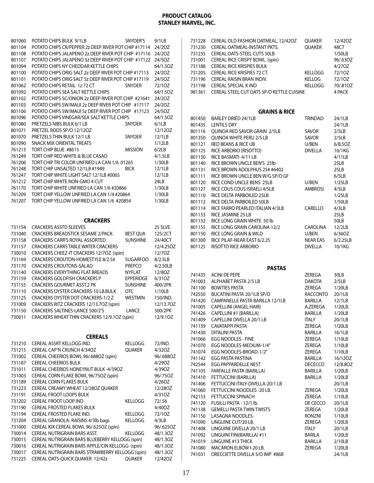| 801060           | POTATO CHIPS BULK 9/1LB                                                         | SNYDER'S                      | 9/1LB                |
|------------------|---------------------------------------------------------------------------------|-------------------------------|----------------------|
| 801104           | POTATO CHIPS CR/PEPPER 2z DEEP RIVER POT CHIP #17114                            |                               | 24/20Z               |
| 801108           | POTATO CHIPS JALAPENO 2z DEEP RIVER POT CHIP #17116                             |                               | 24/2OZ               |
| 801107           | POTATO CHIPS JALAPENO 5z DEEP RIVER POT CHIP #17122                             |                               | 24/5OZ               |
| 801094           | POTATO CHIPS NY CHEDDAR KETTLE CHIPS                                            |                               | 64/1.5OZ             |
| 801100           | POTATO CHIPS ORIG SALT 2z DEEP RIVER POT CHIP #17113                            |                               | 24/20Z               |
| 801101           | POTATO CHIPS ORIG SALT 5z DEEP RIVER POT CHIP #17119                            |                               | 24/5OZ               |
| 801062           | POTATO CHIPS RETAIL 1z 72 CT                                                    | <b>SNYDER</b>                 | 72/10Z               |
| 801092           | POTATO CHIPS SEA SALT KETTLE CHIPS                                              |                               | 64/1.5OZ             |
| 801102           | POTATO CHIPS SC/ONION 2z DEEP RIVER POT CHIP #21641                             |                               | 24/20Z               |
| 801103           | POTATO CHIPS SW/MAUI 2z DEEP RIVER POT CHIP #17117                              |                               | 24/20Z               |
| 801106           | POTATO CHIPS SW/MAUI 5z DEEP RIVER POT CHIP #17123                              |                               | 24/5OZ               |
| 801096           | POTATO CHIPS VINEGAR/SEA SALT KETTLE CHIPS                                      |                               | 64/1.5OZ             |
| 801080           | PRETZELS NIBS BULK 6/1 LB                                                       | SNYDER                        | 6/1LB                |
| 801071           | PRETZEL RODS SP/O 12/12OZ                                                       |                               | 12/12OZ              |
| 801070<br>801090 | PRETZELS THIN BULK 12/1 LB<br><b>SNACK MIX ORIENTAL TREATS</b>                  | SNYDER                        | 12/1LB<br>1/12LB     |
| 761213           | TORT CHIP BLUE #8615                                                            | <b>MISSION</b>                | 6/2LB                |
| 761249           | TORT CHIP RED WHITE & BLUE CASAD                                                |                               | 4/1.5LB              |
| 761206           | TORT CHIP TRI COLOR UNFRIED LA CAN 1/6 01265                                    |                               | 1/30LB               |
| 761248           | TORT CHIP UNSALTED 12/1LB #1949                                                 | <b>BICK</b>                   | 12/1LB               |
| 761247           | TORT CHIP WHITE LIGHT SALT 12/1LB #0065                                         |                               | 12/1LB               |
| 761212           | TORT CHIP WHITE NON-GMO 4 CUT                                                   |                               | 24LB                 |
| 761170           | TORT CHIP WHITE UNFRIED LA CAN 1/6 #20866                                       |                               | 1/30LB               |
| 761209           | TORT CHIP YELLOW UNFRIED LA CAN 1/4 #20864                                      |                               | 1/30LB               |
| 761207           | TORT CHIP YELLOW UNFIRED LA CAN 1/6 #20854                                      |                               | 1/30LB               |
|                  |                                                                                 |                               |                      |
|                  |                                                                                 |                               |                      |
|                  | <b>CRACKERS</b>                                                                 |                               |                      |
| 731154           | <b>CRACKERS ASSTD SLEEVES</b>                                                   |                               | 25 SLVE.             |
| 731040           | <b>CRACKERS BREADSTICK SESAME 2/PACK</b>                                        | <b>BEST QUA</b>               | 125/2CT              |
| 731158           | <b>CRACKERS CARR'S ROYAL ASSORTED</b>                                           | <b>SUNSHINE</b>               | 24/40CT              |
| 731157           | <b>CRACKERS CARRS TABLE WATER CRACKERS</b>                                      |                               | 12/4.25OZ            |
| 730010           | CRACKERS CHEEZ-IT CRACKERS 12/7OZ (spin)                                        |                               | 12/70Z               |
| 731169           | CRACKERS CROUTON-HOMESTYLE 8/2.5#                                               | <b>SUGARFOO</b>               | 8/2.5LB              |
| 731170           | <b>CRACKERS CROUTONS-SALAD</b>                                                  | <b>PREPCO</b>                 | 4/2.50LB             |
| 731140           | <b>CRACKERS EVERYTHING FLAT BREADS</b>                                          | <b>NYFLAT</b>                 | 12/80Z               |
| 731159           | <b>CRACKERS GOLDFISH CRACKERS P</b>                                             | <b>EPPERIDGE</b>              | 6/31OZ               |
| 731155           | <b>CRACKERS GOURMET ASST.2 PK</b><br><b>CRACKERS OYSTER CRACKERS-10 LB.BULK</b> | <b>SUNSHINE</b><br><b>OTC</b> | 400/2PK              |
| 731110<br>731125 | CRACKERS OYSTER DOT CRACKERS-1/2 Z                                              | <b>WESTMIN</b>                | 1/10LB               |
| 731009           | CRACKERS RITZ CRACKERS 12/13.7OZ (spin)                                         |                               | 150/IND.             |
| 731150           | CRACKERS SALTINES-LANCE 500/2'S                                                 | LANCE                         | 12/13.7OZ<br>500/2PK |
| 730011           | CRACKERS WHEAT THIN CRACKERS 12/9.10Z (spin)                                    |                               | 12/9.10Z             |
|                  |                                                                                 |                               |                      |
|                  |                                                                                 |                               |                      |
|                  | <b>CEREALS</b>                                                                  |                               |                      |
| 731210           | CEREAL ASSRT KELLOGG IND.                                                       | <b>KELLOGG</b>                | 72/IND.              |
| 731215           | CEREAL CAP'N CRUNCH 4/34OZ                                                      | <b>QUAKER</b>                 | 4/32OZ               |
| 731002           | CEREAL CHEERIOS BOWL 96/.688OZ (spin)                                           |                               | 96/.688OZ            |
| 731187           | <b>CEREAL CHEERIOS BULK</b>                                                     |                               | 4/29OZ               |
| 731011           | CEREAL CHEERIOS HONEYNUT BULK -4/39OZ                                           |                               | 4/390Z               |
| 731003           | CEREAL CORN FLAKE BOWL 96/75OZ (spin)                                           |                               | 96/.75OZ             |
| 731189           | CEREAL CORN FLAKES BULK                                                         |                               | 4/26OZ               |
| 731223           | CEREAL CREAMY WHEAT 12/280Z QUAKER                                              |                               | 12/280Z              |
| 731191           | <b>CEREAL FROOT LOOPS BULK</b>                                                  |                               | 4/31OZ               |
| 731202           | CEREAL FROOT LOOP IND                                                           | KELLOGG                       | 72/.56               |
| 731190           | CEREAL FROSTED FLAKES BULK                                                      |                               | 4/40OZ               |
| 731194           | CEREAL FROSTED FLAKE IND.                                                       | KELLOGG                       | 72/10Z               |
| 731204           | CEREAL GRANOLA-RAISINS 4/3lb bags                                               | <b>KELLOGG</b>                | 4/3LB                |

 CEREAL KIX CEREAL BOWL 96/.625OZ (spin) 96/.625OZ CEREAL NUTRIGRAIN BARS ASST. KELLOGG 48/1.3OZ CEREAL NUTRIGRAIN BARS BLUEBERRY KELLOGG (spin) 48/1.3OZ CEREAL NUTRIGRAIN BARS APPLE/CIN KELLOGG (spin) 48/1.3OZ CEREAL NUTRIGRAIN BARS STRAWBERRY KELLOGG (spin) 48/1.3OZ CEREAL OATS-QUICK QUAKER 12/42z QUAKER 12/42OZ

| 731228 | CEREAL OLD FASHION OATMEAL, 12/42OZ       | <b>OUAKER</b>  | 12/420Z  |
|--------|-------------------------------------------|----------------|----------|
| 731230 | CEREAL OATMEAL-INSTANT PKTS.              | <b>OUAKER</b>  | 48CT     |
| 731235 | <b>CEREAL OATS-STEEL CUTS 50LB</b>        |                | 1/50LB   |
| 731001 | CEREAL RICE CRISPY BOWL (spin)            |                | 96/.63OZ |
| 731188 | <b>CEREAL RICE KRISPIES BULK</b>          |                | 4/270Z   |
| 731205 | CEREAL RICE KRISPIES 72 CT.               | KELLOGG        | 72/10Z   |
| 731196 | CEREAL RAISIN BRAN INDIV.                 | <b>KELLOG</b>  | 72/10Z   |
| 731198 | <b>CEREAL SPECIAL KIND</b>                | <b>KELLOGG</b> | 70/.81OZ |
| 981361 | CEREAL STEEL CUT OATS SP/O KETTLE CUISINE |                | 4 PACK   |

|        | <b>GRAINS &amp; RICE</b>            |                 |          |
|--------|-------------------------------------|-----------------|----------|
| 801450 | BARLEY DRIED 24/1LB                 | TRINDAD         | 24/1LB   |
| 801435 | <b>LENTILS DRY</b>                  |                 | 24/1LB   |
| 801116 | <b>OUINOA RED SAVOR GRAIN 2/5LB</b> | <b>SAVOR</b>    | 2/5LB    |
| 801350 | <b>OUINOA WHITE PERU 2/5 LB</b>     | <b>SAVOR</b>    | 2/5LB    |
| 801121 | RED BEANS & RICE UB                 | U/BEN           | 6/8.50Z  |
| 801125 | RICE ARBORIO (RISOTTO)              | <b>DIVELLA</b>  | 10/1KG   |
| 801130 | RICE BASMATI 4/11 LB                |                 | 4/11LB   |
| 801140 | RICE BROWN UNCLE BEN'S 25lb         |                 | 25LB     |
| 801131 | RICE BROWN ADOLPHUS 25# #6402       |                 | 25LB     |
| 801111 | RICE BROWN UNCLE BEN W/G SP/O GF    |                 | 6/5LB    |
| 801120 | RICE COND UNCLE BENS 25LB           | U/BEN           | 1/25LB   |
| 801127 | RICE COUS COUS ISRAELI 4/5LB        | <b>AMBROSI</b>  | 4/5LB    |
| 801110 | RICE DELTA PARBOILED 25LB           |                 | 1/25LB   |
| 801112 | RICE DELTA PARBOILED 50LB           |                 | 1/50LB   |
| 801114 | RICE FARRO PEARLED ITALIAN 4/3LB    | CARELLO         | 4/3LB    |
| 801153 | RICE JASMINE 25 LB                  |                 | 25LB     |
| 801152 | RICE LONG GRAIN WHITE 50 lb         |                 | 50LB     |
| 801155 | RICE LONG GRAIN CAROLINA 12/2       | <b>CAROLINA</b> | 12/2LB   |
| 801150 | RICE LONG GRAIN & WILD              | U/BEN           | 6/36OZ   |
| 801300 | RICE PILAF-NEAR EAST 6/2.25         | NEAR EAS        | 6/2.25LB |
| 801125 | RISOTTO RICE ARBORIO                | <b>DIVELLA</b>  | 10/1KG   |

**PASTAS**

| 741435 | <b>ACINI DE PEPE</b>             | ZEREGA       | 30LB     |
|--------|----------------------------------|--------------|----------|
| 741003 | ALPHABET PASTA 2/5 LB            | DAKOTA       | 2/5LB    |
| 741100 | <b>BOWTIES PASTA</b>             | ZEREGA       | 1/20LB   |
| 742550 | BUCATINI PASTA 20/1LB SP/O       | RACCONTO     | 20/1LB   |
| 741420 | CAMPANELLE PASTA BARILLA 12/1LB  | BARILLA      | 12/1LB   |
| 741005 | <b>CAPELLINI (ANGEL HAIR)</b>    | A.ZEREGA     | 1/20LB.  |
| 741426 | CAPELLINI #1 (BARILLA)           | BARILLA      | 1/20LB   |
| 741409 | CAPELLINI DIVELLA 20/1 LB        | <b>ITALY</b> | 20/1LB   |
| 741139 | CAVATAPPI PASTA                  | ZEREGA       | 1/20LB   |
| 741430 | <b>DITALINI PASTA</b>            | BARILLA      | 16/1LB   |
| 741066 | <b>EGG NOODLES - FINE</b>        | ZEREGA       | 1/10LB   |
| 741070 | EGG NOODLES-MEDIUM-1/4"          | ZEREGA       | 1/10LB   |
| 741074 | EGG NOODLES-BROAD-1/2"           | ZEREGA       | 1/10LB   |
| 741142 | EGG PASTA PASTINA                | BARILLA      | 16/120Z  |
| 742544 | EGG PAPPARDELLE NEST             | DECECCO      | 12/8.80Z |
| 741105 | FARFALLE PASTA (BARILLA)         | BARILLA      | 1/20LB   |
| 741410 | FETTUCCINI (BARILLA)             | BARILLA      | 1/20LB   |
| 741406 | FETTUCCINI ITALY-DIVELLA-20/1 LB |              | 20/1LB   |
| 741060 | FETTUCCINI NOODLES -20 LB.       | ZEREGA       | 1/20LB   |
| 742153 | FETTUCCINI SPINACH               | ZEREGA       | 1/10LB   |
| 741120 | FUSILLI PASTA - 12/1 lb.         | DE CECCO     | 20/1LB   |
| 741138 | <b>GEMELLI PASTA TWIN TWISTS</b> | ZEREGA       | 1/20LB   |
| 741150 | <b>LASAGNA NOODLES-</b>          | RONZNI       | 1/10LB   |
| 741090 | LINGUINE CUT/20 LB.              | ZEREGA       | 1/20LB   |
| 741408 | LINGUINE DIVELLA 20/1 LB         | <b>ITALY</b> | 20/1LB   |
| 741092 | LINGUINI FINI(BARILLA) #11       | BARILA       | 1/20LB   |
| 741019 | <b>LINGUINE #13 THICK</b>        | BARILLA      | 2/10LB   |
| 741080 | MACARON ELBOW I-20 LB.           | ZEREGA       | 1/20LB   |
| 741031 | ORECCIETTE DIVELLA S/O IMP #86B  |              | 24/1LB   |
|        |                                  |              |          |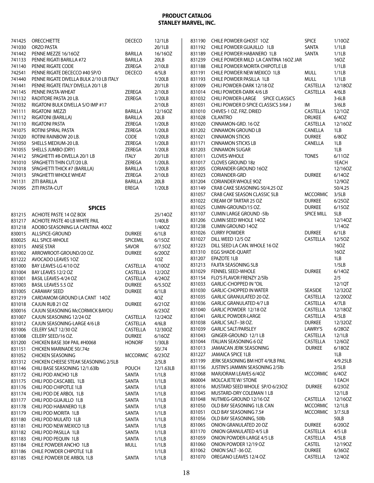| 741425           | <b>ORECCHIETTE</b>                                 | <b>DECECO</b>            | 12/1LB           | 831190           | CHILE POWDER GHOST 10Z                               | <b>SPICE</b>              | 1/10OZ           |
|------------------|----------------------------------------------------|--------------------------|------------------|------------------|------------------------------------------------------|---------------------------|------------------|
| 741030           | ORZO PASTA                                         |                          | 20/1LB           | 831192           | CHILE POWDER GUAJILLO 1LB                            | SANTA                     | 1/1LB            |
| 741442           | PENNE MEZZE 16/16OZ                                | <b>BARILLA</b>           | 16/16OZ          | 831189           | CHILE POWDER HABANERO 1LB                            | SANTA                     | 1/1LB            |
| 741133           | PENNE RIGATI BARILLA #72                           | <b>BARILLA</b>           | 20LB             | 831239           | CHILE POWDER MILD LA CANTINA 160Z JAR                |                           | 16OZ             |
| 741140           | PENNE RIGATE CODE                                  | ZEREGA                   | 2/10LB           | 831188           | CHILE POWDER MORITA CHIPOTLE LB                      |                           | 1/1LB            |
| 742541           | PENNE RIGATE DECECCO #40 SP/O                      | <b>DECECO</b>            | 4/5LB            | 831191           | CHILE POWDER NEW MEXICO 1LB                          | <b>MULL</b>               | 1/1LB            |
| 741440           | PENNE RIGATE DIVELLA BULK 2/10 LB ITALY            |                          | 1/20LB           | 831193           | CHILE POWDER PASILLA 1LB                             | <b>MULL</b>               | 1/1LB            |
| 741441           | PENNE RIGATE ITALY DIVELLA 20/1 LB                 |                          | 20/1LB           | 831009           | CHILI POWDER-DARK 12/18 OZ                           | CASTELLA                  | 12/180Z          |
| 741145           | PENNE PASTA-WHEAT                                  | ZEREGA                   | 2/10LB           | 831014           | CHILI POWDER-DARK 4/6 LB                             | CASTELLA                  | 4/6LB            |
| 741132           | RADITORE PASTA 20 LB.                              | ZEREGA                   | 1/20LB           | 831032           | CHILI POWDER-LARGE SPICE CLASSICS                    |                           | $3-6LB$          |
| 741032           | RIGATONI BULK DIVELLA S/O IMP #17                  |                          | 2/10LB           | 831031           | CHILI POWDER D SPICE CLASSICS 3/6# J                 | IM                        | 3/6LB            |
| 741111           | RIGATONI MEZZI                                     | <b>BARILLA</b>           | 12/16OZ          | 831010           | CHIVES-1 OZ. FRZ. DRIED                              | CASTELLA                  | 12/10Z           |
| 741112<br>741110 | <b>RIGATONI (BARILLA)</b><br><b>RIGATONI PASTA</b> | <b>BARILLA</b><br>ZEREGA | 20LB             | 831028<br>831020 | <b>CILANTRO</b><br>CINNAMON-GRD. 16 OZ               | <b>DRUKEE</b><br>CASTELLA | 6/40Z<br>12/16OZ |
| 741075           | ROTINI SPIRAL PASTA                                | ZEREGA                   | 1/20LB<br>1/20LB | 831202           | <b>CINNAMON GROUND LB</b>                            | CANELLA                   | 1LB              |
| 741020           | ROTINI RAINBOW 20 LB.                              | CODE                     | 1/20LB           | 831021           | <b>CINNAMON STICKS</b>                               | <b>DURKEE</b>             | 6/80Z            |
| 741050           | SHELLS MEDIUM-20 LB.                               | ZEREGA                   | 1/20LB           | 831171           | <b>CINNAMON STICKS LB</b>                            | CANELLA                   | 1LB              |
| 741055           | SHELLS JUMBO (DRY)                                 | ZEREGA                   | 1/20LB           | 831203           | <b>CINNAMON SUGAR</b>                                |                           | 1LB              |
| 741412           | SPAGHETTI #8-DIVELLA 20/1 LB                       | <b>ITALY</b>             | 20/1LB           | 831011           | <b>CLOVES-WHOLE</b>                                  | <b>TONES</b>              | 6/110Z           |
| 741010           | SPAGHETTI THIN CUT/20 LB.                          | ZEREGA                   | 1/20LB.          | 831017           | <b>CLOVES GROUND 18z</b>                             |                           | 1EACH            |
| 741018           | SPAGHETTI THICK #7 (BARILLA)                       | <b>BARILLA</b>           | 1/20LB           | 831205           | <b>CORIANDER GROUND 16OZ</b>                         |                           | 12/16OZ          |
| 741013           | SPAGHETTI WHOLE WHEAT                              | ZEREGA                   | 2/10LB           | 831023           | CORIANDER-GRD                                        | <b>DURKEE</b>             | 6/140Z           |
| 741131           | <b>ZITI BARILLA</b>                                | <b>BARILLA</b>           | 20LB             | 831204           | <b>CORIANDER WHOLE 90Z</b>                           |                           | 12/90Z           |
| 741095           | ZITI PASTA-CUT                                     | EREGA                    | 1/20LB           | 831149           | CRAB CAKE SEASONING 50/4.25 OZ                       |                           | 50/4.25          |
|                  |                                                    |                          |                  | 831057           | CRAB CAKE SEASON CLASSIC 5LB                         | <b>MCCORMIC</b>           | 3/5LB            |
|                  |                                                    |                          |                  | 831022           | CREAM OF TARTAR 25 OZ                                | <b>DURKEE</b>             | 6/25OZ           |
|                  | <b>SPICES</b>                                      |                          |                  | 831025           | CUMIN-GROUND/15 OZ.                                  | <b>DURKEE</b>             | 6/15OZ           |
| 831215           | ACHIOTE PASTE 14 OZ BOX                            |                          | 25/14OZ          | 831107           | <b>CUMIN LARGE GROUND -5lb</b>                       | <b>SPICE MILL</b>         | 5LB              |
| 831217           | ACHIOTE PASTE 40 LB WHITE PAIL                     |                          | 1/40LB           | 831206           | <b>CUMIN SEED WHOLE 140Z</b>                         |                           | 12/140Z          |
| 831218           | ADOBO SEASONING LA CANTINA 400Z                    |                          | 1/40OZ           | 831238           | <b>CUMIN GROUND 140Z</b>                             |                           | 1/140Z           |
| 830015           | ALLSPICE-GROUND                                    | <b>DURKEE</b>            | 6/1LB            | 831026           | <b>CURRY POWDER</b>                                  | <b>DURKEE</b>             | 6/1LB            |
| 830025           | ALL SPICE-WHOLE                                    | SPICEMIL                 | 6/150Z           | 831027           | DILL WEED 12/5 OZ                                    | CASTELLA                  | 12/50Z           |
| 831015           | <b>ANISE STAR</b>                                  | SAVOR                    | 6/7.5OZ          | 831223           | DILL SEED LA CAN. WHOLE 16 OZ                        |                           | 16OZ<br>16OZ     |
| 831002           | ARROWROOT-GROUND/20 OZ.                            | <b>DURKEE</b>            | 6/20OZ           | 831310<br>831207 | EGG SHADE-QUART<br>EPAZOTE 1LB                       |                           | 1LB              |
| 831222           | AVOCADO LEAVES 10Z                                 |                          | 10Z              | 831213           | <b>FAJITA SEASONING 5LB</b>                          |                           | 1/5LB            |
| 831000<br>831004 | BAY LEAVES-LG 4/10 OZ<br>BAY LEAVES 12/2 OZ        | CASTELLA<br>CASTELLA     | 4/10OZ<br>12/20Z | 831029           | <b>FENNEL SEED-WHOLE</b>                             | <b>DURKEE</b>             | 6/14OZ           |
| 831001           | BASIL LEAVES-4/24 OZ                               | CASTELLA                 | 4/240Z           | 831154           | FLO'S FLAVOR FRENZY 2/5lb                            |                           | 2/5              |
| 831003           | <b>BASIL LEAVES 5.5 OZ</b>                         | <b>DURKEE</b>            | 6/5.5OZ          | 831033           | <b>GARLIC-CHOPPED IN "OIL</b>                        |                           | 12/1QT           |
| 831005           | <b>CARAWAY SEED</b>                                | <b>DURKEE</b>            | 6/1LB            | 831030           | <b>GARLIC-CHOPPED IN WATER</b>                       | SEASIDE                   | 12/320Z          |
| 831219           | CARDAMOM GROUND LA CANT 14OZ                       |                          | 4OZ              | 831035           | GARLIC GRANULATED 20 OZ.                             | CASTELLA                  | 12/200Z          |
| 831018           | CAJUN RUB 21 OZ                                    | <b>DURKEE</b>            | 6/21OZ           | 831036           | <b>GARLIC GRANULATED 4/7 LB</b>                      | CASTELLA                  | 4/7LB            |
|                  | 830016 CAJUN SEASONING McCORMICK BAYOU             |                          | $6/23OZ$         |                  | 831040 GARLIC POWDER 12/18 OZ                        | CASTELLA 12/18OZ          |                  |
|                  | 831007 CAJUN SEASONING 12/24 OZ                    | CASTELLA                 | 12/240Z          | 831041           | <b>GARLIC POWDER-LARGE</b>                           | CASTELLA                  | 4/5LB            |
| 831012           | CAJUN SEASONING-LARGE 4/6 LB                       | CASTELLA                 | 4/6LB            | 831038           | GARLIC SALT--38 OZ.                                  | <b>DURKEE</b>             | 12/320Z          |
| 831006           | CELERY SALT 12/30 OZ                               | CASTELLA                 | 12/30OZ          | 831039           | <b>GARLIC SALT/PARSLEY</b>                           | LAWRY'S                   | 6/280Z           |
| 831008           | CELERY SEED/16 OZ.                                 | <b>DURKEE</b>            | 6/16OZ           | 831043           | GINGER-GROUND 12/1 LB                                | CASTELLA                  | 12/1LB           |
| 831200           | CHICKEN BASE 30# PAIL #H0068                       | <b>HONORF</b>            | 1/30LB           | 831044           | ITALIAN SEASONING 6 OZ                               | CASTELLA                  | 12/60Z           |
| 831151           | CHICKEN MARINADE 50/.74z                           |                          | 50/.74           | 831013           | JAMAICAN JERK SEASONING                              | <b>DURKEE</b>             | 6/180Z           |
| 831052           | <b>CHICKEN SEASONING</b>                           | <b>MCCORMIC</b>          | 6/230Z           | 831227           | JAMAICA SPICE 1LB                                    |                           | 1LB              |
| 831312           | CHICKEN CHEESE STEAK SEASONING 2/5LB               |                          | 2/5LB            | 831199           | JERK SEASONING BM HOT 4/9LB PAIL                     |                           | 4/9.25LB         |
| 831146           | CHILI BASE SEASONING 12/1.63lb                     | POUCH                    | 12/1.63LB        | 831156           | JUSTIN'S JAMMIN SEASONING 2/5lb                      |                           | 2/5LB            |
| 831172           | CHILI POD ANCHO 1LB                                | SANTA                    | 1/1LB            | 831068<br>860004 | MARJORAM LEAVES 6/4OZ                                | <b>MCCORMIC</b>           | 6/40Z            |
| 831175           | CHILI POD CASCABEL 1LB                             | SANTA                    | 1/1LB            |                  | MOLCAJETE W/ STONE<br>MUSTARD SEED WHOLE SP/O 6/23OZ | <b>DURKEE</b>             | 1 EACH<br>6/230Z |
| 831176           | CHILI POD CHIPOTLE 1LB                             | SANTA                    | 1/1LB            | 831016<br>831045 | MUSTARD-DRY COLEMAN 1 LB                             |                           | 12/1LB           |
| 831174           | CHILI POD DE ARBOL 1LB                             | SANTA                    | 1/1LB            | 831048           | NUTMEG-GROUND 12/16 OZ                               | CASTELLA                  | 12/16OZ          |
| 831177<br>831178 | CHILI POD GUAJILLO 1LB<br>CHILI POD HABANERO 1LB   | SANTA<br>SANTA           | 1/1LB<br>1/1LB   | 831050           | OLD BAY SEASONING 1LB. CAN                           | <b>MCCORMIC</b>           | 12/1LB           |
| 831179           | CHILI POD MORITA 1LB                               | SANTA                    | 1/1LB            | 831051           | OLD BAY SEASONING 7.5#                               | <b>MCCORMIC</b>           | 3/7.5LB          |
| 831180           | CHILI POD MULATO 1LB                               | SANTA                    | 1/1LB            | 831056           | OLD BAY SEASONING, 50lb                              |                           | 50LB             |
| 831181           | CHILI POD NEW MEXICO 1LB                           | SANTA                    | 1/1LB            | 831065           | ONION GRANULATED 20 OZ                               | <b>DURKEE</b>             | 6/200Z           |
| 831182           | CHILI POD PASILLA 1LB                              | SANTA                    | 1/1LB            | 831170           | <b>ONION GRANULATED 4/5 LB</b>                       | CASTELLA                  | 4/5 LB           |
| 831183           | CHILI POD PEQUIN 1LB                               | SANTA                    | 1/1LB            | 831059           | ONION POWDER-LARGE 4/5 LB                            | CASTELLA                  | 4/5LB            |
| 831184           | CHILE POWDER ANCHO 1LB                             | <b>MULL</b>              | 1/1LB            | 831060           | ONION POWDER 12/19 OZ                                | <b>CASTEL</b>             | 12/190Z          |
| 831186           | CHILE POWDER CHIPOTLE 1LB                          |                          | 1/1LB            | 831062           | ONION SALT-36 OZ.                                    | <b>DURKEE</b>             | 6/36OZ           |
| 831185           | CHILE POWDER DE ARBOL 1LB                          | SANTA                    | 1/1LB            | 831070           | OREGANO LEAVES 12/4 OZ                               | CASTELLA                  | 12/40Z           |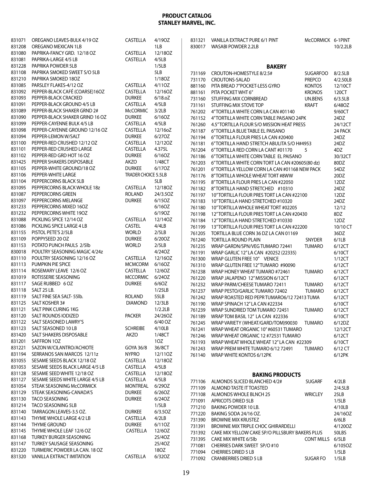| 831071<br>831208 | OREGANO LEAVES-BULK 4/19 OZ<br>OREGANO MEXICAN 1LB  | <b>CASTELLA</b>     | 4/190Z<br>1LB    | 831321<br>830017 | VANILLA EXTRACT PURE 6/1 PINT<br>WASABI POWDER 2.2LB                               | McCORMICK 6-1PINT              | 10/2.2LB            |
|------------------|-----------------------------------------------------|---------------------|------------------|------------------|------------------------------------------------------------------------------------|--------------------------------|---------------------|
| 831080           | PAPRIKA-FANCY GRD. 12/18 OZ                         | <b>CASTELLA</b>     | 12/180Z          |                  |                                                                                    |                                |                     |
| 831081           | PAPRIKA-LARGE 4/5 LB                                | CASTELLA            | 4/5LB            |                  |                                                                                    |                                |                     |
| 831228           | PAPRIKA POWDER 5LB                                  |                     | 1/5LB            |                  | <b>BAKERY</b>                                                                      |                                |                     |
| 831108<br>831210 | PAPRIKA SMOKED SWEET S/O 5LB<br>PAPRIKA SMOKED 180Z |                     | 5LB<br>1/180Z    | 731169           | CROUTON-HOMESTYLE 8/2.5#                                                           | <b>SUGARFOO</b>                | 8/2.5LB             |
| 831085           | PARSLEY FLAKES-4/12 OZ                              | CASTELLA            | 4/110Z           | 731170           | CROUTONS-SALAD                                                                     | <b>PREPCO</b>                  | 4/2.50LB            |
| 831092           | PEPPER-BLACK CAFÉ (COARSE)16OZ                      | CASTELLA            | 12/16OZ          | 881160<br>881161 | PITA BREAD 7"POCKET-LESS GYRO<br>PITA POCKET WHT 6"                                | <b>KONTOS</b><br><b>KRONOS</b> | 12/10CT<br>120CT    |
| 831093           | PEPPER-BLACK CRACKED                                | <b>DURKEE</b>       | 6/18.0Z          | 731160           | STUFFING MIX CORNBREAD                                                             | UN.BENS                        | 6/3.5LB             |
| 831091           | PEPPER-BLACK GROUND 4/5 LB                          | CASTELLA            | 4/5LB            | 731161           | STUFFING MIX STOVE TOP                                                             | <b>KRAFT</b>                   | 6/48OZ              |
| 831089           | PEPPER-BLACK SHAKER GRND 2#                         | <b>McCORMIC</b>     | 3/2LB            | 761202           | 4" TORTILLA WHITE CORN LA CAN #01140                                               |                                | 9/60CT              |
| 831090           | PEPPER-BLACK SHAKER GRIND 16 OZ                     | <b>DURKEE</b>       | 6/160Z           | 761152           | 4"TORTILLA WHITE CORN TABLE PAISANO 24PK                                           |                                | 24DZ                |
| 831099           | PEPPER-CAYENNE BULK 4/5 LB                          | CASTELLA            | 4/5LB            | 761260           | 4.5" TORTILLA FLOUR S/O MISSION HEAT PRESS                                         |                                | 24/12CT             |
| 831098           | PEPPER-CAYENNE GROUND 12/16 OZ                      | CASTELLA            | 12/16oZ          | 761187           | 6"TORTILLA BLUE TABLE EL PAISANO                                                   |                                | 24 PACK             |
| 831094           | PEPPER-LEMON W/SALT                                 | <b>DURKEE</b>       | 6/270Z           | 761194           | 6"TORTILLA FLOUR PRES LA CAN #20400                                                |                                | 24DZ                |
| 831100           | PEPPER-RED CRUSHED 12/12 OZ                         | CASTELLA            | 12/12OZ          | 761181           | 6"TORTILLA HAND STRETCH ABULITA S/O H#4953                                         |                                | 24DZ                |
| 831101           | PEPPER-RED CRUSHED LARGE                            | CASTELLA            | 4.375L           | 761204           | 6"TORTILLA RED CORN LA CANT #01170                                                 | 5                              | 4DZ                 |
| 831102           | PEPPER-RED GRD HOT 16 OZ                            | <b>DURKEE</b>       | 6/160Z           | 761186           | 6"TORTILLA WHITE CORN TABLE EL PAISANO                                             |                                | 30/32CT             |
| 831425           | PEPPER SHAKERS DISPOSABLE                           | AKZO                | 1/48CT           | 761203           | 6"TORTILLA WHITE CORN TORT LA CAN #20605(80 dz)                                    |                                | 80DZ                |
| 831105           | PEPPER-WHITE GROUND/18 OZ                           | <b>DURKEE</b>       | 6/170Z           | 761201           | 6"TORTILLA YELLOW CORN LA CAN #01168 NEW PACK                                      |                                | 54DZ                |
| 831106           | PEPPER-WHITE LARGE                                  | TRADER CHOICE 5.5LB |                  | 761176           | 8"TORTILLA WHOLE WHEAT TORT #8WW                                                   |                                | 20DZ                |
| 831104           | PEPPERCORNS BLACK 5LB                               |                     | 5LB              | 761195           | 8"TORTILLA FLOUR PRES LA CAN #22050                                                |                                | 12DZ                |
| 831095           | PEPPERCORNS BLACK WHOLE 18z                         | <b>CASTELLA</b>     | 12/180Z          | 761182           | 8"TORTILLA HAND STRETCHED #10310                                                   |                                | 24DZ                |
| 831087           | PEPPERCORNS GREEN                                   | <b>ROLAND</b>       | 24/3.5OZ         | 761197           | 10"TORTILLA FLOUR PRES TORT LA CAN #22100                                          |                                | 12DZ                |
| 831097           | PEPPERCORNS MELANGE                                 | <b>DURKEE</b>       | 6/15OZ<br>6/160Z | 761183           | 10"TORTILLA HAND STRETCHED #10320                                                  |                                | 24DZ                |
| 831233<br>831232 | PEPPERCORNS MIXED 16OZ<br>PEPPERCORNS WHITE 190Z    |                     | 6/190Z           | 761180           | 10"TORTILLA WHOLE WHEAT TORT #02205                                                |                                | 12/12               |
| 831088           | PICKLING SPICE 12/14 OZ                             | CASTELLA            | 12/14OZ          | 761198           | 12"TORTILLA FLOUR PRES TORT LA CAN #20430                                          |                                | 8DZ                 |
| 831086           | PICKLING SPICE LARGE 4 LB                           | <b>CASTEL</b>       | 4/4LB            | 761184           | 12"TORTILLA HAND STRETCHED #10330                                                  |                                | 12DZ                |
| 831155           | PISTOL PETE'S 2/5LB                                 | <b>WORLD</b>        | 2/5LB            | 761199<br>761205 | 13"TORTILLA FLOUR PRES TORT LA CAN #22200<br>TORTILLA BLUE CORN 36 DZ LA CAN 01169 |                                | 10/10 CT<br>36DZ    |
| 831109           | POPPYSEED 20 OZ                                     | <b>DURKEE</b>       | 6/200Z           | 761240           | TORTILLA ROUND PLAIN                                                               | SNYDER                         | 6/1LB               |
| 831153           | POTATO PUNCH PAULS 2/5lb                            | <b>WORLD</b>        | 2/5LB            | 761235           | WRAP GARDN/SPN/VEG TUMARO 72441                                                    | <b>TUMARO</b>                  | 6/12CT              |
| 830018           | POULTRY SEASONING MAGIC 4/24z                       |                     | 4/240Z           | 761191           | WRAP GARLIC 12"LA CAN #20252 (22335)                                               |                                | 6/10CT              |
| 831110           | POULTRY SEASONING 12/16 OZ                          | CASTELLA            | 12/16OZ          | 761300           | WRAP GLUTEN FREE 10" VENICE                                                        |                                | 1/12CT              |
| 831113           | PUMPKIN PIE SPICE                                   | <b>MCMCORM</b>      | 6/16OZ           | 761310           | WRAP GLUTEN FREE 12"TUMARO #90090                                                  |                                | 6/12CT              |
| 831114           | ROSEMARY LEAVE 12/6 OZ                              | CASTELLA            | 12/60Z           | 761238           | WRAP HONEY WHEAT TUMARO #72461                                                     | <b>TUMARO</b>                  | 6/12CT              |
| 831019           | ROTISSERIE SEASONING                                | <b>MCCORMIC</b>     | 6/240Z           | 761220           | WRAP JALAPENO 12" MISSION 6/12CT                                                   |                                | 6/12CT              |
| 831117           | SAGE RUBBED 6 OZ                                    | <b>DURKEE</b>       | 6/6OZ            | 761232           | WRAP PARM/CHEESE TUMARO 72411                                                      | <b>TUMARO</b>                  | 6/12CT              |
| 831118           | SALT 25 LB.                                         |                     | 1/25LB           | 761237           | WRAP PESTO/GARLIC TUMARO 72402                                                     | <b>TUMARO</b>                  | 6/12CT              |
| 831119           | SALT FINE SEA SALT-55lb.                            | <b>ROLAND</b>       | 55LB             | 761242           | WRAP ROASTED RED PEPR TUMARO6/12 72413 TUMA                                        |                                | 6/12CT              |
| 831125           | <b>SALT KOSHER 3#</b>                               | <b>DIAMOND</b>      | 12/3LB           | 761190           | WRAP SPINACH 12"LA CAN #22334                                                      |                                | 6/10CT              |
|                  | 831121 SALT PINK CURING 1KG                         |                     | 1/2.2LB          |                  | 761239 WRAP SUNDRIED TOM TUMARO 72451                                              | <b>TUMARO</b>                  | 6/12CT              |
|                  | 831120 SALT ROUNDS IODIZED                          | <b>PACKER</b>       | 24/26OZ          | 761189           | WRAP TOM BASIL 12" LA CAN #22336                                                   |                                | 6/10CT              |
| 831122           | <b>SALT SEASONED LAWRY'S</b>                        |                     | 6/40 OZ          | 761245           | WRAP VARIETY (WHEAT/GARD/TOM)90030                                                 | <b>TUMARO</b>                  | 6/12DZ              |
| 831123           | SALT SEASONED 10 LB                                 | <b>SCHREIBE</b>     | 4/10LB           | 761241           | WRAP WHEAT ORGANIC 10" #60531 TUMARO                                               |                                | 12/12CT             |
| 831420<br>831201 | SALT SHAKERS DISPOSABLE<br>SAFFRON 10Z              | AKZO                | 1/48CT<br>10Z    | 761246           | WRAP WHEAT ORGANIC 12 #72531 TUMARO                                                |                                | 6/12CT              |
| 831221           | SAZON W/CILANTRO/ACHIOTE                            | GOYA 36/8           | 36/8CT           | 761193           | WRAP WHEAT WHOLE WHEAT 12"LA CAN #22309                                            |                                | 6/10CT              |
| 831194           | SERRANOS SAN MARCOS 12/11z                          | <b>NYPRO</b>        | 12/110Z          | 761243           | WRAP PREM WHITE TUMARO 6/12 72491                                                  | <b>TUMARO</b>                  | $6/12$ CT<br>6/12PK |
| 831055           | SESAME SEEDS BLACK 12/18 OZ                         | CASTELLA            | 12/180Z          | 761140           | WRAP WHITE KONTOS 6/12PK                                                           |                                |                     |
| 831053           | SESAME SEEDS BLACK LARGE 4/5 LB                     | CASTELLA            | 4/5LB            |                  |                                                                                    |                                |                     |
| 831128           | SESAME SEED WHITE 12/18 OZ                          | CASTELLA            | 12/18OZ          |                  |                                                                                    |                                |                     |
| 831127           | SESAME SEEDS WHITE LARGE 4/5 LB                     | CASTELLA            | 4/5LB            | 771106           | <b>BAKING PRODUCTS</b><br>ALMONDS SLICED BLANCHED 4/2#                             | <b>SUGARF</b>                  | 4/2LB               |
| 831054           | STEAK SEASONING McCORMICK                           | MONTREAL            | 6/290Z           | 771109           | ALMOND TASTE IT TOASTED                                                            |                                | 2/4.5LB             |
| 831129           | STEAK SEASONING-CANADA'S                            | <b>DURKEE</b>       | 6/26OZ           | 771108           | ALMONDS WHOLE BLNCH 25                                                             | <b>WRICLEY</b>                 | 25LB                |
| 831130           | TACO SEASONING                                      | <b>DURKEE</b>       | 6/240Z           | 771091           | <b>APRICOTS DRIED 5LB</b>                                                          |                                | 1/5LB               |
| 831214           | <b>TACO SEASONING 5LB</b>                           |                     | 1/5LB            | 771210           | BAKING POWDER 10 LB.                                                               |                                | 4/10LB              |
| 831140           | TARRAGON LEAVES-3.5 OZ.                             | <b>DURKEE</b>       | 6/3.5OZ          | 771220           | BAKING SODA 24/16 OZ.                                                              |                                | 24/16OZ             |
| 831143           | THYME WHOLE LARGE 4/2 LB                            | CASTELLA            | 4/2LB            | 731390           | <b>BROWNIE MIX KRUSTEZ</b>                                                         |                                | 6/6LB               |
| 831144           | THYME GROUND                                        | <b>DURKEE</b>       | 6/11OZ           | 731391           | BROWNIE MIX TRIPLE CHOC GHIRARDELLI                                                |                                | 4/120OZ             |
| 831145           | THYME WHOLE LEAF 12/6 OZ                            | CASTELLA            | 12/60Z           | 731392           | CAKE MIX YELLOW CAKE SP/O PILLSBURY BAKERS PLUS                                    |                                | 50LBS               |
| 831168           | TURKEY BURGER SEASONING                             |                     | 25/40Z           | 731395           | CAKE MIX WHITE 6/5lb                                                               | <b>CONT MILLS</b>              | 6/5LB               |
| 831147           | TURKEY SAUSAGE SEASONING                            |                     | 25/4OZ           | 771081           | CHERRIES DARK SWEET SP/O #10                                                       |                                | 6/105OZ             |
| 831220           | TURMERIC POWDER LA CAN. 18 OZ                       |                     | 180Z             | 771094           | <b>CHERRIES DRIED 5 LB</b>                                                         |                                | 1/5LB               |
| 831320           | <b>VANILLA EXTRACT IMITATION</b>                    | CASTELLA            | 6/32OZ           | 771092           | <b>CRANBERRIES DRIED 5 LB</b>                                                      | SUGAR FO                       | 1/5LB               |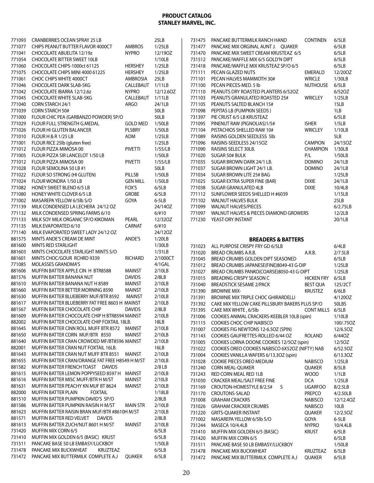| 771093           | <b>CRANBERRIES OCEAN SPRAY 25 LB</b>                                     |                  | 25LB              | 731475           | PANCAKE BUTTERMILK RANCH HAND                                        | <b>CONTINEN</b>                | 6/5LB            |
|------------------|--------------------------------------------------------------------------|------------------|-------------------|------------------|----------------------------------------------------------------------|--------------------------------|------------------|
| 771077           | CHIPS PEANUT BUTTER FLAVOR 4000CT                                        | <b>AMBROS</b>    | 1/25LB            | 731477           | PANCAKE MIX ORGINAL AUNT J. QUAKER                                   |                                | 6/5LB            |
| 771041           | CHOCOLATE ABUELITA 12/19z                                                | <b>NYPRO</b>     | 12/190Z           | 731470           | PANCAKE MIX SWEET CREAM KRUSTEAZ 6/5                                 |                                | 6/5LB            |
| 771054           | <b>CHOCOLATE BITTER SWEET 10LB</b>                                       |                  | 1/10LB            | 731512           | PANCAKE/WAFFLE MIX 6/5 GOLD'N DIPT                                   |                                | 6/5LB            |
| 771060           | CHOCOLATE CHIPS-1000ct 61125                                             | <b>HERSHEY</b>   | 1/25LB            | 731418           | PANCAKE/WAFFLE MIX KRUSTEAZ SP/O 6/5                                 |                                | 6/5LB            |
| 771075           | CHOCOLATE CHIPS MINI 4000 61225                                          | <b>HERSHEY</b>   | 1/25LB            | 771111           | PECAN GLAZED NUTS                                                    | <b>EMERALD</b>                 | 12/200Z          |
| 771061           | CHOC CHIPS WHITE 4000CT                                                  | <b>AMBROSIA</b>  | 25LB              | 771101           | PECAN HALVES MAMMOTH 30#                                             | <b>WRICLE</b>                  | 1/30LB           |
| 771046           | <b>CHOCOLATE DARK SLAB-5KG</b>                                           | CALLEBAUT 1/11LB |                   | 771100           | PECAN PIECES-MED. 5 lb                                               | <b>NUTHOUSE</b>                | 6/5LB            |
| 771042           | CHOCOLATE IBARRA 12/12.6z                                                | <b>NYPRO</b>     | 12/12.6OZ         | 771110           | PEANUTS DRY ROASTED PLANTERS 6/520Z                                  |                                | 6/52OZ           |
| 771045           | <b>CHOCOLATE WHITE SLAB-5KG</b>                                          | CALLEBAUT 1/11LB |                   | 771103           | PEANUTS GRANULATED ROASTED 25#                                       | <b>WRICLEY</b>                 | 1/25LB           |
| 771040           | CORN STARCH 24/1                                                         | ARGO             | 24/1LB            | 771105           | PEANUTS SALTED BLANCH 15#                                            |                                | 15LB             |
| 771039           | <b>CORN STARCH 50#</b>                                                   |                  | 50LB              | 771098           | PEPITAS LB (PUMPKIN SEEDS)                                           |                                | 1LB              |
| 771000           | FLOUR CHIC PEA (GARBANZO POWDER) SP/O                                    |                  | 50LB              | 731397           | PIE CRUST 6/5 LB KRUSTEAZ                                            |                                | 6/5LB            |
| 771029           | FLOUR FULL STRENGTH G.MEDAL                                              | <b>GOLD MED</b>  | 1/50LB            | 771095           | PINENUT RAW (PIGNOLIAS)1/5#                                          | <b>ISHER</b>                   | 1/5LB            |
| 771026           | FLOUR HI GLUTEN BALANCER                                                 | <b>PLSBRY</b>    | 1/50LB            | 771104           | PISTACHIOS SHELLED RAW 10#                                           | <b>WRICLEY</b>                 | 1/10LB           |
| 771010           | <b>FLOUR H &amp; R 1/25 LB</b>                                           | ADM              | 1/25LB            | 771089           | RAISINS GOLDEN SEEDLESS 5lb                                          |                                | 5LB              |
| 771001           | FLOUR RICE 25lb (gluten free)                                            |                  | 1/25LB            | 771096           | RAISINS-SEEDLESS 24/15OZ                                             | <b>CAMPION</b>                 | 24/15OZ          |
| 771012           | FLOUR PIZZA MIMOSA 00                                                    | PIVETTI          | 1/55/LB           | 771090           | RAISINS SELECT 30LB.<br>SUGAR 50# BULK                               | <b>CHAMPION</b>                | 1/30LB           |
| 771005<br>771012 | FLOUR PIZZA SIR LANCELOT 1/50 LB                                         | <b>PIVETTI</b>   | 1/50LB<br>1/55/LB | 771020<br>771035 |                                                                      | P/L                            | 1/50LB<br>24/1LB |
| 771028           | FLOUR PIZZA MIMOSA 00<br>FLOUR SEMOLINA 50 LB #1                         |                  | 50LB              | 771037           | SUGAR BROWN DARK 24/1 LB.<br>SUGAR BROWN LIGHT 24/1 LB.              | <b>DOMINO</b><br><b>DOMINO</b> | 24/1LB           |
| 771022           | FLOUR SO STRONG (HI GLUTEN)                                              | PILLSB           | 1/50LB            | 771034           | SUGAR BROWN LITE 25# BAG                                             |                                | 1/25LB           |
| 771024           | FLOUR WONDRA 1/50 LB                                                     | <b>GEN MILL</b>  | 1/50LB            | 771025           | SUGAR EXTRA SUPER FINE (BAR)                                         | <b>DIXIE</b>                   | 24/1LB           |
| 771082           | HONEY SWEET BLEND 6/5 LB                                                 | FOX'S            | 6/5LB             | 771038           | SUGAR GRANULATED 4LB                                                 | <b>DIXIE</b>                   | 10/4LB           |
| 771080           | <b>HONEY WHITE CLOVER 6/5 LB</b>                                         | <b>GROBE</b>     | 6/5LB             | 771112           | SUNFLOWER SEEDS SHELLED H #6039                                      |                                | 1/15LB           |
| 771002           | MASAREPA YELLOW 6/5lb S/O                                                | GOYA             | $6-5LB$           | 771102           | <b>WALNUT HALVES BULK</b>                                            |                                | 25LB             |
| 771139           | MILK CONDENSED LA LECHERA 24/12 OZ                                       |                  | 24/14OZ           | 771099           | <b>WALNUT HALVES/PIECES</b>                                          |                                | 6/2.75LB         |
| 771132           | MILK CONDENSED SPRING FARMS 6/10                                         |                  | 6/#10             | 771097           | WALNUT HALVES & PIECES DIAMOND GROWERS                               |                                | 12/2LB           |
| 771133           | MILK SOY MILK ORGANIC SP/O KIKOMAN                                       | PEARL            | 12/320Z           | 771230           | YEAST-DRY INSTANT                                                    |                                | 20/1LB           |
| 771135           | MILK EVAPORATED 6/10                                                     | <b>CARNAT</b>    | 6/#10             |                  |                                                                      |                                |                  |
| 771140           | MILK EVAPORATED SWEET LADY 24/12 OZ                                      |                  | 24/120Z           |                  |                                                                      |                                |                  |
| 881575           | MINTS ANDE'S CREAM DE MINT                                               | ANDE'S           | 1/20LB            |                  | <b>BREADERS &amp; BATTERS</b>                                        |                                |                  |
| 881600           | MINTS RED STARLIGHT                                                      |                  | 1/30LB            | 731023           | ALL PURPOSE CRISPY FRY GD 6/5LB                                      |                                | 6/4LB            |
|                  |                                                                          |                  |                   |                  |                                                                      |                                |                  |
| 881603           | MINTS CHOCOLATE STARLIGHT MINTS S/O                                      |                  | 1/31LB            |                  |                                                                      |                                |                  |
| 881601           | MINTS CHOC/GOUR RCHRD 9339                                               | <b>RICHARD</b>   | 2/1000CT          | 731020           | BREAD CRUMBS A.R.B.                                                  | A.R.B.                         | 2/7.5LB          |
| 771085           | MOLASSES GRANDMA'S                                                       |                  | 4/1GAL            | 731045           | BREAD CRUMBS GOLDEN DIPT SEASONED                                    |                                | 6/5LB            |
| 881606           | MUFFIN BATTER APPLE CIN H BTR8588                                        | <b>MAINST</b>    | 2/10LB            | 731012           | BREAD CRUMBS JAPANESE(FINE)8049-43 G-DIP                             |                                | 1/25LB           |
| 881576           | MUFFIN BATTER BANANA NUT                                                 | <b>DAVIDS</b>    | 2/8LB             | 731027<br>731015 | BREAD CRUMBS PANKO(COARSE)8050-43 G-DIPT<br>BREADING CRISPY SEASON C | <b>HICKEN FRY</b>              | 1/25LB<br>6/5LB  |
| 881610           | MUFFIN BATTER BANANA NUT H 8589                                          | <b>MAINST</b>    | 2/10LB            | 731040           | <b>BREADSTICK SESAME 2/PACK</b>                                      | <b>BEST QUA</b>                | 125/2CT          |
| 881660           | MUFFIN BATTER BETTER MORNING 8590                                        | <b>MAINST</b>    | 2/10LB            | 731390           | <b>BROWNIE MIX-</b>                                                  | <b>KRUSTEZ</b>                 | 6/6LB            |
| 881630           | MUFFIN BATTER BLUEBERRY MUF/BTR 8592                                     | MAINST           | 2/10LB            | 731391           | <b>BROWNIE MIX TRIPLE CHOC GHIRARDELLI</b>                           |                                | 4/1200Z          |
| 881617           | MUFFIN BATTER BLUEBERRY FAT FREE 8603 H MAINST                           |                  | 2/10LB            |                  | 731392 CAKE MIX YELLOW CAKE PILLSBURY BAKERS PLUS SP/O               |                                | 50LBS            |
| 881567           | MUFFIN BATTER CHOCOLATE CHIP                                             | <b>DAVIDS</b>    | 2/8LB             |                  | 731395 CAKE MIX WHITE, 6/5lb                                         | CONT MILLS 6/5LB               |                  |
| 881609           | MUFFIN BATTER CHOCOLATE CHIP H BTR8594 MAINST                            |                  | 2/10LB            |                  | 731006 COOKIES ANIMAL CRACKERS-KEEBLER 10LB (spin)                   |                                | 1/10LB           |
| 882002           | MUFFIN BATTER CHOCOLATE CHIP FOXTAIL 18LB.                               |                  | 18LB              | 731115           | COOKIES CHOC CHIP NABISCO                                            |                                | 100/.75OZ        |
| 881645           | MUFFIN BATTER CINN ROLL MUFF BTR 8572 MAINST                             |                  | 2/10LB            | 731007           | COOKIES FIG NEWTONS 12-6.5OZ (SPIN)                                  |                                | 12/6.50Z         |
| 881650           | MUFFIN BATTER CORN MUF/BTR 8550                                          | <b>MAINST</b>    | 2/10LB            | 731143           | COOKIES GAUFRETTES-ROLLED 6/44 OZ                                    | <b>ROLAND</b>                  | 6/440Z           |
| 881640           | MUFFIN BATTER CRAN CROWDED MF/BT8596 MAINST                              |                  | 2/10LB            | 731005           | COOKIES LORNA DOONE COOKIES 12/50Z (spin)                            |                                | 12/5OZ           |
| 882001           | MUFFIN BATTER CRAN NUT FOXTAIL 16LB.                                     |                  | 16LB              | 731022           | COOKIES OREO COOKIES NABISCO 6X52OZ (NIFTY) NAB                      |                                | 6/52.5OZ         |
| 881643           | MUFFIN BATTER CRAN NUT MUFF BTR 8551                                     | MAINST           | 2/10LB            | 731004           | COOKIES VANILLA WAFERS 6/13.30Z (spin)                               |                                | 6/13.30Z         |
| 881655           | MUFFIN BATTER CRAN/ORANGE FAT FREE H8549 H M/ST                          |                  | 2/10LB            | 731028           | COOKIE PIECES OREO MEDIUM                                            | <b>NABISCO</b>                 | 1/25LB           |
| 881582           | MUFFIN BATTER FRENCH TOAST DAVIDS                                        |                  | $2/8$ LB          | 731240           | <b>CORN MEAL-QUAKER</b>                                              | <b>OUAKER</b>                  | 8/5LB            |
| 881615           | MUFFIN BATTER LEMON POPPYSEED 8597 H                                     | MAINST           | 2/10LB            | 731243           | RED CORN MEAL RED 1LB                                                | <b>WOOD</b>                    | 1/1LB            |
| 881616           | MUFFIN BATTER MISC MUFF/BTR H M/ST                                       | <b>MAINST</b>    | 2/10LB            | 731030           | <b>CRACKER MEAL/SALT FREE FINE</b>                                   | <b>DCA</b>                     | 1/25LB           |
| 881631           | MUFFIN BATTER PEACHY KN MUF BT 8624                                      | MAINST           | 2/10LB            | 731169           | CROUTON-HOMESTYLE 8/2.5#<br>S.                                       | <b>UGARFOO</b>                 | 8/2.5LB          |
| 882000           | MUFFIN BATTER PLAIN<br><b>FOXTAIL</b>                                    |                  | 1/18LB            | 731170           | CROUTONS-SALAD                                                       | <b>PREPCO</b>                  | 4/2.50LB         |
| 881510           | MUFFIN BATTER PUMPKIN DAVID'S SP/O                                       |                  | 2/8LB             | 731008           | <b>GRAHAM CRACKRS</b>                                                | <b>NABISCO</b>                 | 12/12.4OZ        |
| 881586           | MUFFIN BATTER PUMPKIN RAISIN H M/ST                                      | <b>MAIN STR</b>  | 2/10LB            | 731026           | <b>GRAHAM CRACKER CRUMBS</b>                                         | <b>NABISCO</b>                 | 10LB             |
| 881623           | MUFFIN BATTER RAISIN BRAN MUF/BTR #8610H M/ST                            |                  | 2/10LB            | 731220           | <b>GRITS-QUAKER INSTANT</b>                                          | QUAKER                         | 12/2.5OZ         |
| 881571           | MUFFIN BATTER RED VELVET<br><b>DAVIDS</b>                                |                  | 2/8LB             | 771002           | MASAREPA YELLOW 6/5lb S/O                                            | GOYA                           | $6-5LB$          |
| 881613           | MUFFIN BATTER ZUCH/NUT 8601 H M/ST                                       | MAINST           | 2/10LB            | 731244           | MASECA 10/4.4LB                                                      | <b>NYPRO</b>                   | 10/4.4LB         |
| 731420           | <b>MUFFIN MIX CORN 6/5</b>                                               |                  | 6/5LB             | 731410           | MUFFIN MIX GOLDEN 6/5 (BASIC)                                        | <b>KRUST</b>                   | 6/5LB            |
| 731410           | MUFFIN MIX GOLDEN 6/5 (BASIC) KRUST                                      |                  | 6/5LB             | 731420           | MUFFIN MIX CORN 6/5                                                  |                                | 6/5LB            |
| 731511           | PANCAKE BASE 50 LB EMBASY/LUCKBOY                                        |                  | 1/50LB            | 731511           | PANCAKE BASE 50 LB EMBASY/LUCKBOY                                    |                                | 1/50LB           |
| 731478<br>731472 | PANCAKE MIX BUCKWHEAT<br>KRUZTEAZ<br>PANCAKE MIX BUTTERMILK COMPLETE A.J | QUAKER           | 6/5LB<br>6/5LB    | 731478<br>731472 | PANCAKE MIX BUCKWHEAT<br>PANCAKE MIX BUTTERMILK COMPLETE A.J         | KRUZTEAZ<br><b>QUAKER</b>      | 6/5LB<br>6/5LB   |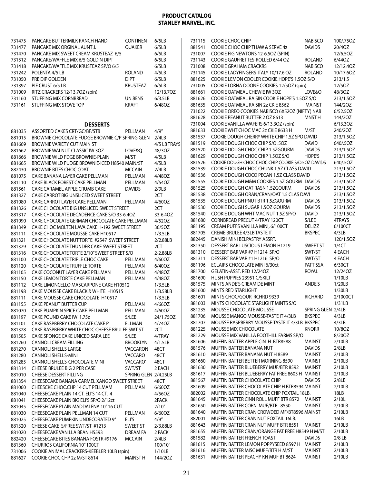| 731475 | PANCAKE BUTTERMILK RANCH HAND                   | <b>CONTINEN</b>      | 6/5LB        | 731115 | COOKIE CHOC CHIP                                  | <b>NABISCO</b>    | 100/.75OZ |
|--------|-------------------------------------------------|----------------------|--------------|--------|---------------------------------------------------|-------------------|-----------|
| 731477 | PANCAKE MIX ORGINAL AUNT J.                     | <b>OUAKER</b>        | 6/5LB        | 881541 | COOKIE CHOC CHIP THAW & SERVE 4z                  | <b>DAVIDS</b>     | 20/4OZ    |
| 731470 | PANCAKE MIX SWEET CREAM KRUSTEAZ 6/5            |                      | 6/5LB        | 731007 | COOKIE FIG NEWTONS 12-6.50Z (SPIN)                |                   | 12/6.50Z  |
| 731512 | PANCAKE/WAFFLE MIX 6/5 GOLD'N DIPT              |                      | 6/5LB        | 731143 | COOKIE GAUFRETTES-ROLLED 6/44 OZ                  | <b>ROLAND</b>     | 6/440Z    |
| 731418 | PANCAKE/WAFFLE MIX KRUSTEAZ SP/O 6/5            |                      | 6/5LB        | 731008 | <b>COOKIE GRAHAM CRACKRS</b>                      | <b>NABISCO</b>    | 12/12.40Z |
| 731242 | POLENTA 4/5 LB                                  | <b>ROLAND</b>        | 4/5LB        | 731145 | COOKIE LADYFINGERS-ITALY 10/17.6 OZ               | <b>ROLAND</b>     | 10/17.6OZ |
| 731050 | PRE DIP GOLDEN                                  | <b>DIPT</b>          | 6/5LB        | 881625 | COOKIE LEMON COOLER COOKIE HOPE'S 1.50Z S/O       |                   | 213/1.5   |
|        |                                                 |                      | 6/5LB        | 731005 |                                                   |                   | 12/50Z    |
| 731397 | PIE CRUST 6/5 LB                                | <b>KRUSTEAZ</b>      |              |        | COOKIE LORNA DOONE COOKIES 12/50Z (spin)          |                   |           |
| 731009 | RITZ CRACKERS 12/13.7OZ (spin)                  |                      | 12/13.70Z    | 881661 | COOKIE OATMEAL CHEWIE IW 3OZ                      | LOVE&Q            | 48/30Z    |
| 731160 | STUFFING MIX CORNBREAD                          | UN.BENS              | 6/3.5LB      | 881626 | COOKIE OATMEAL RAISIN COOKIE HOPE'S 1.50Z S/O     |                   | 213/1.5OZ |
| 731161 | STUFFING MIX STOVE TOP                          | KRAFT                | 6/48OZ       | 881635 | COOKIE OATMEAL RAISIN 2z CKIE 8562                | <b>MAINST</b>     | 144/20Z   |
|        |                                                 |                      |              | 731022 | COOKIE OREO COOKIES NABISCO 6X52OZ (NIFTY) NAB    |                   | 6/52.50Z  |
|        |                                                 |                      |              | 881628 | COOKIE PEANUT BUTTER 2 OZ 8613                    | MNST H            | 144/20Z   |
|        | <b>DESSERTS</b>                                 |                      |              | 731004 | COOKIE VANILLA WAFERS 6/13.30Z (spin)             |                   | 6/13.30Z  |
| 881035 | ASSORTED CAKES CRT/GC/BF/STB                    | PELLMAN              | 4/9''        | 881633 | COOKIE WHT CHOC MAC 2z CKIE 8633 H                | M/ST              | 240/20Z   |
| 881015 | BROWNIE CHOCOLATE FUDGE BROWNIE C/P SPRING GLEN |                      | 2/4LB        | 881537 | COOKIE DOUGH CHERRY WHITE CHIP 1.5Z SPO DAVID     |                   | 213/1.5OZ |
| 881669 | BROWNIE VARIETY CUT MAIN ST                     |                      | 4/5 LB TRAYS | 881519 | COOKIE DOUGH CHOC CHIP S/O .5OZ                   | <b>DAVID</b>      | 640/.5OZ  |
| 881662 | BROWNIE WALNUT CLASSIC IW 30Z                   | LOVE&Q               | 48/30Z       | 881520 | COOKIE DOUGH CHOC CHIP 1.5ZGOURM                  | <b>DAVIDS</b>     | 213/1.5OZ |
| 881666 | BROWNIE WILD FDGE BROWNIE-PLAIN                 | M/ST                 | 4/5LB        | 881629 | COOKIE DOUGH CHOC CHIP 1.50Z S/O                  | <b>HOPE'S</b>     | 213/1.5OZ |
| 881665 | BROWNIE WILD FUDGE BROWNIE-ICED H8540 MAIN/ST   |                      | 4/5LB        | 881526 | COOKIE DOUGH CHOC CHOC CHIP COOKIE S/0.50Z DAVIDS |                   | 640/.5OZ  |
| 882430 | <b>BROWNIE BITES CHOC COAT</b>                  | <b>MCCAIN</b>        | 2/4LB        | 881539 | COOKIE DOUGH CHOC CHUNK 1.5Z CLASS DAVID          |                   | 213/1.5OZ |
|        |                                                 |                      |              | 881536 | COOKIE DOUGH COCO PECAN 1.5Z CLASS DAVID          |                   | 213/1.5OZ |
| 881075 | CAKE BANANA LAYER CAKE PELLMAN                  | PELLMAN              | 4/480Z       | 881555 | COOKIE DOUGH M&M COOKIES 1.5Z GOURM DAVIDS        |                   | 213/1.5OZ |
| 881110 | CAKE BLACK FOREST CAKE PELLMAN                  | PELLMAN              | 4/540Z       |        |                                                   |                   |           |
| 881561 | CAKE CARAMEL APPLE CRUMB CAKE                   | <b>DAVIDS</b>        | 2/9LB        | 881525 | COOKIE DOUGH OAT RASN 1.5ZGOURM                   | <b>DAVIDS</b>     | 213/1.5OZ |
| 881327 | CAKE CARROT BIG UNSLICED SWEET STREET           |                      | 2CT          | 881538 | COOKIE DOUGH ORAN/CRAN/OAT 1.5 CLAS DAVI          |                   | 213/1.5OZ |
| 881080 | CAKE CARROT LAYER CAKE PELLMAN                  | PELLMAN              | 4/60OZ       | 881535 | COOKIE DOUGH PNUT BTR 1.5ZGOURM                   | <b>DAVIDS</b>     | 213/1.5OZ |
| 881326 | CAKE CHOCOLATE BIG UNSLICED SWEET STREET        |                      | 2CT          | 881530 | COOKIE DOUGH SUGAR 1.50Z GOURM                    | <b>DAVIDS</b>     | 213/1.5OZ |
| 881317 | CAKE CHOCOLATE DECADENCE CAKE S/O 33-6.4OZ      |                      | 33-6.40Z     | 881540 | COOKIE DOUGH WHT MAC NUT 1.5Z SP/O                | <b>DAVID</b>      | 213/1.5OZ |
| 881090 | CAKE CHOCOLATE GERMAN CHOCOLATE CAKE PELLMAN    |                      | 4/52OZ       | 881680 | CORNBREAD PRECUT 4/TRAY 120CT                     | S/LEE             | 4TRAYS    |
| 881349 | CAKE CHOC MOLTEN LAVA CAKE H-192 SWEET STREET   |                      | 36/5OZ       | 881195 | CREAM PUFFS VANILLA MINI, 6/100CT                 | <b>DELIZZ</b>     | 6/100CT   |
| 881111 | CAKE CHOCOLATE MOUSSE CAKE H10517               |                      | 1/3.5LB      | 881705 | <b>CREME BRULEE 4/3LB TASTE IT</b>                | <b>BKSPEC</b>     | 4/3LB     |
| 881321 | CAKE CHOCOLATE NUT TORTE #2547 SWEET STREET     |                      | 2/2.88LB     | 882445 | DANISH MINI BELPASTRY ASSRT.                      |                   | 120/1.5OZ |
| 881329 | CAKE CHOCOLATE THUNDER CAKE SWEET STREET        |                      | 2CT          | 881350 | DESSERT BAR LUSCIOUS LEMON H1219                  | <b>SWEET ST</b>   | 1/4CT     |
| 881316 | CAKE CHOCOLATE TORTE 2/10" SWEET STREET S/O     |                      | 2-2.88LB     | 881310 | DESSERT BAR VAR #7 H1214 SP/O                     | SWT/ST            | 4 EACH    |
| 881100 | CAKE CHOCOLATE TRIPLE CHOC CAKE                 | PELLMAN              | 4/60OZ       | 881311 | DESSERT BAR VAR #1 H1216 SP/O                     | SWT/ST            | 4 EACH    |
| 881120 | CAKE CHOCOLATE TRUFFLE TORTE                    | PELLMAN              | 6/40OZ       | 881196 | ECLAIRS CHOCOLATE MINI 6/30ct                     | <b>PATTISSA</b>   | 6/30CT    |
| 881105 |                                                 | PELLMAN              | 4/480Z       | 881700 | GELATIN-ASST. RED 12/24OZ                         | ROYAL             | 12/24OZ   |
|        | CAKE COCONUT LAYER CAKE PELLMAN                 |                      |              | 881690 | HUSH PUPPIES 23951 C/SKILT                        |                   | 1/10LB    |
| 881150 | CAKE LEMON TORTE CAKE PELLMAN                   | PELLMAN              | 4/480Z       | 881575 | MINTS ANDE'S CREAM DE MINT                        | ANDE'S            | 1/20LB    |
| 881112 | CAKE LIMONCELLO MASCARPONE CAKE H10512          |                      | 1/3.5LB      |        |                                                   |                   | 1/30LB    |
| 881198 | CAKE MOUSSE CAKE BLACK & WHITE H10515           |                      | 1/3.58LB     | 881600 | MINTS RED STARLIGHT                               |                   |           |
| 881111 | CAKE MOUSSE CAKE CHOCOLATE H10517               |                      | 1/3.5LB      | 881601 | MINTS CHOC/GOUR RCHRD 9339                        | <b>RICHARD</b>    | 2/1000CT  |
| 881155 | <b>CAKE PEANUT BUTTER CUP</b>                   | PELLMAN              | 4/66OZ       | 881603 | MINTS CHOCOLATE STARLIGHT MINTS S/O               |                   | 1/31LB    |
| 881070 | CAKE PUMPKIN SPICE CAKE-PELLMAN                 | PELLMAN              | 4/60OZ       |        | 881235 MOUSSE CHOCOLATE MOUSSE                    | SPRING GLEN 2/4LB |           |
| 881197 | CAKE POUND CAKE IW 1.75z                        | S/LEE                | 24/1.75OZ    | 881706 | MOUSSE MANGO MOUSSE-TASTE IT 4/3LB                | <b>BKSPEC</b>     | 4/3LB     |
| 881101 | CAKE RASPBERRY CHOCOLATE CAKE P                 | ELLMAN               | 4/740Z       | 881707 | MOUSSE RASPBERRY MOUSSE-TASTE IT 4/3LB BKSPEC     |                   | 4/3LB     |
| 881328 | CAKE RASPBERRY WHITE CHOC CHEESE BRULEE SWT ST  |                      | 2CT          | 881225 | MOUSSE MIX CHOCOLATE                              | <b>KNORR</b>      | 10/80Z    |
| 881505 | CAKE SPONGE CAKE UNICED SARA LEE                | S/LEE                | 4/TRAY       | 881229 | MOUSSE MIX VANILLA FOOTHILL FARMS SP/O            |                   | 8/200Z    |
| 881260 | <b>CANNOLI CREAM FILLING</b>                    | <b>BROOKLYN</b>      | 4/1.5LB      | 881606 | MUFFIN BATTER APPLE CIN H BTR8588                 | <b>MAINST</b>     | 2/10LB    |
| 881270 | <b>CANNOLI SHELLS LARGE</b>                     | <b>VACCARON</b>      | 48CT         | 881576 | MUFFIN BATTER BANANA NUT                          | <b>DAVIDS</b>     | 2/8LB     |
| 881280 | <b>CANNOLI SHELLS-MINI</b>                      | VACCARO              | 48CT         | 881610 | MUFFIN BATTER BANANA NUT H 8589                   | <b>MAINST</b>     | 2/10LB    |
| 881285 | CANNOLI SHELLS-CHOCOLATE MINI                   | VACCARO'             | 48CT         | 881660 | MUFFIN BATTER BETTER MORNING 8590                 | <b>MAINST</b>     | 2/10LB    |
| 881314 | <b>CHEESE BRULEE BIG 2 PER CASE</b>             | SWT/ST               | 2 EACH       | 881630 | MUFFIN BATTER BLUEBERRY MUF/BTR 8592              | MAINST            | 2/10LB    |
| 881010 | <b>CHEESE DESSERT FILLING</b>                   | SPRING GLEN 2/4.25LB |              | 881617 | MUFFIN BATTER BLUEBERRY FAT FREE 8603 H MAINST    |                   | 2/10LB    |
|        |                                                 |                      |              | 881567 | MUFFIN BATTER CHOCOLATE CHIP                      | <b>DAVIDS</b>     | 2/8LB     |
| 881354 | CHEESECAKE BANANA CARMEL XANGO SWEET STREET     |                      | 48CT         | 881609 | MUFFIN BATTER CHOCOLATE CHIP H BTR8594 MAINST     |                   | 2/10LB    |
| 881060 | CHEESCKE CHOC.CHP 14 CUT PELLMAM                | PELLMAN              | 6/60OZ       |        |                                                   |                   |           |
| 881040 | CHEESECAKE PLAIN 14 CT. ELI'S 14 CT. 4          |                      | 4/56OZ       | 882002 | MUFFIN BATTER CHOCOLATE CHIP FOXTAIL 18LB.        |                   | 18LB      |
| 881041 | CHEESECAKE PLAIN BIG ELI'S SP/O 2/12ct          |                      | 2PACK        | 881645 | MUFFIN BATTER CINN ROLL MUFF BTR 8572 MAINST      |                   | 2/10L     |
| 881045 | CHEESECAKE PLAIN MADDALENA 10"16 CUT            |                      | 2/10''       | 881650 | MUFFIN BATTER CORN MUF/BTR 8550                   | <b>MAINST</b>     | 2/10LB    |
| 881030 | CHEESECAKE PLAIN PELLMAN 14 CUT                 | PELLMAN              | 6/60OZ       | 881640 | MUFFIN BATTER CRAN CROWDED MF/BT8596 MAINST       |                   | 2/10LB    |
| 881025 | CHEESECAKE PUMPKIN UNDECORATED 9"               | ELI'S                | 4/9''        | 882001 | MUFFIN BATTER CRAN NUT FOXTAIL 16LB.              |                   | 16LB      |
| 881320 | CHEESE CAKE S/FREE SWT/ST #1213                 | <b>SWEET ST</b>      | 2/3.88LB     | 881643 | MUFFIN BATTER CRAN NUT MUFF BTR 8551              | MAINST            | 2/10LB    |
| 881020 | CHEESECAKE VANILLA BEAN H5593                   | DREAM FA             | 2 PACK       | 881655 | MUFFIN BATTER CRAN/ORANGE FAT FREE H8549 H M/ST   |                   | 2/10LB    |
| 882420 | <b>CHEESECAKE BITES BANANA FOSTR #9176</b>      | <b>MCCAIN</b>        | 2/4LB        | 881582 | MUFFIN BATTER FRENCH TOAST                        | <b>DAVIDS</b>     | $2/8$ LB  |
| 881360 | CHURROS CALIFORNIA 10" 100CT                    |                      | 100/10"      | 881615 | MUFFIN BATTER LEMON POPPYSEED 8597 H MAINST       |                   | 2/10LB    |
| 731006 | COOKIE ANIMAL CRACKERS-KEEBLER 10LB (spin)      |                      | 1/10LB       | 881616 | MUFFIN BATTER MISC MUFF/BTR H M/ST                | <b>MAINST</b>     | 2/10LB    |
| 881627 | COOKIE CHOC CHP 2z M/ST 8614                    | <b>MAINST H</b>      | 144/20Z      | 881631 | MUFFIN BATTER PEACHY KN MUF BT 8624               | <b>MAINST</b>     | 2/10LB    |
|        |                                                 |                      |              |        |                                                   |                   |           |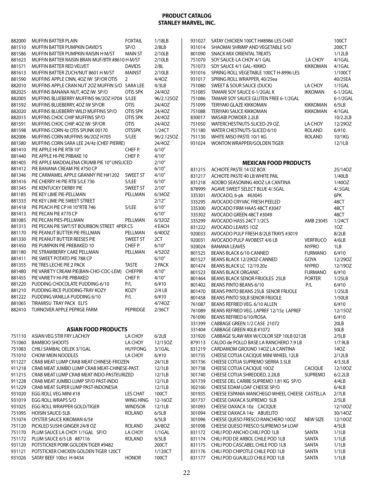| 882000           | MUFFIN BATTER PLAIN                                            | <b>FOXTAIL</b>     | 1/18LB           | 931027 | SATAY CHICKEN 100CT H#8986 LES CHAT                                 |                 | 100CT         |
|------------------|----------------------------------------------------------------|--------------------|------------------|--------|---------------------------------------------------------------------|-----------------|---------------|
| 881510           | MUFFIN BATTER PUMPKIN DAVID'S                                  | SP/O               | 2/8LB            | 931014 | SHAOMAI SHRIMP AND VEGETABLE S/O                                    |                 | 200CT         |
| 881586           | MUFFIN BATTER PUMPKIN RAISIN H M/ST                            | <b>MAIN ST</b>     | 2/10LB           | 801090 | <b>SNACK MIX ORIENTAL TREATS</b>                                    |                 | 1/12LB        |
| 881623           | MUFFIN BATTER RAISIN BRAN MUF/BTR #8610 H M/ST                 |                    | 2/10LB           | 751070 | SOY SAUCE-LA CHOY 4/1 GAL                                           | LA CHOY         | 4/1GAL        |
| 881571           | MUFFIN BATTER RED VELVET                                       | <b>DAVIDS</b>      | 2/8L             | 751073 | SOY SAUCE 4/1 GAL- KIKKO                                            | KIKKOMAN        | 4/1GAL        |
| 881613           | MUFFIN BATTER ZUCH/NUT 8601 H M/ST                             | <b>MAINST</b>      | 2/10LB           | 931016 | SPRING ROLL VEGETABLE 100CT H-8996 LES                              |                 | 1/100CT       |
| 881590           | MUFFINS APPLE CINN, 4OZ IW SP/OR OTIS                          | $\overline{2}$     | 4/40Z            |        | 931017 SPRING ROLL WRAPPER, 40/25ea                                 |                 | 40/25EA       |
| 882010           | MUFFINS APPLE CRAN NUT 2OZ MUFFIN S/O SARA LEE                 |                    | 4/3LB            | 751080 | SWEET & SOUR SAUCE (DUCK)                                           | LA CHOY         | $1/1$ GAL     |
| 882025           | MUFFINS BANANA NUT, 4OZ IW SP/O                                | OTIS SPK           | 24/40Z           | 751085 | TAMARI SOY SAUCE 6-1/2GAL K                                         | <b>IKKOMAN</b>  | 6-1/2GAL      |
| 882005           | MUFFINS BLUEBERRY MUFFINS 96/20Z H704 S/LEE                    |                    | 96/2.1250Z       | 751086 | TAMARI SOY SAUCE GLUTEN FREE 6-1/2GAL                               |                 | 6-1/2GAL      |
| 881592           | MUFFINS BLUEBERRY, 4OZ IW SP/OR                                | <b>OTIS</b>        | 24/40Z           | 751099 | TERIYAKI GLAZE KIKKOMAN                                             | KIKKOMAN        | 6/5LB         |
| 882020           | MUFFINS BLUEBERRY WILD MUFFINS SP/O                            | OTIS SPK           | 24/40Z           | 751088 | TERIYAKI SAUCE KIKKOMAN                                             | <b>KIKKOMAN</b> | 4/1GAL        |
| 882015           | MUFFINS CHOC CHIP MUFFINS SP/O                                 | <b>OTIS SPK</b>    | 24/40Z           | 830017 | WASABI POWDER 2.2LB                                                 |                 | 10/2.2LB      |
| 881591           | MUFFINS CHOC CHIP, 40Z IW SP/OR                                | <b>OTIS</b>        | 24/40Z           | 751050 | WATERCHESTNUTS-SLICED-29 OZ.                                        | LA CHOY         | 12/290Z       |
| 881598           | MUFFINS CORN 4z OTIS SPUNK 00170                               | <b>OTSSPK</b>      | 1/24CT           | 751180 | WATER CHESTNUTS-SLICED 6/10                                         | <b>ROLAND</b>   | 6/#10         |
| 882006           | MUFFINS CORN MUFFINS 96/20Z H705                               | S/LEE              | 96/2.1250Z       | 751130 | WHITE MISO PASTE 10/1 KG                                            | <b>ROLAND</b>   | 10/1KG        |
| 881580           | MUFFINS CORN SARA LEE 24/4z (CHEF PIERRE)                      |                    | 24/40Z           | 931024 | WONTON WRAPPER/GOLDEN TIGER                                         |                 | 12/1LB        |
| 881410           | PIE APPLE HI PIE RTB 10"                                       | CHEF P.            | 6/10''           |        |                                                                     |                 |               |
| 881440           | PIE APPLE HI-PIE PRBAKE 10                                     | CHEF P.            | 4/10''           |        |                                                                     |                 |               |
| 881405           | PIE APPLE MADDALENA CRUMB PIE 10" UNSLICED                     |                    | 2/10''           |        | <b>MEXICAN FOOD PRODUCTS</b>                                        |                 |               |
| 881412           | PIE BANANA CREAM PIE #750 CP                                   |                    | 6/10''           | 831215 | ACHIOTE PASTE 14 OZ BOX                                             |                 | 25/14OZ       |
| 881346           | PIE CARMAMEL APPLE GRANNY PIE H#1202 SWEET ST                  |                    | 4/10''           | 831217 | ACHIOTE PASTE 40 LB WHITE PAIL                                      |                 | 1/40LB        |
| 881416           | PIE CHERRY HI PIE RTB S/LE 736                                 | S/LEE              | 6/10''           | 831218 | ADOBO SEASONING 400Z LA CANTINA                                     |                 | 1/40OZ        |
| 881345           | PIE KENTUCKY DERBY PIE                                         | <b>SWEET ST</b>    | 2/10''           | 878999 | AGAVE SWEET SELECT BLUE 4/.5GAL                                     |                 | 4/.5GAL       |
| 881185           | PIE KEY LIME PIE-PELLMAN                                       | PELLMAN            | 6/340Z           | 335301 | AVOCADO, 6-pk #63045                                                |                 | 6PK           |
| 881333           | PIE KEY LIME PIE SWEET STREET                                  |                    | 2/12"            | 335295 | AVOCADO CRYVAC FRESH PEELED                                         |                 | 48CT          |
| 881418           | PIE PEACH PIE CP HI 10"RTB 746                                 | S/LEE              | 6/10''           | 335300 | AVOCADO FIRM HAAS 48CT #3047                                        |                 | 48CT          |
| 881413           | PIE PECAN PIE #770 CP                                          |                    | 6/10''           | 335302 | AVOCADO GREEN 48CT #3049                                            |                 | 48CT          |
| 881085           | PIE PECAN PIES-PELLMAN                                         | PELLMAN            | 6/32OZ           | 335299 | AVOCADO HASS 24CT 1/2CS                                             | AMB 23045       | 1/24CT        |
| 881315           | PIE PECAN PIE SWT/ST BOURBON STREET 4PER CS                    |                    | 4 EACH           | 831222 | AVOCADO LEAVES 1OZ                                                  |                 | 10Z           |
|                  | 881170 PIE PEANUT BUTTER PIE PELLMAN                           | PELLMAN            | 6/40OZ           | 920033 | AVOCADO PULP FRESH 8/2LB TRAYS #3019                                |                 | 8/2LB         |
| 881330           | PIE PEANUT BUTTER REESES PIE                                   | <b>SWEET ST</b>    | 2CT              | 920031 | AVOCADO PULP AVOBEST 4/6 LB                                         | <b>VERFRUCO</b> | 4/6LB         |
| 881450           | PIE PUMPKIN PIE PREBAKED 10                                    | CHEF P.            | 6/10''           | 920024 | <b>BANANA LEAVES</b>                                                | <b>NYPRO</b>    | 1LB           |
| 881180           | PIE STRAWBERRY CAKE PELLMAN                                    | PELLMAN            | 4/520Z           | 801525 | BEANS BLACK 6/10-CANNED                                             | <b>FURMANO</b>  | 6/#10         |
| 881411           | PIE SWEET POTATO PIE 788 CP                                    |                    | 6/10''           | 801527 | BEANS BLACK 12/290Z-CANNED                                          | GOYA            | 12/290Z       |
| 881355           | PIE TRES LECHE PIE 2 PACK                                      | <b>TASTE</b>       | 2 PACK           | 801474 | BEANS BLACK LC 12/19.20z                                            | <b>NYPRO</b>    | 12/190Z       |
| 881480           | PIE VARIETY CREAM PIE(BAN-CHO-COC-LEM) CHEFPIR                 |                    | 4/10''           | 801523 | <b>BEANS BLACK ORGANIC -</b>                                        | <b>FURMANO</b>  | 6/#10         |
| 881455           | PIE VARIETY HI-PIE PRBAKED                                     | CHEF P.            | 4/10''           | 801464 | <b>BEANS BLACK SENOR FRIJOLES 25LB</b>                              | <b>PORTER</b>   | 1/25LB        |
| 881220<br>881210 | PUDDING CHOCOLATE PUDDING-6/10                                 | P/L<br>KOZY        | 6/#10            | 801402 | BEANS PINTO BEANS-6/10                                              | P/L             | 6/110         |
| 881222           | PUDDING RICE PUDDING-TRAY KOZY<br>PUDDING VANILLA PUDDING 6/10 | P/L                | $2/4$ LB         | 801470 | BEANS PINTO BEANS 25LB SENOR FRIJOLE                                |                 | 1/25LB        |
|                  | 881065 TIRAMISU TRAY PACK ELI'S                                |                    | 6/#10<br>4/740Z  | 801458 | BEANS PINTO 50LB SENOR FRIJOLE                                      |                 | 1/50LB        |
|                  | 882410 TURNOVER APPLE PEPRGE FARM                              | PEPRIDGE           | 2/36CT           | 761087 | BEANS REFRIED VEG. 6/10 ALLEN                                       |                 | 6/#10         |
|                  |                                                                |                    |                  | 761089 | BEANS REFRIED VEG. LAPREF 12/15z LAPREF                             |                 | 12/15OZ       |
|                  |                                                                |                    |                  | 761090 | BEANS REFRIED 6/10/ROSA.                                            |                 | 6/#10         |
|                  |                                                                |                    |                  | 331399 | CABBAGE GREEN 1/2 CASE 21072                                        |                 | 20LB          |
|                  | <b>ASIAN FOOD PRODUCTS</b><br>ASIAN VEG STIR FRY LACHOY        |                    |                  | 331404 | CABBAGE GREEN 40LB #1072<br>CABBAGE SLAW MIX W/COLOR SEP 10LB 02128 |                 | 50LB<br>2/5LB |
| 751110<br>751060 | <b>BAMBOO SHOOTS</b>                                           | LA CHOY<br>LA CHOY | 6/2LB<br>12/15OZ | 331920 | 879113 CALDO de POLLO BASE LA RANCHERO 7.9 LB                       |                 | 1/7.9LB       |
| 751083           | CHILI SAMBAL OELEK 3/1GAL                                      | <b>HUYFONG</b>     | 3/1GAL           | 831219 | CARDAMOM GROUND 140Z LA CANTINA                                     |                 | 140Z          |
|                  | 751010 CHOW MEIN NOODLES                                       | LA CHOY            | 6/110            |        | 301735 CHEESE COTIJA CACIQUE MINI WHEEL 12LB                        |                 | 2/12LB        |
| 911227           | CRAB MEAT LUMP CRAB MEAT CHINESE-FROZEN                        |                    | 24/1LB           | 301736 | CHEESE COTIJA SUPREMO SIERRA 3.5LB                                  |                 | 4/3.5LB       |
|                  | 911218 CRAB MEAT JUMBO LUMP CRAB MEAT-CHINESE-PAST.            |                    | 12/1LB           |        | 301738 CHEESE COTIJA CACIOUE 10OZ                                   | <b>CACIQUE</b>  | 12/10OZ       |
| 911215           | CRAB MEAT LUMP CRAB MEAT INDO-PASTEURIZED                      |                    | 12/1LB           | 301740 | CHEESE COTIJA SHREDDED, 2.2ILB                                      | <b>SUPREMO</b>  | 6/2.2LB       |
| 911228           | CRAB MEAT JUMBO LUMP SP/O PAST-INDO                            |                    | 12/1LB           | 301739 | CHEESE DEL CARIBE SUPREMO 1.81 KG SP/O                              |                 | 4/4LB         |
| 911229           | CRAB MEAT SUPER LUMP PAST-INDONESIA                            |                    | 12/1LB           | 302160 | CHEESE EDAM LOAF CHEESE SP/O                                        |                 | 6/4LB         |
|                  | 931020 EGG ROLL VEG MINI #18                                   | <b>LES CHAT</b>    | 100CT            |        | 301935 CHEESE ESPANIA MANCHEGO WHEEL CHEESE CASTELLA                |                 | 2/7LB         |
| 931019           | EGG ROLL WRAPS S/O                                             | WING HING          | 12-16OZ          |        | 301737 CHEESE OAXACA SUPREMO 5LB                                    |                 | 2/5LB         |
| 931025           | EGG ROLL WRAPPER GOLD/TIGER                                    | <b>WINDSOR</b>     | 12/1LB           | 301093 | CHEESE OAXACA 10z CACIQUE                                           |                 | 12/10OZ       |
| 751095           | HOISIN SAUCE-5LB.                                              | <b>ROLAND</b>      | 6/5LB            | 301094 | CHEESE OAXACA 14z ABUELITO                                          |                 | 30/14OZ       |
|                  | 751074 OYSTER SAUCE KIKOMAN 6/5#                               |                    | 6/5LB            |        | 301096 CHEESE QUESO FRESCO RANCHERO 10OZ                            | <b>NEW SIZE</b> | 12/10OZ       |
|                  | 751120 PICKLED SUSHI GINGER 24/8 OZ                            | <b>ROLAND</b>      | 24/80Z           | 301098 | CHEESE QUESO FRESCO SUPREMO 5# LOAF                                 |                 | 4/5LB         |
|                  | 751170 PLUM SAUCE LA CHOY 1/1GAL SP/O                          | LA CHOY            | $1/1$ GAL        |        | 831172 CHILI POD ANCHO CHILI POD 1LB                                | SANTA           | 1/1LB         |
|                  | 751172 PLUM SAUCE 6/5 LB #87116                                | <b>ROLAND</b>      | 6/5LB            |        | 831174 CHILI POD DE ARBOL CHILE POD 1LB                             | SANTA           | 1/1LB         |
|                  | 931120 POTSTICKER PORK GOLDEN TIGER #9482                      |                    | 200CT            |        | 831175 CHILI POD CASCABEL CHILE POD 1LB                             | SANTA           | 1/1LB         |
| 931121           | POTSTICKER CHICKEN GOLDEN TIGER 120CT                          |                    | 1/120CT          | 831176 | CHILI POD CHIPOTLE CHILE POD 1LB                                    | SANTA           | 1/1LB         |
| 931026           | SATAY BEEF 100ct H-9434                                        | <b>HONOR</b>       | 100CT            | 831177 | CHILI POD GUAJILLO CHILE POD 1LB                                    | SANTA           | 1/1LB         |
|                  |                                                                |                    |                  |        |                                                                     |                 |               |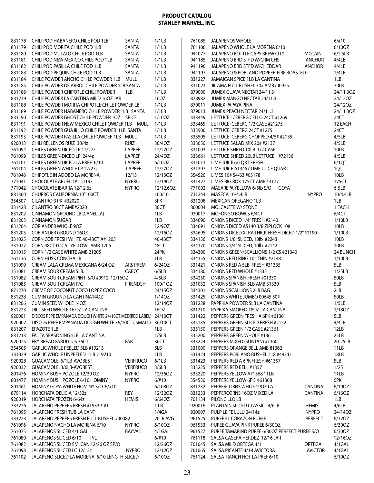| 831178 | CHILI POD HABANERO CHILE POD 1LB                                | SANTA           | 1/1LB     |        | 761085 JALAPENOS WHOLE                               |                 | $6/\#10$  |
|--------|-----------------------------------------------------------------|-----------------|-----------|--------|------------------------------------------------------|-----------------|-----------|
| 831179 | CHILI POD MORITA CHILE POD 1LB                                  | SANTA           | 1/1LB     |        | 761106 JALAPENO WHOLE LA MORENA 6/10                 |                 | 6/10OZ    |
| 831180 | CHILI POD MULATO CHILE POD 1LB                                  | SANTA           | 1/1LB     |        | 941077 JALAPENO BOTTLE CAPS BREW CITY                | <b>MCCAIN</b>   | 6/2.5LB   |
| 831181 | CHILI POD NEW MEXICO CHILE POD 1LB                              | SANTA           | 1/1LB     | 941185 | JALAPENO BRD STFD W/CRM CHS                          | <b>ANCHOR</b>   | 4/4LB     |
| 831182 | CHILI POD PASILLA CHILE POD 1LB                                 | SANTA           | 1/1LB     | 941190 | JALAPENO BRD STFD W/CHEDDAR                          | <b>ANCHOR</b>   | 4/4LB     |
| 831183 | CHILI POD PEQUIN CHILE POD 1LB                                  | SANTA           | 1/1LB     |        | 941197 JALAPENO & POBLANO POPPER-FIRE ROASTED        |                 | 2/4LB     |
| 831184 | CHILE POWDER ANCHO CHILE POWDER 1LB MULL                        |                 | 1/1LB     | 831227 | JAMAICAN SPICE 1LB LA CANTINA                        |                 | 1LB       |
| 831185 | CHILE POWDER DE ARBOL CHILE POWDER 1LB SANTA                    |                 | 1/1LB     | 331023 | JICAMA FULL BUSHEL 30# AMB#00925                     |                 | 30LB      |
| 831186 | CHILE POWDER CHIPOTLE CHILI POWDER                              | 1LB             | 1/1LB     | 879000 | JUMEX GUAVA NECTAR 24/11.3                           |                 | 24/11.3OZ |
| 831239 | CHILE POWDER LA CANTINA MILD 160Z JAR                           |                 | 16OZ      |        | 878982 JUMEX MANGO NECTAR 24/11.3                    |                 | 24/12OZ   |
| 831188 | CHILE POWDER MORITA CHIPOTLE CHILE POWDER LB                    |                 | 1/1LB     | 879011 | JUMEX PAPAYA PINA                                    |                 | 24/12OZ   |
| 831189 | CHILE POWDER HABANERO CHILE POWDER 1LB SANTA                    |                 | 1/1LB     | 879013 | JUMEX PEACH NECTAR 24/11.3                           |                 | 24/11.3OZ |
| 831190 | CHILE POWDER GHOST CHILE POWDER 10Z SPICE                       |                 | 1/10OZ    | 333449 | LETTUCE ICEBERG CELLO 24CT #1269                     |                 | 24CT      |
|        | 831191 CHILE POWDER NEW MEXICO CHILE POWDER 1LB MULL            |                 | 1/1LB     | 333465 | LETTUCE ICEBERG 1/2 CASE #21275                      |                 | 12 EACH   |
| 831192 | CHILE POWDER GUAJILLO CHILE POWDER 1LB SANTA                    |                 | 1/1LB     | 333500 | LETTUCE ICEBERG 24CT #1275                           |                 | 24CT      |
| 831193 | CHILE POWDER PASILLA CHILE POWDER 1LB MULL                      |                 | 1/1LB     | 333505 | LETTUCE ICEBERG CHOPPED 4/5# #2135                   |                 | 4/5LB     |
| 920013 | CHILI RELLENOS RUIZ 30/4z                                       | RUIZ            | 30/40Z    | 333650 | LETTUCE SALAD MIX 20# #2137                          |                 | 4/5LB     |
| 761094 | CHILES GREEN DICED LP 12/27z                                    | LAPREF          | 12/270Z   | 331003 | LETTUCE SHRED 10LB 1/2 CASE                          |                 | 10LB      |
| 761099 | CHILES GREEN DICED LP 24/4z                                     | LAPREF          | 24/40Z    | 333661 | LETTUCE SHRED 20LB LETTUCE #72136                    |                 | 4/5LB     |
| 761101 | CHILES GREEN DICED LA PREF 6/10                                 | LAPREF          | 6/10OZ    | 331013 | LIME JUICE 6/1QRT FRESH                              |                 | 6/1QT     |
| 761104 | CHILES GREEN WHOLE LP 12/27z                                    | LAPREF          | 12/270Z   | 331397 | LIME JUICE A13457 LIME JUICE QUART                   |                 | 1QT       |
| 761046 | CHIPOTLE IN ADOBO LA MORENA                                     | 12/13           | 12/13OZ   | 354520 | LIMES 10# 54/63 #03178                               |                 | 10LB      |
| 771041 | CHOCOLATE ABUELITA 12/19z                                       | <b>NYPRO</b>    | 12/190Z   | 331427 | LIMES BIG BOX 175CT AMB #3177                        |                 | 175CT     |
| 771042 | CHOCOLATE IBARRA 12/12.6z                                       | <b>NYPRO</b>    | 12/12.6OZ | 771002 | MASAREPA YELLOW 6/5lb S/O<br>GOYA                    |                 | $6-5LB$   |
| 881360 | CHURROS CALIFORNIA 10"100CT                                     |                 | 100/10    | 731244 | MASECA 10/4.4LB                                      | <b>NYPRO</b>    | 10/4.4LB  |
| 354507 | <b>CILANTRO 3 PK #32020</b>                                     |                 | 3PK       | 831208 | MEXICAN OREGANO 1LB                                  |                 | 1LB       |
| 331428 | CILANTRO 30CT AMB#2020                                          |                 | 30CT      | 860004 | <b>MOLCAJETE W/ STONE</b>                            |                 | 1 EACH    |
| 831202 | CINNAMON GROUND LB (CANELLA)                                    |                 | 1LB       | 920017 | MOFONGO BOWLS 6/4CT                                  |                 | 6/4CT     |
| 831203 | <b>CINNAMON SUGAR</b>                                           |                 | 1LB       | 334690 | ONIONS DICED 1/4" FRESH #2140                        |                 | 1/10LB    |
| 831204 | <b>CORIANDER WHOLE 9OZ</b>                                      |                 | 12/90Z    | 334691 | ONIONS DICED A5140 3/8 ZIPLOCK 10#                   |                 | 10LB      |
| 831205 | <b>CORIANDER GROUND 160Z</b>                                    |                 | 12/16OZ   | 334695 | ONIONS DICED XTRA THICK FRESH DICED 1/2" #2190       |                 | 1/10LB    |
| 331025 | CORN COB FRESH WHITE 40-48CT A#1205                             |                 | 40-48CT   | 334156 | ONIONS 1/8" SLICED, 10lb #2243                       |                 | 10LB      |
| 331027 | CORN 48CT LOCAL YELLOW AMB 1206                                 |                 | 48CT      | 334170 | ONIONS 1/4" SLICED, 10lb #2142                       |                 | 10LB      |
| 331015 | CORN 1/2 CASE WHITE AMB 21205                                   |                 | 24PK      | 334300 | ONIONS GREEN/SCALLIONS 1/2 CS #21340                 |                 | 24 BUNCH  |
| 761136 | <b>CORN HUSK CONCHA LB</b>                                      |                 | 1LB       | 334155 | ONIONS RED RING 10# THIN #2148                       |                 | 1/10LB    |
| 151090 | CREAM LALA CREMA MEXICANA 6/24 OZ                               | ARS PREM        | 6/240Z    | 331421 | ONIONS RED A 5LB FRESH #31335                        |                 | 5LB       |
| 151081 | CREAM SOUR CREAM 5LB.                                           | CABOT           | 6/5LB     | 334180 | ONIONS RED WHOLE #1335                               |                 | 1/25LB    |
| 151082 | CREAM SOUR CREAM-PINT S/O #0912 12/16OZ                         |                 | 4/5LB     | 334250 | ONIONS SPANISH FRESH #01330                          |                 | 50LB      |
| 151085 | CREAM SOUR CREAM P/C                                            | <b>FRIENDSH</b> | 100/1OZ   | 331032 | ONIONS SPANISH 5LB AMB 31330                         |                 | 5LB       |
| 871270 | CREME OF COCONUT COCO LOPEZ COCO                                |                 | 24/15OZ   | 334301 | ONIONS SCALLIONS 2LB BAG                             |                 | 2LB       |
| 831238 | CUMIN GROUND LA CANTINA14OZ                                     |                 | 1/140Z    | 331425 | ONIONS WHITE JUMBO 00645 50#                         |                 | 50LB      |
|        | 831206 CUMIN SEED WHOLE 14OZ                                    |                 | 12/14OZ   | 831228 | PAPRIKA POWDER 5LB LA CANTINA                        |                 | 1/5LB     |
|        | 831223 DILL SEED WHOLE 16 OZ LA CANTINA                         |                 | 16OZ      | 831210 | PAPRIKA SMOKED 180Z LA CANTINA                       |                 | 1/180Z    |
| 920001 | DISCOS PEPE EMPANADA DOUGH WHITE 24/10CT MED(RED LABEL) 24/10CT |                 |           |        | 331422 PEPPERS GREEN FRESH A 6PK #61361              |                 | 5LB       |
| 920002 | DISCOS PEPE EMPANADA DOUGH WHITE 36/10CT (SMALL) 36/10CT        |                 |           | 335135 | PEPPERS GREEN SLICED FRESH #2152                     |                 | 4/4LB     |
| 831207 | EPAZOTE 1LB                                                     |                 | 1LB       | 335150 | PEPPERS GREEN 1/2 CASE #21361                        |                 | 12LB      |
| 831213 | FAJITA SEASONING 5LB LA CANTINA                                 |                 | 1/5LB     | 335200 | PEPPERS GREEN WHOLE #1361                            |                 | 25LB      |
| 920025 | FRY BREAD FABULOUS 36CT                                         | FAB             | 36CT      | 333224 | PEPPERS MIXED (SUNTAN) #1360                         |                 | 20-25LB   |
| 354505 | GARLIC WHOLE PEELED 5LB #19213                                  |                 | 5LB       | 331000 | PEPPERS ORANGE BELL AMB 81362                        |                 | 11LB      |
| 331029 | GARLIC WHOLE UNPEELED 1LB #19210                                |                 | 1LB       | 331424 | PEPPERS POBLANO BUSHEL #18 #49343                    |                 | 18LB      |
| 920028 | GUACAMOLE, 6/1LB-AVOBEST                                        | <b>VERFRUCO</b> | 6/1LB     | 331423 | PEPPERS RED A 6PK FRESH #61357                       |                 | 5LB       |
| 920032 | GUACAMOLE, 3/6LB-AVOBEST                                        | <b>VERFRUCO</b> | 3/6LB     | 333225 | PEPPERS RED BELL #1357                               |                 | 1/25      |
| 801476 | HOMINY BUSH POZOLE 12/30 OZ                                     | <b>NYPRO</b>    | 12/36OZ   | 333220 | PEPPERS YELLOW A#1368 11LB                           |                 | 11LB      |
| 801477 | HOMINY BUSH POZOLE 6/10 HOMINY                                  | <b>NYPRO</b>    | 6/#10     | 354530 | PEPPERS YELLOW 6PK #61368                            |                 | 6PK       |
| 801461 | HOMINY GOYA WHITE HOMINY S/O 6/#10                              |                 | 6/108OZ   | 831232 | PEPPERCORNS WHITE 190Z LA                            | <b>CANTINA</b>  | 6/190Z    |
| 879114 | HORCHATA DELICIA 12/32z                                         | rey             | 12/32OZ   | 831233 | PEPPERCORNS 16OZ MIXED LA                            | <b>CANTINA</b>  | 6/16OZ    |
| 920019 | HORCHATA FROZEN 6/64z                                           | <b>HEMIS</b>    | 6/640Z    | 761134 | PILONCILLO LB                                        |                 | 1LB       |
| 333226 | JALAPENO PEPPERS FRESH #19339 #1                                |                 | 1 LB      | 920016 | PLANTAIN SLICED CLASSIC 4/6LB                        | <b>HEMIS</b>    | 4/6LB     |
| 761095 | JALAPENO FRESH TUB LA CANT                                      |                 | 1/4GA     | 920007 | PULP LE FE LULU 24/14z                               | <b>NYPRO</b>    | 24/14OZ   |
| 333223 | JALAPENO PEPPERS FRESH FULL BUSHEL #00082                       |                 | 20LB AVG  | 961525 | PUREE EL CORAZON PUREE                               | <b>PERFECT</b>  | 6/320Z    |
| 761096 | JALAPENO NACHO LA MORENA 6/10                                   | <b>NYPRO</b>    | 6/10OZ    | 961533 | PUREE GUAVA PINK PUREE 6/30OZ                        |                 | 6/30OZ    |
| 761075 | JALAPENOS SLICED 4/1 GAL                                        | BAYVAL          | 4/1GAL    |        | 961527 PUREE TAMARIND PUREE 6/300Z PERFECT PUREE S/O |                 | 6/30OZ    |
| 761080 | JALAPENOS SLICED 6/10 P/L                                       |                 | 6/110     | 761118 | SALSA CASERA HERDEZ 12/16 JAR                        |                 | 12/16OZ   |
|        | 761082 JALAPENOS SLICED SM. CAN 12/26 OZ SP/O                   |                 | 12/26OZ   | 761045 | SALSA MILD ORTEGA 4/1                                | ORTEGA          | 4/1GAL    |
|        | 761098 JALAPENOS SLICED LC 12/12z                               | <b>NYPRO</b>    | 12/12OZ   |        | 761065 SALSA PICANTE 4/1-LAVICTORA                   | <b>LAVICTOR</b> | 4/1GAL    |
|        | 761102 JALAPENO SLICED LA MORENA 6/10 LENGTH SLICED             |                 | 6/10OZ    |        | 761124 SALSA RANCH HOT LA PREF 6/10                  |                 | 6/10OZ    |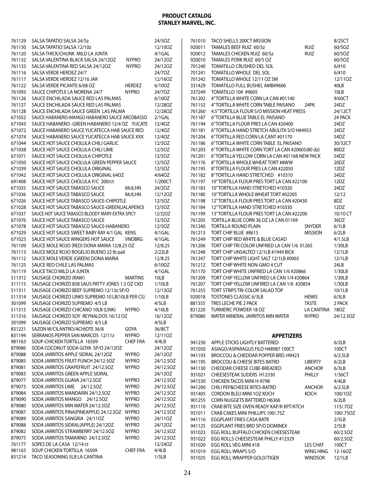| 761129           | SALSA TAPATIO SALSA 24/5z                                    |                 | 24/50Z         |                  | 761010 TACO SHELLS 200CT MISSION                       |                                    | 8/25CT            |
|------------------|--------------------------------------------------------------|-----------------|----------------|------------------|--------------------------------------------------------|------------------------------------|-------------------|
| 761130           | SALSA TAPATIO SALSA 12/10z                                   |                 | 12/10OZ        | 920011           | TAMALES BEEF RUIZ 60/5z                                | <b>RUIZ</b>                        | 60/5OZ            |
| 761120           | SALSA THICK/CHUNK MILD LA JUNTA                              |                 | 4/1GAL         | 920012           | TAMALES CHICKEN RUIZ 60/5z                             | <b>RUIZ</b>                        | 60/5OZ            |
| 761132           | SALSA VALENTINA BLACK SALSA 24/12OZ                          | <b>NYPRO</b>    | 24/12OZ        | 920010           | TAMALES PORK RUIZ 60/5 OZ                              |                                    | 60/5OZ            |
|                  |                                                              | <b>NYPRO</b>    |                | 701240           | TOMATILLO CRUSHED DEL SOL                              |                                    |                   |
| 761133           | SALSA VALENTINA RED SALSA 24/12OZ                            |                 | 24/12OZ        |                  |                                                        |                                    | $6/\#10$          |
| 761116           | SALSA VERDE HERDEZ 24/7                                      |                 | 24/70Z         | 701241           | TOMATILLO WHOLE DEL SOL                                |                                    | 6/#10             |
| 761117           | SALSA VERDE HERDEZ 12/16 JAR                                 |                 | 12/16OZ        | 701242           | TOMATILLO WHOLE 12/11 OZ SM                            |                                    | 12/11OZ           |
| 761122           | SALSA VERDE PICANTE 6/68 OZ                                  | <b>HERDEZ</b>   | 6/10OZ         | 331429           | TOMATILLO FULL BUSHEL AMB#9606                         |                                    | 40LB              |
| 761093           | SAUCE CHIPOTLE LA MORENA 24/7                                | <b>NYPRO</b>    | 24/70Z         | 337249           | TOMATILLO 10# #9605                                    |                                    | 10LB              |
| 761126           | SAUCE ENCHILADA SAUCE RED LAS PALMAS                         |                 | 6/10OZ         | 761202           | 4"TORTILLA WHITE CORN LA CAN #01140                    |                                    | 9/60CT            |
| 761127           | SAUCE ENCHILADA SAUCE RED LAS PALMAS                         |                 | 12/280Z        |                  | 761152 4"TORTILLA WHITE CORN TABLE PAISANO             | 24PK                               | 24DZ              |
| 761128           | SAUCE ENCHILADA SAUCE GREEN LAS PALMA                        |                 | 12/280Z        | 761260           | 4.5" TORTILLA FLOUR S/O MISSION HEAT PRESS             |                                    | 24/12CT           |
| 671052           | SAUCE HABANERO-MANGO HABANERO SAUCE ARCOBASSO                |                 | $2/1$ GAL      |                  | 761187 6"TORTILLA BLUE TABLE EL PAISANO                |                                    | 24 PACK           |
| 671043           | SAUCE HABANERO - GREEN HABANERO 12/4 OZ YUCATE               |                 | 12/40Z         | 761194           | 6"TORTILLA FLOUR PRES LA CAN #20400                    |                                    | 24DZ              |
| 671072           | SAUCE HABANERO SAUCE YUCATECCA HAB SAUCE RED                 |                 | 12/40Z         |                  | 761181 6"TORTILLA HAND STRETCH ABULITA S/O H#4953      |                                    | 24DZ              |
| 671074           | SAUCE HABANERO SAUCE YUCATECCA HAB SAUCE XXX                 |                 | 12/40Z         | 761204           | 6"TORTILLA RED CORN LA CANT #01170                     |                                    | 54DZ              |
| 671044           | SAUCE HOT SAUCE CHOLULA CHILI GARLIC                         |                 | 12/50Z         |                  | 761186 6"TORTILLA WHITE CORN TABLE EL PAISANO          |                                    | 30/32CT           |
| 671038           | SAUCE HOT SAUCE CHOLULA CHILI LIME                           |                 | 12/50Z         |                  | 761203 6"TORTILLA WHITE CORN TORT LA CAN #20605(80 dz) |                                    | 80DZ              |
| 671071           | SAUCE HOT SAUCE CHOLULA CHIPOTLE                             |                 | 12/50Z         |                  | 761201 6"TORTILLA YELLOW CORN LA CAN #01168 NEW PACK   |                                    | 54DZ              |
| 671050           | SAUCE HOT SAUCE CHOLULA GREEN PEPPER SAUCE                   |                 | 12/50Z         |                  | 761176 8"TORTILLA WHOLE WHEAT TORT #8WW                |                                    | 20DZ              |
| 671039           | SAUCE HOT SAUCE CHOLULA ORIGINAL                             |                 | 12/5OZ         |                  | 761195 8"TORTILLA FLOUR PRES LA CAN #22050             |                                    | 12DZ              |
| 671042           | SAUCE HOT SAUCE CHOLULA ORIGINAL 64OZ                        |                 | 4/640Z         |                  | 761182 8"TORTILLA HAND STRETCHED #10310                |                                    | 24DZ              |
| 691408           | SAUCE HOT SAUCE CHOLULA P/C 200/ct                           |                 | 1/200CT        |                  | 761197 10"TORTILLA FLOUR PRES TORT LA CAN #22100       |                                    | 12DZ              |
|                  |                                                              |                 |                |                  |                                                        |                                    |                   |
| 671035           | SAUCE HOT SAUCE TABASCO SAUCE                                | <b>McILHN</b>   | 24/20Z         | 761183           | 10"TORTILLA HAND STRETCHED #10320                      |                                    | 24DZ              |
| 671036           | SAUCE HOT SAUCE TABASCO SAUCE                                | <b>McILHN</b>   | 12/120Z        | 761180           | 10"TORTILLA WHOLE WHEAT TORT #02205                    |                                    | 12/12             |
| 671026           | SAUCE HOT SAUCE TABASCO SAUCE-CHIPOTLE                       |                 | 12/50Z         |                  | 761198 12" TORTILLA FLOUR PRES TORT LA CAN #20430      |                                    | 8DZ               |
| 671028           | SAUCE HOT SAUCE TABASCO SAUCE-GREEN(JALAPENO)                |                 | 12/50Z         | 761184           | 12"TORTILLA HAND STRETCHED #10330                      |                                    | 12DZ              |
| 671037           | SAUCE HOT SAUCE TABASCO BLOODY MARY-EXTRA SPICY              |                 | 12/320Z        |                  | 761199 13" TORTILLA FLOUR PRES TORT LA CAN #22200      |                                    | 10/10 CT          |
| 671076           | SAUCE HOT SAUCE TABASCO SAUCE                                |                 | 12/50Z         |                  | 761205 TORTILLA BLUE CORN 36 DZ LA CAN 01169           |                                    | 36DZ              |
| 671078           | SAUCE HOT SAUCE TABASCO SAUCE-HABANERO                       |                 | 12/50Z         |                  | 761240 TORTILLA ROUND PLAIN                            | SNYDER                             | 6/1LB             |
| 671029           | SAUCE HOT SAUCE SWEET BABY RAY 4/1 GAL KENS                  |                 | 4/1GAL         | 761213           | TORT CHIP BLUE #8615                                   | <b>MISSION</b>                     | 6/2LB             |
| 671025           | SAUCE HOT SAUCE WINGERS HOT SAUCE                            | <b>VNDBRG</b>   | $4/1$ GAL      | 761249           | TORT CHIP RED WHITE & BLUE CASAD                       |                                    | 4/1.5LB           |
| 761109           | SAUCE MOLE ROJO (RED) DONA MARIA 12/8.25 OZ                  |                 | 12/8.25        |                  | 761206 TORT CHIP TRI COLOR UNFRIED LA CAN 1/6 01265    |                                    | 1/30LB            |
| 761113           | SAUCE MOLE ROJO ROGELIO BUENO 22 lb pail                     |                 | 2/22LB         |                  | 761248 TORT CHIP UNSALTED 12/1LB #1949 BICK            |                                    | 12/1LB            |
| 761112           | SAUCE MOLE VERDE (GREEN) DONA MARIA                          |                 | 12/8.25        |                  | 761247 TORT CHIP WHITE LIGHT SALT 12/1LB #0065         |                                    | 12/1LB            |
| 761125           | SAUCE RED CHILE LAS PALMAS                                   |                 | 6/10OZ         |                  | 761212 TORT CHIP WHITE NON-GMO 4 CUT                   |                                    | 24LB              |
| 761119           | SAUCE TACO MILD LA JUNTA                                     |                 | 4/1GAL         |                  | 761170 TORT CHIP WHITE UNFRIED LA CAN 1/6 #20866       |                                    | 1/30LB            |
| 511312           | SAUSAGE CHORIZO (RAW)                                        | <b>MARTINS</b>  | 10LB           |                  | 761209 TORT CHIP YELLOW UNFRIED LA CAN 1/4 #20864      |                                    | 1/30LB            |
| 511115           | SAUSAGE CHORIZO 858 SAUS PATTY JONES 1.5 OZ CKD              |                 | 1/10LB         |                  | 761207 TORT CHIP YELLOW UNFIRED LA CAN 1/6 #20854      |                                    | 1/30LB            |
| 511311           | SAUSAGE CHORIZO BEEF SUPREMO 12/13z SP/O                     |                 | 12/13OZ        |                  | 761255 TORT STRIPS TRI-COLOR SALAD TOP                 |                                    | 10/1LB            |
| 511314           | SAUSAGE CHORIZO LINKS SUPREMO 10 LB(10LB PER CS)             |                 | 1/10LB         |                  | 920018 TOSTONES CLASSIC 6/3LB                          | <b>HEMIS</b>                       | 6/3LB             |
| 301099           | SAUSAGE CHORIZO SUPREMO 4/5 LB                               |                 | 4/5LB          |                  | 881355 TRES LECHE PIE 2 PACK                           | <b>TASTE</b>                       | 2 PACK            |
|                  | 511315 SAUSAGE CHORIZO CHICANO 10LB (LINK)                   | <b>NYPRO</b>    | 4/10LB         |                  | 831220 TURMERIC POWDER 18 OZ                           | LA CANTINA 18OZ                    |                   |
|                  | SAUSAGE CHORIZO SOY REYNALDOS 16/12 OZ                       |                 | 16/120Z        | 879080           | WATER MINERAL JARRITOS MIN WATER                       | <b>NYPRO</b>                       | 24/12.5OZ         |
| 511316           |                                                              |                 |                |                  |                                                        |                                    |                   |
| 301099           | SAUSAGE CHORIZO SUPREMO 4/5 LB                               |                 | 4/5LB          |                  |                                                        |                                    |                   |
| 831221           | SAZON W/CILANTRO/ACHIOTE 36/8                                | GOYA            | 36/8CT         |                  |                                                        |                                    |                   |
| 831194           | SERRANOS PEPPER SAN MARCOS 12/11z                            | <b>NYPRO</b>    | 12/110Z        |                  | <b>APPETIZERS</b>                                      |                                    |                   |
| 981163           | SOUP-CHICKEN TORTILLA 16509                                  | <b>CHEF FRA</b> | 4/4LB          | 941230           | APPLE STICKS LIGHTLY BATTERED                          |                                    | 6/2LB             |
| 879086           | SODA COCONUT SODA GOYA SP/O 24/12OZ                          |                 | 24/12OZ        | 931050           | ASIAGO/ASPARAGUS FILO H#8987 100CT                     |                                    | 100CT             |
| 879088           | SODA JARRITOS APPLE SIDRAL 24/12OZ                           | <b>NYPRO</b>    | 24/12OZ        | 941193           | BROCCOLI & CHEDDAR POPPER BRD. H9423                   |                                    | 6/2.5LB           |
| 879085           | SODA JARRITOS FRUIT PUNCH 24/12.5OZ                          | <b>NYPRO</b>    | 24/12.5OZ      | 941195           | <b>BROCCOLI &amp; CHEESE BITES BATRD</b>               | <b>LIBERTY</b>                     | 6/2LB             |
| 879081           | SODA JARRITOS GRAPEFRUIT 24/12.50Z                           | <b>NYPRO</b>    | 24/12.5OZ      | 941130           | CHEDDAR CHEESE CUBE-BREADED                            | <b>ANCHOR</b>                      | 6/3LB             |
| 879083           | SODA JARRITOS GREEN APPLE SIDRAL                             |                 | 24/12OZ        | 931021           | CHEESESTEAK SLIDERS H12330                             | PHILLY                             | 1/36CT            |
| 879077           | SODA JARRITOS GUAVA 24/12.5OZ                                | <b>NYPRO</b>    | 24/12.5OZ      | 941530           | CHICKEN TACOS MINI H-9798                              |                                    | 4/4LB             |
| 879073           | SODA JARRITOS LIME 24/12.50Z                                 | <b>NYPRO</b>    | 24/12.5OZ      | 941200           | CHILI PEP&CHEESE BITES-BATRD                           | <b>ANCHOR</b>                      | 6/2.5LB           |
| 879084           | SODA JARRITOS MANDARIN 24/12.50Z                             | <b>NYPRO</b>    | 24/12.50Z      | 931405           | CORDON BLEU MINI 10Z KOCH                              | KOCH                               | 100/1OZ           |
| 879090           | SODA JARRITOS MANGO 24/12.50Z                                | <b>NYPRO</b>    | 24/12.5OZ      | 901255           | CORN NUGGETS BATTERED H6366                            |                                    | 6/2LB             |
| 879080           | SODA JARRITOS MIN WATER 24/12.5OZ                            | <b>NYPRO</b>    | 24/12.5OZ      | 931110           | CRAB BITE SIZE OVEN READY KAP/K KPT/KTCH               |                                    | 115/.70Z          |
| 879087           | SODA JARRITOS PINA(PINEAPPLE) 24.12.5OZ                      | <b>NYPRO</b>    | 24/12.5OZ      | 931011           | CRAB CAKES MINI PHILLIPS 100/.75Z                      |                                    | 100/.75OZ         |
| 879089           | SODA JARRITOS SANGRIA 24/110Z                                | <b>NYPRO</b>    | 24/110Z        | 941116           | <b>EGGPLANT FRIES CASA BATR</b>                        |                                    | 2/5LB             |
| 879088           | SODA JARRITOS SIDRAL(APPLE) 24/12OZ                          | <b>NYPRO</b>    | 24/12OZ        | 941125           | EGGPLANT FRIES BRD SP/O DOMINEX                        |                                    | 2/5LB             |
| 879082           | SODA JARRITOS STRAWBERRY 24/12.50Z                           | <b>NYPRO</b>    | 24/12.5OZ      | 931023           | EGG ROLL BUFFALO CHICKEN CHEESESTEAK                   |                                    | 60/2.50Z          |
|                  |                                                              |                 |                |                  |                                                        |                                    | 60/2.5OZ          |
|                  |                                                              |                 |                |                  |                                                        |                                    |                   |
| 879075           | SODA JARRITOS TAMARIND 24/12.50Z                             | <b>NYPRO</b>    | 24/12.5OZ      | 931022           | EGG ROLLS CHEESESTEAK PHILLY #12329                    |                                    |                   |
| 761177           | SOPES DE LA CASA 12/14 ct                                    |                 | 12/24OZ        | 931020           | EGG ROLL VEG MINI #18                                  | LES CHAT                           | 100CT             |
| 981163<br>831214 | SOUP CHICKEN TORTILLA 16509<br>TACO SEASONING 5LB LA CANTINA | <b>CHEF FRA</b> | 4/4LB<br>1/5LB | 931019<br>931025 | EGG ROLL WRAPS S/O<br>EGG ROLL WRAPPER GOLD/TIGER      | <b>WING HING</b><br><b>WINDSOR</b> | 12-16OZ<br>12/1LB |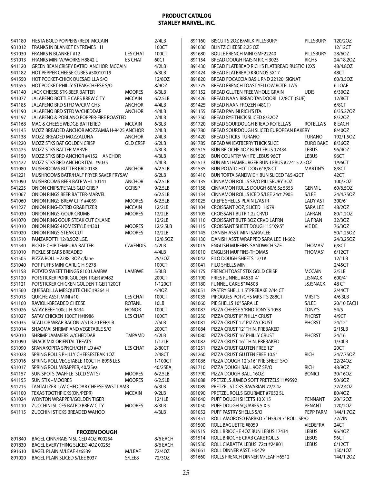|                  | 941180 FIESTA BOLD POPPERS (RED) MCCAIN                         |                                | 2/4LB           | 891160           | BISCUITS 20Z B/MILK-PILLSBURY                               | PILLSBURY           | 120/2OZ            |
|------------------|-----------------------------------------------------------------|--------------------------------|-----------------|------------------|-------------------------------------------------------------|---------------------|--------------------|
| 931012           | FRANKS IN BLANKET ENTREMES H                                    |                                | 100CT           | 891030           | BLINTZ CHEESE 2.25 OZ                                       |                     | 12/12CT            |
| 931030           | <b>FRANKS N BLANKET #12</b>                                     | <b>LES CHAT</b>                | 100CT           | 891680           | BOULE FRENCH MINI GMF22240                                  | PILLSBURY           | 28/6OZ             |
| 931013           | FRANKS MINI W/WORKS H8842 L                                     | <b>ES CHAT</b>                 | 60CT            | 891154           | BREAD DOUGH RAISIN RICH 3025                                | <b>RICHS</b>        | 24/18.20Z          |
| 941120           | GREEN BEAN CRISPY BATRD ANCHOR MCCAIN                           |                                | 4/2LB           | 891430           | BREAD FLATBREAD RICH'S FLATBREAD RUSTIC 12X5                |                     | 48/4.80Z           |
| 941182           | HOT PEPPER CHEESE CUBES #50010119                               |                                | 6/3LB           | 891424           | BREAD FLATBREAD KRONOS 5X17                                 |                     | 48CT               |
| 941550           | HOT POCKET-CHICK OUESADILLA S/O                                 |                                | 12/80Z          | 891820           | BREAD FOCACCIA BASIL RND 22120 SIGNAT                       |                     | 60/3.5OZ           |
| 941555           | HOT POCKET-PHILLY STEAK/CHEESE S/O                              |                                | 8/90Z           | 891775           | BREAD FRENCH TOAST YELLOW ROTELLA'S                         |                     | 6 LOAF             |
| 941140           | JACK CHEESE STK-BEER BATTER                                     | <b>MOORES</b>                  | 6/3LB           | 891152           | BREAD GLUTEN FREE WHOLE GRAIN                               | <b>UDIS</b>         | 6/30OZ             |
| 941077           | JALAPENO BOTTLE CAPS BREW CITY                                  | <b>MCCAIN</b>                  | 6/2.5LB         | 891426           | BREAD NAAN BREAD TANDOORI 12/8CT (SUE)                      |                     | 12/8CT             |
| 941185           | JALAPENO BRD STFD W/CRM CHS<br>JALAPENO BRD STFD W/CHEDDAR      | <b>ANCHOR</b><br><b>ANCHOR</b> | 4/4LB           | 891425<br>891155 | BREAD NAAN FROZEN (48CT)<br><b>BREAD PANINI RICH'S ITA.</b> |                     | 6/8CT<br>6/35.27OZ |
| 941190<br>941197 | JALAPENO & POBLANO POPPER-FIRE ROASTED                          |                                | 4/4LB<br>2/4LB  | 891750           | BREAD RYE THICK SLICED 8/32OZ                               |                     | 8/320Z             |
| 941168           | MAC & CHEESE WEDGE-BATTERED                                     | <b>MCCAIN</b>                  | 6/3LB           | 891720           | BREAD SOURDOUGH BREAD ROTELLA'S                             | ROTELLA'S           | 8 EACH             |
| 941145           | MOZZ BREADED ANCHOR MOZZAMIA H-9425 ANCHOR                      |                                | 2/4LB           | 891780           | BREAD SOURDOUGH SLICED EUROPEAN BAKERY                      |                     | 8/40OZ             |
| 941138           | MOZZ BREADED MOZZALUNA                                          | ANCHOR                         | 2/4LB           | 891420           | <b>BREAD STICKS TURANO</b>                                  | <b>TURANO</b>       | 192/1.5OZ          |
| 941220           | MOZZ STKS BAT GOLDEN CRISP                                      | <b>GLD CRSP</b>                | 6/2LB           | 891785           | <b>BREAD WHEATBERRY THICK SLICE</b>                         | <b>EURO BAKE</b>    | 8/36OZ             |
| 941425           | <b>MOZZ STKS BATTER MARVEL</b>                                  |                                | 4/3LB           | 891515           | BUN BRIOCHE 4OZ BUN LEBUS 17434                             | LEBUS               | 96/40Z             |
| 941150           | MOZZ STKS BRD ANCHOR #4152 ANCHOR                               |                                | 4/3LB           | 891520           | BUN COUNTRY WHITE LEBUS 96CT                                | <b>LEBUS</b>        | 96CT               |
| 941422           | MOZZ STKS BRD ANCHOR ITAL #9035                                 |                                | 4/4LB           | 891513           | BUN MINI HAMBURGER BUN-LEBUS #27415 2.5OZ                   |                     | 1/96CT             |
| 941080           | MUSHROOMS BUTTER BRD 0138                                       | <b>ANCHOR</b>                  | 6/2.5LB         | 891535           | BUN POTATO HOT DOG 6"8/8 CT                                 | <b>MARTIN'S</b>     | 8/8CT              |
| 941221           | MUSHROOMS BATR/HALF FRYER SAVER FRYSAV                          |                                | 6/2LB           | 891410           | BUN TORTA SANDWICH BUN SLICED T&S 42CT                      |                     | 42CT               |
| 941090           | MUSHROOMS BEER BATR WHL 10141                                   | <b>ANCHOR</b>                  | 6/2.5LB         | 891135           | CINNAMON ROLLS SP/O PILLSBURY 30Z                           |                     | 100/3OZ            |
| 941225           | ONION CHIPS/PETALS GLD CRISP                                    | <b>GCRISP</b>                  | 9/2.5LB         | 891158           | CINNAMON ROLLS DOUGH 60/6.5z 5353                           | <b>GENMIL</b>       | 60/6.50Z           |
| 941067           | ONION RINGS BEER BATTER-MARVEL                                  |                                | 6/2.5LB         | 891134           | CINNAMON ROLLS ICED S/LEE 24ct 7905                         | S/LEE               | 24/4.75OZ          |
| 941060           | ONION RINGS-BREW CITY #4059                                     | <b>MOORES</b>                  | 6/2.5LB         | 891025           | <b>CREPE SHELLS-PLAIN L/ASTR</b>                            | <b>LADY AST</b>     | 300/6"             |
| 941227           | ONION RING-EXTRD GRABITIZER                                     | <b>MCCAIN</b>                  | 12/2LB          | 891104           | CROISSANT 2OZ, SLICED H679                                  | SARA LEE            | 48/20Z             |
| 941030           | ONION RINGS-GOUR.CRUMB                                          | <b>MOORES</b>                  | 12/2LB          | 891105           | <b>CROISSANT BUTR 1.2z CRVD</b>                             | LAFRAN              | 80/1.20Z           |
| 941070           | ONION RING GOUR STEAK CUT C/LANE                                |                                | 12/2LB          | 891110           | CROISSANT BUTR 3OZ CRVD LAFRN                               | <b>LA FRAN</b>      | 32/30Z             |
| 941010           | ONION RINGS-HOMESTYLE #4301                                     | <b>MOORES</b>                  | 12/2.5LB        | 891115           | CROISSANT SHEET DOUGH 15"X9.5"                              | VIE DE              | 76/30Z             |
| 941020           | ONION RINGS-STEAK CUT                                           | <b>MOORES</b>                  | 12/2LB          | 891145           | DANISH ASST. MINI SARA/LEE                                  |                     | 50/1.25OZ          |
| 931510           | PANZAROTTI 12/8.50Z LGE.                                        |                                | 12/8.5OZ        | 891130           | DANISH ASST. WRAPPED SARA LEE H-662                         |                     | 24/3.25OZ          |
| 941540           | PICKLE CHIP TEMPURA BATTER<br>PICKLE SPEARS BREADED             | <b>CAVENDIS</b>                | 4/2LB<br>4/4LB  | 891015<br>891010 | ENGLISH MUFFINS-SANDWICH SZE                                | THOMAS'<br>THOMAS'  | 6/8CT              |
| 931010<br>931505 | PIZZA ROLL H2288 3OZ c/lane                                     |                                | 25/30Z          | 891042           | <b>ENGLISH MUFFINS-THOMAS</b><br>FILO DOUGH SHEETS 12/1#    |                     | 6/12CT<br>12/1LB   |
| 931040           | POT PUFFS MINI GARLIC H-9278                                    |                                | 100CT           | 891041           | FILO SHELLS MINI                                            |                     | 2/45CT             |
| 941158           | POTATO SWEET THINGS 8100 LAMBW                                  | LAMBWE                         | 5/3LB           | 891175           | FRENCH TOAST STIX GOLD CRISP                                | <b>MCCAIN</b>       | 2/5LB              |
| 931120           | POTSTICKER PORK GOLDEN TIGER #9482                              |                                | 200CT           | 891190           | FRIES FUNNEL #4530 4"                                       | <b>JJSNACK</b>      | 600/4"             |
| 931121           | POTSTICKER CHICKEN GOLDEN TIGER 120CT                           |                                | 1/120CT         | 891180           | FUNNEL CAKE 5" #4508                                        | <b>J&amp;JSNACK</b> | 48 CT              |
| 941560           | QUESADILLA MESQUITE CHIC #9264 H                                |                                | 4/40Z           | 891051           | PASTRY SHELL 1.5" PREBAKE 2/44 CT                           |                     | 2/44CT             |
| 931015           | QUICHE ASST. MINI #10                                           | <b>LES CHAT</b>                | 100CT           | 891035           | PIROGUES-POT/CHS MRS T'S 288CT                              | MRST'S              | 4/6.3LB            |
| 941160           | RAVIOLI-BREADED CHEESE                                          | <b>ROTANL</b>                  | 10LB            | 891060           | PIE SHELLS 10" SARA LE                                      | S/LEE               | 20/10 EACH         |
| 931026           | SATAY BEEF 100ct H-9434                                         | <b>HONOR</b>                   | 100CT           | 891087           | PIZZA CHEESE 5"RND TONY'S 1058                              | <b>TONY'S</b>       | 54/5               |
| 931027           | SATAY CHICKEN 100CT H#8986                                      | <b>LES CHAT</b>                | 100CT           | 891250           | PIZZA CRUST 9" PHILLY CRUST                                 | <b>PHCRST</b>       | 4/9CT              |
| 931035           | SCALLOP WRAP BACON 2/5 LB 20 PER/LB                             |                                | 2/5LB           | 891081           | PIZZA CRUST 12" PIZZA CRUST                                 | <b>PHCRST</b>       | 24/12"             |
| 931014           | SHAOMAI SHRIMP AND VEGETABLE S/O                                |                                | 200CT           | 891084           | PIZZA CRUST 12"THIN, PREBAKED                               |                     | 2/15LB             |
| 942010           | SHRIMP JAMMERS w/CHEDDAR                                        | <b>TMPAMD</b>                  | 4/2LB           | 891080           | PIZZA CRUST 16" PHILLY CRUST                                | <b>PHCRST</b>       | 24/16              |
| 801090           | SNACK MIX ORIENTAL TREATS                                       |                                | 1/12LB          | 891082           | PIZZA CRUST 16"THIN, PREBAKED                               |                     | 1/30LB             |
| 931090           | SPANAKOPITA SPNCH/CH FILO #47                                   | <b>LES CHAT</b>                | 2/80CT          | 891251           | PIZZA CRUST GLUTEN FREE 12"                                 |                     | 20CT               |
| 931028           | SPRING ROLLS PHILLY CHEESESTEAK 1OZ                             |                                | 2/48CT          | 891260           | PIZZA CRUST GLUTEN FREE 10.5"                               | <b>RICH</b>         | 24/7.75OZ          |
| 931016           | SPRING ROLL VEGETABLE 100CT H-8996 LES                          |                                | 1/100CT         | 891086           | PIZZA DOUGH 12"x16" PRE SHEET S/O                           |                     | 22/240Z            |
| 931017           | SPRING ROLL WRAPPER, 40/25ea                                    |                                | 40/25EA         | 891710           | PIZZA DOUGH BALL 90Z SP/O                                   | <b>RICH</b>         | 48/90Z             |
| 941157           | SUN SPOTS (WAFFLE SLCD SWTS)                                    | <b>MOORES</b>                  | 6/2.5LB         | 891790           | PIZZA DOUGH BALL 16OZ                                       | <b>BONICI</b>       | 30/16OZ            |
| 941155           | <b>SUN STIX - MOORES</b>                                        | <b>MOORES</b>                  | 6/2.5LB         | 891088           | PRETZELS JUMBO SOFT PRETZELS H #9592                        |                     | 50/6OZ             |
| 941215           | TANTALIZER-L/W CHEDDAR CHEESE SWST LAMB                         |                                | 6/3LB           | 891089           | PRETZEL STICKS BAVARIAN 72/2.4z                             |                     | 72/2.40Z           |
| 941100<br>931024 | <b>TEXAS TOOTHPICKS(ON/PEPR)</b><br>WONTON WRAPPER/GOLDEN TIGER | <b>MCCAIN</b>                  | 9/2LB<br>12/1LB | 891090<br>891040 | PRETZEL ROLLS GOURMET #7052 SL<br>PUFF DOUGH SHEETS 10 X 15 | PENNANT             | 80/40Z<br>20/12OZ  |
| 941110           | ZUCCHINI SLICES BATRD BREW CITY                                 | <b>MOORES</b>                  | 8/3LB           | 891050           | PUFF DOUGH SQUARES 5 X 5                                    | PENANT              | 120/20Z            |
| 941115           | ZUCCHINI STICKS BREADED WAHOO                                   |                                | 4/3LB           | 891052           | PUFF PASTRY SHELLS S/O                                      | PEPP FARM           | 144/1.70Z          |
|                  |                                                                 |                                |                 | 891451           | ROLL AMOROSO PARBKD 7" H5929 7" ROLL SP/O                   |                     | 72/7IN             |
|                  |                                                                 |                                |                 | 891500           | ROLL BAGUETTE #8059                                         | <b>VIEDEFRA</b>     | 24CT               |
|                  | <b>FROZEN DOUGH</b>                                             |                                |                 | 891515           | ROLL BRIOCHE 4OZ BUN LEBUS 17434                            | <b>LEBUS</b>        | 96/40Z             |
| 891840           | BAGEL CINN/RAISIN SLICED 4OZ #00254                             |                                | 8/6 EACH        | 891514           | ROLL BRIOCHE CRAB CAKE ROLLS                                | <b>LEBUS</b>        | 96CT               |
| 891830           | BAGEL EVERYTHING SLICED 4OZ 00255                               |                                | 8/6 EACH        | 891530           | ROLL CIABATTA LEBUS 72ct #24801                             | <b>LEBUS</b>        | 6/12CT             |
| 891610           | BAGEL PLAIN M/LEAF 4z6539                                       | M/LEAF                         | 72/40Z          | 891661           | ROLL DINNER ASST. H6479                                     |                     | 150/1OZ            |
| 891020           | BAGEL PLAIN SLICED S/LEE 8037                                   | S/LEE8                         | 72/30Z          | 891660           | ROLLS FRENCH DINNER M/LEAF H6512                            |                     | 144/1.20Z          |
|                  |                                                                 |                                |                 |                  |                                                             |                     |                    |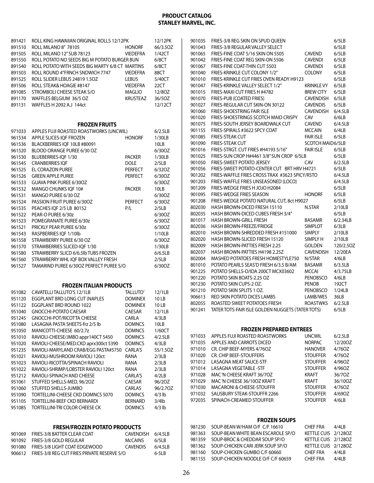| 891421           | ROLL KING HAWAIIAN ORIGINAL ROLLS 12/12PK                          |                         | 12/12PK         | 901035           | FRIES-3/8 REG SKIN ON SPUD OUEEN                                 |                                 | 6/5LB             |
|------------------|--------------------------------------------------------------------|-------------------------|-----------------|------------------|------------------------------------------------------------------|---------------------------------|-------------------|
| 891510           | ROLL MILANO 8" 78105                                               | <b>HONORF</b>           | 66/3.50Z        | 901043           | FRIES-3/8 REGULAR VALLEY SELECT                                  |                                 | 6/5LB             |
| 891505           | ROLL MILANO 12" SUB 78123                                          | <b>VIEDEFRA</b>         | 1/42CT          | 901065           | FRIES-FINE COAT 5/16 SKIN ON 5505                                | <b>CAVEND</b>                   | 6/5LB             |
| 891550           | ROLL POTATO NO SEEDS BIG M POTATO BURGER BUN                       |                         | 6/8CT           | 901042           | FRIES-FINE COAT REG SKIN-ON 5506                                 | <b>CAVENDI</b>                  | 6/5LB             |
| 891540           | ROLL POTATO WITH SEEDS BIG MARTY 6/8 CT MARTINS                    |                         | 6/8CT           | 901067           | FRIES-FINE COAT-THIN CUT 5503                                    | <b>CAVENDI</b>                  | 6/5LB             |
| 891503           | ROLL ROUND 4"FRNCH SNDWICH 7747                                    | <b>VIEDEFRA</b>         | 88CT            | 901040           | FRIES-KRINKLE CUT COLONY 1/2"                                    | <b>COLONY</b>                   | 6/5LB             |
| 891525           | ROLL SLIDER LEBUS 24819 1.5OZ                                      | <b>LEBUS</b>            | 5/40CT          | 901010           | FRIES-KRINKLE CUT FRIES OVEN READY H9123                         |                                 | 6/5LB             |
| 891506           | ROLL STEAK& HOAGIE #8147                                           | <b>VIEDEFRA</b>         | 22CT            | 901047           | FRIES-KRINKLE VALLEY SELECT 1/2"                                 | <b>KRINKLE VY</b>               | 6/5LB             |
| 891085           | STROMBOLI CHEESE STEAK S/O                                         | <b>MAGLIO</b>           | 12/80Z          | 901015           | FRIES-MAXI CUT FRIES H #4782                                     | <b>BREW CITY</b>                | 6/5LB             |
| 891170           | WAFFLES BELGIUM 36/5 OZ                                            | <b>KRUSTEAZ</b>         | 36/5OZ          | 901070           | FRIES-PUB (COATED FRIES)                                         | <b>CAVENDISH</b>                | 6/5LB             |
| 891131           | WAFFLES H 2092 A.J 144ct                                           |                         | 12/12CT         | 901027           | FRIES-REGULAR CUT SKIN-ON 30122                                  | <b>CAVENDIS</b>                 | 6/5LB             |
|                  |                                                                    |                         |                 | 901060           | <b>FRIES-SHOESTRING FAIR ISLE</b>                                | CAVENDISH                       | 6/4.5LB           |
|                  |                                                                    |                         |                 | 901020           | FRIES-SHOESTRINGS SCOTCH MAID CRISPY                             | CAV                             | 6/6LB             |
|                  | <b>FROZEN FRUITS</b>                                               |                         |                 | 901075           | FRIES-SOUTH JERSEY BOARDWALK CUT                                 | <b>CAVEND</b>                   | 6/4.5LB           |
| 971033           | APPLES FUJI ROASTED ROASTWORKS (UNCWIL)                            |                         | 6/2.5LB         | 901155           | FRIES-SPIRALS #3622 SPCY COAT                                    | <b>MCCAIN</b>                   | 6/4LB             |
| 961534           | APPLE SLICES-IQF FROZEN                                            | <b>HONORF</b>           | 1/30LB          | 901085           | <b>FRIES-STEAK CUT</b>                                           | <b>FAIR ISLE</b>                | 6/5LB             |
| 961536           | BLACKBERRIES IQF 10LB #80091                                       |                         | 10LB            | 901090           | <b>FRIES-STEAK CUT</b>                                           | <b>SCOTCH MAID6/5LB</b>         |                   |
| 961520           | BLOOD ORANGE PUREE 6/30 OZ                                         |                         | 6/30OZ          | 901016           | FRIES-STRGT. CUT FRIES #H4193 5/16"                              | <b>FAIR ISLE</b>                | 6/5LB             |
| 961530           | BLUEBERRIES-IQF 1/30                                               | <b>PACKER</b>           | 1/30LB          | 901025           | FRIES-SUN CROP H#4461 3/8" SUN CROP 6/5LB                        |                                 | 6/5LB             |
| 961545           | <b>CRANBERRIES IQF</b>                                             | <b>DOLE</b>             | 2/5LB           | 901050           | <b>FRIES-SWEET POTATO JERSEY</b>                                 | CAV                             | 6/2.5LB           |
| 961525           | EL CORAZON PUREE                                                   | PERFECT                 | 6/320Z          | 901056           | FRIES-SWEET POTATO-CENTER CUT BRT HRV H4721                      |                                 | 6/5LB             |
| 961526           | <b>GREEN APPLE PUREE</b>                                           | <b>PERFECT</b>          | 6/30OZ          | 901202           | FRIES-WAFFLE FRIES CROSS TRAX #3623 SPICY/RSTO                   |                                 | 6/4.5LB           |
| 961533           | GUAVA PINK PUREE 6/30OZ                                            |                         | 6/30OZ          | 901203           | FRIES-WAFFLE FRIES UNSEASONED (LOCO)                             |                                 | 6/4.5LB           |
| 961532           | MANGO CHUNKS IOF 10#                                               | <b>PACKER</b>           | 10LB            | 901209           | FRIES-WEDGE FRIES H JOJO H2084                                   |                                 | 6/5LB             |
| 961531           | MANGO PUREE 6/30 OZ                                                |                         | 6/30OZ          | 901095           | <b>FRIES-WEDGE FRIES SEASON</b>                                  | <b>HONORF</b>                   | 6/5LB             |
| 961524           | PASSION FRUIT PUREE 6/300Z                                         | <b>PERFECT</b>          | 6/30OZ          | 901208           | FRIES-WEDGE POTATO NATURAL CUT, 8ct H9027                        |                                 | 6/5LB             |
| 961535           | PEACHES IOF 2/5 LB 80152                                           | P/L                     | 2/5LB           | 802030           | HASH BROWN-DICED FRESH 15110                                     | N.STAR                          | 2/10LB            |
| 961522           | PEAR-O PUREE 6/30z                                                 |                         | 6/30OZ          | 802035           | HASH BROWN-DICED CUBES FRESH 3/4"                                |                                 | 6/5LB<br>6/2.34LB |
| 961523           | POMEGRANATE PUREE 6/30z                                            |                         | 6/30OZ          | 801017<br>802036 | <b>HASH BROWN-GRILL FRESH</b><br>HASH BROWN-FREEZE/FRIDGE        | <b>BASAMR</b><br><b>SIMPLOT</b> | 6/3LB             |
| 961521           | PRICKLY PEAR PUREE 6/30z                                           |                         | 6/30OZ          | 802010           | HASH BROWN-SHREDDED FRESH #151000                                | <b>SIMPLY</b>                   | 2/10LB            |
| 961543           | RASPBERRIES IQF 1/10lb                                             |                         | 1/10LB          | 802020           | HASH BROWN-SLICED FRESH 15120                                    | SIMPLY H                        | 2/10LB            |
| 961558           | STRAWBERRY PUREE 6/30 OZ                                           |                         | 6/30OZ          | 802009           | HASH BROWN-PATTIES FRESH 2.25                                    | <b>GOLDEN</b>                   | 120/2.5OZ         |
| 961570           | STRAWBERRIES SLICED-IQF 1/30                                       |                         | 1/30LB          | 802037           | HASH BROWN-PATTIES H4198 2.25Z                                   | <b>CAVENDISH</b>                | 12/20EA           |
| 961580           | STRAWBERRY SLICD 6/6.5lb TUBS FROZEN                               |                         | 6/6.5LB         | 802004           | MASHED POTATOES FRESH HOMESTYLE750                               | N/STAR                          | 4/6LB             |
| 961560           | STRAWBERRY WHL IQF BOX VALLEY FRESH                                |                         | 2/5LB           | 801010           | POTATO PEARLS SEAS'D FRESH 6/3.5 B/AM                            | <b>BASAMR</b>                   | 6/3.5LB           |
| 961527           | TAMARIND PUREE 6/300Z PERFECT PUREE S/O                            |                         | 6/30OZ          | 901225           | POTATO SHELLS-O/IDA 200CT MCX03602                               | <b>MCCAI</b>                    | 4/3.75LB          |
|                  |                                                                    |                         |                 | 901220           | POTATO SKIN BOATS-2.25 OZ                                        | PENOBSCO                        | 4/6LB             |
|                  |                                                                    |                         |                 | 901230           | POTATO SKIN CUPS-2 OZ.                                           | <b>PENOB</b>                    | 192CT             |
|                  | <b>FROZEN ITALIAN PRODUCTS</b><br>951082 CAVATELLITALLUTO'S 12/1LB | TALLUTO'                | 12/1LB          | 901210           | POTATO SKIN SPLITS 1 OZ.                                         | PENOBSCO                        | 1/24LB            |
| 951120           | EGGPLANT BRD LONG CUT (NAPLES                                      | <b>DOMINEX</b>          | 10LB            | 906613           | RED SKIN POTATO DICES LAMBS                                      | LAMB/WES                        | 36LB              |
|                  | 951122 EGGPLANT BRD ROUND 1022                                     | <b>DOMINEX</b>          | 10LB            | 802055           |                                                                  |                                 | 6/2.5LB           |
|                  |                                                                    |                         |                 |                  |                                                                  | <b>ROASTWKS</b>                 |                   |
|                  |                                                                    |                         |                 |                  | ROASTED SWEET POTATOES FRESH                                     |                                 |                   |
| 951040           | <b>GNOCCHI-POTATO CAESAR</b>                                       | CAESAR                  | 12/1LB          |                  | 901241 TATER TOTS-FAIR ISLE GOLDEN NUGGETS (TATER TOTS)          |                                 | 6/5LB             |
| 951245           | <b>GNOCCHI-POT/RICOTTA CHEESE</b>                                  | <b>CARLA</b>            | 4/3LB           |                  |                                                                  |                                 |                   |
| 951080           | LASAGNA PASTA SHEETS-frz 2/5 lb                                    | <b>DOMNCS</b>           | 10LB            |                  |                                                                  |                                 |                   |
| 951050           | MANICOTTI-CHEESE 60/2.7z                                           | <b>DOMNCS</b>           | 1/60CT          | 971033           | <b>FROZEN PREPARED ENTREES</b><br>APPLES FUJI ROASTED ROASTWORKS | <b>UNCWIL</b>                   | 6/2.5LB           |
| 951010           | RAVIOLI-CHEESE/JMBO appr140CT 5450                                 | <b>DOMNCS</b>           | 4/2.5LB         | 971035           | APPLES AND CARROTS DICED                                         | <b>NORPAC</b>                   | 12/200Z           |
| 951020           | RAVIOLI-CHEESE/MED.CKD aprx300ct 5390                              | <b>DOMNCS</b>           | 4/3LB           | 971010           | CR. CHIP BEEF-MYERS 4/76OZ                                       | <b>HANOVER</b>                  | 4/760Z            |
| 951235           | RAVIOLI-MARYLAND CRAB/EGG PASTA#5750 CARLA'S                       |                         | 55/1.5OZ        | 971020           | CR. CHIP BEEF-STOUFFERS                                          | <b>STOUFFER</b>                 | 4/760Z            |
| 951021           | RAVIOLI-MUSHROOM RAVIOLI 120ct                                     | RANA                    | 2/3LB           | 971012           | <b>LASAGNA MEAT SAUCE-STF</b>                                    | <b>STOUFFER</b>                 | 4/96OZ            |
| 951023           | RAVIOLI-RICOTTA/SPINACH RAVIOLI                                    | RANA                    | 2/3LB           | 971014           | <b>LASAGNA VEGETABLE -STF</b>                                    | <b>STOUFFER</b>                 | 4/960Z            |
| 951022           | RAVIOLI-SHRIMP/LOBSTER RAVIOLI 120ct                               | RANA                    | 2/3LB           | 971028           | MAC 'N CHEESE KRAFT 36/70Z                                       | <b>KRAFT</b>                    | 36/70Z            |
| 951212<br>951061 | RAVIOLI-SPINACH AND CHEESE<br>STUFFED SHELLS-MED, 96/2OZ           | CARLA'S<br>CAESAR       | 4/2LB<br>96/20Z | 971029           | MAC'N CHEESE 36/10OZ KRAFT                                       | <b>KRAFT</b>                    | 36/10OZ           |
| 951060           | STUFFED SHELLS-JUMBO                                               |                         | 96/2.70Z        | 971030           | <b>MACARONI &amp; CHEESE-STOUFFR</b>                             | <b>STOUFFER</b>                 | 4/760Z            |
| 951090           | TORTELLINI-CHEESE CKD DOMNCS 5070                                  | CARLAS<br><b>DOMNCS</b> | $4/3$ lb        | 971032           | SALISBURY STEAK-STOUFFR 2266                                     | <b>STOUFFER</b>                 | 4/690Z            |
| 951105           | TORTELLINI-BEEF CKD BERNARDI                                       | <b>BERNARD</b>          | $3/4$ lb        | 972035           | SPINACH-CREAMED STOUFFER                                         | <b>STOUFFER</b>                 | 4/6LB             |
| 951085           | TORTELLINI-TRI COLOR CHEESE CK                                     | <b>DOMNCS</b>           | $4/3$ lb        |                  |                                                                  |                                 |                   |
|                  |                                                                    |                         |                 |                  |                                                                  |                                 |                   |
|                  |                                                                    |                         |                 |                  | <b>FROZEN SOUPS</b>                                              |                                 |                   |
|                  | <b>FRESH/FROZEN POTATO PRODUCTS</b>                                |                         |                 | 981230           | SOUP-BEAN W/HAM O/F C/F 16610                                    | <b>CHEF FRA</b>                 | 4/4LB             |
| 901069           | FRIES-3/8 BATTER CLEAR COAT                                        | CAVENDISH               | 6/4.5LB         | 981363           | SOUP-BEAN WHITE BEAN ESCAROLE SP/O                               | KETTLE CUIS 2/128OZ             |                   |
| 901092           | FRIES-3/8 GOLD REGULAR                                             | <b>McCAINS</b>          | 6/5LB           | 981359           | SOUP-BROC & CHEDDAR SOUP SP/O                                    | KETTLE CUIS 2/1280Z             |                   |
| 901080           | FRIES-3/8 LIGHT COAT EDGEWOOD                                      | <b>CAVENDIS</b>         | 6/4.5LB         | 981362           | SOUP-CHICKEN CARI JERK SOUP SP/O                                 | KETTLE CUIS 2/128OZ             |                   |
| 906612           | FRIES-3/8 REG CUT FRIES PRIVATE RESERVE S/O                        |                         | $6-5LB$         | 981160           | SOUP-CHICKEN GUMBO C/F 60660                                     | <b>CHEF FRA</b>                 | 4/4LB             |
|                  |                                                                    |                         |                 | 981155           | SOUP-CHICKEN NOODLE O/F C/F 60659                                | <b>CHEF FRA</b>                 | 4/4LB             |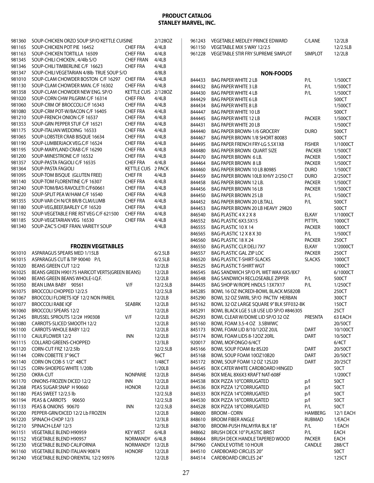| 981360           | SOUP-CHICKEN ORZO SOUP SP/O KETTLE CUISINE                                 |                                    | 2/1280Z           | 961243           | <b>VEGETABLE MEDLEY PRINCE EDWARD</b>                               | C/LANE                 | 12/2LB            |
|------------------|----------------------------------------------------------------------------|------------------------------------|-------------------|------------------|---------------------------------------------------------------------|------------------------|-------------------|
| 981165           | SOUP-CHICKEN POT PIE 16452                                                 | <b>CHEF FRA</b>                    | 4/4LB             | 961150           | VEGETABLE MIX 5 WAY 12/2.5                                          |                        | 12/2.5LB          |
| 981163           | SOUP-CHICKEN TORTILLA 16509                                                | <b>CHEF FRA</b>                    | 4/4LB             | 961228           | VEGETABLE STIR FRY SUPREME SIMPLOT                                  | <b>SIMPLOT</b>         | 12/2LB            |
| 981345           | SOUP-CHILI CHICKEN, 4/4lb S/O                                              | <b>CHEF FRAN</b>                   | 4/4LB             |                  |                                                                     |                        |                   |
| 981346           | SOUP-CHILITIMBERLINE C/F 16623                                             | <b>CHEF FRA</b>                    | 4/4LB             |                  |                                                                     |                        |                   |
| 981347           | SOUP-CHILI VEGETARIAN 4/8lb TRUE SOUP S/O                                  |                                    | 4/8LB             |                  | <b>NON-FOODS</b>                                                    |                        |                   |
| 981010           | SOUP-CLAM CHOWDER BOSTON C/F 16297 CHEF FRA                                |                                    | 4/4LB             | 844433           | <b>BAG PAPER WHITE 2 LB</b>                                         | P/L                    | 1/500CT           |
| 981130           | SOUP-CLAM CHOWDER MAN, C/F 16302                                           | <b>CHEF FRA</b>                    | 4/4LB             | 844432           | <b>BAG PAPER WHITE 3 LB</b>                                         | P/L                    | 1/500CT           |
| 981358           | SOUP-CLAM CHOWDER NEW ENG. SP/O                                            | KETTLE CUIS 2/128OZ                |                   | 844430           | <b>BAG PAPER WHITE 4 LB</b>                                         | P/L                    | 1/500CT           |
| 981020           | SOUP-CORN CHW PILGRIM C/F 16314                                            | <b>CHEF FRA</b>                    | 4/4LB             | 844429           | <b>BAG PAPER WHITE 6 LB</b>                                         |                        | 500CT             |
| 981060           | SOUP-CRM OF BROCCOLI C/F 16343                                             | <b>CHEF FRA</b>                    | 4/4LB             | 844434           | <b>BAG PAPER WHITE 8 LB</b>                                         |                        | 1/500CT           |
| 981080           | SOUP-CRM POT-W/BACON C/F 16405                                             | <b>CHEF FRA</b>                    | 4/4LB             | 844447           | <b>BAG PAPER WHITE 10 LB</b>                                        |                        | 500CT             |
| 981210           | SOUP-FRENCH ONION C/F 16537                                                | <b>CHEF FRA</b>                    | 4/4LB             | 844445           | <b>BAG PAPER WHITE 12 LB</b>                                        | <b>PACKER</b>          | 1/500CT           |
| 981353           | SOUP-GRN PEPPER STUF C/F 16521                                             | <b>CHEF FRA</b>                    | 4/4LB             | 844431           | <b>BAG PAPER WHITE 20 LB</b>                                        |                        | 1/500CT           |
| 981175           | SOUP-ITALIAN WEDDING 16533                                                 | <b>CHEF FRA</b>                    | 4/4LB             | 844440           | <b>BAG PAPER BROWN-1/6 GROCERY</b>                                  | <b>DURO</b>            | 500CT             |
| 981065           | SOUP-LOBSTER CRAB BISQUE 16634                                             | <b>CHEF FRA</b>                    | 4/4LB             | 844467           | BAG PAPER BROWN 1/8 SHORT 80083                                     |                        | 500CT             |
| 981190           | SOUP-LUMBERJACK VEG.C/F 16524                                              | <b>CHEF FRA</b>                    | 4/4LB             | 844495           | BAG PAPER FRENCH FRY-LG 5.5X1X8                                     | <b>FISHER</b>          | 1/1000CT          |
| 981195           | SOUP-MARYLAND CRAB C/F 16290                                               | <b>CHEF FRA</b>                    | 4/4LB             | 844480           | <b>BAG PAPER BROWN QUART SIZE</b>                                   | <b>PACKER</b>          | 1/500CT           |
| 981200           | SOUP-MINESTRONE C/F 16532                                                  | <b>CHEF FRA</b>                    | 4/4LB             | 844470           | <b>BAG PAPER BROWN 6 LB.</b>                                        | <b>PACKER</b>          | 1/500CT           |
| 981357           | SOUP-PASTA FAGIOLI C/F 16535                                               | <b>CHEF FRA</b>                    | 4/4LB             | 844464           | <b>BAG PAPER BROWN 8 LB</b>                                         | <b>PACKER</b>          | 1/500CT           |
| 981364           | SOUP-PASTA FAGIOLI                                                         | KETTLE CUIS 2 PACK                 |                   | 844460           | BAG PAPER BROWN 10 LB 80985                                         | <b>DURO</b>            | 1/500CT           |
| 981095           | SOUP-TOM BISQUE (GLUTEN FREE)                                              | <b>CHEF FR</b>                     | 4/4LB             | 844459           | BAG PAPER BROWN 10LB XHVY 2/250 CT                                  | <b>DURO</b>            | 2/250CT           |
| 981140           | SOUP-TOM FLORENTINE C/F 16307                                              | <b>CHEF FRA</b>                    | 4/4LB             | 844458           | BAG PAPER BROWN 12 LB.                                              | <b>PACKER</b>          | 1/500CT           |
| 981240           | SOUP-TOM/BAS RAVOLETI C/F60661                                             | <b>CHEF FRA</b>                    | 4/4LB             | 844456           | BAG PAPER BROWN 16 LB                                               | <b>PACKER</b>          | 1/500CT           |
| 981220           | SOUP-SPLIT PEA W/HAM C/F 16540                                             | <b>CHEF FRA</b>                    | 4/4LB             | 844450           | <b>BAG PAPER BROWN 25 LB</b>                                        | P/L                    | 1/500CT           |
| 981355<br>981180 | SOUP-VAR CH N/CR BR/B CLM/LUMB                                             | <b>CHEF FRA</b>                    | 4/4LB<br>4/4LB    | 844452           | <b>BAG PAPER BROWN 20 LB.TALL</b>                                   | P/L                    | 500CT             |
| 981192           | SOUP-VEG, BEEF, BARLEY C/F 16520<br>SOUP-VEGETABLE FIRE RST VEG C/F 621500 | <b>CHEF FRA</b><br><b>CHEF FRA</b> | 4/4LB             | 844453           | BAG PAPER BROWN 20 LB HEAVY 29820                                   |                        | 500CT             |
| 981185           | SOUP-VEGETARIAN VEG 16530                                                  | <b>CHEF FRA</b>                    | 4/4LB             | 846540           | BAG PLASTIC 4 X 2 X 8                                               | <b>ELKAY</b>           | 1/1000CT          |
| 981340           | SOUP-ZAC'S CHEF FRAN. VARIETY SOUP                                         |                                    | 4/4LB             | 846552           | BAG PLASTIC 6X3.5X15                                                | <b>PITTPL</b>          | 1000CT            |
|                  |                                                                            |                                    |                   | 846555           | BAG PLASTIC 10 X 14                                                 | <b>PACKER</b>          | 1000CT            |
|                  |                                                                            |                                    |                   | 846565           | BAG-PLASTIC 12 X 8 X 30                                             | P/L                    | 1/500CT           |
|                  | <b>FROZEN VEGETABLES</b>                                                   |                                    |                   | 846560           | BAG PLASTIC 18 X 24                                                 | <b>PACKER</b>          | 250CT             |
|                  | ASPARAGUS SPEARS MED 1/15LB                                                |                                    | 6/2.5LB           | 846550           | <b>BAG PLASTIC CLR DELI 7X7</b><br><b>BAG PLASTIC GAL ZIP LOC</b>   | ELKAY<br><b>PACKER</b> | 1/2000CT<br>250CT |
| 961010           |                                                                            |                                    |                   | 846557           |                                                                     |                        | 1000CT            |
| 961015<br>961020 | ASPARAGUS CUT & TIP 90040 P/L<br>BEANS GREEN CUT 12/2                      |                                    | 6/2.5LB<br>12/2LB | 846520<br>846525 | <b>BAG PLASTIC T-SHIRT-SLACKS</b><br><b>BAG PLASTIC T-SHIRT WGT</b> | <b>SLACKS</b>          | 1000CT            |
| 961025           | BEANS GREEN H90175 HARICOT VERTS(GREEN BEANS)                              |                                    | 12/2LB            | 846545           | BAG SANDWICH SP/O PL WET WAX 6X5/8X7                                |                        | 6/1000CT          |
| 961040           | BEANS GREEN BEANS WHOLE-I.Q.F.                                             |                                    | 12/2LB            | 846548           | <b>BAG SANDWICH RECLOSEABLE ZIPPER</b>                              | P/L                    | 500CT             |
| 961050           | BEAN LIMA BABY 90561                                                       | V/F                                | 12/2.5LB          | 844435           | BAG SHOP W/ROPE HNDLS 13X7X17                                       | P/L                    | 1/250CT           |
| 961075           | BROCCOLI CHOPPED 12/2.5                                                    |                                    | 12/2.5LB          | 845285           | BOWL 16 OZ INCREDI-BOWL BLACK M5820B                                |                        | 250CT             |
| 961067           | BROCCOLI FLORETS IQF 12/2 NON PAREIL                                       |                                    | 12/2LB            | 845290           | BOWL 32 OZ SWIRL SP/O PACTIV HERBAN                                 |                        | 300CT             |
| 961077           | <b>BROCCOLI RABE IQF</b>                                                   | <b>SEABRK</b>                      | 12/2LB            | 845162           | BOWL 32 OZ LARGE SQUARE 9" BLK 5FF032-BK                            |                        | 150CT             |
| 961060           | <b>BROCCOLI SPEARS 12/2</b>                                                |                                    | 12/2LB            |                  | 845291 BOWL BLACK LGE 5 LB USE LID SP/O #846305                     |                        | 25CT              |
| 961245           | BRUSSEL SPROUTS 12/2# H90308                                               | V/F                                | 12/2LB            | 845293           | BOWL CLEAR W/DOME LID SP/O 32 OZ                                    | PRESNTA                | 63 EACH           |
| 961080           | CARROTS-SLICED SMOOTH 12/2                                                 |                                    | 12/2LB            | 845160           | BOWL FOAM 3.5-4 OZ 3.5BWWC                                          |                        | 20/50CT           |
| 961100           | CARROTS-WHOLE BABY 12/2                                                    |                                    | 12/2LB            | 845173           | BOWL FOAM LID 8/10/12OZ 20JL                                        | <b>DART</b>            | 10/100CT          |
| 961110           | CAULIFLOWER 12/2                                                           | <b>INN</b>                         | 12/2LB            | 845174           | BOWL FOAM LIDS 8-12OZ 20RL                                          | <b>DART</b>            | 10/50CT           |
| 961115           | <b>COLLARD GREENS-CHOPPED</b>                                              |                                    | 12/3LB            | 920017           | BOWL MOFONGO 6/4CT                                                  |                        | 6/4CT             |
| 961120           | CORN-CUT FRZ 12/2.5lb                                                      |                                    | 12/2.5LB          | 845166           | BOWL SOUP FOAM 8z 8SJ20                                             | <b>DART</b>            | 20/50CT           |
| 961144           | CORN COBETTE 3" 96CT                                                       |                                    | 96CT              | 845168           | BOWL SOUP FOAM 10OZ10B20                                            | DART                   | 20/50CT           |
| 961140           | CORN ON COB-5 1/2" 48CT                                                    |                                    | 1/48CT            | 845172           | BOWL SOUP FOAM 12 OZ 12SJ20                                         | <b>DART</b>            | 20/25CT           |
| 961125           | CORN-SHOEPEG WHITE 1/20lb                                                  |                                    | 1/20LB            | 844545           | <b>BOX CATER WHITE CARDBOARD HINGED</b>                             |                        | 50CT              |
| 961250           | OKRA-CUT                                                                   | <b>NONPARIE</b>                    | 12/2LB            | 844546           | BOX MEAL 8X6X3 KRAFT NAT-608F                                       |                        | 1/200CT           |
| 961170           | ONIONS-FROZEN DICED 12/2                                                   | inn                                | 12/2LB            | 844538           | BOX PIZZA 10"CORRUGATED                                             | p/l                    | 50CT              |
| 961268           | PEAS SUGAR SNAP H 90660                                                    | <b>HONOR</b>                       | 12/2LB            | 844536           | BOX PIZZA 12"CORRUGATED                                             | p/l                    | 50CT              |
| 961180           | PEAS SWEET 12/2.5 lb                                                       |                                    | 12/2.5LB          | 844533           | <b>BOX PIZZA 14"CORRUGATED</b>                                      | p/l                    | 50CT              |
| 961194           | PEAS & CARROTS 90650                                                       |                                    | 12/2.5LB          | 844530           | <b>BOX PIZZA 16"CORRUGATED</b>                                      | p/                     | 50CT              |
| 961133           | PEAS & ONIONS 90670                                                        | INN                                | 12/2.5LB          | 844528           | <b>BOX PIZZA 18"CORRUGATED</b>                                      | P/L                    | 50CT              |
| 961200           | PEPPER-GRN/DICED 12/2 Lb FROZEN                                            |                                    | 12/2LB            | 848600           | <b>BROOM - CORN</b>                                                 | <b>HAMBERG</b>         | 12/1 EACH         |
| 961220           | SPINACH-CHOP 12/3                                                          |                                    | 12/3LB            | 848610           | <b>BROOM FIBER ANGLE</b>                                            | RUBMAD                 | 1/EACH            |
| 961210           | SPINACH-LEAF 12/3                                                          |                                    | 12/3LB            | 848700           | BROOM-PUSH PALMYRA BLK 18"                                          | P/L                    | 1 EACH            |
| 961151           | VEGETABLE BLEND H90959                                                     | <b>KEY WEST</b>                    | 6/4LB             | 848662           | BRUSH DECK 10" PLASTIC BRIST                                        | P/L                    | EACH              |
| 961152           | VEGETABLE BLEND H90957                                                     | NORMANDY 6/4LB                     |                   | 848664           | BRUSH DECK HANDLE TAPERED WOOD                                      | <b>PACKER</b>          | EACH              |
| 961230           | <b>VEGETABLE BLEND CALIFORNIA</b>                                          | NORMANDY 12/2LB                    |                   | 847960           | CANDLE VOTIVE 10 HOUR                                               | CANDLE                 | 288/CT            |
| 961160           | VEGETABLE BLEND ITALIAN 90874                                              | <b>HONORF</b>                      | 12/2LB            | 844510           | <b>CARDBOARD CIRCLES 20"</b>                                        |                        | 50CT              |
| 961240           | VEGETABLE BLEND ORIENTAL 12/2 90976                                        |                                    | 12/2LB            | 844514           | <b>CARDBOARD CIRCLES 24"</b>                                        |                        | 125CT             |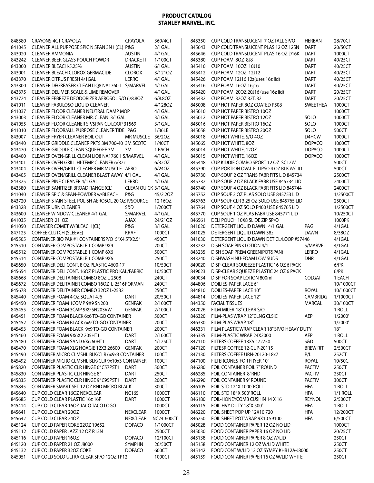| 848580 | <b>CRAYONS-4CT CRAYOLA</b>                        | <b>CRAYOLA</b>            | 360/4CT           | 845350 | CUP COLD TRANSLUCENT 7 OZ TALL SP/O            | <b>HERBAN</b>   | 28/70CT   |
|--------|---------------------------------------------------|---------------------------|-------------------|--------|------------------------------------------------|-----------------|-----------|
| 841045 | CLEANER ALL PURPOSE SPIC N SPAN 3N1 (CL) P&G      |                           | $2/1$ GAL         | 845643 | CUP COLD TRANSLUCENT PLAS 12 OZ 12SN           | DART            | 20/50CT   |
| 843020 | <b>CLEANER AMMONIA</b>                            | <b>AUSTIN</b>             | 4/1GAL            | 845646 | CUP COLD TRANSLUCENT PLAS 16 OZ D16K           | <b>DART</b>     | 1000CT    |
| 843242 | <b>CLEANER BEER GLASS POUCH POWDR</b>             | <b>DRACKETT</b>           | 1/100CT           | 845380 | CUP FOAM 8OZ 8J8                               | <b>DART</b>     | 40/25CT   |
| 843000 | <b>CLEANER BLEACH-5.25%</b>                       | <b>AUSTIN</b>             | $6/1$ GAL         |        | 845410 CUP FOAM 10OZ 10J10                     | <b>DART</b>     | 40/25CT   |
| 843001 | CLEANER BLEACH CLOROX GERMACIDE                   | <b>CLOROX</b>             | 3/1210Z           |        | 845412 CUP FOAM 12OZ 12J12                     | <b>DART</b>     | 40/25CT   |
| 843370 | <b>CLEANER CITRUS FRESH 4/1GAL</b>                | <b>LERRO</b>              | 4/1GAL            | 845426 | CUP FOAM 12J16 12z(uses 16z lid)               | DART            | 40/25CT   |
| 843300 | CLEANER DEGREASER-CLEAN LIQ8 NA1760II S/MARVEL    |                           | 4/1GAL            |        | 845416 CUP FOAM 16OZ 16j16                     | <b>DART</b>     | 40/25CT   |
| 843375 | <b>CLEANER DELIMER SCALE &amp; LIME REMOVER</b>   |                           | 4/1GAL            |        | 845420 CUP FOAM 200Z 20J16 (use 16z lid)       | <b>DART</b>     | 20/25CT   |
| 843724 | CLEANER FEBREZE DEODORIZER AEROSOL S/O 6/8.80Z    |                           | 6/8.80Z           |        | 845432 CUP FOAM 32OZ 32TJ32                    | <b>DART</b>     | 20/25CT   |
| 841011 | <b>CLEANER FABULOSO LIOUID CLEANER</b>            |                           | 4/1280Z           | 845008 | CUP HOT PAPER 8OZ COATED P508                  | SWEETHEA        | 1000CT    |
| 841037 | CLEANER FLOOR CLEANER NEUTRAL DAMP MOP            |                           | 4/1GAL            | 845010 | <b>CUP HOT PAPER BISTRO 100Z</b>               |                 | 1000CT    |
| 843003 | CLEANER FLOOR CLEANER MR. CLEAN 3/1GAL            |                           | 3/1GAL            |        | 845012 CUP HOT PAPER BISTRO 12OZ               | SOLO            | 1000CT    |
| 841055 | CLEANER FLOOR CLEANER SP/SPAN CL/LOOP 31569       |                           | 3/1GAL            |        | 845016 CUP HOT PAPER BISTRO 16OZ               | SOLO            | 1000CT    |
| 841010 | CLEANER FLOOR/ALL PURPOSE CLEANER TIDE P&G        |                           | 1/36LB            | 845058 | CUP HOT PAPER BISTRO 20OZ                      | SOLO            | 500CT     |
| 843007 | CLEANER FRYER CLEANER BOIL OUT                    | MR MUSCLE 36/2OZ          |                   | 845018 | CUP HOT WHITE, S/O 4OZ                         | D4HCW           | 1000CT    |
| 843440 | CLEANER GRIDDLE CLEANER PKTS 3M 700-40 3M SCOTC   |                           | 1/40CT            |        | 845065 CUP HOT WHITE, 8OZ                      | <b>DOPACO</b>   | 1000CT    |
| 843470 | CLEANER GRIDDLE CLEAN SQUEEGEE 3M                 | 3M                        | 1 EACH            |        | 845014 CUP HOT WHITE, 12OZ                     | <b>DOPACO</b>   | 1000CT    |
| 843400 | CLEANER OVEN-GRILL CLEAN LIQ8 NA1760II S/MARVEL   |                           | 4/1GAL            | 845015 | CUP HOT WHITE, 16OZ                            | <b>DOPACO</b>   | 1000CT    |
| 843401 | <b>CLEANER OVEN GRILL HI-TEMP CLEANER 6/32z</b>   |                           | 6/32OZ            | 845448 | CUP KIDDIE COMBO SPORT 12 OZ SC12W             |                 | 500CT     |
| 843404 | CLEANER OVEN/GRILL CLEANER MR MUSCLE AERO         |                           | 6/240Z            |        | 845790 CUP-PORTION OVAL ELLIPSO 4 OZ BLK W/LID |                 | 500CT     |
| 843405 | CLEANER OVEN/GRILL CLEANER BLAST AWAY 4/1 GAL     |                           | 4/1GAL            | 845730 | CUP-SOUF 2 OZ TRANS FABR FITS LID 845734       |                 | 2500CT    |
| 843325 | <b>CLEANER PINE CLEANER 4/1 GAL</b>               | LERRO                     | 4/1GAL            |        | 845732 CUP-SOUF 2 OZ BLACK FABR USE 845734 LID |                 | 2400CT    |
| 843380 | CLEANER SANITIZER BROAD RANGE (CL)                | <b>CLEAN QUICK 3/1GAL</b> |                   | 845740 | CUP-SOUF 4 OZ BLACK FABR FITS LID 845744       |                 | 2400CT    |
| 841040 | CLEANER SPIC & SPAN-POWDER w/BLEACH               | P&G                       | 45/2.20Z          |        | 845752 CUP SOUF 2 OZ PLAS SOLO USE 845753 LID  |                 | 1/2500CT  |
| 843720 | CLEANER STAIN STEEL POLISH AEROSOL 20 OZ P/SOURCE |                           | 12.16OZ           | 845763 | CUP SOUF CLR 3.25 OZ SOLO USE 845765 LID       |                 | 2500CT    |
| 843328 | <b>CLEANER URN CLEANER</b>                        | S&D                       | 1/200CT           | 845764 | CUP SOUF 4 OZ SOLO P400 USE 845765 LID         |                 | 1/2500CT  |
| 843600 | CLEANER WINDOW CLEANER 4/1 GAL                    | S/MARVEL                  | 4/1GAL            | 845770 | CUP SOUF 1 OZ PLAS FABR USE 845771 LID         |                 | 10/250CT  |
| 841035 | CLEANSER 21 OZ                                    | <b>AJAX</b>               | 24/210Z           | 846561 | DELI POUCH 10X8 SLIDE ZIP SP/O                 |                 | 1000PK    |
| 841050 | CLEANSER COMET W/BLEACH (CL)                      | P&G                       | 3/1GAL            | 841020 | DETERGENT LIQUID DAWN 4/1 GAL                  | P&G             | 4/1GAL    |
| 847125 | <b>COFFEE CLUTCH (SLEEVE)</b>                     | KRAFT                     | 1000CT            | 841025 | DETERGENT LIQUID DAWN 38z                      | <b>DAWN</b>     | 8/380Z    |
| 845505 | CONTAINER BIO PAK #1 CONTAINERSP/O 5"X4.5"X2.5"   |                           | 450CT             | 841030 | DETERGENT LIQUID DAWN DET CL/LOOP #57446       |                 | 4/1GAL    |
| 845510 | <b>CONTAINER COMPOSTABLE 1 COMP 9X9</b>           |                           | 200CT             | 843232 | DISH SOAP PINK LOTION 4/1                      | S/MARVEL        | 4/1GAL    |
| 845512 | CONTAINER COMPOSTABLE 1 COMP 6X6                  |                           | 500CT             | 843235 | DISH SOAP PREM GREEN(POT&PAN)                  | <b>LERRO</b>    | 4/1GAL    |
| 845514 | <b>CONTAINER COMPOSTABLE 1 COMP 9X6</b>           |                           | 250CT             | 843240 | DISHWASH NU-FOAM LOW SUDS                      | <b>DNR</b>      | 4/1GAL    |
| 845650 | CONTAINER DELI CONT. 8 OZ PLASTIC 4600-17         |                           | 10/50CT           | 849020 | DISP-CLEAR SQUEEZE PLASTIC 16 OZ 6 PACK        |                 | 6/PK      |
| 845654 | CONTAINER DELI CONT. 160Z PLASTIC PRO KAL/FABRIC  |                           | 10/50CT           | 849023 | DISP-CLEAR SQUEEZE PLASTIC 24 OZ 6 PACK        |                 | 6/PK      |
| 845668 | CONTAINER DELITAINER COMBO 80Z L-2508             |                           | 240CT             | 849034 | DISP FOR SOAP LOTION 800ml                     | <b>COLGAT</b>   | 1 EACH    |
| 845672 | CONTAINER DELITAINER COMBO 160Z L-2516 FORMAN     |                           | 240CT             | 844806 | DOILIES-PAPER LACE 6"                          |                 | 10/1000CT |
| 845678 | CONTAINER DELITAINER COMBO 320Z L-2532            |                           | 250CT             | 844810 | DOILIES-PAPER LACE 10"                         | ROYAL           | 10/1000CT |
| 845440 | CONTAINER FOAM 4 OZ SQUAT 4J6                     | <b>DART</b>               | 20/50CT           | 844814 | DOILIES-PAPER LACE 12"                         | <b>CAMBRIDG</b> | 1/1000CT  |
| 845450 | <b>CONTAINER FOAM 1COMP 9X9 SN200</b>             | <b>GENPAK</b>             | 2/100CT           | 844350 | <b>FACIAL TISSUES</b>                          | <b>MARCAL</b>   | 30/100CT  |
| 845455 | CONTAINER FOAM 3CMP 9X9 SN203VW                   | <b>GENPAK</b>             | 2/100CT           | 847026 | FILM MILER-18" CLEAR S/O                       |                 | 1 ROLL    |
| 845451 | CONTAINER FOAM BLACK 6x6 TO-GO CONTAINER          |                           | 500CT             | 846320 | FILM-PLAS WRAP 12"CLNG CLSIC                   | AEP             | 1/2000'   |
| 845452 | CONTAINER FOAM BLACK 6x9 TO-GO CONTAINER          |                           | 200CT             | 846330 | FILM-PLAS WRAP 18"                             |                 | 1/2000'   |
| 845453 | CONTAINER FOAM BLACK 9x9 TO-GO CONTAINER          |                           | 200CT             | 846331 | FILM PLASTIC WRAP CLEAR 18" SP/O HEAVY DUTY    |                 | 18''      |
| 845460 | CONTAINER FOAM 9X6X2 205HT1                       | DART                      | 2/100CT           | 846335 | FILM-PLASTIC WRAP 24X2000                      | AEP             | 1 ROLL    |
| 845480 | CONTAINER FOAM SAND 6X6 60HT1                     | <b>DART</b>               | 4/125CT           | 847110 | FILTERS COFFEE 13X5 #72750                     | S&D             | 500CT     |
| 845470 | CONTAINER FOAM XLG HOAGIE 12X3 26600              | <b>GENPAK</b>             | 200CT             | 847120 | FILTESR COFFEE 12-CUP-20115                    | <b>BREW RIT</b> | 2/500CT   |
| 845490 | CONTAINER MICRO CLMSHL BLK/CLR 6x9x3 CONTAINER    |                           | 100CT             | 847130 | FILTERS COFFEE URN-20120-18x7                  | P/L             | 252CT     |
| 845492 | CONTAINER MICRO CLMSHL BLK/CLR 9x10x3 CONTAINER   |                           | 100CT             | 847100 | FILTERCONES-FOR FRYER 10"                      | <b>ROYAL</b>    | 10/50C.   |
| 845820 | CONTAINER PLASTIC CLR HINGE 6" C57PST1            | <b>DART</b>               | 500CT             | 846280 | FOIL CONTAINER FOIL 7" ROUND                   | <b>PACTIV</b>   | 250CT     |
| 845830 | <b>CONTAINER PLASTIC CLR HINGE 8"</b>             | DART                      | 250CT             | 846285 | <b>FOIL CONTAINER 8"RND</b>                    | <b>PACTIV</b>   | 250CT     |
| 845835 | CONTAINER PLASTIC CLR HINGE 9" C95PST1            | DART                      | 200CT             | 846290 | FOIL CONTAINER 9" ROUND                        | <b>PACTIV</b>   | 300CT     |
| 845845 | CONTAINER SMART SET 12 OZ RND MICRO BLACK         |                           | 300CT             | 846105 | FOIL STD 12" X 1000' ROLL                      | <b>HFA</b>      | 1 ROLL    |
| 845640 | CUP COLD CLEAR 160Z NEXCLEAR                      | <b>NC16S</b>              | 1000CT            | 846110 | FOIL STD 18" X 500' ROLL                       | <b>HFA</b>      | 1/1 ROLL  |
| 845685 | CUP COLD CLEAR PLASTIC 16z 16P                    | <b>DART</b>               | 1000CT            | 846180 | FOIL-HONEYCOMB CUSHIN 14 X 16                  | <b>REYNOL</b>   | 2/500CT   |
| 845414 | CUP COLD CLEAR 160Z-JACO TACO LOGO                |                           | 1000CT            | 846115 | FOIL-HVY DUTY 18"X 500'                        | HFA             | 1 ROLL    |
| 845641 | <b>CUP COLD CLEAR 200Z</b>                        | NEXCLEAR                  | 1000CT            | 846220 | FOIL SHEET POP UP 12X10 720                    | <b>HFA</b>      | 12/200CT  |
| 845642 | CUP COLD CLEAR 24OZ                               | NEXCLEAR                  | <b>NC24 600CT</b> | 846250 | FOIL SHEET POT WRAP 9X10 59100                 | <b>HFA</b>      | 6/500CT   |
| 845124 | CUP COLD PAPER COKE 220Z 19652                    | <b>DOPACO</b>             | 1/1000CT          | 845028 | FOOD CONTAINER PAPER 12 OZ NO LID              |                 | 1000CT    |
| 845112 | CUP COLD PAPER JAZZ 12 OZ R12N                    |                           | 2500CT            | 845030 | FOOD CONTAINER PAPER 16 OZ NO LID              |                 | 20/25CT   |
| 845116 | <b>CUP COLD PAPER 16OZ</b>                        | <b>DOPACO</b>             | 12/100CT          | 845138 | FOOD CONTAINER PAPER 8 OZ W/LID                |                 | 250CT     |
| 845120 | CUP COLD PAPER 21 OZ J8000                        | <b>SYMPHN</b>             | 20/50CT           | 845158 | FOOD CONTAINER 12 OZ W/LID WHITE               |                 | 250CT     |
| 845132 | <b>CUP COLD PAPER 320Z COKE</b>                   | <b>DOPACO</b>             | 600CT             | 845142 | FOOD CONT W/LID 12 OZ SYMPY KHB12A-J8000       |                 | 250CT     |
| 845051 | CUP COLD SOLO ULTRA CLEAR SP/O 120Z TP12          |                           | 1000CT            | 845159 | FOOD CONTAINER PAPER 16 OZ W/LID WHITE         |                 | 250CT     |
|        |                                                   |                           |                   |        |                                                |                 |           |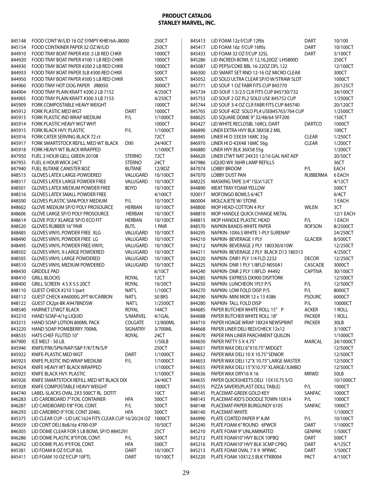| 845148 | FOOD CONT W/LID 16 OZ SYMPY KHB16A-J8000                      |                 | 250CT         | 845413 | LID FOAM 12z f/CUP 12ftls                | <b>DART</b>     | 10/100    |
|--------|---------------------------------------------------------------|-----------------|---------------|--------|------------------------------------------|-----------------|-----------|
| 845154 | FOOD CONTAINER PAPER 32 OZ W/LID                              |                 | 250CT         | 845417 | LID FOAM 16z f/CUP 16ftls                | <b>DART</b>     | 10/100CT  |
| 844910 | FOOD TRAY BOAT PAPER #50.5 LB RED CHKR                        |                 | 1000CT        | 845433 | LID FOAM 32 OZ f/CUP 32SL                | <b>DART</b>     | 5/100CT   |
| 844920 | FOOD TRAY BOAT PAPER #100 1 LB RED CHKR                       |                 | 1000CT        | 845286 | LID INCREDI-BOWL f/ 12,16,200Z LH5800D   |                 | 250CT     |
| 844930 | FOOD TRAY BOAT PAPER #200 2 LB RED CHKR                       |                 | 1000CT        | 845087 | LID PEPSI/COKE BBL 16-220Z DFL 122       |                 | 12/100CT  |
| 844933 | FOOD TRAY BOAT PAPER 3LB #300 RED CHKR                        |                 | 500CT         | 846300 | LID SMART SET RND 12-16 OZ MICRO CLEAR   |                 | 300CT     |
| 844950 | FOOD TRAY BOAT PAPER #500 5 LB RED CHKR                       |                 | 500CT         | 845052 | LID SOLO ULTRA CLEAR SP/O W/STRAW SLOT   |                 | 1000CT    |
| 844960 | FOOD TRAY HOT DOG PAPER JR8050                                |                 | 3000CT        | 845771 | LID SOUF 1 OZ FABR FITS CUP 845770       |                 | 20/125CT  |
| 844904 | FOOD TRAY PLAIN KRAFT #200 2 LB 7152                          |                 | 4/250CT       | 845734 | LID-SOUF 1.5/2.5 CLR FITS CUP 845730/732 |                 | 24/100CT  |
| 844905 | FOOD TRAY PLAIN KRAFT #300 3 LB 7153                          |                 | 4/250CT       | 845753 | LID SOUF 2 OZ PL2 SOLO USE 845752 CUP    |                 | 1/2500CT  |
| 845909 | FORK COMPOSTABLE HEAVY WEIGHT                                 |                 | 1000CT        | 845744 | LID SOUF 3-4 OZ CLR FABR FITS CUP 845740 |                 | 20/120CT  |
| 845912 | FORK PLASTIC MED WGT                                          | <b>DART</b>     | 1000CT        | 845765 | LID SOUF 4OZ SOLO PL4 USE845763/764 CUP  |                 | 1/2500CT  |
| 845913 | FORK PLASTIC IND WRAP MEDIUM                                  | P/L             | 1/1000CT      | 848025 | LID SQUARE DOME 9"32/48/64 5FF200        |                 | 150CT     |
| 845914 | FORK PLASTIC HEAVY WGT WHT                                    |                 | 1000CT        | 845427 | LID WHITE RECLOSBL 16RCL DART            | <b>DARTCO</b>   | 1000CT    |
| 845915 | FORK BLACK HVY. PLASTIC                                       | P/L             | 1/1000CT      | 846890 | LINER EXTRA HVY BLK 38X58 2 MIL          |                 | 100CT     |
| 845916 | FORK CATER SERVING BLACK 72 ct                                |                 | 72CT          | 846945 | LINER HI D 33X39 16MC 33q                | <b>CLEAR</b>    | 1/250CT   |
|        |                                                               |                 |               |        |                                          |                 |           |
| 845917 | FORK SMARTSTOCK REFILL MED WT BLACK                           | <b>DIXI</b>     | 24/40CT       | 846970 | LINER HI D 43X48 16MC 56g                | <b>CLEAR</b>    | 1/200CT   |
| 845918 | FORK HEAVY WT BLACK WRAPPED                                   |                 | 1/1000CT      | 846880 | LINER HVY BLK 36X58 55q                  |                 | 1/200CT   |
| 847950 | FUEL 2 HOUR GELL GREEN 20108                                  | <b>STERNO</b>   | 72CT          | 846620 | LINER LTWT NAT 24X33 12/16 GAL NAT AEP   |                 | 20/50CT   |
| 847955 | FUEL 6 HOUR WICK 24CT                                         | <b>STERNO</b>   | 24CT          | 847986 | LIQUID WX 36HR LAMP REFILLS              |                 | 36CT      |
| 847940 | FUEL BUTANE CANISTER 8OZ                                      | <b>BUTANE</b>   | 12/80Z        | 847074 | <b>LOBBY BROOM</b>                       | P/L             | EACH      |
| 848515 | <b>GLOVES LATEX LARGE-POWDERED</b>                            | VALUGARD        | 10/100CT      | 847070 | <b>LOBBY DUST PAN</b>                    | <b>RUBBERMA</b> | 6 EACH    |
| 848517 | <b>GLOVES LATEX LARGE POWDER FREE</b>                         | VALUGARD        | 10/100CT      | 848225 | MASKING TAPE 3/4" 1SLV/12CT              |                 | 4/12CT    |
| 848501 | <b>GLOVES LATEX MEDIUM POWDER FREE</b>                        | <b>BOYD</b>     | 10/100CT      | 844890 | <b>MEAT TRAY FOAM YELLOW</b>             |                 | 500CT     |
| 848516 | <b>GLOVES LATEX SMALL POWDER FREE</b>                         |                 | 4/100CT       | 920017 | MOFONGO BOWLS 6/4CT                      |                 | 6/4CT     |
| 848500 | <b>GLOVES PLASTIC SANI/POLY MEDIUM</b>                        | P/L             | 10/100CT      | 860004 | <b>MOLCAJETE W/ STONE</b>                |                 | 1 EACH    |
| 848602 | <b>GLOVE MEDIUM SP/O POLY PROSOURCE</b>                       | <b>HERBAN</b>   | 10/100CT      | 848800 | MOP HEAD-COTTON 4 PLY                    | <b>WILEN</b>    | 3CT       |
| 848606 | <b>GLOVE LARGE SP/O POLY PROSOURCE</b>                        | <b>HERBAN</b>   | 10/100CT      | 848810 | MOP HANDLE QUICK CHANGE METAL            |                 | 12/1 EACH |
| 848614 | GLOVE POLY XLARGE SP/O ECO FIT                                | <b>HERBAN</b>   | 10/100CT      | 848815 | MOP HANDLE PLASTIC HEAD                  | P/L             | 1 EACH    |
| 848520 | <b>GLOVES RUBBER 16" PAIR</b>                                 | <b>BUTL</b>     | 1 PAIR        | 848570 | NAPKIN BANDS-WHITE PAPER                 | <b>ROFSON</b>   | 8/2500CT  |
| 848485 | <b>GLOVES VINYL POWDER FREE XLG</b>                           | VALUGARD        | 10/100CT      | 844295 | NAPKIN-10X6.5 WHITE 1-PLY SURENAP        |                 | 24/250CT  |
| 848490 | <b>GLOVES VINYL POWDER FREE LG</b>                            | VALUGARD        | 10/100CT      | 844210 | NAPKIN-BEVERAGE 1 PLY                    | <b>GLACIER</b>  | 8/500CT   |
| 848495 | <b>GLOVES VINYL POWDER FREE VINYL</b>                         | VALUGARD        | 10/100CT      | 844212 | NAPKIN-BEVERAGE 2 PLY 180330/610W        |                 | 12/250CT  |
| 848502 | <b>GLOVES VINYL X-LARGE POWDERED</b>                          | VALUGARD        | 10/100CT      | 844211 | NAPKIN-BEVERAGE 2 PLY BLACK D13 180313   |                 | 4/250CT   |
| 848505 | <b>GLOVES VINYL LARGE POWDERED</b>                            | VALUGARD        | 10/100CT      | 844220 | NAPKIN-DNR1 PLY 1/4 FLD 2232             | <b>DECOR</b>    | 12/250CT  |
|        |                                                               |                 |               | 844225 |                                          |                 |           |
| 848510 | <b>GLOVES VINYL MEDIUM POWDERED</b>                           | VALUGARD        | 10/100CT      |        | NAPKIN-DNR 1 PLY 1/8FLD N050A1           | CASCADE         | 3000CT    |
| 848430 | <b>GRIDDLE PAD</b>                                            |                 | 6/10CT        | 844240 | NAPKIN-DNR 2 PLY 1/8FLD #4492            | <b>CAPTIVA</b>  | 30/100CT  |
| 848410 | <b>GRILL BLOCKS</b>                                           | <b>ROYAL</b>    | 12CT          | 844285 | NAPKIN- EXPRESS DX900 DISP.TORK          |                 | 12/500CT  |
| 848400 | GRILL SCREEN 4.5 X 5.5 20CT                                   | ROYAL           | 10/20CT       | 844250 | NAPKIN-LUNCHEON 1PLY P/S                 | P/L             | 12/500CT  |
| 848110 | GUEST CHECK #210 1/part                                       | NAT'L           | 1/100CT       | 844270 | NAPKIN-LOW FOLD DISP. P/S                | P/L             | 8000CT    |
| 848112 | GUEST CHECK #A6000G 2PT W/CARBON                              | NAT'L           | <b>50 BKS</b> | 844290 | NAPKIN-MINI MOR 12 x 13 4386             | <b>PSOURC</b>   | 6000CT    |
| 848122 | GUEST CK2pt-BK A947BNDSW                                      | NAT'L           | 1/2500CT      | 844280 | <b>NAPKIN-TALL FOLD DISP</b>             | P/L             | 10000CT   |
| 848540 | <b>HAIRNET LTWGT BLACK</b>                                    | <b>ROYAL</b>    | 144CT         | 844685 | PAPER BUTCHER WHITE ROLL 15" P           | <b>ACKER</b>    | 1 ROLL    |
| 843210 | HAND SOAP-4/1g LIQUID                                         | S/MARVEL        | 4/1GAL        | 844688 | PAPER BUTCHER WHITE ROLL 18"             | <b>PACKER</b>   | 1 ROLL    |
| 843215 | HAND SOAP LOTION 800ML PACK                                   | <b>COLGATE</b>  | 12/800ML      | 844710 | PAPER HOAGIE WRAP 18X24 NEWSPRINT        | <b>PACKER</b>   | 30LB      |
| 843220 | HAND SOAP POMEBERRY 700ML                                     | <b>SIGNATRY</b> | 3/700ML       | 844668 | PAPER LINER DELI RED/CHECK 12x12         |                 | 3/100CT   |
| 848535 | HATS CHEF FLUTED 10"                                          | <b>ROYAL</b>    | 24CT          | 844670 | PAPER PAN LINER PARCHMENT QUILON         |                 | 1/1000CT  |
| 847900 | ICE MELT - 50 LB.                                             |                 | 1/50LB        | 844650 | PAPER PATTY 5 X 4.75"                    | <b>MARCAL</b>   | 24/1000CT |
| 845946 | KNIFE/FRK/SPN/NAP/S&P F/K/T/N/S/P                             |                 | 250CT         | 844651 | PAPER WAX DELI 6"X10.75" MIDGET          |                 | 12/500CT  |
| 845922 | KNIFE-PLASTIC MED WGT                                         | <b>DART</b>     | 1/1000CT      | 844652 | PAPER WAX DELI 10 X 10.75" SENIOR        |                 | 12/500CT  |
| 845923 | KNIFE PLASTIC IND WRAP MEDIUM                                 | P/L             | 1/1000CT      | 844653 | PAPER WAX DELI 12"X 10.75" LARGE MASTER  |                 | 12/500CT  |
| 845924 | KNIFE HEAVY WT BLACK WRAPPED                                  |                 | 1/1000CT      | 844655 | PAPER WAX DELI 15"X10.75" XLARGE/JUMBO   |                 | 12/500CT  |
| 845925 | KNIFE BLACK HVY. PLASTIC                                      |                 | 1/1000CT      | 844636 | PAPER WAX DRY16 X 16                     | <b>MRWD</b>     | 50LB      |
| 845926 | KNIFE SMARTSTOCK REFILL MED WT BLACK DIX                      |                 | 24/40CT       | 844635 | PAPER QUICKSHEETS DELI 15X10.75 S/O      |                 | 10/1000CT |
| 845928 | KNIFE COMPOSTABLE HEAVY WEIGHT                                |                 | 1000CT        | 844555 | PIZZA SAVERS(PLAST DOLL TABLE)           | P/L             | 1000CT    |
| 844740 | LABEL-SLACKS OVAL 2X3 500CT RL DOTIT                          |                 | 10CT          | 848145 | PLACEMAT-GREEK GOLD KEY                  | SANFAC          | 1000CT    |
| 846283 | LID CARDBOARD 7" FOIL CONTAINER                               | HFA             | 500CT         | 848143 | PLACEMAT-KID'S DOODLE TOWN 10X14         | P/L             | 1000CT    |
|        |                                                               |                 |               |        |                                          |                 |           |
| 846287 | LID CARDBOARD f/8" FOIL CONT.                                 | P/L             | 500CT         | 848148 | PLACEMAT-PAPER BURGUNDY 6105             | SANFAC          | 1000CT    |
| 846293 | LID CARDBRD 9" FOIL CONT 2046L                                | hfa             | 500CT         | 848140 | PLACEMAT-WHITE                           |                 | 1/1000CT  |
| 845375 | LID CLEAR CUP - LID LKC1624 FITS CLEAR CUP 16/20/24 OZ 1000CT |                 |               | 844990 | PLATE COATED PAPER 9" AJM                | P/L             | 10/100CT  |
| 845659 | LID CONT DELI 8z&16z 4700-03P                                 |                 | 10/50CT       | 845240 | PLATE FOAM 6" ROUND 6PWCR                | DART            | 1/1000CT  |
| 846305 | LID DOME CLEAR FOR 5 LB BOWL SP/O #845291                     |                 | 25CT          | 845210 | PLATE FOAM 9" UNLAMINATED                | <b>GENPAK</b>   | 1/500CT   |
| 846286 | LID DOME PLASTIC 8" f/FOIL CONT.                              | P/L             | 500CT         | 845212 | PLATE FOAM10" HVY BLCK 10PBQ             | <b>DART</b>     | 500CT     |
| 846292 | LID DOME PLAS 9"f/FOIL CONT.                                  | HFA             | 500CT         | 845216 | PLATE FOAM10" HVY BLK 3CMP CPBQ          | DART            | 4/125CT   |
| 845381 | LID FOAM 8 OZ f/CUP 8JL                                       | <b>DART</b>     | 10/100CT      | 845213 | PLATE FOAM OVAL 7 X 9 9PRWC              | DART            | 1/500CT   |
| 845411 | LID FOAM 10 OZ f/CUP 10FTL                                    | <b>DART</b>     | 10/100CT      | 845220 | PLATE FOAM 10X12.5 BLK YTKB004           | PACT            | 4/150CT   |